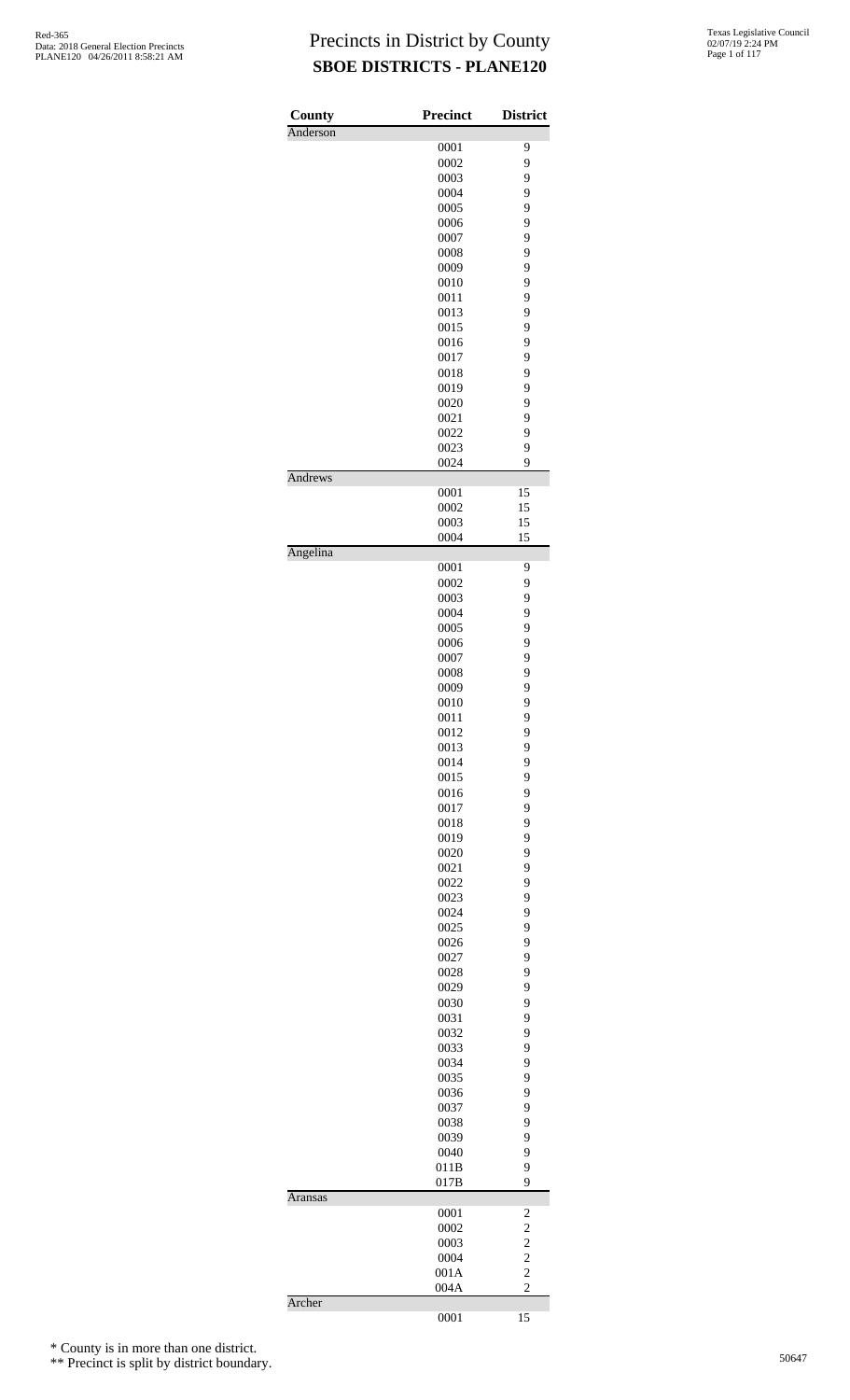| County   | Precinct     | <b>District</b>                           |
|----------|--------------|-------------------------------------------|
| Anderson |              |                                           |
|          | 0001         | 9                                         |
|          | 0002         | 9                                         |
|          | 0003         | 9                                         |
|          | 0004<br>0005 | 9<br>9                                    |
|          | 0006         | 9                                         |
|          | 0007         | 9                                         |
|          | 0008         | 9                                         |
|          | 0009         | 9                                         |
|          | 0010         | 9                                         |
|          | 0011         | 9                                         |
|          | 0013         | 9                                         |
|          | 0015         | 9                                         |
|          | 0016         | 9                                         |
|          | 0017         | 9                                         |
|          | 0018         | 9                                         |
|          | 0019         | 9                                         |
|          | 0020         | 9                                         |
|          | 0021         | 9                                         |
|          | 0022         | 9                                         |
|          | 0023         | 9                                         |
|          | 0024         | 9                                         |
| Andrews  | 0001         | 15                                        |
|          | 0002         | 15                                        |
|          | 0003         | 15                                        |
|          | 0004         | 15                                        |
| Angelina |              |                                           |
|          | 0001         | 9                                         |
|          | 0002         | 9                                         |
|          | 0003         | 9                                         |
|          | 0004         | 9                                         |
|          | 0005<br>0006 | 9<br>9                                    |
|          | 0007         | 9                                         |
|          | 0008         | 9                                         |
|          | 0009         | 9                                         |
|          | 0010         | 9                                         |
|          | 0011         | 9                                         |
|          | 0012         | 9                                         |
|          | 0013         | 9                                         |
|          | 0014         | 9                                         |
|          | 0015         | 9                                         |
|          | 0016         | 9                                         |
|          | 0017         | 9                                         |
|          | 0018         | 9                                         |
|          | 0019         | 9                                         |
|          | 0020         | 9                                         |
|          | 0021         | 9                                         |
|          | 0022         | 9                                         |
|          | 0023         | 9                                         |
|          | 0024         | 9                                         |
|          | 0025         | 9                                         |
|          | 0026         | 9                                         |
|          | 0027         | 9                                         |
|          | 0028         | 9                                         |
|          | 0029         | 9                                         |
|          | 0030         | 9                                         |
|          | 0031<br>0032 | 9<br>9                                    |
|          | 0033         | 9                                         |
|          | 0034         | 9                                         |
|          | 0035         | 9                                         |
|          | 0036         | 9                                         |
|          | 0037         | 9                                         |
|          | 0038         | 9                                         |
|          | 0039         | 9                                         |
|          | 0040         | 9                                         |
|          | 011B         | 9                                         |
|          | 017B         | 9                                         |
| Aransas  |              |                                           |
|          | 0001         | 2                                         |
|          | 0002<br>0003 | $\overline{\mathbf{c}}$<br>$\overline{c}$ |
|          | 0004         | $\overline{c}$                            |
|          | 001A         | $\overline{c}$                            |
|          | 004A         | $\overline{c}$                            |
| Archer   |              |                                           |
|          | 0001         | 15                                        |

\* County is in more than one district.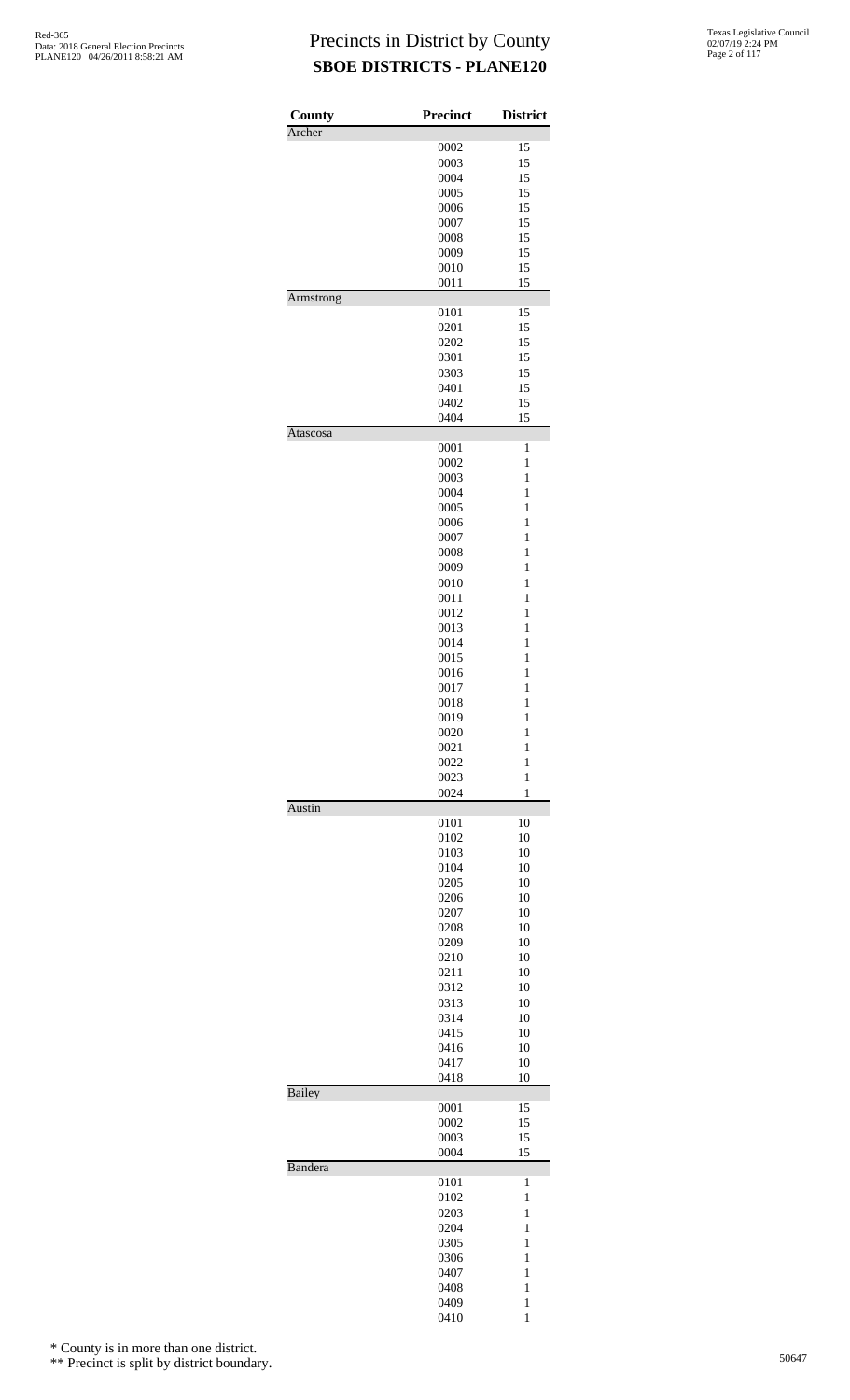| <b>County</b><br>Archer | <b>Precinct</b> | <b>District</b>              |
|-------------------------|-----------------|------------------------------|
|                         | 0002            | 15                           |
|                         | 0003            | 15                           |
|                         | 0004            | 15                           |
|                         | 0005            | 15                           |
|                         | 0006            | 15                           |
|                         | 0007            | 15                           |
|                         | 0008            | 15                           |
|                         | 0009            | 15                           |
|                         | 0010            | 15                           |
|                         | 0011            | 15                           |
| Armstrong               | 0101            | 15                           |
|                         | 0201            | 15                           |
|                         | 0202            | 15                           |
|                         | 0301            | 15                           |
|                         | 0303            | 15                           |
|                         | 0401            | 15                           |
|                         | 0402            | 15                           |
|                         | 0404            | 15                           |
| Atascosa                | 0001            | 1                            |
|                         | 0002            | $\mathbf{1}$                 |
|                         | 0003            | $\mathbf{1}$                 |
|                         | 0004            | 1                            |
|                         | 0005            | $\mathbf{1}$                 |
|                         | 0006            | $\mathbf{1}$                 |
|                         | 0007            | $\mathbf{1}$                 |
|                         | 0008            | $\mathbf{1}$                 |
|                         | 0009            | 1                            |
|                         | 0010            | $\mathbf{1}$                 |
|                         | 0011            | $\mathbf{1}$                 |
|                         | 0012            | $\mathbf{1}$                 |
|                         | 0013            | $\mathbf{1}$                 |
|                         | 0014            | 1                            |
|                         | 0015            | $\mathbf{1}$                 |
|                         | 0016            | $\mathbf{1}$                 |
|                         | 0017            | $\mathbf{1}$                 |
|                         | 0018            | $\mathbf{1}$                 |
|                         | 0019            | $\mathbf{1}$                 |
|                         | 0020            | $\mathbf{1}$                 |
|                         | 0021            | $\mathbf{1}$                 |
|                         | 0022<br>0023    | $\mathbf{1}$<br>$\mathbf{1}$ |
|                         | 0024            | $\mathbf{1}$                 |
| Austin                  |                 |                              |
|                         | 0101<br>0102    | 10<br>10                     |
|                         | 0103            | 10                           |
|                         | 0104            | 10                           |
|                         | 0205            | 10                           |
|                         | 0206            | 10                           |
|                         | 0207            | 10                           |
|                         | 0208            | 10                           |
|                         | 0209            | 10                           |
|                         | 0210            | 10                           |
|                         | 0211            | 10                           |
|                         | 0312            | 10                           |
|                         | 0313            | 10                           |
|                         | 0314            | 10                           |
|                         | 0415            | 10                           |
|                         | 0416            | 10                           |
|                         | 0417            | 10                           |
| Bailey                  | 0418            | 10                           |
|                         | 0001            | 15                           |
|                         | 0002            | 15                           |
|                         | 0003            | 15                           |
|                         | 0004            | 15                           |
| Bandera                 | 0101            | $\mathbf{1}$                 |
|                         | 0102            | $\mathbf{1}$                 |
|                         | 0203            | $\mathbf{1}$                 |
|                         | 0204            | $\mathbf{1}$                 |
|                         | 0305            | 1                            |
|                         | 0306            | $\mathbf{1}$                 |
|                         | 0407            | $\mathbf{1}$                 |
|                         | 0408            | $\mathbf{1}$                 |
|                         | 0409            | $\mathbf{1}$                 |
|                         | 0410            | 1                            |

\* County is in more than one district.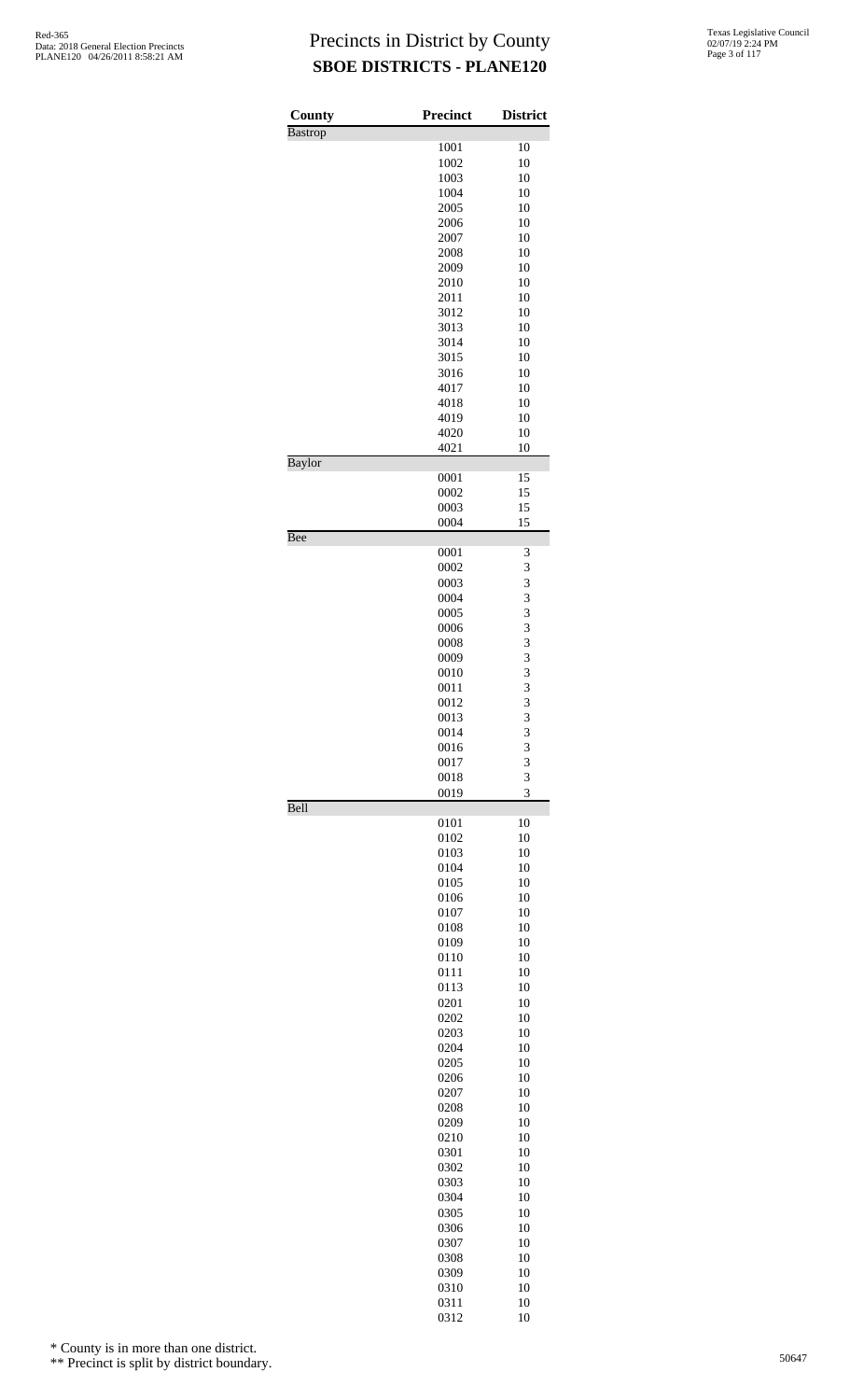| <b>County</b>  | <b>Precinct</b> | <b>District</b> |
|----------------|-----------------|-----------------|
| <b>Bastrop</b> | 1001            | 10              |
|                | 1002            | 10              |
|                | 1003            | 10              |
|                | 1004            | 10              |
|                | 2005            | 10              |
|                | 2006            | 10              |
|                | 2007            | 10              |
|                | 2008            | 10              |
|                | 2009            | 10<br>10        |
|                | 2010<br>2011    | 10              |
|                | 3012            | 10              |
|                | 3013            | 10              |
|                | 3014            | 10              |
|                | 3015            | 10              |
|                | 3016            | 10              |
|                | 4017            | 10              |
|                | 4018            | 10<br>10        |
|                | 4019<br>4020    | 10              |
|                | 4021            | 10              |
| <b>Baylor</b>  |                 |                 |
|                | 0001            | 15              |
|                | 0002            | 15              |
|                | 0003            | 15              |
| Bee            | 0004            | 15              |
|                | 0001            | 3               |
|                | 0002            | 3               |
|                | 0003            | 3               |
|                | 0004            | 3               |
|                | 0005            | 3               |
|                | 0006            | 3               |
|                | 0008            | 3               |
|                | 0009            | 3               |
|                | 0010<br>0011    | 3<br>3          |
|                | 0012            | 3               |
|                | 0013            | 3               |
|                | 0014            | 3               |
|                | 0016            | 3               |
|                | 0017            | 3               |
|                | 0018            | 3               |
| Bell           | 0019            | 3               |
|                | 0101            | 10              |
|                | 0102            | 10              |
|                | 0103            | 10              |
|                | 0104            | 10              |
|                | 0105            | 10              |
|                | 0106            | 10              |
|                | 0107            | 10<br>10        |
|                | 0108<br>0109    | 10              |
|                | 0110            | 10              |
|                | 0111            | 10              |
|                | 0113            | 10              |
|                | 0201            | 10              |
|                | 0202            | 10              |
|                | 0203            | 10              |
|                | 0204            | 10              |
|                | 0205<br>0206    | 10<br>10        |
|                | 0207            | 10              |
|                | 0208            | 10              |
|                | 0209            | 10              |
|                | 0210            | 10              |
|                | 0301            | 10              |
|                | 0302            | 10              |
|                | 0303            | 10              |
|                | 0304<br>0305    | 10<br>10        |
|                | 0306            | 10              |
|                | 0307            | 10              |
|                | 0308            | 10              |
|                | 0309            | 10              |
|                | 0310            | 10              |
|                | 0311            | 10              |

10

\* County is in more than one district.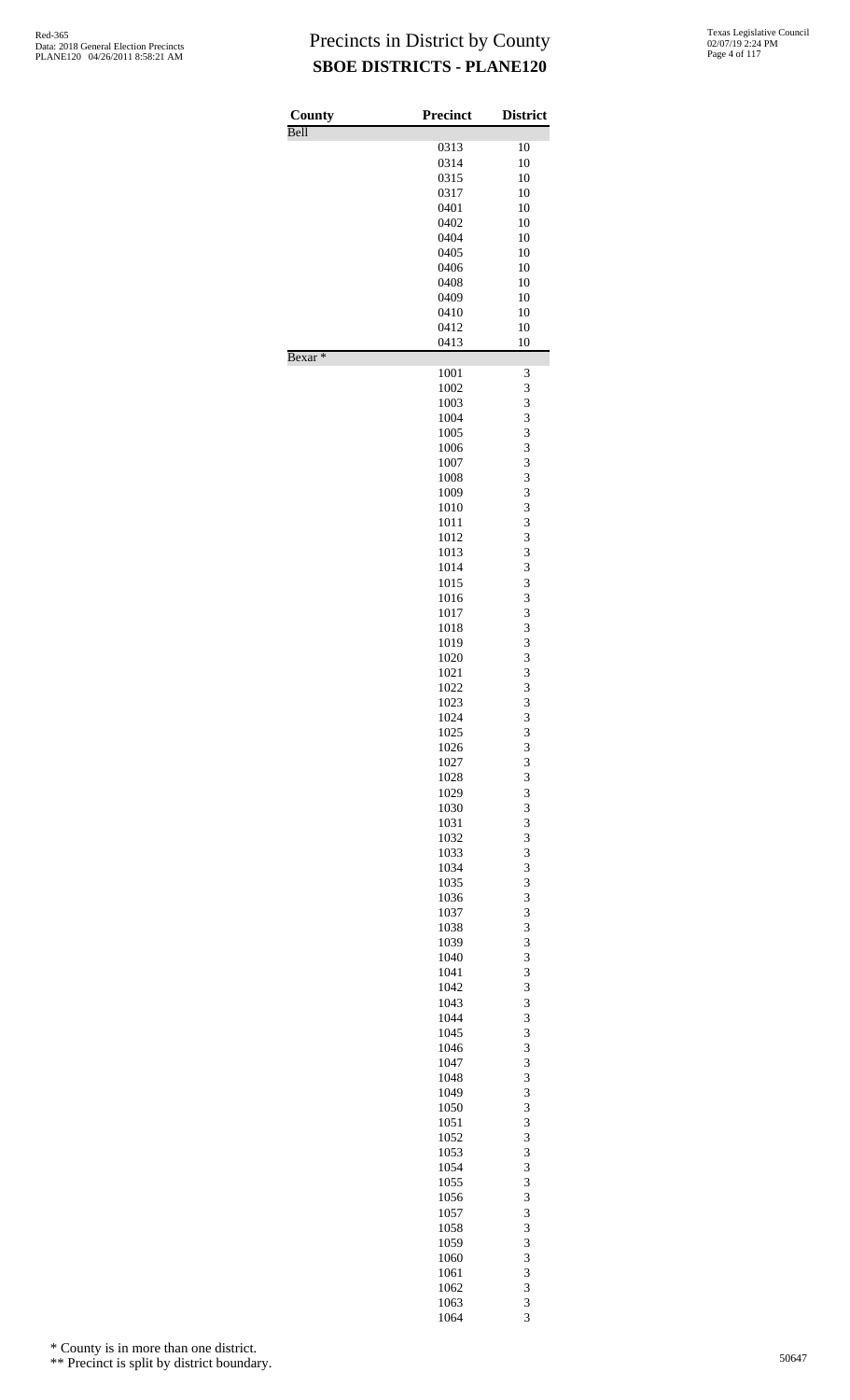| County             | <b>Precinct</b> | <b>District</b> |
|--------------------|-----------------|-----------------|
| Bell               | 0313            | 10              |
|                    | 0314            | 10              |
|                    | 0315            | 10              |
|                    | 0317            | 10              |
|                    | 0401<br>0402    | 10<br>10        |
|                    | 0404            | 10              |
|                    | 0405            | 10              |
|                    | 0406            | 10              |
|                    | 0408            | 10              |
|                    | 0409            | 10              |
|                    | 0410<br>0412    | 10<br>10        |
|                    | 0413            | 10              |
| Bexar <sup>*</sup> |                 |                 |
|                    | 1001<br>1002    | 3<br>3          |
|                    | 1003            | 3               |
|                    | 1004            | 3               |
|                    | 1005            | 3               |
|                    | 1006            | 3               |
|                    | 1007            | 3<br>3          |
|                    | 1008<br>1009    | 3               |
|                    | 1010            | 3               |
|                    | 1011            | 3               |
|                    | 1012            | 3               |
|                    | 1013            | 3               |
|                    | 1014<br>1015    | 3<br>3          |
|                    | 1016            | 3               |
|                    | 1017            | 3               |
|                    | 1018            | 3               |
|                    | 1019            | 3               |
|                    | 1020<br>1021    | 3               |
|                    | 1022            | 3<br>3          |
|                    | 1023            | 3               |
|                    | 1024            | 3               |
|                    | 1025            | 3               |
|                    | 1026            | 3               |
|                    | 1027<br>1028    | 3<br>3          |
|                    | 1029            | 3               |
|                    | 1030            | 3               |
|                    | 1031            | 3               |
|                    | 1032            | 3               |
|                    | 1033<br>1034    | 3<br>3          |
|                    | 1035            | 3               |
|                    | 1036            | 3               |
|                    | 1037            | 3               |
|                    | 1038            | 3               |
|                    | 1039<br>1040    | 3<br>3          |
|                    | 1041            | 3               |
|                    | 1042            | 3               |
|                    | 1043            | 3               |
|                    | 1044            | 3               |
|                    | 1045            | 3               |
|                    | 1046<br>1047    | 3<br>3          |
|                    | 1048            | 3               |
|                    | 1049            | 3               |
|                    | 1050            | 3               |
|                    | 1051            | 3               |
|                    | 1052            | 3<br>3          |
|                    | 1053<br>1054    | 3               |
|                    | 1055            | 3               |
|                    | 1056            | 3               |
|                    | 1057            | 3               |
|                    | 1058            | 3               |
|                    | 1059<br>1060    | 3<br>3          |
|                    | 1061            | 3               |
|                    | 1062            | 3               |
|                    | 1063            | 3               |

3

\* County is in more than one district.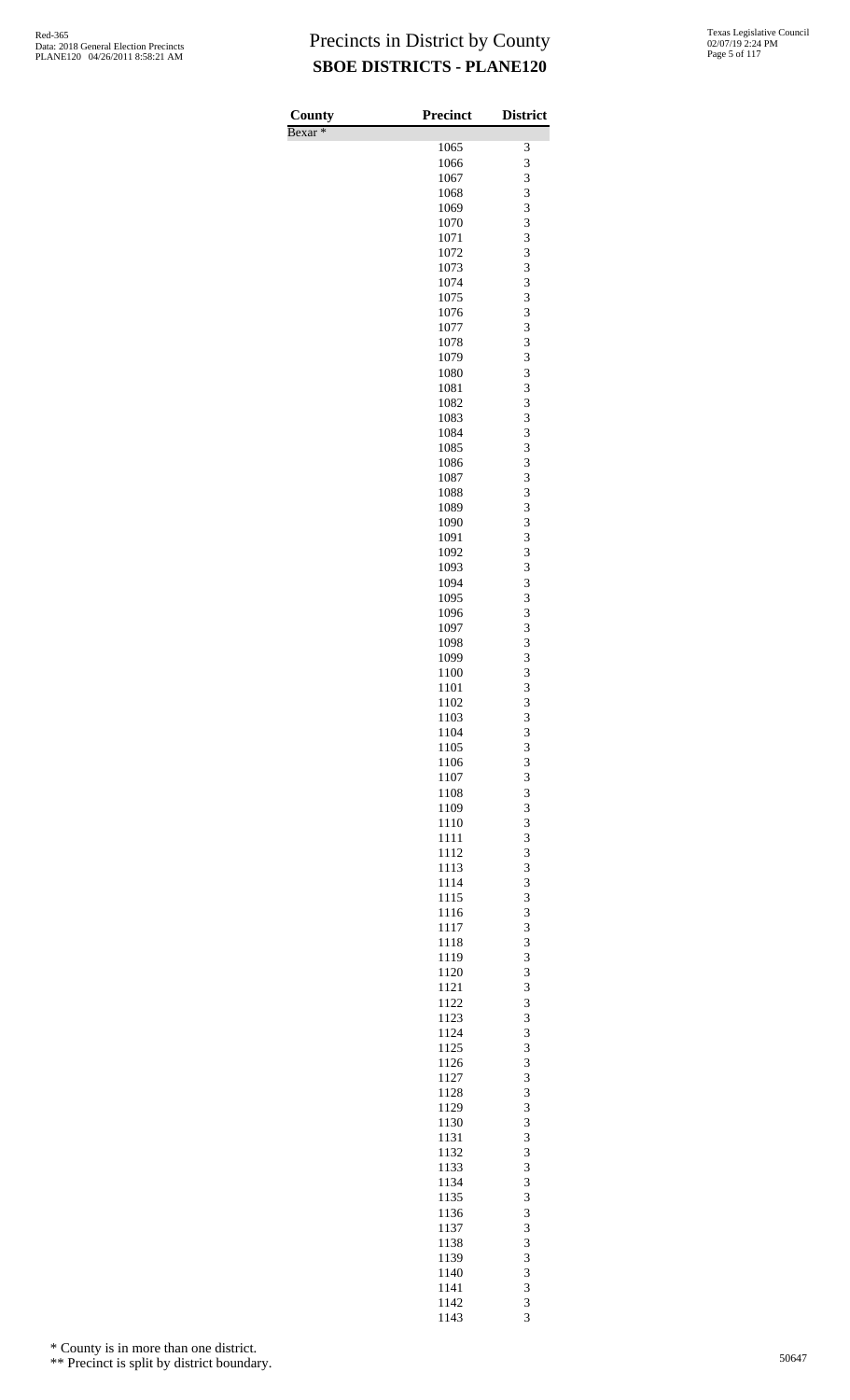| County             | <b>Precinct</b> | <b>District</b>         |
|--------------------|-----------------|-------------------------|
| Bexar <sup>*</sup> |                 |                         |
|                    | 1065            | 3                       |
|                    | 1066            | 3                       |
|                    | 1067            | 3                       |
|                    | 1068<br>1069    | 3<br>3                  |
|                    | 1070            | 3                       |
|                    | 1071            | 3                       |
|                    | 1072            | 3                       |
|                    | 1073            | 3                       |
|                    | 1074            | 3                       |
|                    | 1075            | 3                       |
|                    | 1076            | 3<br>3                  |
|                    | 1077<br>1078    | 3                       |
|                    | 1079            | 3                       |
|                    | 1080            | 3                       |
|                    | 1081            | 3                       |
|                    | 1082            | 3                       |
|                    | 1083            | 3                       |
|                    | 1084            | 3                       |
|                    | 1085            | 3                       |
|                    | 1086<br>1087    | 3<br>3                  |
|                    | 1088            | 3                       |
|                    | 1089            | 3                       |
|                    | 1090            | 3                       |
|                    | 1091            | 3                       |
|                    | 1092            | 3                       |
|                    | 1093            | 3                       |
|                    | 1094            | 3                       |
|                    | 1095<br>1096    | 3<br>3                  |
|                    | 1097            | 3                       |
|                    | 1098            | 3                       |
|                    | 1099            | 3                       |
|                    | 1100            | 3                       |
|                    | 1101            | 3                       |
|                    | 1102            | 3                       |
|                    | 1103            | $\overline{\mathbf{3}}$ |
|                    | 1104            | 3                       |
|                    | 1105<br>1106    | 3<br>3                  |
|                    | 1107            | 3                       |
|                    | 1108            | 3                       |
|                    | 1109            | 3                       |
|                    | 1110            | 3                       |
|                    | 1111            | 3                       |
|                    | 1112            | 3                       |
|                    | 1113            | 3                       |
|                    | 1114            | 3                       |
|                    | 1115<br>1116    | 3<br>3                  |
|                    | 1117            | 3                       |
|                    | 1118            | 3                       |
|                    | 1119            | 3                       |
|                    | 1120            | 3                       |
|                    | 1121            | 3                       |
|                    | 1122            | 3                       |
|                    | 1123<br>1124    | 3<br>3                  |
|                    | 1125            | 3                       |
|                    | 1126            | 3                       |
|                    | 1127            | 3                       |
|                    | 1128            | 3                       |
|                    | 1129            | 3                       |
|                    | 1130            | 3                       |
|                    | 1131            | 3                       |
|                    | 1132            | 3                       |
|                    | 1133<br>1134    | 3<br>3                  |
|                    | 1135            | 3                       |
|                    | 1136            | 3                       |
|                    | 1137            | 3                       |
|                    | 1138            | 3                       |
|                    | 1139            | 3                       |
|                    | 1140            | 3                       |
|                    | 1141            | 3                       |
|                    | 1142<br>1143    | 3<br>3                  |

\* County is in more than one district.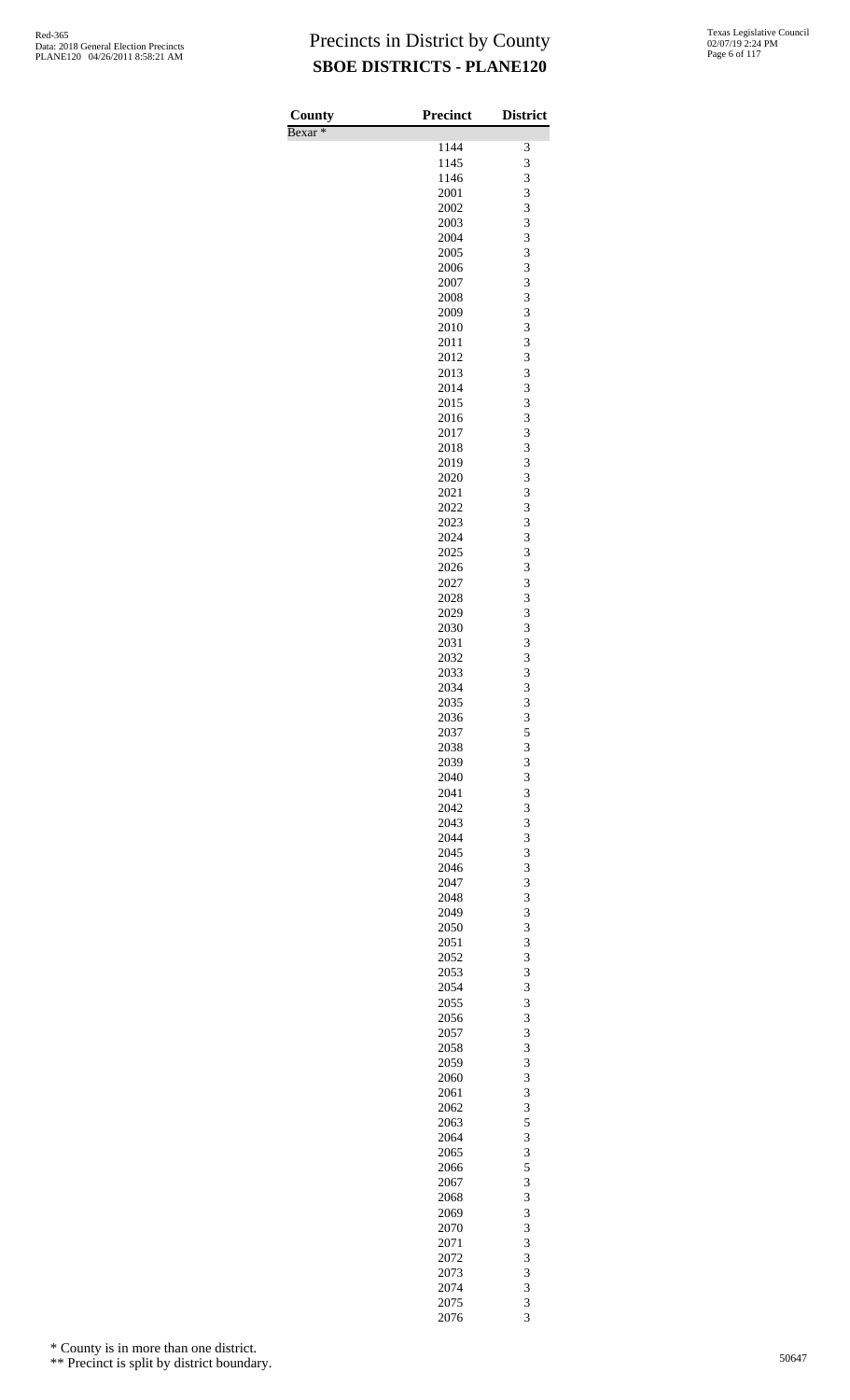| County<br>Bexar <sup>*</sup> | <b>Precinct</b> | <b>District</b>     |
|------------------------------|-----------------|---------------------|
|                              | 1144            | 3                   |
|                              | 1145            | 3                   |
|                              | 1146            | 3                   |
|                              | 2001            | 3                   |
|                              | 2002<br>2003    | 3<br>3              |
|                              | 2004            | 3                   |
|                              | 2005            | 3                   |
|                              | 2006            | 3                   |
|                              | 2007            | 3                   |
|                              | 2008<br>2009    | 3<br>3              |
|                              | 2010            | 3                   |
|                              | 2011            | 3                   |
|                              | 2012            | 3                   |
|                              | 2013            | 3                   |
|                              | 2014<br>2015    | 3<br>3              |
|                              | 2016            | 3                   |
|                              | 2017            | 3                   |
|                              | 2018            | 3                   |
|                              | 2019            | 3                   |
|                              | 2020<br>2021    | 3<br>3              |
|                              | 2022            | 3                   |
|                              | 2023            | 3                   |
|                              | 2024            | 3                   |
|                              | 2025            | 3                   |
|                              | 2026            | 3<br>3              |
|                              | 2027<br>2028    | 3                   |
|                              | 2029            | 3                   |
|                              | 2030            | 3                   |
|                              | 2031            | 3                   |
|                              | 2032            | 3<br>3              |
|                              | 2033<br>2034    | 3                   |
|                              | 2035            | 3                   |
|                              | 2036            | 3                   |
|                              | 2037            | 5                   |
|                              | 2038            | 3                   |
|                              | 2039<br>2040    | 3<br>3              |
|                              | 2041            | 3                   |
|                              | 2042            | 3                   |
|                              | 2043            | 3                   |
|                              | 2044            | 3                   |
|                              | 2045<br>2046    | 3<br>3              |
|                              | 2047            | 3                   |
|                              | 2048            | 3                   |
|                              | 2049            | 3                   |
|                              | 2050            | 3                   |
|                              | 2051<br>2052    | 3<br>3              |
|                              | 2053            | 3                   |
|                              | 2054            | 3                   |
|                              | 2055            | 3                   |
|                              | 2056            | 3<br>3              |
|                              | 2057<br>2058    | 3                   |
|                              | 2059            | 3                   |
|                              | 2060            | 3                   |
|                              | 2061            | 3                   |
|                              | 2062            | 3                   |
|                              | 2063<br>2064    | 5<br>3              |
|                              | 2065            | 3                   |
|                              | 2066            | 5                   |
|                              | 2067            | 3                   |
|                              | 2068            | 3                   |
|                              | 2069<br>2070    | 3<br>3              |
|                              | 2071            | 3                   |
|                              | 2072            | 3                   |
|                              | 2073            | 3                   |
|                              | 2074            | 3                   |
|                              | 2075<br>2076    | 3<br>$\overline{3}$ |
|                              |                 |                     |

\* County is in more than one district.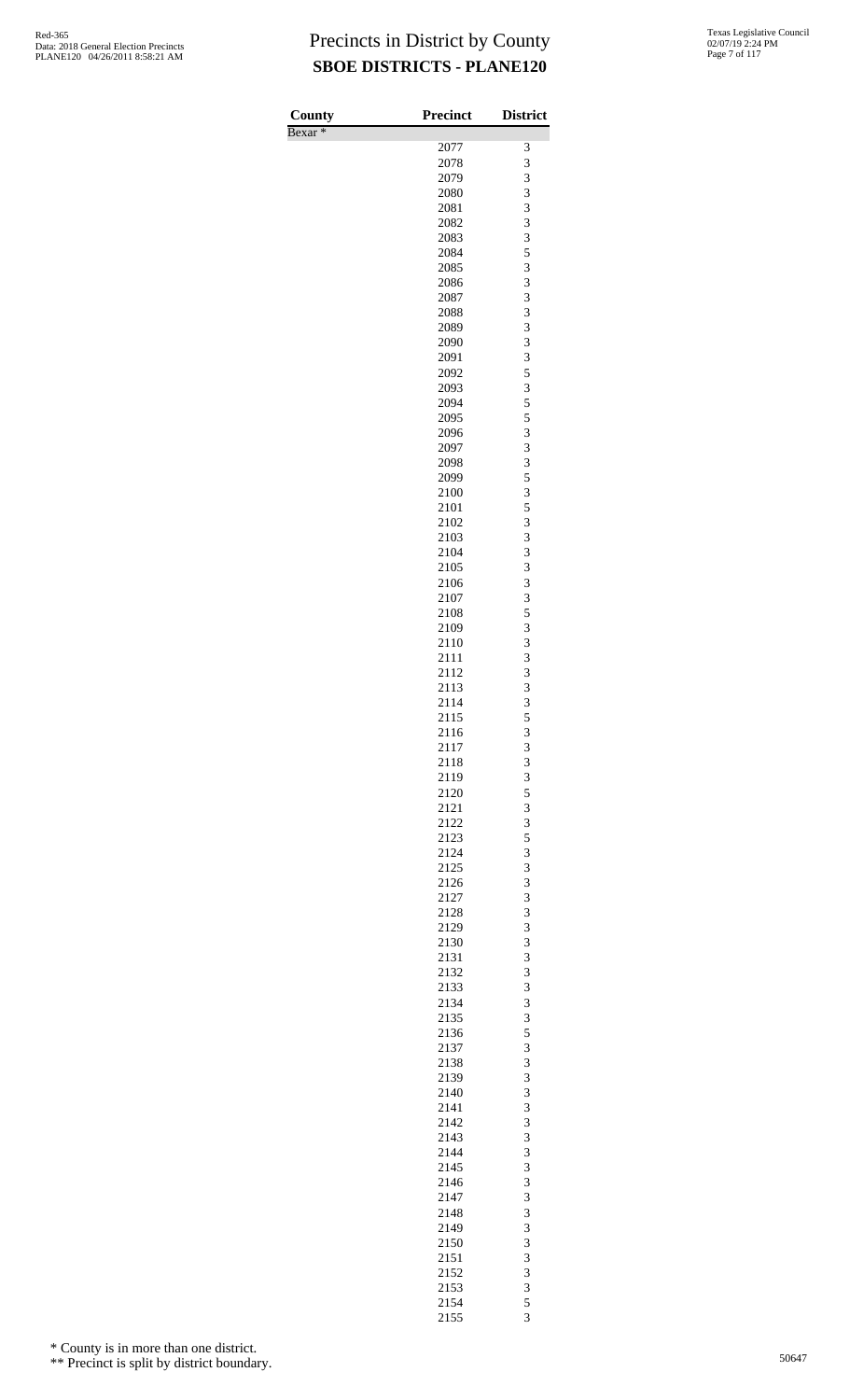Bexar \*

| County    | <b>Precinct</b> | <b>District</b> |
|-----------|-----------------|-----------------|
| $Bexar *$ |                 |                 |
|           | 2077            | 3               |
|           | 2078            | 3               |
|           | 2079            | 3               |
|           | 2080            | 3<br>3          |
|           | 2081            | 3               |
|           | 2082<br>2083    | 3               |
|           | 2084            |                 |
|           | 2085            | $\frac{5}{3}$   |
|           | 2086            | 3               |
|           | 2087            | 3               |
|           | 2088            | 3               |
|           | 2089            |                 |
|           | 2090            | $\frac{3}{3}$   |
|           | 2091            | 3               |
|           | 2092            | 5               |
|           | 2093            | 3               |
|           | 2094            | 5               |
|           | 2095            | 5               |
|           | 2096            | 3               |
|           | 2097            | 3               |
|           | 2098            | 3               |
|           | 2099            | $\frac{5}{3}$   |
|           | 2100            |                 |
|           | 2101            | 5               |
|           | 2102            | 3               |
|           | 2103            | 3               |
|           | 2104            | $\frac{3}{3}$   |
|           | 2105            | 3               |
|           | 2106            |                 |
|           | 2107<br>2108    | 3<br>5          |
|           | 2109            | 3               |
|           | 2110            | 3               |
|           | 2111            | 3               |
|           | 2112            | 3               |
|           | 2113            | $\overline{3}$  |
|           | 2114            | 3               |
|           | 2115            | 5               |
|           | 2116            | 3               |
|           | 2117            | 3               |
|           | 2118            | 3               |
|           | 2119            |                 |
|           | 2120            | $rac{3}{5}$     |
|           | 2121            | 3               |
|           | 2122            | 3               |
|           | 2123            | 5               |
|           | 2124            | $\frac{3}{3}$   |
|           | 2125            |                 |
|           | 2126            | 3               |
|           | 2127            | 3               |
|           | 2128            | 3               |
|           | 2129            | $\frac{3}{3}$   |
|           | 2130            |                 |
|           | 2131            | 3               |
|           | 2132<br>2133    | 3<br>3          |
|           | 2134            |                 |
|           | 2135            | $\frac{3}{3}$   |
|           | 2136            | 5               |
|           | 2137            | 3               |
|           | 2138            | 3               |
|           | 2139            |                 |
|           | 2140            | $\frac{3}{3}$   |
|           | 2141            | 3               |
|           | 2142            | 3               |
|           | 2143            | 3               |
|           | 2144            | $\frac{3}{3}$   |
|           | 2145            |                 |
|           | 2146            | 3               |
|           | 2147            | 3               |
|           | 2148            | 3               |
|           | 2149            | $\frac{3}{3}$   |
|           | 2150            |                 |
|           | 2151            | 3               |
|           | 2152            | 3               |
|           | 2153            | 3               |
|           | 2154            | $\frac{5}{3}$   |
|           | 2155            |                 |

\* County is in more than one district.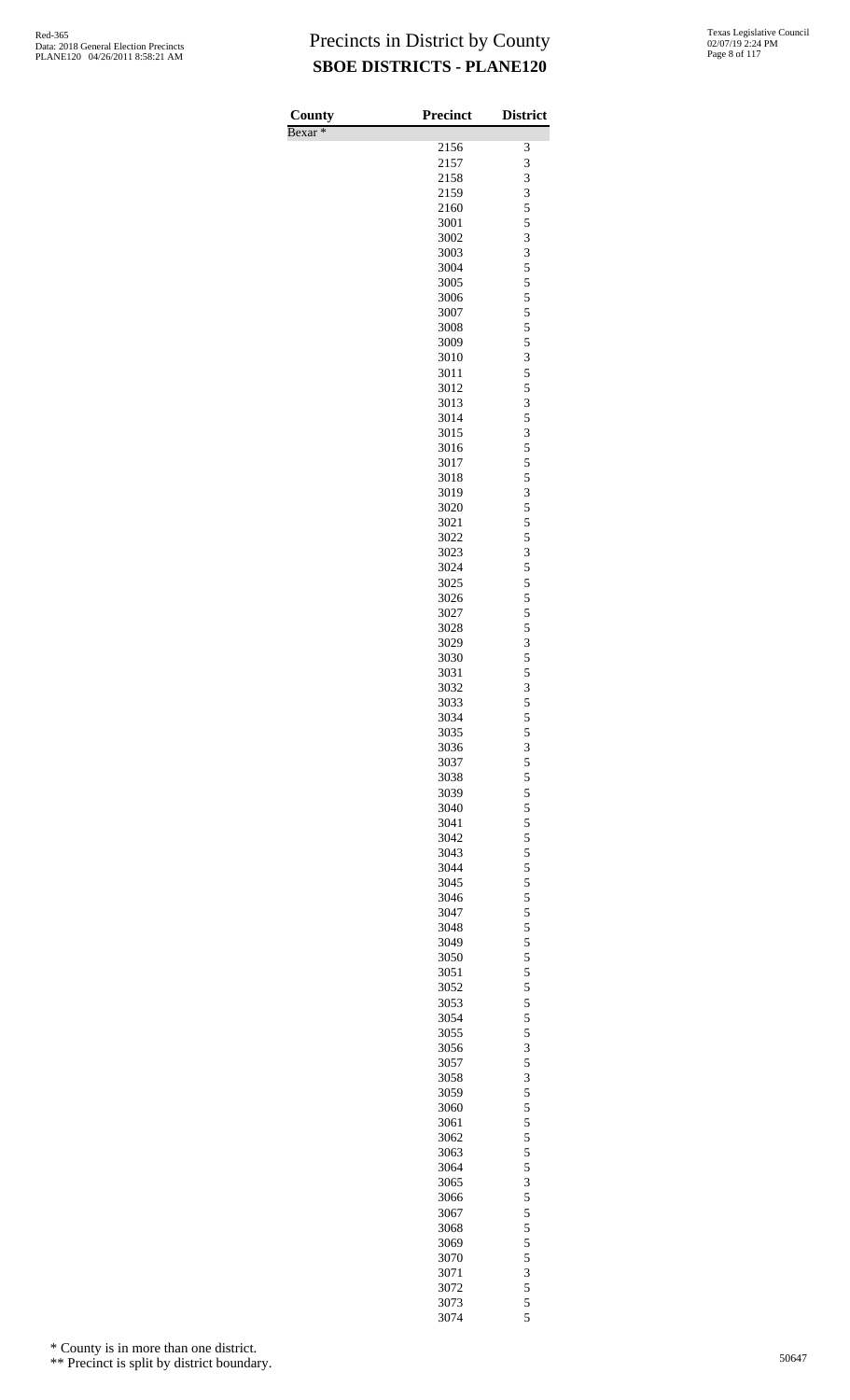| County<br>Bexar <sup>*</sup> | <b>Precinct</b> | <b>District</b> |
|------------------------------|-----------------|-----------------|
|                              | 2156            | 3               |
|                              | 2157            | 3               |
|                              | 2158            | 3               |
|                              | 2159            | 3               |
|                              | 2160            | 5               |
|                              | 3001            | 5               |
|                              | 3002            | 3               |
|                              | 3003<br>3004    | 3<br>5          |
|                              | 3005            | 5               |
|                              | 3006            | 5               |
|                              | 3007            | 5               |
|                              | 3008            | 5               |
|                              | 3009            | 5               |
|                              | 3010            | 3               |
|                              | 3011            | 5               |
|                              | 3012<br>3013    | 5<br>3          |
|                              | 3014            | 5               |
|                              | 3015            | 3               |
|                              | 3016            | 5               |
|                              | 3017            | 5               |
|                              | 3018            | 5               |
|                              | 3019            | 3               |
|                              | 3020            | 5               |
|                              | 3021<br>3022    | 5<br>5          |
|                              | 3023            | 3               |
|                              | 3024            | 5               |
|                              | 3025            | 5               |
|                              | 3026            | 5               |
|                              | 3027            | 5               |
|                              | 3028            | 5               |
|                              | 3029            | 3               |
|                              | 3030            | 5               |
|                              | 3031<br>3032    | 5<br>3          |
|                              | 3033            | 5               |
|                              | 3034            | 5               |
|                              | 3035            | 5               |
|                              | 3036            | 3               |
|                              | 3037            | 5               |
|                              | 3038            | 5               |
|                              | 3039            | 5               |
|                              | 3040<br>3041    | 5<br>5          |
|                              | 3042            | 5               |
|                              | 3043            | 5               |
|                              | 3044            | 5               |
|                              | 3045            | 5               |
|                              | 3046            | 5               |
|                              | 3047            | 5               |
|                              | 3048            | 5               |
|                              | 3049            | 5               |
|                              | 3050<br>3051    | 5<br>5          |
|                              | 3052            | 5               |
|                              | 3053            | 5               |
|                              | 3054            | 5               |
|                              | 3055            | 5               |
|                              | 3056            | 3               |
|                              | 3057            | 5               |
|                              | 3058            | 3               |
|                              | 3059<br>3060    | 5<br>5          |
|                              | 3061            | 5               |
|                              | 3062            | 5               |
|                              | 3063            | 5               |
|                              | 3064            | 5               |
|                              | 3065            | 3               |
|                              | 3066            | 5               |
|                              | 3067            | 5               |
|                              | 3068            | 5<br>5          |
|                              | 3069<br>3070    | 5               |
|                              | 3071            | 3               |
|                              | 3072            | 5               |
|                              | 3073            | 5               |
|                              | 3074            | 5               |

\* County is in more than one district.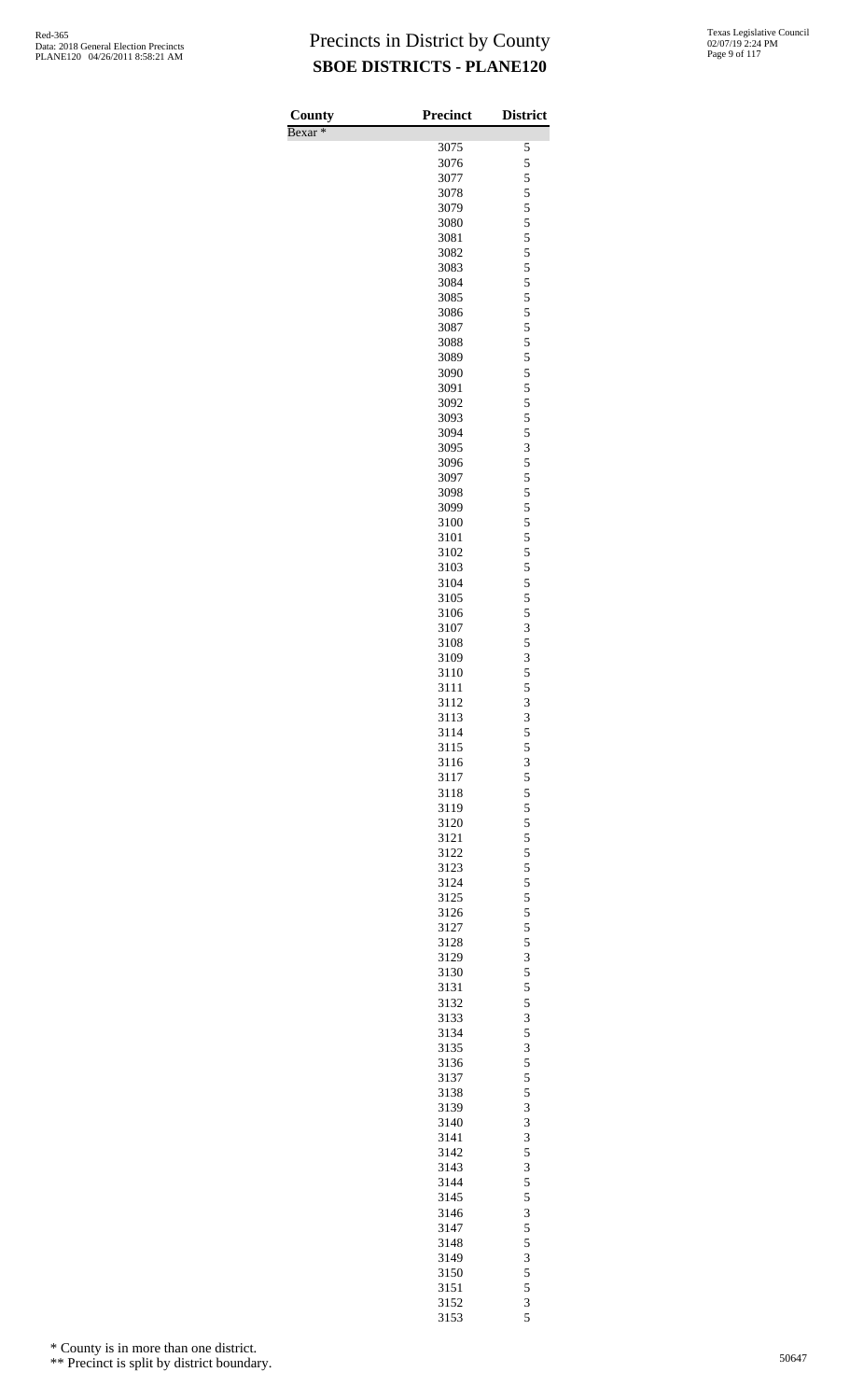| County             | Precinct     | <b>District</b>         |
|--------------------|--------------|-------------------------|
| Bexar <sup>*</sup> |              |                         |
|                    | 3075         | 5                       |
|                    | 3076         | 5                       |
|                    | 3077         | 5                       |
|                    | 3078         | 5<br>5                  |
|                    | 3079<br>3080 | 5                       |
|                    | 3081         | 5                       |
|                    | 3082         |                         |
|                    | 3083         | $\frac{5}{5}$           |
|                    | 3084         | 5                       |
|                    | 3085         | 5                       |
|                    | 3086         | 5                       |
|                    | 3087         |                         |
|                    | 3088         | $\frac{5}{5}$           |
|                    | 3089         | 5                       |
|                    | 3090         | 5                       |
|                    | 3091         | 5                       |
|                    | 3092         | 5                       |
|                    | 3093         | 5                       |
|                    | 3094         | 5                       |
|                    | 3095         | 3                       |
|                    | 3096         | 5                       |
|                    | 3097<br>3098 | $\frac{5}{5}$           |
|                    | 3099         | 5                       |
|                    | 3100         | 5                       |
|                    | 3101         | 5                       |
|                    | 3102         |                         |
|                    | 3103         | $\frac{5}{5}$           |
|                    | 3104         | 5                       |
|                    | 3105         | 5                       |
|                    | 3106         | 5                       |
|                    | 3107         | 3                       |
|                    | 3108         | 5                       |
|                    | 3109         | 3                       |
|                    | 3110         | 5                       |
|                    | 3111         | 5                       |
|                    | 3112         | $\overline{3}$          |
|                    | 3113         | 3                       |
|                    | 3114         | $\frac{5}{5}$           |
|                    | 3115         |                         |
|                    | 3116         | $\overline{\mathbf{3}}$ |
|                    | 3117<br>3118 | $\frac{5}{5}$           |
|                    | 3119         | 5                       |
|                    | 3120         | 5                       |
|                    | 3121         | 5                       |
|                    | 3122         |                         |
|                    | 3123         | $\frac{5}{5}$           |
|                    | 3124         | 5                       |
|                    | 3125         | 5                       |
|                    | 3126         | 5                       |
|                    | 3127         | $\frac{5}{5}$           |
|                    | 3128         |                         |
|                    | 3129         | 3                       |
|                    | 3130         | 5                       |
|                    | 3131         | 5                       |
|                    | 3132         | $\frac{5}{3}$           |
|                    | 3133         |                         |
|                    | 3134         | 5                       |
|                    | 3135         | 3<br>5                  |
|                    | 3136<br>3137 |                         |
|                    | 3138         | $\frac{5}{5}$           |
|                    | 3139         | 3                       |
|                    | 3140         | 3                       |
|                    | 3141         | 3                       |
|                    | 3142         |                         |
|                    | 3143         | $\frac{5}{3}$           |
|                    | 3144         | 5                       |
|                    | 3145         | 5                       |
|                    | 3146         | 3                       |
|                    | 3147         | $\frac{5}{5}$           |
|                    | 3148         |                         |
|                    | 3149         | 3                       |
|                    | 3150         | 5                       |
|                    | 3151         | 5                       |
|                    | 3152         | $\frac{3}{5}$           |
|                    | 3153         |                         |

\* County is in more than one district.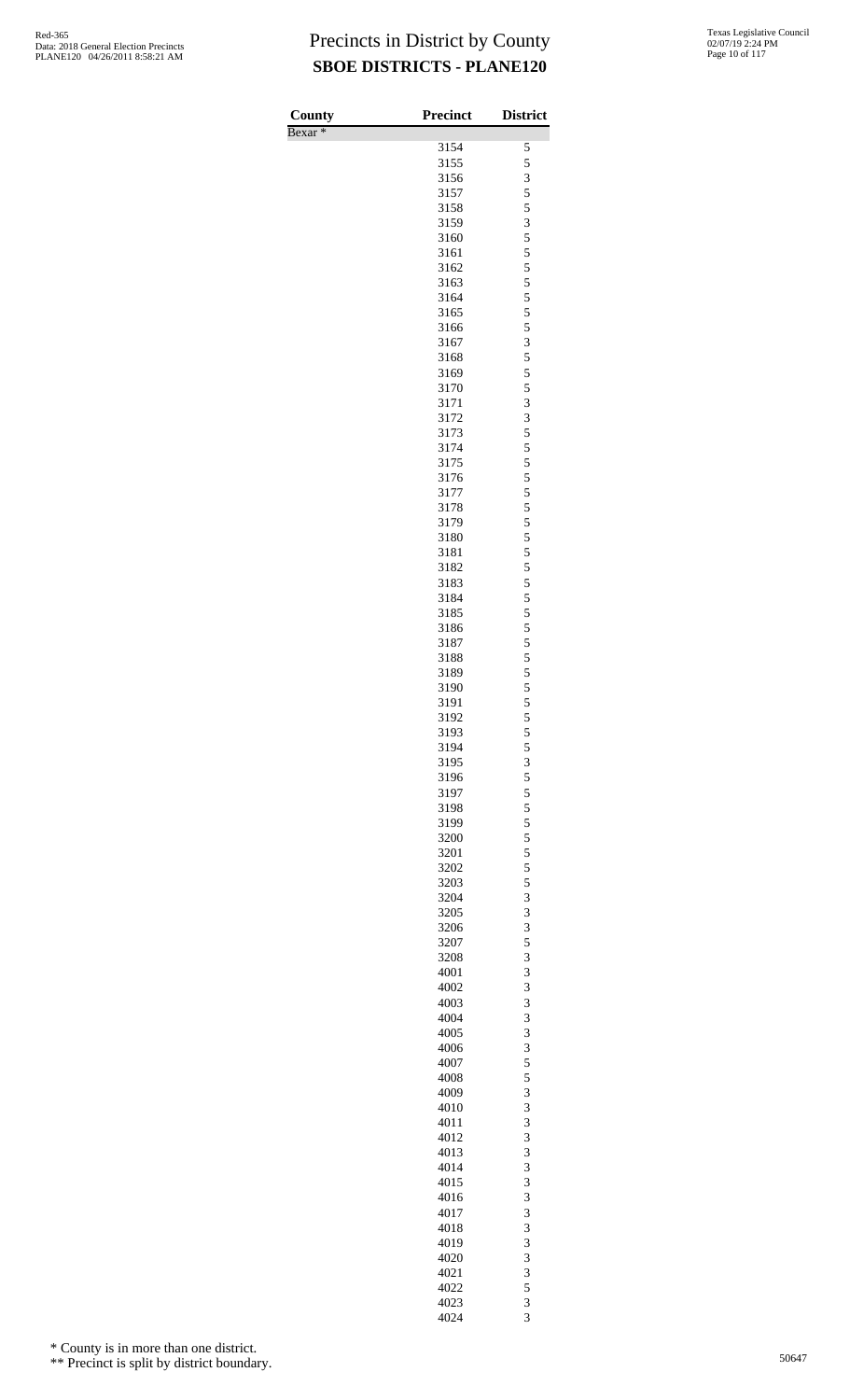| County             | <b>Precinct</b> | <b>District</b>              |
|--------------------|-----------------|------------------------------|
| Bexar <sup>*</sup> | 3154            | 5                            |
|                    | 3155            | 5                            |
|                    | 3156            | 3                            |
|                    | 3157            | 5                            |
|                    | 3158            | 5                            |
|                    | 3159            | $\overline{\mathbf{3}}$      |
|                    | 3160<br>3161    | 5<br>5                       |
|                    | 3162            | 5                            |
|                    | 3163            | 5                            |
|                    | 3164            | 5                            |
|                    | 3165            | 5                            |
|                    | 3166            | 5                            |
|                    | 3167            | 3                            |
|                    | 3168<br>3169    | 5<br>5                       |
|                    | 3170            | 5                            |
|                    | 3171            | 3                            |
|                    | 3172            | 3                            |
|                    | 3173            | 5                            |
|                    | 3174            | 5                            |
|                    | 3175            | 5                            |
|                    | 3176<br>3177    | 5<br>5                       |
|                    | 3178            | 5                            |
|                    | 3179            | 5                            |
|                    | 3180            | 5                            |
|                    | 3181            | 5                            |
|                    | 3182            | 5                            |
|                    | 3183            | 5                            |
|                    | 3184<br>3185    | 5<br>5                       |
|                    | 3186            | 5                            |
|                    | 3187            | 5                            |
|                    | 3188            | 5                            |
|                    | 3189            | 5                            |
|                    | 3190            | 5                            |
|                    | 3191            | 5<br>5                       |
|                    | 3192<br>3193    | 5                            |
|                    | 3194            | 5                            |
|                    | 3195            | 3                            |
|                    | 3196            | 5                            |
|                    | 3197            | 5                            |
|                    | 3198            | 5                            |
|                    | 3199            | 5<br>5                       |
|                    | 3200<br>3201    | 5                            |
|                    | 3202            | 5                            |
|                    | 3203            | 5                            |
|                    | 3204            | 3                            |
|                    | 3205            | 3                            |
|                    | 3206            | 3                            |
|                    | 3207            | 5<br>3                       |
|                    | 3208<br>4001    | 3                            |
|                    | 4002            | 3                            |
|                    | 4003            | 3                            |
|                    | 4004            | 3                            |
|                    | 4005            | 3                            |
|                    | 4006            | 3                            |
|                    | 4007            | 5                            |
|                    | 4008<br>4009    | 5<br>3                       |
|                    | 4010            | 3                            |
|                    | 4011            | 3                            |
|                    | 4012            | 3                            |
|                    | 4013            | 3                            |
|                    | 4014            | 3<br>3                       |
|                    | 4015<br>4016    | 3                            |
|                    | 4017            | 3                            |
|                    | 4018            | 3                            |
|                    | 4019            | 3                            |
|                    | 4020            | 3                            |
|                    | 4021            | 3                            |
|                    | 4022            | 5                            |
|                    | 4023<br>4024    | 3<br>$\overline{\mathbf{3}}$ |

\* County is in more than one district.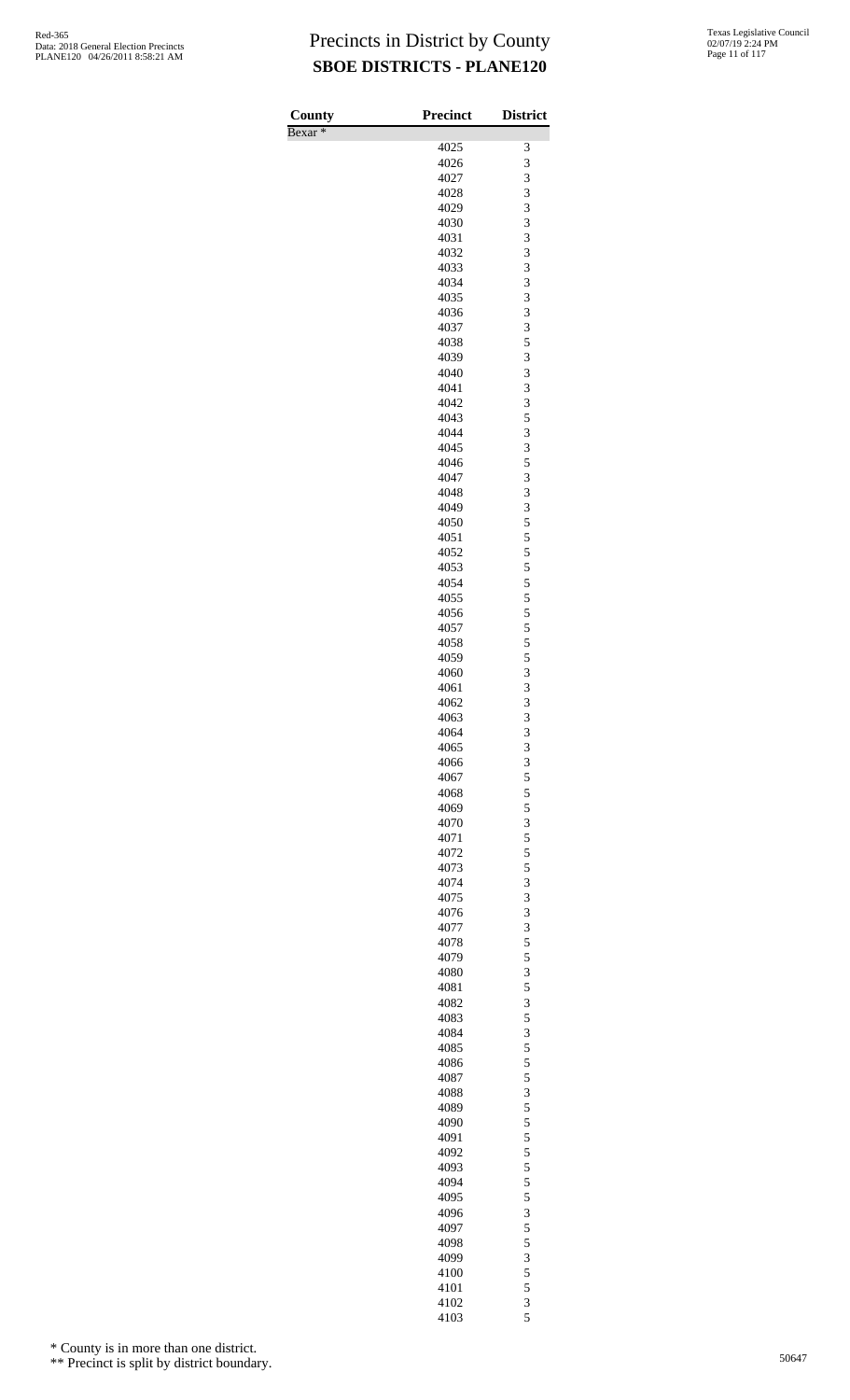| County             | Precinct     | <b>District</b> |
|--------------------|--------------|-----------------|
| Bexar <sup>*</sup> |              |                 |
|                    | 4025         | 3<br>3          |
|                    | 4026<br>4027 | 3               |
|                    | 4028         | 3               |
|                    | 4029         | 3               |
|                    | 4030         | 3               |
|                    | 4031         | 3<br>3          |
|                    | 4032<br>4033 | 3               |
|                    | 4034         | 3               |
|                    | 4035         | 3               |
|                    | 4036         | 3               |
|                    | 4037<br>4038 | 3<br>5          |
|                    | 4039         | 3               |
|                    | 4040         | 3               |
|                    | 4041         | 3               |
|                    | 4042         | 3               |
|                    | 4043         | 5               |
|                    | 4044<br>4045 | 3<br>3          |
|                    | 4046         | 5               |
|                    | 4047         | 3               |
|                    | 4048         | 3               |
|                    | 4049         | 3               |
|                    | 4050<br>4051 | 5<br>5          |
|                    | 4052         | 5               |
|                    | 4053         | 5               |
|                    | 4054         | 5               |
|                    | 4055         | 5               |
|                    | 4056<br>4057 | 5<br>5          |
|                    | 4058         | 5               |
|                    | 4059         | 5               |
|                    | 4060         | 3               |
|                    | 4061         | 3<br>3          |
|                    | 4062<br>4063 | 3               |
|                    | 4064         | 3               |
|                    | 4065         | 3               |
|                    | 4066         | 3               |
|                    | 4067         | 5               |
|                    | 4068<br>4069 | 5<br>5          |
|                    | 4070         | 3               |
|                    | 4071         | 5               |
|                    | 4072         | 5               |
|                    | 4073         | 5               |
|                    | 4074<br>4075 | 3<br>3          |
|                    | 4076         | 3               |
|                    | 4077         | 3               |
|                    | 4078         | 5               |
|                    | 4079         | 5               |
|                    | 4080<br>4081 | 3<br>5          |
|                    | 4082         | 3               |
|                    | 4083         | 5               |
|                    | 4084         | 3               |
|                    | 4085         | 5               |
|                    | 4086<br>4087 | 5<br>5          |
|                    | 4088         | 3               |
|                    | 4089         | 5               |
|                    | 4090         | 5               |
|                    | 4091         | 5               |
|                    | 4092<br>4093 | 5<br>5          |
|                    | 4094         | 5               |
|                    | 4095         | 5               |
|                    | 4096         | 3               |
|                    | 4097         | 5               |
|                    | 4098<br>4099 | 5<br>3          |
|                    | 4100         | 5               |
|                    | 4101         | 5               |
|                    | 4102         | 3               |
|                    | 4103         | 5               |

\* County is in more than one district.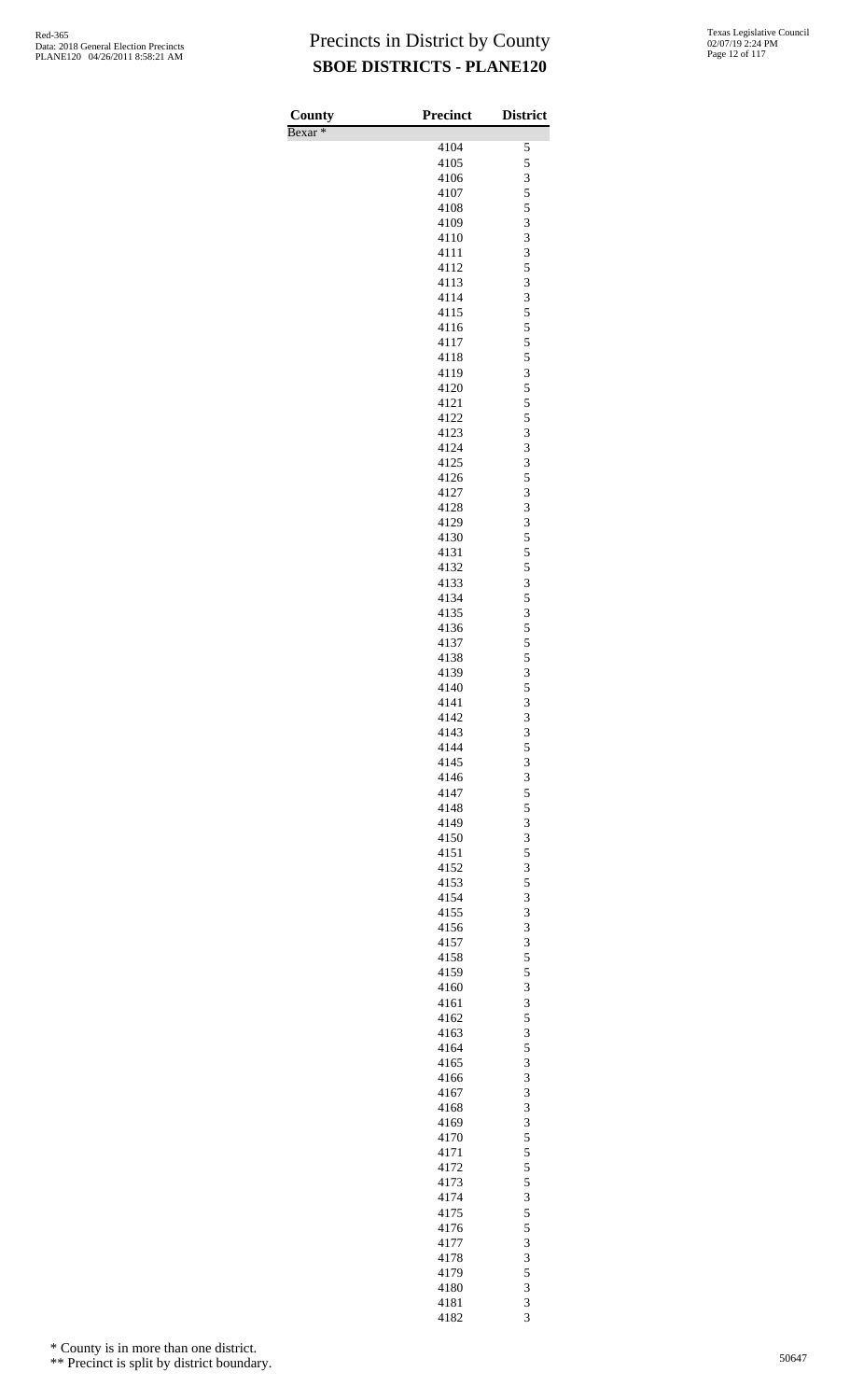| 4104<br>5<br>5<br>4105<br>3<br>4106<br>5<br>4107<br>5<br>4108<br>3<br>4109<br>3<br>4110<br>3<br>4111<br>5<br>4112<br>3<br>4113<br>3<br>4114<br>5<br>4115<br>5<br>4116<br>5<br>4117<br>5<br>4118<br>3<br>4119<br>5<br>4120<br>5<br>4121<br>5<br>4122<br>3<br>4123<br>3<br>4124<br>3<br>4125<br>5<br>4126<br>3<br>4127<br>3<br>4128<br>3<br>4129<br>5<br>4130<br>5<br>4131<br>5<br>4132<br>3<br>4133<br>5<br>4134<br>3<br>4135<br>5<br>4136<br>5<br>4137<br>5<br>4138<br>3<br>4139<br>5<br>4140<br>3<br>4141<br>3<br>4142<br>3<br>4143<br>5<br>4144<br>3<br>4145<br>3<br>4146<br>5<br>4147<br>5<br>4148<br>3<br>4149<br>3<br>4150<br>5<br>4151<br>3<br>4152<br>5<br>4153<br>3<br>4154<br>3<br>4155<br>3<br>4156<br>3<br>4157<br>5<br>4158<br>5<br>4159<br>3<br>4160<br>3<br>4161<br>5<br>4162<br>3<br>4163<br>5<br>4164<br>3<br>4165<br>3<br>4166<br>3<br>4167<br>3<br>4168<br>3<br>4169<br>5<br>4170<br>5<br>4171<br>5<br>4172<br>5<br>4173<br>3<br>4174<br>5<br>4175<br>5<br>4176<br>3<br>4177<br>3<br>4178<br>5<br>4179<br>3<br>4180<br>3<br>4181 | County             | <b>Precinct</b> | <b>District</b> |
|----------------------------------------------------------------------------------------------------------------------------------------------------------------------------------------------------------------------------------------------------------------------------------------------------------------------------------------------------------------------------------------------------------------------------------------------------------------------------------------------------------------------------------------------------------------------------------------------------------------------------------------------------------------------------------------------------------------------------------------------------------------------------------------------------------------------------------------------------------------------------------------------------------------------------------------------------------------------------------------------------------------------------------------------------|--------------------|-----------------|-----------------|
|                                                                                                                                                                                                                                                                                                                                                                                                                                                                                                                                                                                                                                                                                                                                                                                                                                                                                                                                                                                                                                                    | Bexar <sup>*</sup> |                 |                 |
|                                                                                                                                                                                                                                                                                                                                                                                                                                                                                                                                                                                                                                                                                                                                                                                                                                                                                                                                                                                                                                                    |                    |                 |                 |
|                                                                                                                                                                                                                                                                                                                                                                                                                                                                                                                                                                                                                                                                                                                                                                                                                                                                                                                                                                                                                                                    |                    |                 |                 |
|                                                                                                                                                                                                                                                                                                                                                                                                                                                                                                                                                                                                                                                                                                                                                                                                                                                                                                                                                                                                                                                    |                    |                 |                 |
|                                                                                                                                                                                                                                                                                                                                                                                                                                                                                                                                                                                                                                                                                                                                                                                                                                                                                                                                                                                                                                                    |                    |                 |                 |
|                                                                                                                                                                                                                                                                                                                                                                                                                                                                                                                                                                                                                                                                                                                                                                                                                                                                                                                                                                                                                                                    |                    |                 |                 |
|                                                                                                                                                                                                                                                                                                                                                                                                                                                                                                                                                                                                                                                                                                                                                                                                                                                                                                                                                                                                                                                    |                    |                 |                 |
|                                                                                                                                                                                                                                                                                                                                                                                                                                                                                                                                                                                                                                                                                                                                                                                                                                                                                                                                                                                                                                                    |                    |                 |                 |
|                                                                                                                                                                                                                                                                                                                                                                                                                                                                                                                                                                                                                                                                                                                                                                                                                                                                                                                                                                                                                                                    |                    |                 |                 |
|                                                                                                                                                                                                                                                                                                                                                                                                                                                                                                                                                                                                                                                                                                                                                                                                                                                                                                                                                                                                                                                    |                    |                 |                 |
|                                                                                                                                                                                                                                                                                                                                                                                                                                                                                                                                                                                                                                                                                                                                                                                                                                                                                                                                                                                                                                                    |                    |                 |                 |
|                                                                                                                                                                                                                                                                                                                                                                                                                                                                                                                                                                                                                                                                                                                                                                                                                                                                                                                                                                                                                                                    |                    |                 |                 |
|                                                                                                                                                                                                                                                                                                                                                                                                                                                                                                                                                                                                                                                                                                                                                                                                                                                                                                                                                                                                                                                    |                    |                 |                 |
|                                                                                                                                                                                                                                                                                                                                                                                                                                                                                                                                                                                                                                                                                                                                                                                                                                                                                                                                                                                                                                                    |                    |                 |                 |
|                                                                                                                                                                                                                                                                                                                                                                                                                                                                                                                                                                                                                                                                                                                                                                                                                                                                                                                                                                                                                                                    |                    |                 |                 |
|                                                                                                                                                                                                                                                                                                                                                                                                                                                                                                                                                                                                                                                                                                                                                                                                                                                                                                                                                                                                                                                    |                    |                 |                 |
|                                                                                                                                                                                                                                                                                                                                                                                                                                                                                                                                                                                                                                                                                                                                                                                                                                                                                                                                                                                                                                                    |                    |                 |                 |
|                                                                                                                                                                                                                                                                                                                                                                                                                                                                                                                                                                                                                                                                                                                                                                                                                                                                                                                                                                                                                                                    |                    |                 |                 |
|                                                                                                                                                                                                                                                                                                                                                                                                                                                                                                                                                                                                                                                                                                                                                                                                                                                                                                                                                                                                                                                    |                    |                 |                 |
|                                                                                                                                                                                                                                                                                                                                                                                                                                                                                                                                                                                                                                                                                                                                                                                                                                                                                                                                                                                                                                                    |                    |                 |                 |
|                                                                                                                                                                                                                                                                                                                                                                                                                                                                                                                                                                                                                                                                                                                                                                                                                                                                                                                                                                                                                                                    |                    |                 |                 |
|                                                                                                                                                                                                                                                                                                                                                                                                                                                                                                                                                                                                                                                                                                                                                                                                                                                                                                                                                                                                                                                    |                    |                 |                 |
|                                                                                                                                                                                                                                                                                                                                                                                                                                                                                                                                                                                                                                                                                                                                                                                                                                                                                                                                                                                                                                                    |                    |                 |                 |
|                                                                                                                                                                                                                                                                                                                                                                                                                                                                                                                                                                                                                                                                                                                                                                                                                                                                                                                                                                                                                                                    |                    |                 |                 |
|                                                                                                                                                                                                                                                                                                                                                                                                                                                                                                                                                                                                                                                                                                                                                                                                                                                                                                                                                                                                                                                    |                    |                 |                 |
|                                                                                                                                                                                                                                                                                                                                                                                                                                                                                                                                                                                                                                                                                                                                                                                                                                                                                                                                                                                                                                                    |                    |                 |                 |
|                                                                                                                                                                                                                                                                                                                                                                                                                                                                                                                                                                                                                                                                                                                                                                                                                                                                                                                                                                                                                                                    |                    |                 |                 |
|                                                                                                                                                                                                                                                                                                                                                                                                                                                                                                                                                                                                                                                                                                                                                                                                                                                                                                                                                                                                                                                    |                    |                 |                 |
|                                                                                                                                                                                                                                                                                                                                                                                                                                                                                                                                                                                                                                                                                                                                                                                                                                                                                                                                                                                                                                                    |                    |                 |                 |
|                                                                                                                                                                                                                                                                                                                                                                                                                                                                                                                                                                                                                                                                                                                                                                                                                                                                                                                                                                                                                                                    |                    |                 |                 |
|                                                                                                                                                                                                                                                                                                                                                                                                                                                                                                                                                                                                                                                                                                                                                                                                                                                                                                                                                                                                                                                    |                    |                 |                 |
|                                                                                                                                                                                                                                                                                                                                                                                                                                                                                                                                                                                                                                                                                                                                                                                                                                                                                                                                                                                                                                                    |                    |                 |                 |
|                                                                                                                                                                                                                                                                                                                                                                                                                                                                                                                                                                                                                                                                                                                                                                                                                                                                                                                                                                                                                                                    |                    |                 |                 |
|                                                                                                                                                                                                                                                                                                                                                                                                                                                                                                                                                                                                                                                                                                                                                                                                                                                                                                                                                                                                                                                    |                    |                 |                 |
|                                                                                                                                                                                                                                                                                                                                                                                                                                                                                                                                                                                                                                                                                                                                                                                                                                                                                                                                                                                                                                                    |                    |                 |                 |
|                                                                                                                                                                                                                                                                                                                                                                                                                                                                                                                                                                                                                                                                                                                                                                                                                                                                                                                                                                                                                                                    |                    |                 |                 |
|                                                                                                                                                                                                                                                                                                                                                                                                                                                                                                                                                                                                                                                                                                                                                                                                                                                                                                                                                                                                                                                    |                    |                 |                 |
|                                                                                                                                                                                                                                                                                                                                                                                                                                                                                                                                                                                                                                                                                                                                                                                                                                                                                                                                                                                                                                                    |                    |                 |                 |
|                                                                                                                                                                                                                                                                                                                                                                                                                                                                                                                                                                                                                                                                                                                                                                                                                                                                                                                                                                                                                                                    |                    |                 |                 |
|                                                                                                                                                                                                                                                                                                                                                                                                                                                                                                                                                                                                                                                                                                                                                                                                                                                                                                                                                                                                                                                    |                    |                 |                 |
|                                                                                                                                                                                                                                                                                                                                                                                                                                                                                                                                                                                                                                                                                                                                                                                                                                                                                                                                                                                                                                                    |                    |                 |                 |
|                                                                                                                                                                                                                                                                                                                                                                                                                                                                                                                                                                                                                                                                                                                                                                                                                                                                                                                                                                                                                                                    |                    |                 |                 |
|                                                                                                                                                                                                                                                                                                                                                                                                                                                                                                                                                                                                                                                                                                                                                                                                                                                                                                                                                                                                                                                    |                    |                 |                 |
|                                                                                                                                                                                                                                                                                                                                                                                                                                                                                                                                                                                                                                                                                                                                                                                                                                                                                                                                                                                                                                                    |                    |                 |                 |
|                                                                                                                                                                                                                                                                                                                                                                                                                                                                                                                                                                                                                                                                                                                                                                                                                                                                                                                                                                                                                                                    |                    |                 |                 |
|                                                                                                                                                                                                                                                                                                                                                                                                                                                                                                                                                                                                                                                                                                                                                                                                                                                                                                                                                                                                                                                    |                    |                 |                 |
|                                                                                                                                                                                                                                                                                                                                                                                                                                                                                                                                                                                                                                                                                                                                                                                                                                                                                                                                                                                                                                                    |                    |                 |                 |
|                                                                                                                                                                                                                                                                                                                                                                                                                                                                                                                                                                                                                                                                                                                                                                                                                                                                                                                                                                                                                                                    |                    |                 |                 |
|                                                                                                                                                                                                                                                                                                                                                                                                                                                                                                                                                                                                                                                                                                                                                                                                                                                                                                                                                                                                                                                    |                    |                 |                 |
|                                                                                                                                                                                                                                                                                                                                                                                                                                                                                                                                                                                                                                                                                                                                                                                                                                                                                                                                                                                                                                                    |                    |                 |                 |
|                                                                                                                                                                                                                                                                                                                                                                                                                                                                                                                                                                                                                                                                                                                                                                                                                                                                                                                                                                                                                                                    |                    |                 |                 |
|                                                                                                                                                                                                                                                                                                                                                                                                                                                                                                                                                                                                                                                                                                                                                                                                                                                                                                                                                                                                                                                    |                    |                 |                 |
|                                                                                                                                                                                                                                                                                                                                                                                                                                                                                                                                                                                                                                                                                                                                                                                                                                                                                                                                                                                                                                                    |                    |                 |                 |
|                                                                                                                                                                                                                                                                                                                                                                                                                                                                                                                                                                                                                                                                                                                                                                                                                                                                                                                                                                                                                                                    |                    |                 |                 |
|                                                                                                                                                                                                                                                                                                                                                                                                                                                                                                                                                                                                                                                                                                                                                                                                                                                                                                                                                                                                                                                    |                    |                 |                 |
|                                                                                                                                                                                                                                                                                                                                                                                                                                                                                                                                                                                                                                                                                                                                                                                                                                                                                                                                                                                                                                                    |                    |                 |                 |
|                                                                                                                                                                                                                                                                                                                                                                                                                                                                                                                                                                                                                                                                                                                                                                                                                                                                                                                                                                                                                                                    |                    |                 |                 |
|                                                                                                                                                                                                                                                                                                                                                                                                                                                                                                                                                                                                                                                                                                                                                                                                                                                                                                                                                                                                                                                    |                    |                 |                 |
|                                                                                                                                                                                                                                                                                                                                                                                                                                                                                                                                                                                                                                                                                                                                                                                                                                                                                                                                                                                                                                                    |                    |                 |                 |
|                                                                                                                                                                                                                                                                                                                                                                                                                                                                                                                                                                                                                                                                                                                                                                                                                                                                                                                                                                                                                                                    |                    |                 |                 |
|                                                                                                                                                                                                                                                                                                                                                                                                                                                                                                                                                                                                                                                                                                                                                                                                                                                                                                                                                                                                                                                    |                    |                 |                 |
|                                                                                                                                                                                                                                                                                                                                                                                                                                                                                                                                                                                                                                                                                                                                                                                                                                                                                                                                                                                                                                                    |                    |                 |                 |
|                                                                                                                                                                                                                                                                                                                                                                                                                                                                                                                                                                                                                                                                                                                                                                                                                                                                                                                                                                                                                                                    |                    |                 |                 |
|                                                                                                                                                                                                                                                                                                                                                                                                                                                                                                                                                                                                                                                                                                                                                                                                                                                                                                                                                                                                                                                    |                    |                 |                 |
|                                                                                                                                                                                                                                                                                                                                                                                                                                                                                                                                                                                                                                                                                                                                                                                                                                                                                                                                                                                                                                                    |                    |                 |                 |
|                                                                                                                                                                                                                                                                                                                                                                                                                                                                                                                                                                                                                                                                                                                                                                                                                                                                                                                                                                                                                                                    |                    | 4182            | 3               |

\* County is in more than one district.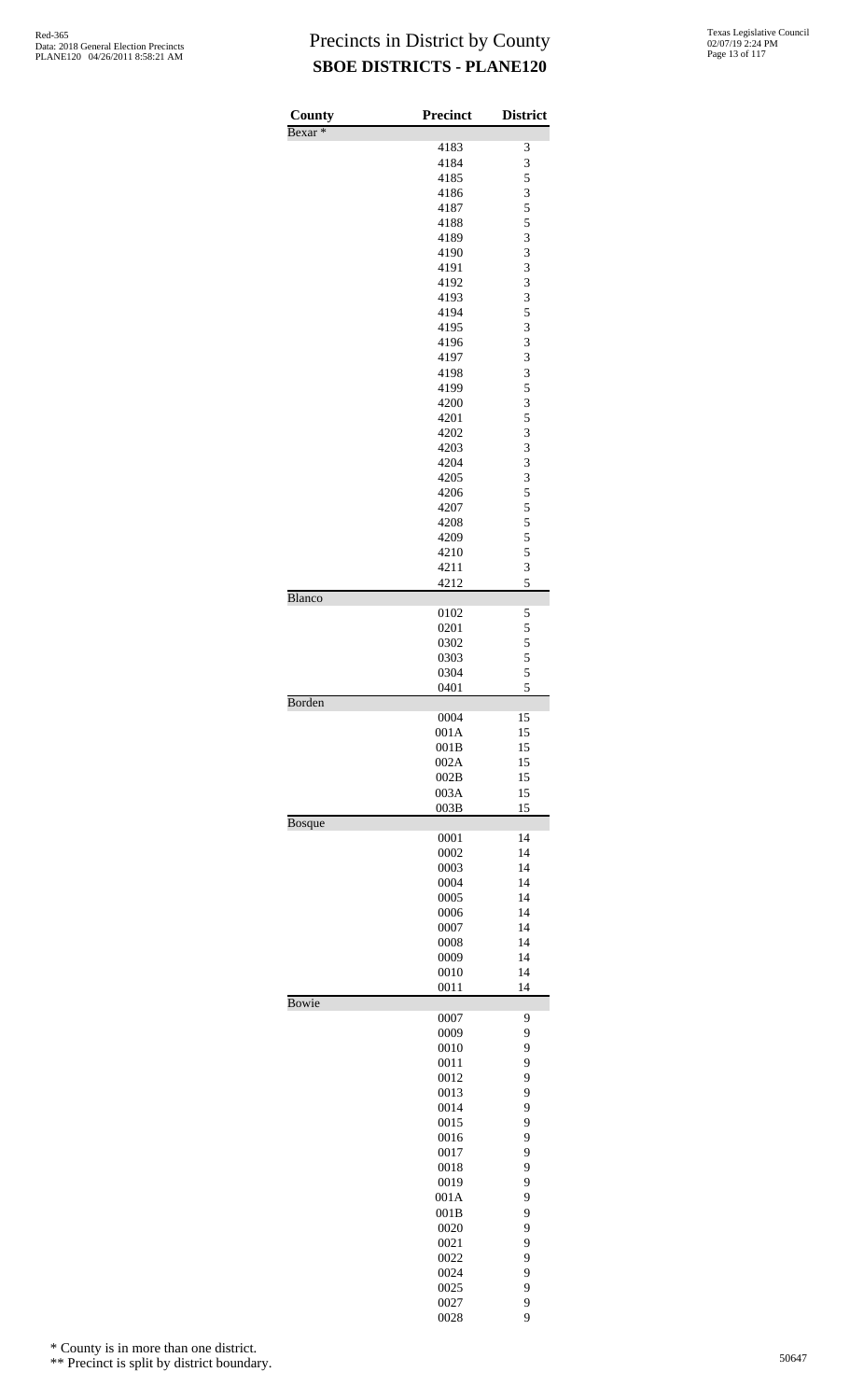| County             | <b>Precinct</b> | <b>District</b> |
|--------------------|-----------------|-----------------|
| Bexar <sup>*</sup> | 4183            | 3               |
|                    | 4184            | 3               |
|                    | 4185            | 5               |
|                    | 4186            | 3               |
|                    | 4187            | 5               |
|                    | 4188            | 5               |
|                    | 4189            | 3               |
|                    | 4190            | 3               |
|                    | 4191<br>4192    | 3<br>3          |
|                    | 4193            | 3               |
|                    | 4194            | 5               |
|                    | 4195            | 3               |
|                    | 4196            | 3               |
|                    | 4197            | 3               |
|                    | 4198            | 3               |
|                    | 4199            | 5               |
|                    | 4200<br>4201    | 3<br>5          |
|                    | 4202            | 3               |
|                    | 4203            | 3               |
|                    | 4204            | 3               |
|                    | 4205            | 3               |
|                    | 4206            | 5               |
|                    | 4207            | 5               |
|                    | 4208            | 5               |
|                    | 4209<br>4210    | 5<br>5          |
|                    | 4211            | 3               |
|                    | 4212            | 5               |
| <b>Blanco</b>      |                 |                 |
|                    | 0102            | 5               |
|                    | 0201            | 5               |
|                    | 0302            | 5               |
|                    | 0303<br>0304    | 5<br>5          |
|                    | 0401            | 5               |
| Borden             |                 |                 |
|                    | 0004            | 15              |
|                    | 001A            | 15              |
|                    | 001B            | 15              |
|                    | 002A            | 15              |
|                    | 002B<br>003A    | 15<br>15        |
|                    | 003B            | 15              |
| <b>Bosque</b>      |                 |                 |
|                    | 0001            | 14              |
|                    | 0002            | 14              |
|                    | 0003            | 14              |
|                    | 0004            | 14              |
|                    | 0005            | 14              |
|                    | 0006<br>0007    | 14<br>14        |
|                    | 0008            | 14              |
|                    | 0009            | 14              |
|                    | 0010            | 14              |
|                    | 0011            | 14              |
| <b>Bowie</b>       |                 |                 |
|                    | 0007<br>0009    | 9<br>9          |
|                    | 0010            | 9               |
|                    | 0011            | 9               |
|                    | 0012            | 9               |
|                    | 0013            | 9               |
|                    | 0014            | 9               |
|                    | 0015            | 9               |
|                    | 0016            | 9               |
|                    | 0017<br>0018    | 9<br>9          |
|                    | 0019            | 9               |
|                    | 001A            | 9               |
|                    | 001B            | 9               |
|                    | 0020            | 9               |
|                    | 0021            | 9               |
|                    | 0022            | 9               |
|                    | 0024            | 9               |
|                    | 0025<br>0027    | 9<br>9          |
|                    |                 |                 |

\* County is in more than one district.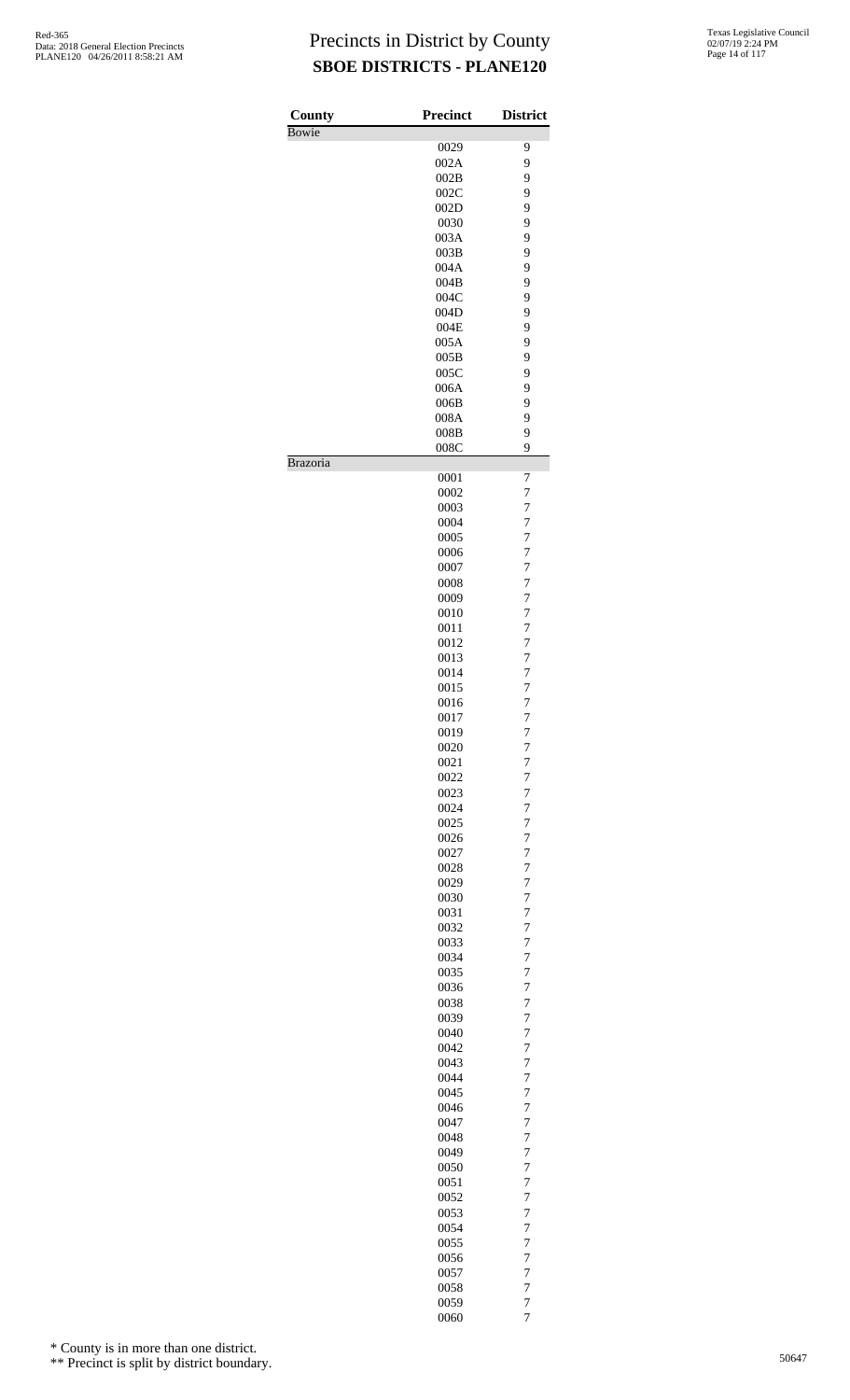| County<br>Bowie | <b>Precinct</b> | <b>District</b> |
|-----------------|-----------------|-----------------|
|                 | 0029            | 9               |
|                 | 002A            | 9               |
|                 | 002B            | 9               |
|                 | 002C            | 9               |
|                 | 002D            | 9               |
|                 |                 | 9               |
|                 | 0030<br>003A    | 9               |
|                 |                 |                 |
|                 | 003B<br>004A    | 9<br>9          |
|                 | 004B            | 9               |
|                 | 004C            | 9               |
|                 | 004D            | 9               |
|                 | 004E            | 9               |
|                 | 005A            | 9               |
|                 | 005B            | 9               |
|                 |                 | 9               |
|                 | 005C            |                 |
|                 | 006A            | 9               |
|                 | 006B            | 9               |
|                 | 008A            | 9               |
|                 | 008B            | 9               |
|                 | 008C            | 9               |
| Brazoria        |                 |                 |
|                 | 0001            | 7               |
|                 | 0002            | 7               |
|                 | 0003            | 7               |
|                 | 0004            | $\overline{7}$  |
|                 | 0005            | $\overline{7}$  |
|                 | 0006            | $\overline{7}$  |
|                 | 0007            | 7               |
|                 | 0008            | $\overline{7}$  |
|                 | 0009            | $\overline{7}$  |
|                 | 0010            | $\overline{7}$  |
|                 | 0011            | 7               |
|                 | 0012            | 7               |
|                 | 0013            | $\overline{7}$  |
|                 | 0014            | $\overline{7}$  |
|                 | 0015            | $\overline{7}$  |
|                 | 0016            | $\overline{7}$  |
|                 | 0017            | $\overline{7}$  |
|                 | 0019            | $\overline{7}$  |
|                 | 0020            | $\overline{7}$  |
|                 | 0021            | $\overline{7}$  |
|                 | 0022            | $\overline{7}$  |
|                 | 0023            | $\overline{7}$  |
|                 | 0024            | $\overline{7}$  |
|                 | 0025            | $\overline{7}$  |
|                 | 0026            | $\overline{7}$  |
|                 | 0027            | $\overline{7}$  |
|                 | 0028            | 7               |
|                 | 0029            | $\overline{7}$  |
|                 | 0030            | $\overline{7}$  |
|                 | 0031            | $\overline{7}$  |
|                 | 0032            | $\overline{7}$  |
|                 | 0033            | $\overline{7}$  |
|                 | 0034            | $\overline{7}$  |
|                 | 0035            | $\overline{7}$  |
|                 | 0036            | $\overline{7}$  |
|                 | 0038            | $\overline{7}$  |
|                 | 0039            | 7               |
|                 | 0040            | $\overline{7}$  |
|                 | 0042            | $\overline{7}$  |
|                 | 0043            | $\overline{7}$  |
|                 | 0044            | $\overline{7}$  |
|                 | 0045            | $\overline{7}$  |
|                 | 0046            | $\overline{7}$  |
|                 | 0047            | $\overline{7}$  |
|                 | 0048            | $\overline{7}$  |
|                 | 0049            | $\overline{7}$  |
|                 | 0050            | 7               |
|                 | 0051            | $\overline{7}$  |
|                 | 0052            | $\overline{7}$  |
|                 | 0053            | $\overline{7}$  |
|                 | 0054            | $\overline{7}$  |
|                 | 0055            | $\overline{7}$  |
|                 | 0056            | $\overline{7}$  |
|                 | 0057            | $\overline{7}$  |
|                 | 0058            | $\overline{7}$  |
|                 | 0059            | $\overline{7}$  |
|                 | 0060            | $\overline{7}$  |
|                 |                 |                 |

\* County is in more than one district.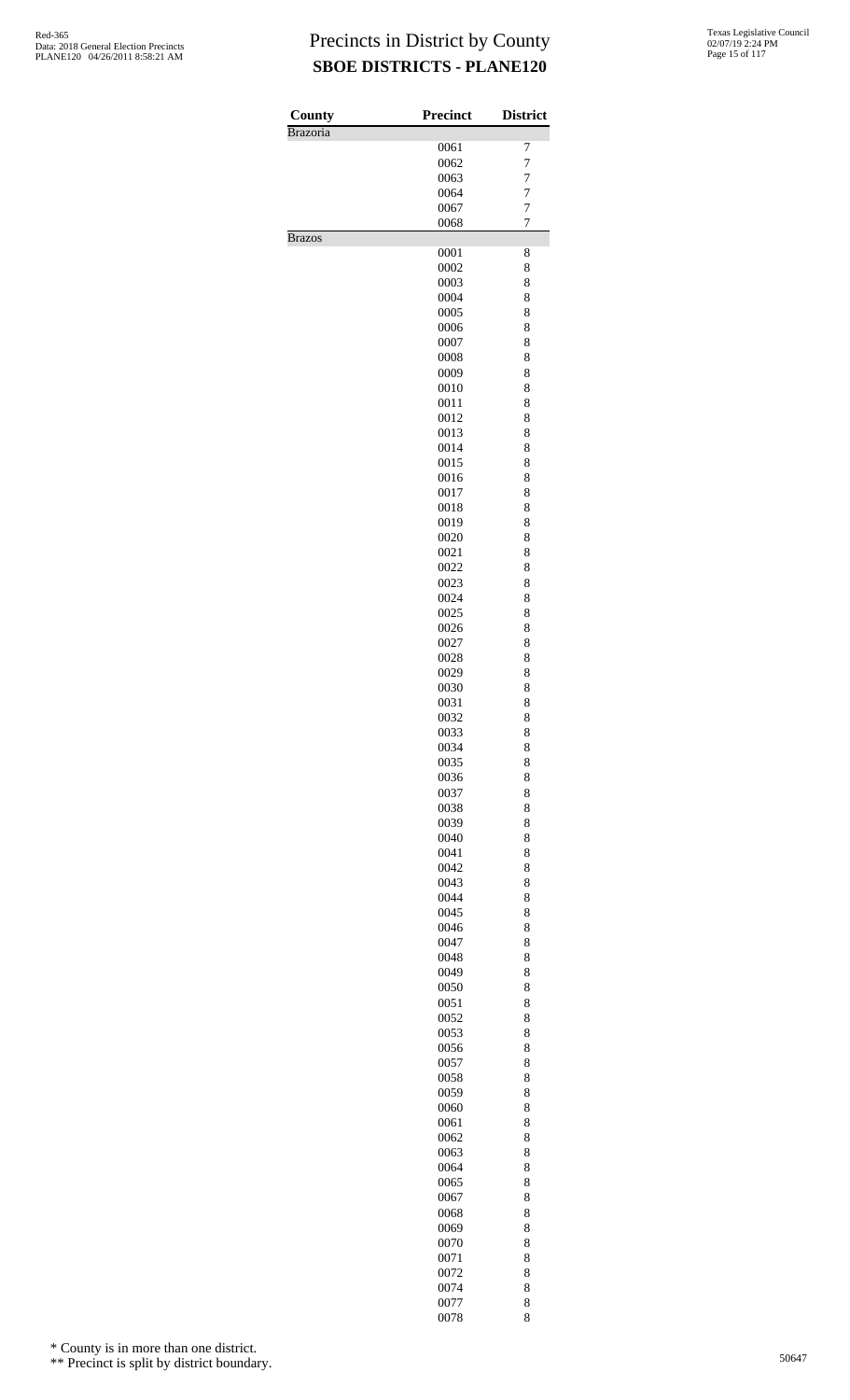| County          | <b>Precinct</b> | <b>District</b> |
|-----------------|-----------------|-----------------|
| <b>Brazoria</b> |                 |                 |
|                 | 0061            | 7               |
|                 | 0062            | 7               |
|                 | 0063            | 7               |
|                 | 0064            | 7               |
|                 | 0067            | $\overline{7}$  |
| <b>Brazos</b>   | 0068            | 7               |
|                 | 0001            | 8               |
|                 | 0002            | 8               |
|                 | 0003            | 8               |
|                 | 0004            | 8               |
|                 | 0005            | 8               |
|                 | 0006            | 8               |
|                 | 0007            | 8               |
|                 | 0008<br>0009    | 8<br>8          |
|                 | 0010            | 8               |
|                 | 0011            | 8               |
|                 | 0012            | 8               |
|                 | 0013            | 8               |
|                 | 0014            | 8               |
|                 | 0015            | 8               |
|                 | 0016            | 8               |
|                 | 0017            | 8               |
|                 | 0018            | 8               |
|                 | 0019            | 8               |
|                 | 0020            | 8               |
|                 | 0021            | 8               |
|                 | 0022            | 8               |
|                 | 0023            | 8               |
|                 | 0024            | 8               |
|                 | 0025            | 8               |
|                 | 0026            | 8               |
|                 | 0027            | 8               |
|                 | 0028            | 8               |
|                 | 0029            | 8               |
|                 | 0030            | 8               |
|                 | 0031            | 8               |
|                 | 0032            | 8               |
|                 | 0033<br>0034    | 8<br>8          |
|                 | 0035            | 8               |
|                 | 0036            | 8               |
|                 | 0037            | 8               |
|                 | 0038            | 8               |
|                 | 0039            | 8               |
|                 | 0040            | 8               |
|                 | 0041            | 8               |
|                 | 0042            | 8               |
|                 | 0043            | 8               |
|                 | 0044            | 8               |
|                 | 0045            | 8               |
|                 | 0046            | 8               |
|                 | 0047            | 8               |
|                 | 0048            | 8               |
|                 | 0049            | 8               |
|                 | 0050<br>0051    | 8<br>8          |
|                 | 0052            | 8               |
|                 | 0053            | 8               |
|                 | 0056            | 8               |
|                 | 0057            | 8               |
|                 | 0058            | 8               |
|                 | 0059            | 8               |
|                 | 0060            | 8               |
|                 | 0061            | 8               |
|                 | 0062            | 8               |
|                 | 0063            | 8               |
|                 | 0064            | 8               |
|                 | 0065            | 8               |
|                 | 0067            | 8               |
|                 | 0068            | 8               |
|                 | 0069            | 8               |
|                 | 0070            | 8               |
|                 | 0071<br>0072    | 8<br>8          |
|                 | 0074            | 8               |
|                 | 0077            | 8               |
|                 | 0078            | 8               |

\* County is in more than one district.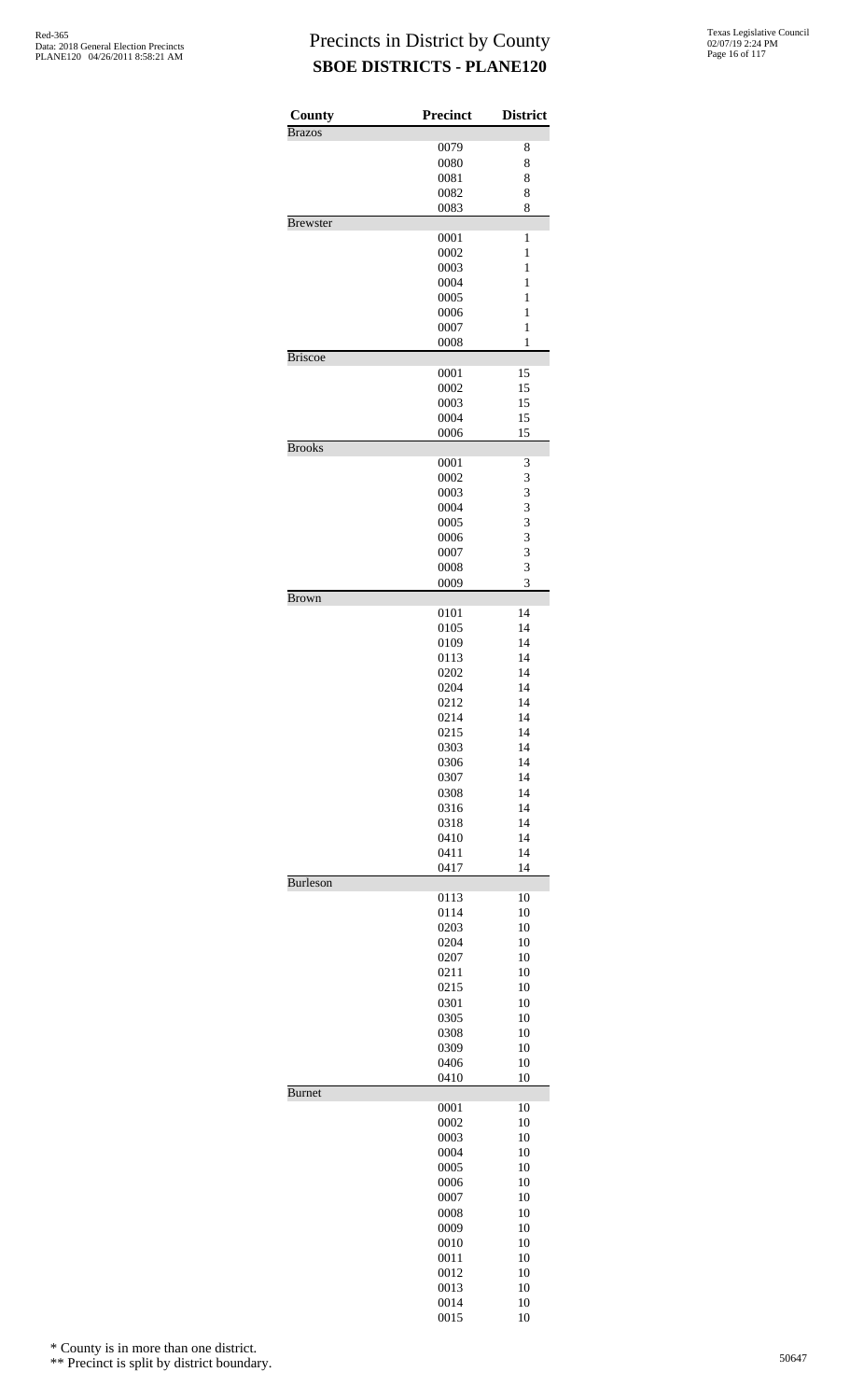| County<br><b>Brazos</b> | Precinct     | <b>District</b> |
|-------------------------|--------------|-----------------|
|                         | 0079         | 8               |
|                         | 0080         | 8               |
|                         | 0081         | 8               |
|                         | 0082         | 8               |
|                         | 0083         | 8               |
| <b>Brewster</b>         |              |                 |
|                         | 0001         | 1               |
|                         | 0002<br>0003 | 1<br>1          |
|                         | 0004         | 1               |
|                         | 0005         | 1               |
|                         | 0006         | 1               |
|                         | 0007         | 1               |
|                         | 0008         | $\mathbf{1}$    |
| <b>Briscoe</b>          |              |                 |
|                         | 0001         | 15              |
|                         | 0002<br>0003 | 15<br>15        |
|                         | 0004         | 15              |
|                         | 0006         | 15              |
| <b>Brooks</b>           |              |                 |
|                         | 0001         | 3               |
|                         | 0002         | 3               |
|                         | 0003         | 3               |
|                         | 0004         | 3               |
|                         | 0005<br>0006 | 3<br>3          |
|                         | 0007         | 3               |
|                         | 0008         | 3               |
|                         | 0009         | 3               |
| Brown                   |              |                 |
|                         | 0101         | 14              |
|                         | 0105         | 14              |
|                         | 0109         | 14<br>14        |
|                         | 0113<br>0202 | 14              |
|                         | 0204         | 14              |
|                         | 0212         | 14              |
|                         | 0214         | 14              |
|                         | 0215         | 14              |
|                         | 0303         | 14              |
|                         | 0306         | 14              |
|                         | 0307         | 14              |
|                         | 0308         | 14<br>14        |
|                         | 0316<br>0318 | 14              |
|                         | 0410         | 14              |
|                         | 0411         | 14              |
|                         | 0417         | 14              |
| <b>Burleson</b>         |              |                 |
|                         | 0113         | 10              |
|                         | 0114         | 10              |
|                         | 0203         | 10              |
|                         | 0204<br>0207 | 10<br>10        |
|                         | 0211         | 10              |
|                         | 0215         | 10              |
|                         | 0301         | 10              |
|                         | 0305         | 10              |
|                         | 0308         | 10              |
|                         | 0309<br>0406 | 10<br>10        |
|                         | 0410         | 10              |
| <b>Burnet</b>           |              |                 |
|                         | 0001         | 10              |
|                         | 0002         | 10              |
|                         | 0003         | 10              |
|                         | 0004         | 10              |
|                         | 0005<br>0006 | 10<br>10        |
|                         | 0007         | 10              |
|                         | 0008         | 10              |
|                         | 0009         | 10              |
|                         | 0010         | 10              |
|                         | 0011         | 10              |
|                         | 0012         | 10              |
|                         | 0013         | 10              |
|                         | 0014         | 10              |
|                         | 0015         | 10              |

\* County is in more than one district.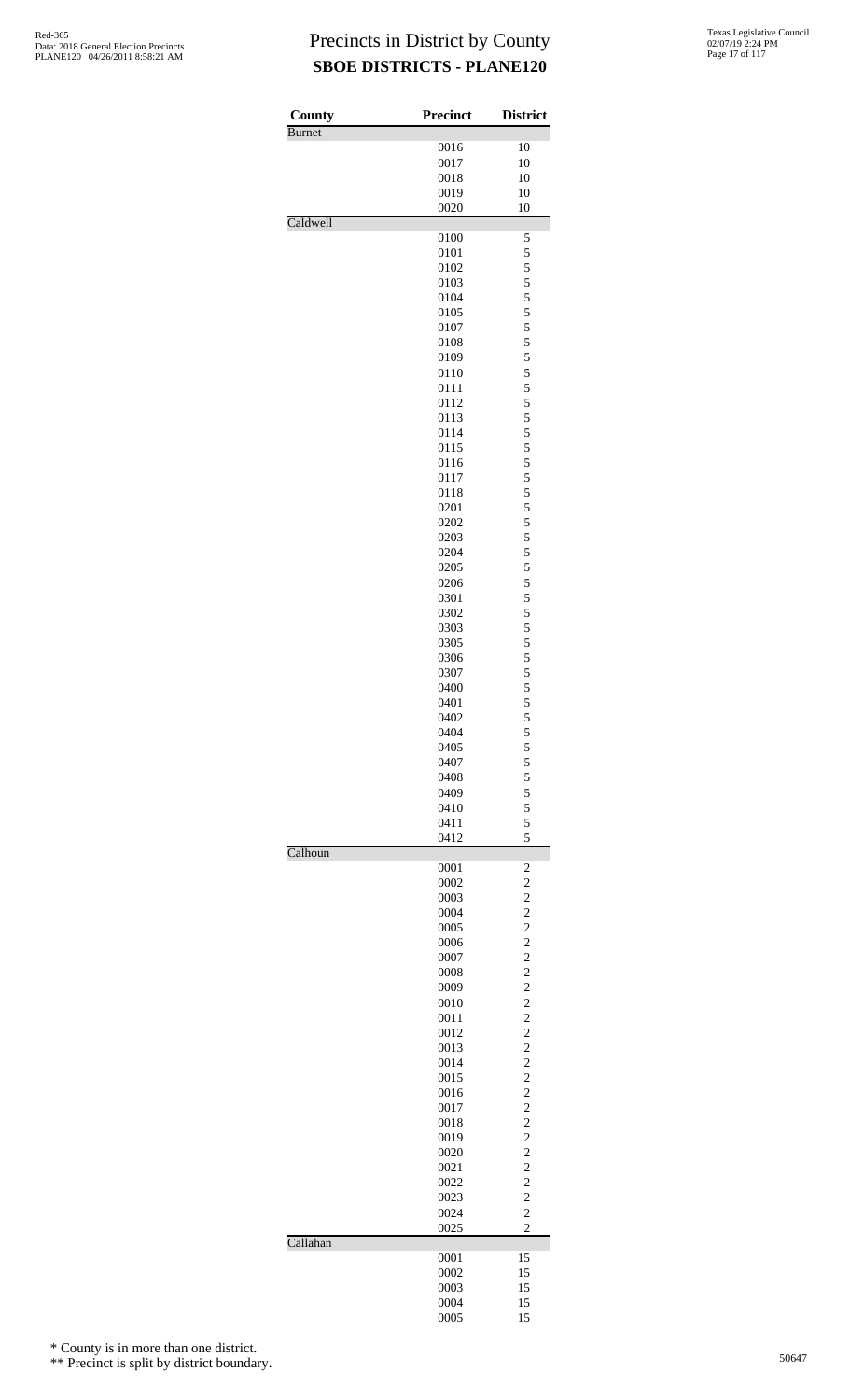| County<br>Burnet | <b>Precinct</b> | <b>District</b>                            |
|------------------|-----------------|--------------------------------------------|
|                  | 0016            | 10                                         |
|                  | 0017            | 10                                         |
|                  | 0018            | 10                                         |
|                  | 0019            | 10                                         |
|                  | 0020            | 10                                         |
| Caldwell         | 0100            | 5                                          |
|                  | 0101            | 5                                          |
|                  | 0102            | 5                                          |
|                  | 0103            | 5                                          |
|                  | 0104            | 5                                          |
|                  | 0105            | 5                                          |
|                  | 0107            | 5                                          |
|                  | 0108            | 5                                          |
|                  | 0109            | 5                                          |
|                  | 0110            | 5                                          |
|                  | 0111            | 5                                          |
|                  | 0112            | 5                                          |
|                  | 0113            | 5                                          |
|                  | 0114            | 5                                          |
|                  | 0115            | 5                                          |
|                  | 0116            | 5                                          |
|                  | 0117            | 5                                          |
|                  | 0118            | 5                                          |
|                  | 0201            | 5                                          |
|                  | 0202            | 5                                          |
|                  | 0203            | 5                                          |
|                  | 0204            | 5                                          |
|                  | 0205            | 5                                          |
|                  | 0206            | 5                                          |
|                  | 0301            | 5                                          |
|                  | 0302            | 5                                          |
|                  | 0303            | 5                                          |
|                  | 0305            | 5                                          |
|                  | 0306            | 5                                          |
|                  | 0307            | 5                                          |
|                  | 0400            | 5                                          |
|                  | 0401            | 5                                          |
|                  | 0402            | 5                                          |
|                  | 0404            | $\begin{array}{c} 5 \\ 5 \\ 5 \end{array}$ |
|                  | 0405            |                                            |
|                  | 0407            |                                            |
|                  | 0408            | $\frac{5}{5}$                              |
|                  | 0409            |                                            |
|                  | 0410            | 5                                          |
|                  | 0411<br>0412    | 5<br>5                                     |
| Calhoun          |                 |                                            |
|                  | 0001            | $\overline{\mathbf{c}}$                    |
|                  | 0002            | $\frac{2}{2}$                              |
|                  | 0003            |                                            |
|                  | 0004            |                                            |
|                  | 0005<br>0006    | $\begin{array}{c} 2 \\ 2 \\ 2 \end{array}$ |
|                  | 0007            |                                            |
|                  | 0008            | $\frac{2}{2}$                              |
|                  | 0009            |                                            |
|                  | 0010            | $\begin{array}{c} 2 \\ 2 \\ 2 \end{array}$ |
|                  | 0011            |                                            |
|                  | 0012            |                                            |
|                  | 0013            | $\frac{2}{2}$                              |
|                  | 0014            |                                            |
|                  | 0015            | $\begin{array}{c} 2 \\ 2 \\ 2 \end{array}$ |
|                  | 0016            |                                            |
|                  | 0017            |                                            |
|                  | 0018            | $\frac{2}{2}$                              |
|                  | 0019            |                                            |
|                  | 0020            | $\frac{2}{2}$                              |
|                  | 0021            | $\overline{c}$                             |
|                  | 0022            |                                            |
|                  | 0023            | $\frac{2}{2}$                              |
|                  | 0024            | $\overline{c}$                             |
|                  | 0025            | $\overline{c}$                             |
| Callahan         | 0001            | 15                                         |
|                  | 0002            | 15                                         |
|                  | 0003            | 15                                         |
|                  | 0004            | 15                                         |
|                  | 0005            | 15                                         |

\* County is in more than one district.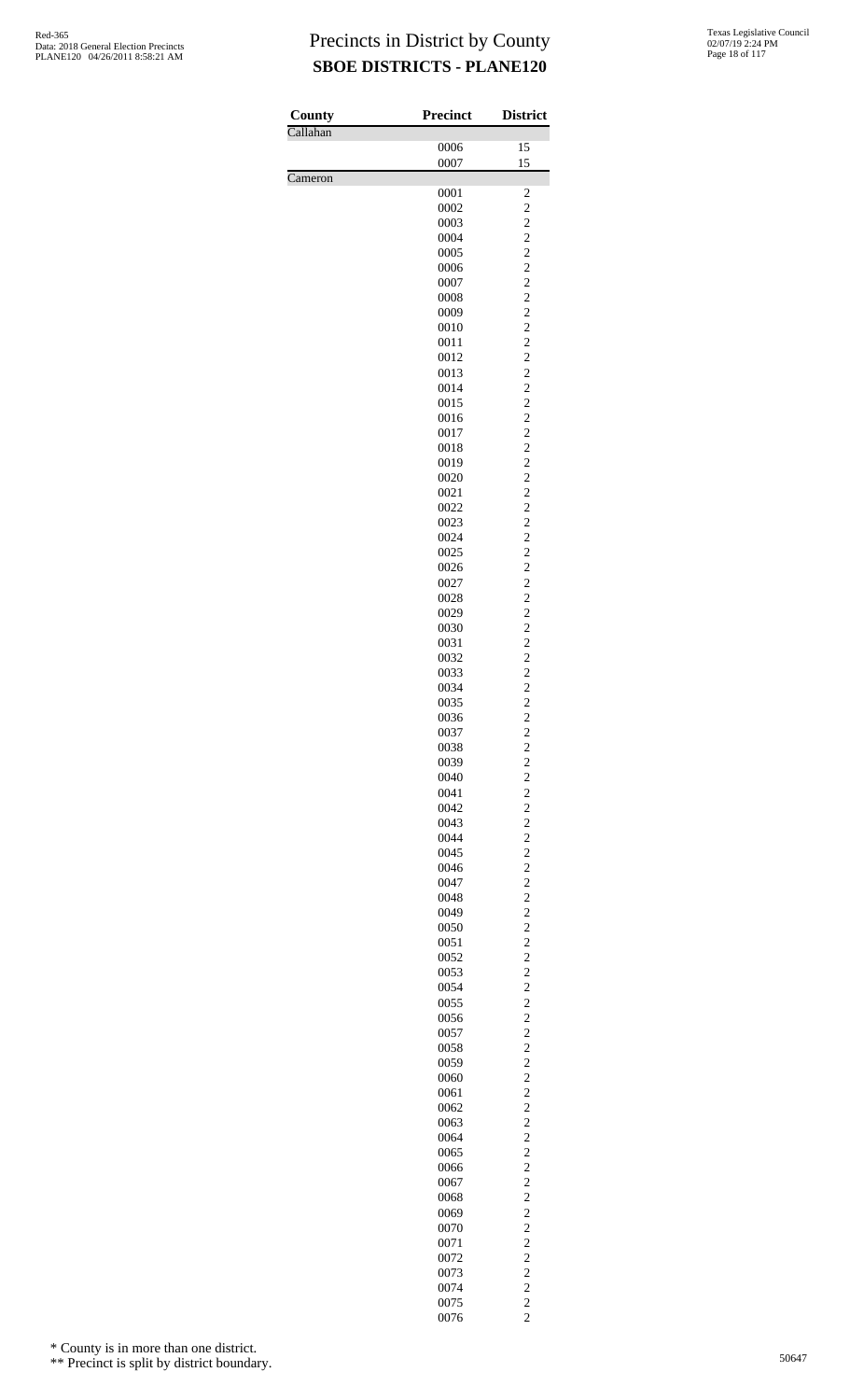| County   | <b>Precinct</b> | <b>District</b>                  |
|----------|-----------------|----------------------------------|
| Callahan |                 |                                  |
|          | 0006<br>0007    | 15<br>15                         |
| Cameron  |                 |                                  |
|          | 0001            | $\overline{\mathbf{c}}$          |
|          | 0002            | $\overline{\mathbf{c}}$          |
|          | 0003            | $\overline{c}$<br>$\overline{c}$ |
|          | 0004<br>0005    | $\overline{c}$                   |
|          | 0006            | $\overline{c}$                   |
|          | 0007            | $\overline{c}$                   |
|          | 0008            | $\overline{c}$                   |
|          | 0009            | $\overline{c}$                   |
|          | 0010<br>0011    | $\overline{c}$<br>$\overline{c}$ |
|          | 0012            | $\overline{c}$                   |
|          | 0013            | $\overline{c}$                   |
|          | 0014            | $\overline{c}$                   |
|          | 0015            | $\overline{c}$                   |
|          | 0016<br>0017    | $\overline{c}$<br>$\overline{c}$ |
|          | 0018            | $\overline{c}$                   |
|          | 0019            | $\overline{c}$                   |
|          | 0020            | $\overline{c}$                   |
|          | 0021            | $\overline{c}$                   |
|          | 0022            | $\overline{c}$                   |
|          | 0023<br>0024    | $\overline{c}$<br>$\overline{c}$ |
|          | 0025            | $\overline{c}$                   |
|          | 0026            | $\overline{c}$                   |
|          | 0027            | $\overline{c}$                   |
|          | 0028            | $\overline{c}$                   |
|          | 0029<br>0030    | $\overline{c}$<br>$\overline{c}$ |
|          | 0031            | $\overline{c}$                   |
|          | 0032            | $\overline{c}$                   |
|          | 0033            | $\overline{c}$                   |
|          | 0034            | $\overline{c}$                   |
|          | 0035<br>0036    | $\overline{c}$<br>$\overline{c}$ |
|          | 0037            | $\overline{\mathbf{c}}$          |
|          | 0038            | $\overline{c}$                   |
|          | 0039            | $\overline{c}$                   |
|          | 0040            | $\overline{c}$                   |
|          | 0041<br>0042    | $\overline{c}$<br>$\overline{c}$ |
|          | 0043            | $\overline{c}$                   |
|          | 0044            | $\overline{c}$                   |
|          | 0045            | $\overline{c}$                   |
|          | 0046            | $\overline{c}$                   |
|          | 0047<br>0048    | $\overline{c}$<br>$\overline{c}$ |
|          | 0049            | $\overline{c}$                   |
|          | 0050            | $\overline{c}$                   |
|          | 0051            | $\overline{c}$                   |
|          | 0052            | $\overline{c}$                   |
|          | 0053<br>0054    | $\overline{c}$<br>$\overline{c}$ |
|          | 0055            | $\overline{c}$                   |
|          | 0056            | $\overline{c}$                   |
|          | 0057            | $\overline{c}$                   |
|          | 0058            | $\overline{c}$                   |
|          | 0059<br>0060    | $\overline{c}$<br>$\overline{c}$ |
|          | 0061            | $\overline{c}$                   |
|          | 0062            | $\overline{c}$                   |
|          | 0063            | $\overline{c}$                   |
|          | 0064            | $\overline{c}$                   |
|          | 0065<br>0066    | $\overline{c}$<br>$\overline{c}$ |
|          | 0067            | $\overline{c}$                   |
|          | 0068            | $\overline{c}$                   |
|          | 0069            | $\overline{c}$                   |
|          | 0070            | $\overline{c}$                   |
|          | 0071<br>0072    | $\overline{c}$<br>$\overline{c}$ |
|          | 0073            | $\overline{c}$                   |
|          | 0074            | $\overline{c}$                   |
|          | 0075            | $\frac{2}{2}$                    |
|          | 0076            |                                  |

\* County is in more than one district.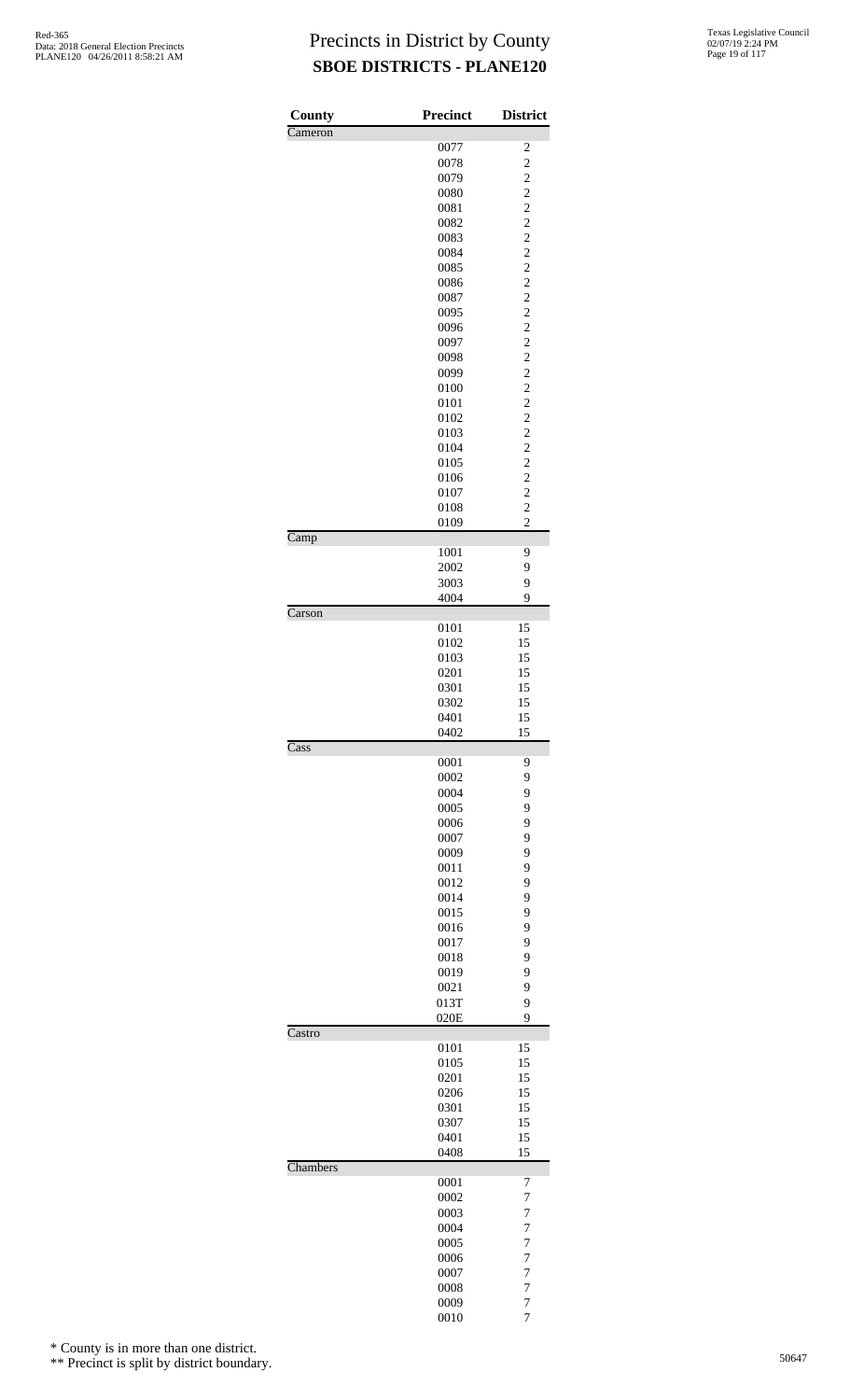| County                   | <b>Precinct</b> | <b>District</b>                           |
|--------------------------|-----------------|-------------------------------------------|
| Cameron                  | 0077            |                                           |
|                          | 0078            | $\overline{\mathbf{c}}$<br>$\overline{c}$ |
|                          | 0079            |                                           |
|                          | 0080            | $\frac{2}{2}$                             |
|                          | 0081            | $\overline{c}$                            |
|                          | 0082            | $\overline{c}$                            |
|                          | 0083            | $\overline{c}$                            |
|                          | 0084            | $\frac{2}{2}$                             |
|                          | 0085            |                                           |
|                          | 0086<br>0087    | $\overline{c}$<br>$\overline{c}$          |
|                          | 0095            | $\overline{c}$                            |
|                          | 0096            |                                           |
|                          | 0097            | $\frac{2}{2}$                             |
|                          | 0098            | $\overline{c}$                            |
|                          | 0099            | $\overline{\mathbf{c}}$                   |
|                          | 0100            | $\overline{c}$                            |
|                          | 0101            | $\frac{2}{2}$                             |
|                          | 0102            |                                           |
|                          | 0103<br>0104    | $\overline{c}$<br>$\overline{\mathbf{c}}$ |
|                          | 0105            | $\overline{c}$                            |
|                          | 0106            |                                           |
|                          | 0107            | $\frac{2}{2}$                             |
|                          | 0108            | $\overline{c}$                            |
|                          | 0109            | $\overline{c}$                            |
| $\overline{\text{Camp}}$ | 1001            | 9                                         |
|                          | 2002            | 9                                         |
|                          | 3003            | 9                                         |
| Carson                   | 4004            | 9                                         |
|                          | 0101            | 15                                        |
|                          | 0102            | 15                                        |
|                          | 0103            | 15                                        |
|                          | 0201            | 15                                        |
|                          | 0301            | 15                                        |
|                          | 0302            | 15                                        |
|                          | 0401            | 15                                        |
| Cass                     | 0402            | 15                                        |
|                          | 0001            | 9                                         |
|                          | 0002            | 9                                         |
|                          | 0004            | 9                                         |
|                          | 0005            | 9                                         |
|                          | 0006            | 9                                         |
|                          | 0007<br>0009    | 9<br>9                                    |
|                          | 0011            | 9                                         |
|                          | 0012            | 9                                         |
|                          | 0014            | 9                                         |
|                          | 0015            | 9                                         |
|                          | 0016            | 9                                         |
|                          | 0017            | 9                                         |
|                          | 0018            | 9                                         |
|                          | 0019<br>0021    | 9<br>9                                    |
|                          | 013T            | 9                                         |
|                          | 020E            | 9                                         |
| Castro                   |                 |                                           |
|                          | 0101            | 15                                        |
|                          | 0105<br>0201    | 15<br>15                                  |
|                          | 0206            | 15                                        |
|                          | 0301            | 15                                        |
|                          | 0307            | 15                                        |
|                          | 0401            | 15                                        |
| Chambers                 | 0408            | 15                                        |
|                          | 0001            | 7                                         |
|                          | 0002            | 7                                         |
|                          | 0003            | 7                                         |
|                          | 0004            | $\overline{7}$<br>7                       |
|                          | 0005<br>0006    | $\overline{7}$                            |
|                          | 0007            | $\overline{7}$                            |
|                          | 0008            | 7                                         |
|                          | 0009            | $\overline{7}$                            |
|                          | 0010            | 7                                         |

\* County is in more than one district.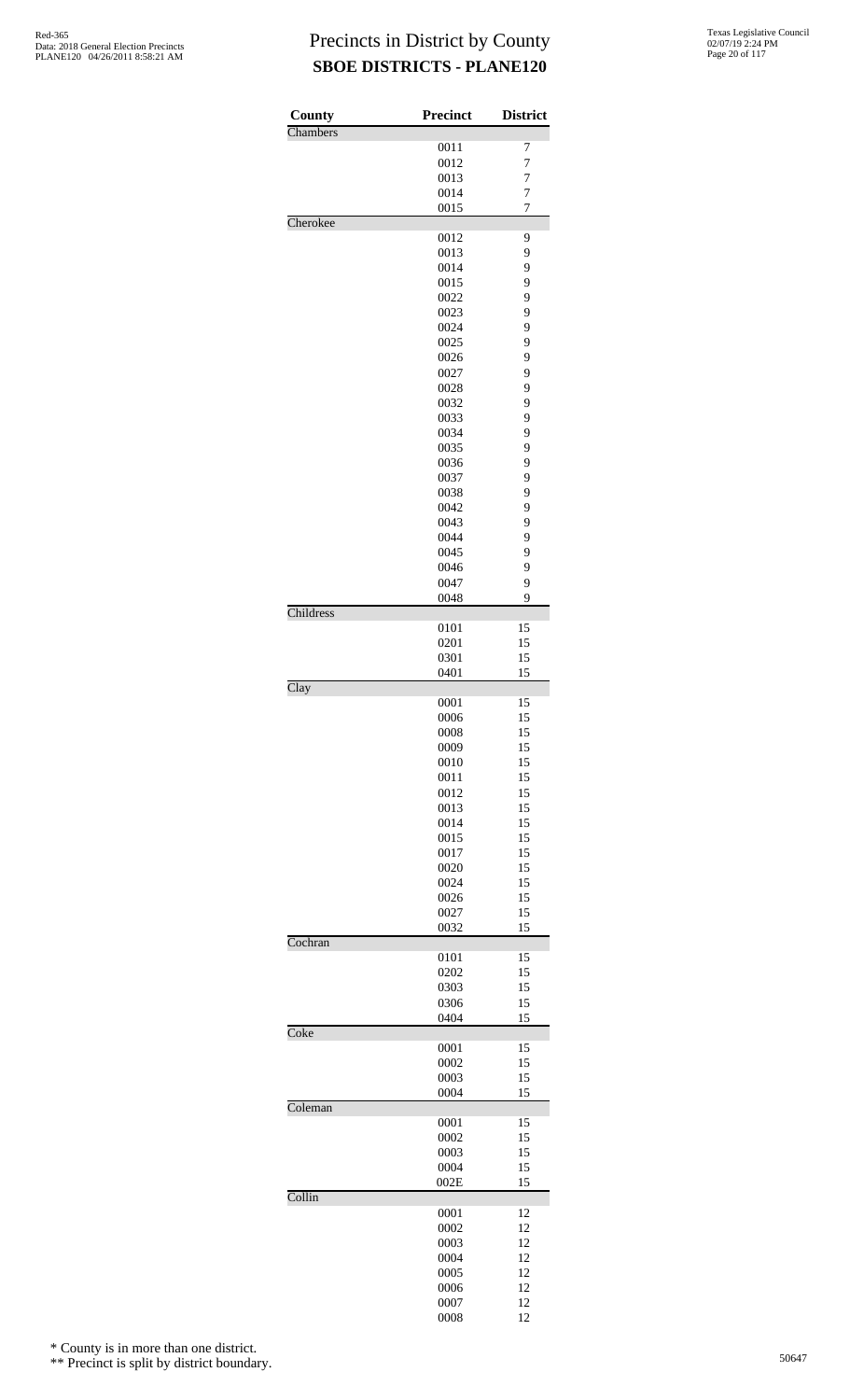| County    | Precinct     | <b>District</b> |
|-----------|--------------|-----------------|
| Chambers  |              |                 |
|           | 0011         | $\overline{7}$  |
|           | 0012         | $\overline{7}$  |
|           | 0013         | 7               |
|           | 0014         | $\overline{7}$  |
| Cherokee  | 0015         | 7               |
|           | 0012         | 9               |
|           | 0013         | 9               |
|           | 0014         | 9               |
|           | 0015         | 9               |
|           | 0022         | 9               |
|           | 0023         | 9               |
|           | 0024         | 9               |
|           | 0025         | 9               |
|           | 0026         | 9               |
|           | 0027         | 9               |
|           | 0028         | 9               |
|           | 0032         | 9               |
|           | 0033         | 9               |
|           | 0034         | 9               |
|           | 0035         | 9               |
|           | 0036         | 9               |
|           | 0037<br>0038 | 9<br>9          |
|           | 0042         | 9               |
|           | 0043         | 9               |
|           | 0044         | 9               |
|           | 0045         | 9               |
|           | 0046         | 9               |
|           | 0047         | 9               |
|           | 0048         | 9               |
| Childress |              |                 |
|           | 0101         | 15              |
|           | 0201         | 15              |
|           | 0301         | 15              |
| Clay      | 0401         | 15              |
|           | 0001         | 15              |
|           | 0006         | 15              |
|           | 0008         | 15              |
|           | 0009         | 15              |
|           | 0010         | 15              |
|           | 0011         | 15              |
|           | 0012         | 15              |
|           | 0013         | 15              |
|           | 0014         | 15              |
|           | 0015         | 15              |
|           | 0017         | 15              |
|           | 0020<br>0024 | 15<br>15        |
|           | 0026         | 15              |
|           | 0027         | 15              |
|           | 0032         | 15              |
| Cochran   |              |                 |
|           | 0101         | 15              |
|           | 0202         | 15              |
|           | 0303         | 15              |
|           | 0306         | 15              |
|           | 0404         | 15              |
| Coke      |              | 15              |
|           | 0001<br>0002 | 15              |
|           | 0003         | 15              |
|           | 0004         | 15              |
| Coleman   |              |                 |
|           | 0001         | 15              |
|           | 0002         | 15              |
|           | 0003         | 15              |
|           | 0004         | 15              |
|           | 002E         | 15              |
| Collin    |              |                 |
|           | 0001<br>0002 | 12<br>12        |
|           | 0003         | 12              |
|           | 0004         | 12              |
|           | 0005         | 12              |
|           | 0006         | 12              |
|           | 0007         | 12              |
|           | 0008         | 12              |

\* County is in more than one district.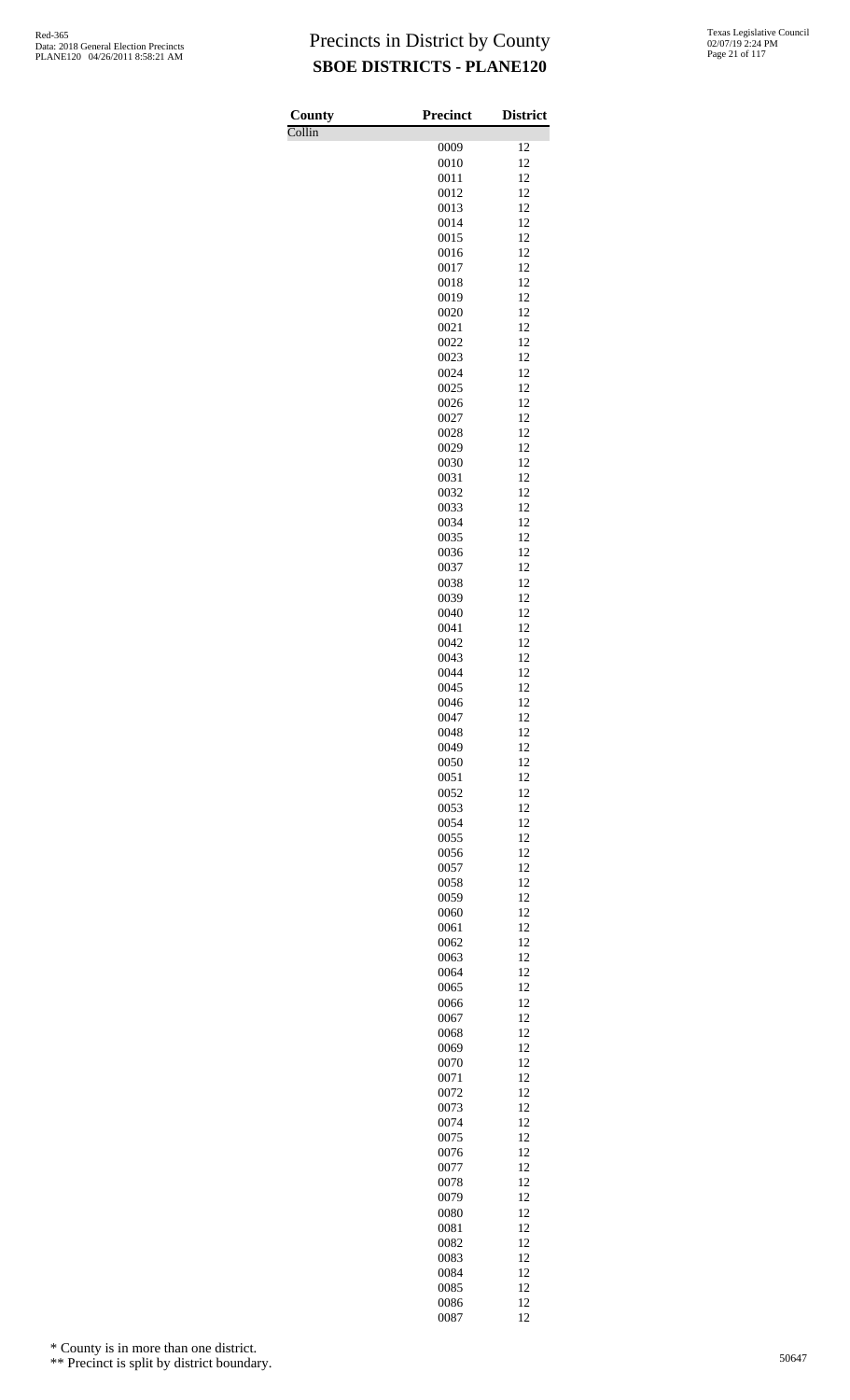Collin

| County | <b>Precinct</b> | <b>District</b> |
|--------|-----------------|-----------------|
| Collin |                 |                 |
|        | 0009<br>0010    | 12<br>12        |
|        | 0011            | 12              |
|        | 0012            | 12              |
|        | 0013            | 12              |
|        | 0014            | 12<br>12        |
|        | 0015<br>0016    | 12              |
|        | 0017            | 12              |
|        | 0018            | 12              |
|        | 0019            | 12              |
|        | 0020            | 12              |
|        | 0021<br>0022    | 12<br>12        |
|        | 0023            | 12              |
|        | 0024            | 12              |
|        | 0025            | 12              |
|        | 0026            | 12<br>12        |
|        | 0027<br>0028    | 12              |
|        | 0029            | 12              |
|        | 0030            | 12              |
|        | 0031            | 12              |
|        | 0032            | 12              |
|        | 0033<br>0034    | 12<br>12        |
|        | 0035            | 12              |
|        | 0036            | 12              |
|        | 0037            | 12              |
|        | 0038            | 12              |
|        | 0039<br>0040    | 12<br>12        |
|        | 0041            | 12              |
|        | 0042            | 12              |
|        | 0043            | 12              |
|        | 0044            | 12              |
|        | 0045<br>0046    | 12<br>12        |
|        | 0047            | 12              |
|        | 0048            | 12              |
|        | 0049            | 12              |
|        | 0050            | 12              |
|        | 0051<br>0052    | 12<br>12        |
|        | 0053            | 12              |
|        | 0054            | 12              |
|        | 0055            | 12              |
|        | 0056            | 12              |
|        | 0057<br>0058    | 12<br>12        |
|        | 0059            | 12              |
|        | 0060            | 12              |
|        | 0061            | 12              |
|        | 0062            | 12              |
|        | 0063<br>0064    | 12<br>12        |
|        | 0065            | 12              |
|        | 0066            | 12              |
|        | 0067            | 12              |
|        | 0068            | 12              |
|        | 0069<br>0070    | 12<br>12        |
|        | 0071            | 12              |
|        | 0072            | 12              |
|        | 0073            | 12              |
|        | 0074            | 12              |
|        | 0075<br>0076    | 12<br>12        |
|        | 0077            | 12              |
|        | 0078            | 12              |
|        | 0079            | 12              |
|        | 0080            | 12              |
|        | 0081            | 12              |
|        | 0082<br>0083    | 12<br>12        |
|        | 0084            | 12              |
|        | 0085            | 12              |
|        | 0086            | 12              |
|        | 0087            | 12              |

\* County is in more than one district.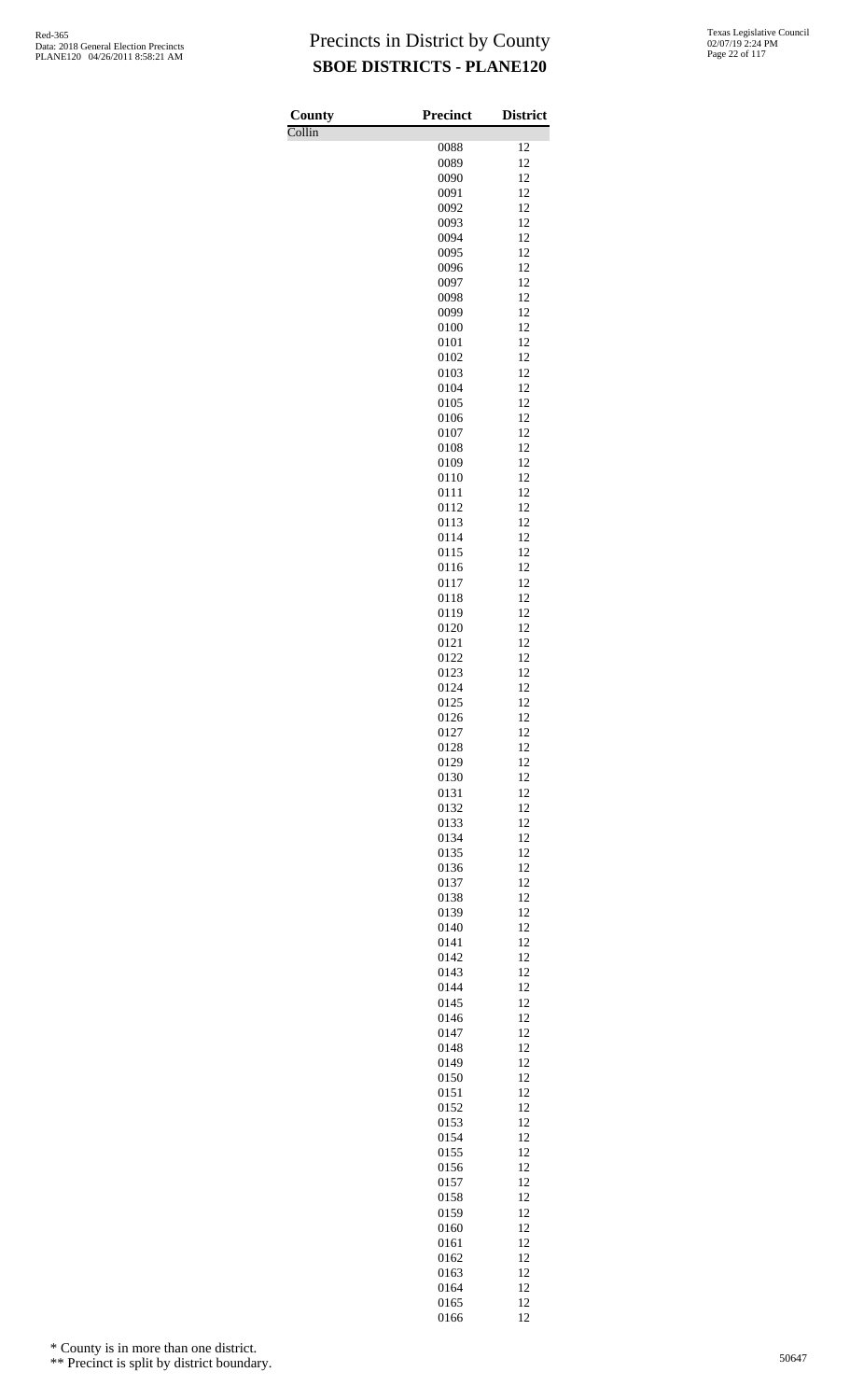Collin

| County                     | <b>Precinct</b> | <b>District</b> |
|----------------------------|-----------------|-----------------|
| $\overline{\text{Collin}}$ |                 |                 |
|                            | 0088            | 12              |
|                            | 0089<br>0090    | 12<br>12        |
|                            | 0091            | 12              |
|                            | 0092            | 12              |
|                            | 0093            | 12              |
|                            | 0094            | 12              |
|                            | 0095            | 12              |
|                            | 0096            | 12              |
|                            | 0097            | 12              |
|                            | 0098            | 12              |
|                            | 0099            | 12              |
|                            | 0100<br>0101    | 12<br>12        |
|                            | 0102            | 12              |
|                            | 0103            | 12              |
|                            | 0104            | 12              |
|                            | 0105            | 12              |
|                            | 0106            | 12              |
|                            | 0107            | 12              |
|                            | 0108            | 12              |
|                            | 0109            | 12              |
|                            | 0110            | 12              |
|                            | 0111<br>0112    | 12<br>12        |
|                            | 0113            | 12              |
|                            | 0114            | 12              |
|                            | 0115            | 12              |
|                            | 0116            | 12              |
|                            | 0117            | 12              |
|                            | 0118            | 12              |
|                            | 0119            | 12              |
|                            | 0120            | 12              |
|                            | 0121<br>0122    | 12<br>12        |
|                            | 0123            | 12              |
|                            | 0124            | 12              |
|                            | 0125            | 12              |
|                            | 0126            | 12              |
|                            | 0127            | 12              |
|                            | 0128            | 12              |
|                            | 0129            | 12              |
|                            | 0130            | 12<br>12        |
|                            | 0131<br>0132    | 12              |
|                            | 0133            | 12              |
|                            | 0134            | 12              |
|                            | 0135            | 12              |
|                            | 0136            | 12              |
|                            | 0137            | 12              |
|                            | 0138            | 12              |
|                            | 0139            | 12              |
|                            | 0140            | 12              |
|                            | 0141<br>0142    | 12<br>12        |
|                            | 0143            | 12              |
|                            | 0144            | 12              |
|                            | 0145            | 12              |
|                            | 0146            | 12              |
|                            | 0147            | 12              |
|                            | 0148            | 12              |
|                            | 0149            | 12              |
|                            | 0150            | 12              |
|                            | 0151<br>0152    | 12<br>12        |
|                            | 0153            | 12              |
|                            | 0154            | 12              |
|                            | 0155            | 12              |
|                            | 0156            | 12              |
|                            | 0157            | 12              |
|                            | 0158            | 12              |
|                            | 0159            | 12              |
|                            | 0160            | 12              |
|                            | 0161            | 12              |
|                            | 0162<br>0163    | 12<br>12        |
|                            | 0164            | 12              |
|                            | 0165            | 12              |
|                            | 0166            | 12              |

\* County is in more than one district.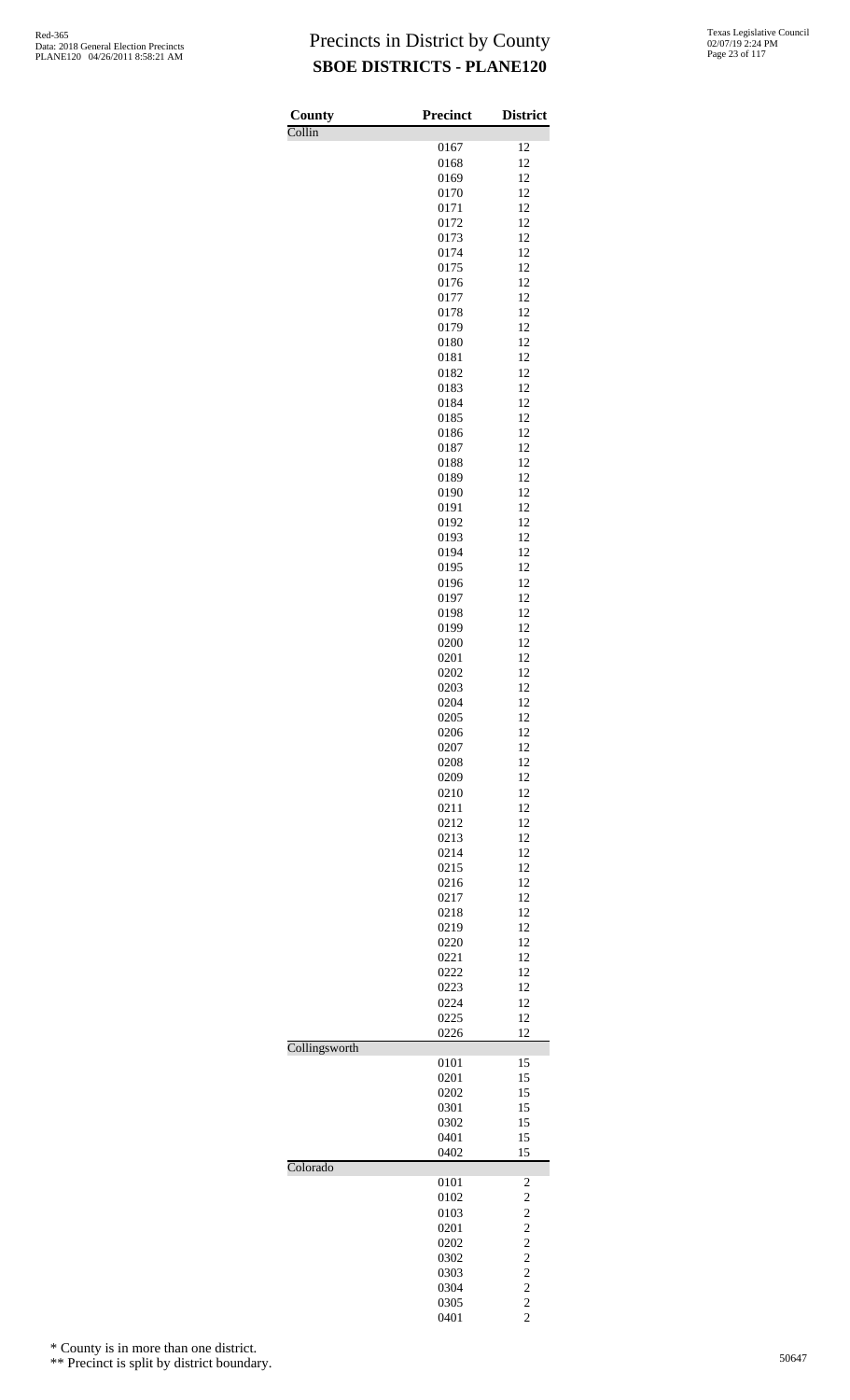| Texas Legislative Council |
|---------------------------|
| 02/07/19 2:24 PM          |
| Page 23 of 117            |

| County        | <b>Precinct</b> | <b>District</b>                  |
|---------------|-----------------|----------------------------------|
| Collin        | 0167            | 12                               |
|               | 0168            | 12                               |
|               | 0169            | 12                               |
|               | 0170            | 12                               |
|               | 0171<br>0172    | 12<br>12                         |
|               | 0173            | 12                               |
|               | 0174            | 12                               |
|               | 0175            | 12                               |
|               | 0176            | 12                               |
|               | 0177<br>0178    | 12<br>12                         |
|               | 0179            | 12                               |
|               | 0180            | 12                               |
|               | 0181            | 12                               |
|               | 0182            | 12                               |
|               | 0183<br>0184    | 12<br>12                         |
|               | 0185            | 12                               |
|               | 0186            | 12                               |
|               | 0187            | 12                               |
|               | 0188            | 12                               |
|               | 0189<br>0190    | 12<br>12                         |
|               | 0191            | 12                               |
|               | 0192            | 12                               |
|               | 0193            | 12                               |
|               | 0194            | 12                               |
|               | 0195<br>0196    | 12<br>12                         |
|               | 0197            | 12                               |
|               | 0198            | 12                               |
|               | 0199            | 12                               |
|               | 0200            | 12                               |
|               | 0201<br>0202    | 12<br>12                         |
|               | 0203            | 12                               |
|               | 0204            | 12                               |
|               | 0205            | 12                               |
|               | 0206            | 12                               |
|               | 0207<br>0208    | 12<br>12                         |
|               | 0209            | 12                               |
|               | 0210            | 12                               |
|               | 0211            | 12                               |
|               | 0212            | 12                               |
|               | 0213            | 12                               |
|               | 0214<br>0215    | 12<br>12                         |
|               | 0216            | 12                               |
|               | 0217            | 12                               |
|               | 0218            | 12                               |
|               | 0219            | 12<br>12                         |
|               | 0220<br>0221    | 12                               |
|               | 0222            | 12                               |
|               | 0223            | 12                               |
|               | 0224            | 12                               |
|               | 0225<br>0226    | 12<br>12                         |
| Collingsworth |                 |                                  |
|               | 0101            | 15                               |
|               | 0201            | 15                               |
|               | 0202            | 15<br>15                         |
|               | 0301<br>0302    | 15                               |
|               | 0401            | 15                               |
|               | 0402            | 15                               |
| Colorado      |                 |                                  |
|               | 0101<br>0102    | 2<br>$\overline{c}$              |
|               | 0103            | $\overline{c}$                   |
|               | 0201            | $\overline{c}$                   |
|               | 0202            | $\overline{c}$                   |
|               | 0302            | $\overline{c}$                   |
|               | 0303<br>0304    | $\overline{c}$<br>$\overline{c}$ |
|               | 0305            | $\overline{c}$                   |
|               | 0401            | $\overline{c}$                   |

\* County is in more than one district.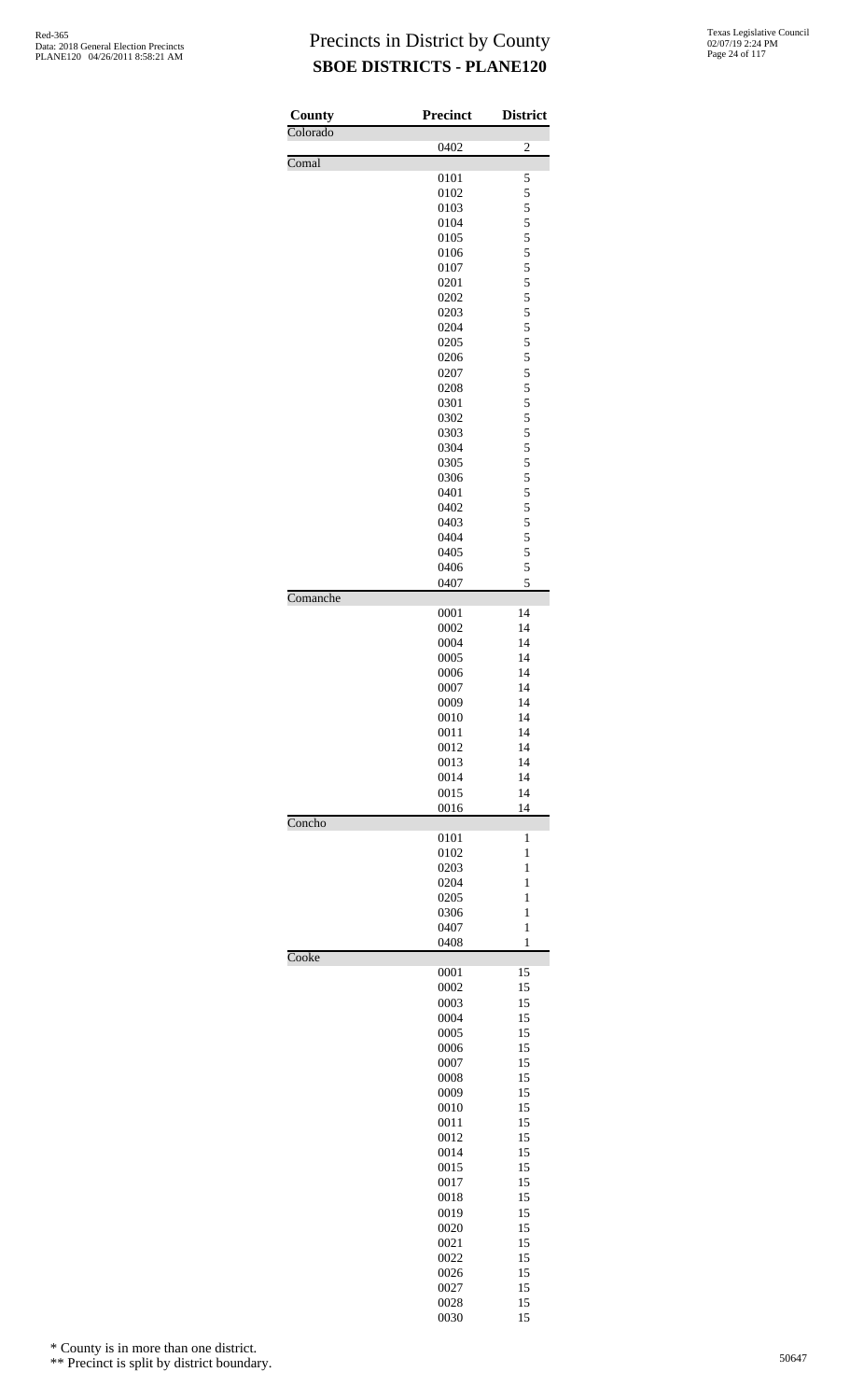| County   | <b>Precinct</b> | <b>District</b>   |
|----------|-----------------|-------------------|
| Colorado |                 |                   |
| Comal    | 0402            | $\overline{c}$    |
|          | 0101            | 5                 |
|          | 0102            | 5                 |
|          | 0103<br>0104    | $\frac{5}{5}$     |
|          | 0105            | 5                 |
|          | 0106            | 5                 |
|          | 0107<br>0201    | 5<br>5            |
|          | 0202            | 5                 |
|          | 0203            | 5                 |
|          | 0204            | 5                 |
|          | 0205<br>0206    | 5                 |
|          | 0207            | $\frac{5}{5}$     |
|          | 0208            | 5                 |
|          | 0301            | $\frac{5}{5}$     |
|          | 0302<br>0303    |                   |
|          | 0304            | $\frac{5}{5}$     |
|          | 0305            | 5                 |
|          | 0306            | 5                 |
|          | 0401<br>0402    | 5<br>5            |
|          | 0403            | 5                 |
|          | 0404            | 5                 |
|          | 0405            | 5                 |
|          | 0406<br>0407    | 5<br>5            |
| Comanche |                 |                   |
|          | 0001            | 14                |
|          | 0002<br>0004    | 14<br>14          |
|          | 0005            | 14                |
|          | 0006            | 14                |
|          | 0007            | 14                |
|          | 0009            | 14<br>14          |
|          | 0010<br>0011    | 14                |
|          | 0012            | 14                |
|          | 0013            | 14                |
|          | 0014            | 14                |
|          | 0015<br>0016    | 14<br>14          |
| Concho   |                 |                   |
|          | 0101<br>0102    | 1<br>$\mathbf{1}$ |
|          | 0203            | $\mathbf{1}$      |
|          | 0204            | $\mathbf{1}$      |
|          | 0205            | 1                 |
|          | 0306<br>0407    | 1<br>$\mathbf{1}$ |
|          | 0408            | $\mathbf{1}$      |
| Cooke    |                 |                   |
|          | 0001<br>0002    | 15<br>15          |
|          | 0003            | 15                |
|          | 0004            | 15                |
|          | 0005            | 15                |
|          | 0006<br>0007    | 15<br>15          |
|          | 0008            | 15                |
|          | 0009            | 15                |
|          | 0010            | 15                |
|          | 0011<br>0012    | 15<br>15          |
|          | 0014            | 15                |
|          | 0015            | 15                |
|          | 0017            | 15                |
|          | 0018<br>0019    | 15<br>15          |
|          | 0020            | 15                |
|          | 0021            | 15                |
|          | 0022            | 15                |
|          | 0026<br>0027    | 15<br>15          |
|          | 0028            | 15                |
|          | 0030            | 15                |

\* County is in more than one district.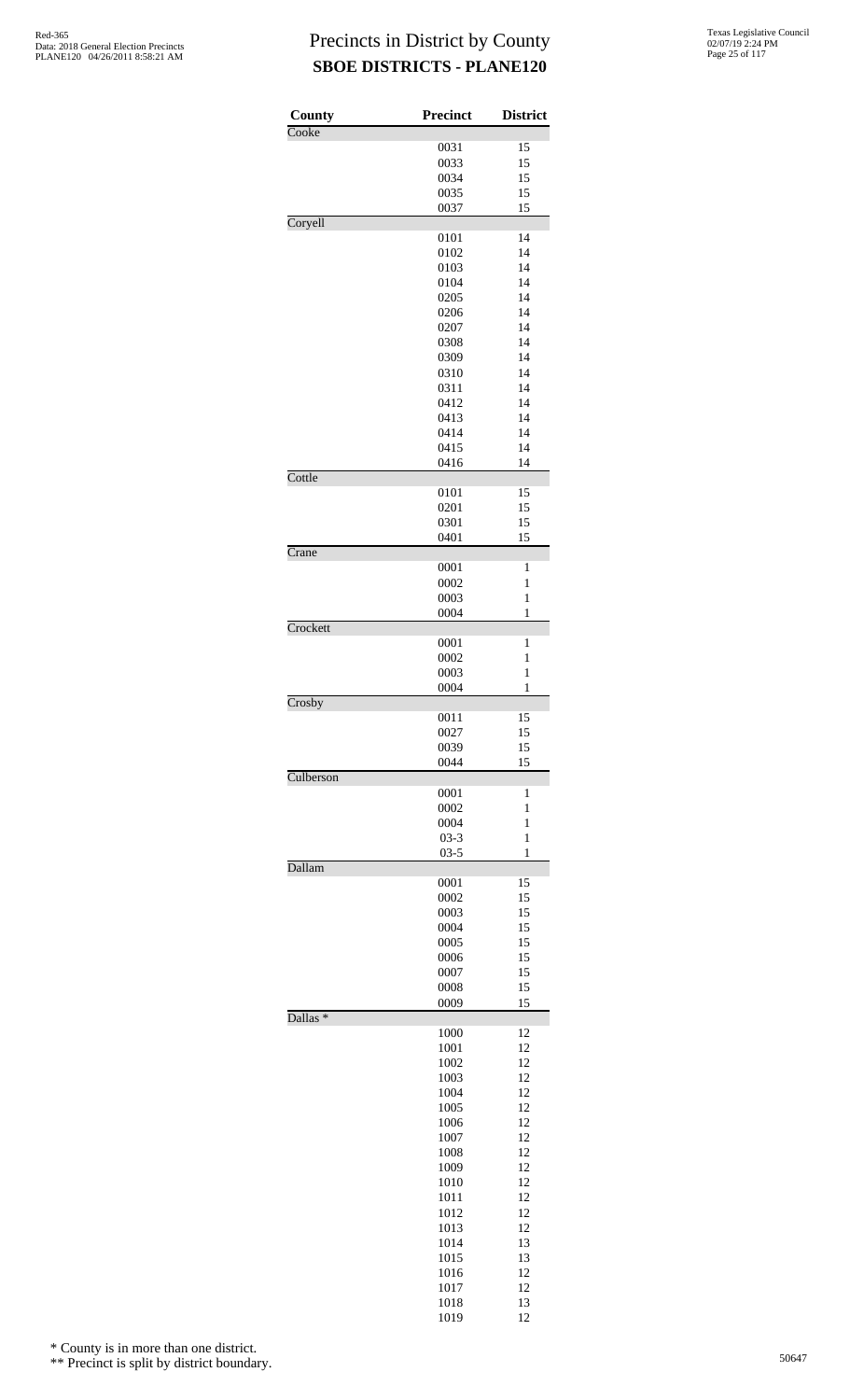| County              | <b>Precinct</b> | <b>District</b>   |
|---------------------|-----------------|-------------------|
| Cooke               | 0031            | 15                |
|                     | 0033            | 15                |
|                     | 0034            | 15                |
|                     | 0035            | 15                |
|                     | 0037            | 15                |
| Coryell             |                 |                   |
|                     | 0101<br>0102    | 14<br>14          |
|                     | 0103            | 14                |
|                     | 0104            | 14                |
|                     | 0205            | 14                |
|                     | 0206            | 14                |
|                     | 0207            | 14                |
|                     | 0308            | 14                |
|                     | 0309            | 14                |
|                     | 0310            | 14                |
|                     | 0311            | 14                |
|                     | 0412<br>0413    | 14<br>14          |
|                     | 0414            | 14                |
|                     | 0415            | 14                |
|                     | 0416            | 14                |
| Cottle              |                 |                   |
|                     | 0101            | 15<br>15          |
|                     | 0201<br>0301    | 15                |
|                     | 0401            | 15                |
| Crane               |                 |                   |
|                     | 0001            | 1                 |
|                     | 0002            | 1                 |
|                     | 0003<br>0004    | $\mathbf{1}$<br>1 |
| Crockett            |                 |                   |
|                     | 0001            | 1                 |
|                     | 0002            | 1                 |
|                     | 0003            | $\mathbf{1}$      |
| Crosby              | 0004            | 1                 |
|                     | 0011            | 15                |
|                     | 0027            | 15                |
|                     | 0039            | 15                |
| Culberson           | 0044            | 15                |
|                     | 0001            | 1                 |
|                     | 0002            | 1                 |
|                     | 0004            | $\mathbf{1}$      |
|                     | $03 - 3$        | $\mathbf{1}$      |
| Dallam              | $03 - 5$        | $\mathbf{1}$      |
|                     | 0001            | 15                |
|                     | 0002            | 15                |
|                     | 0003            | 15                |
|                     | 0004            | 15                |
|                     | 0005            | 15                |
|                     | 0006            | 15                |
|                     | 0007            | 15<br>15          |
|                     | 0008<br>0009    | 15                |
| Dallas <sup>*</sup> |                 |                   |
|                     | 1000            | 12                |
|                     | 1001            | 12                |
|                     | 1002<br>1003    | 12<br>12          |
|                     | 1004            | 12                |
|                     | 1005            | 12                |
|                     | 1006            | 12                |
|                     | 1007            | 12                |
|                     | 1008            | 12                |
|                     | 1009            | 12                |
|                     | 1010            | 12                |
|                     | 1011<br>1012    | 12<br>12          |
|                     | 1013            | 12                |
|                     | 1014            | 13                |
|                     | 1015            | 13                |
|                     | 1016            | 12                |
|                     | 1017            | 12                |
|                     | 1018            | 13                |
|                     | 1019            | 12                |

\* County is in more than one district.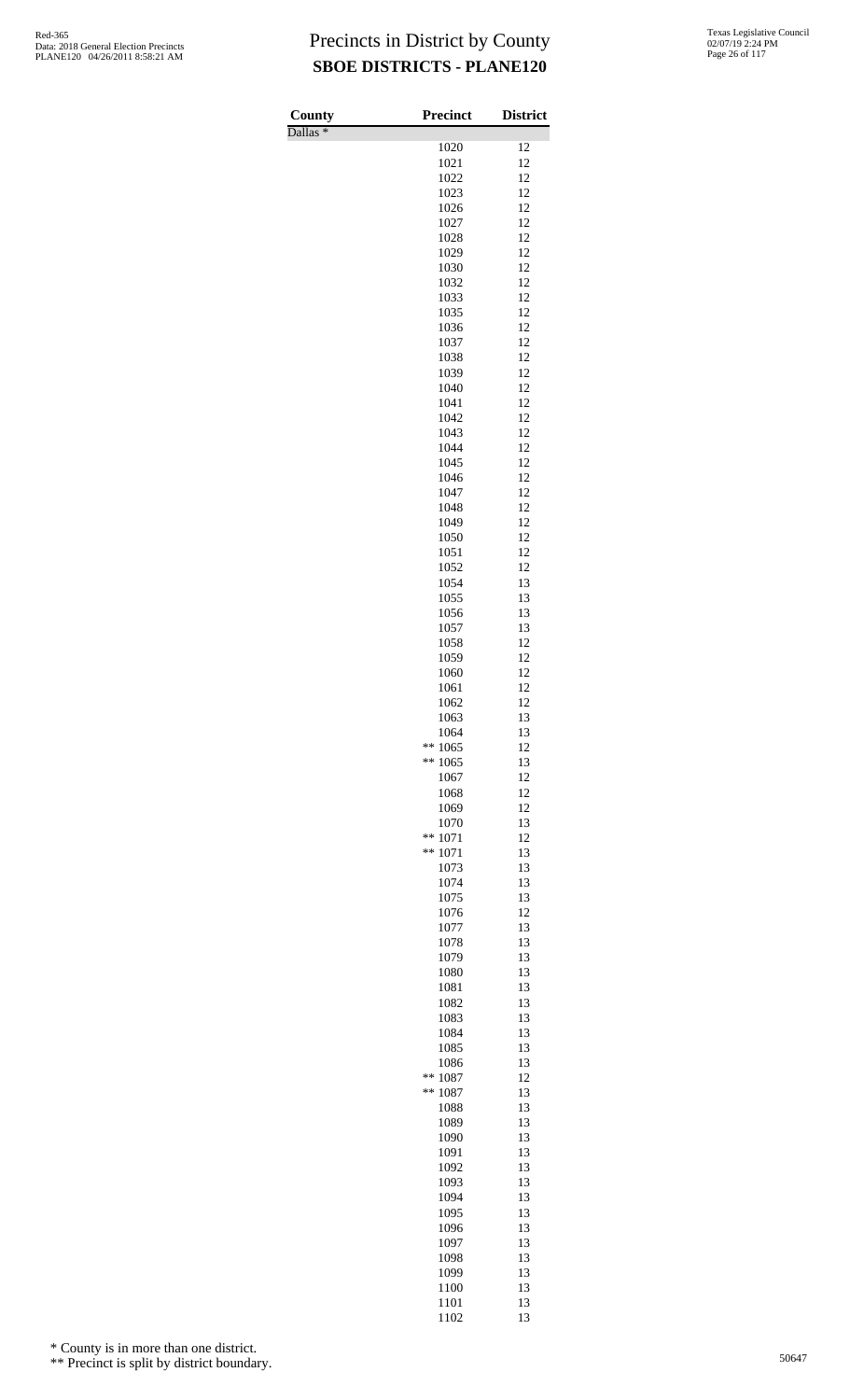Dallas \*

| County<br>$\overline{\text{Dallas}}$ * | <b>Precinct</b>          | <b>District</b> |
|----------------------------------------|--------------------------|-----------------|
|                                        | 1020                     | 12              |
|                                        | 1021                     | 12              |
|                                        | 1022                     | 12              |
|                                        | 1023                     | 12<br>12        |
|                                        | 1026<br>1027             | 12              |
|                                        | 1028                     | 12              |
|                                        | 1029                     | 12              |
|                                        | 1030                     | 12              |
|                                        | 1032                     | 12              |
|                                        | 1033<br>1035             | 12<br>12        |
|                                        | 1036                     | 12              |
|                                        | 1037                     | 12              |
|                                        | 1038                     | 12              |
|                                        | 1039                     | 12              |
|                                        | 1040<br>1041             | 12<br>12        |
|                                        | 1042                     | 12              |
|                                        | 1043                     | 12              |
|                                        | 1044                     | 12              |
|                                        | 1045                     | 12              |
|                                        | 1046<br>1047             | 12<br>12        |
|                                        | 1048                     | 12              |
|                                        | 1049                     | 12              |
|                                        | 1050                     | 12              |
|                                        | 1051                     | 12              |
|                                        | 1052<br>1054             | 12<br>13        |
|                                        | 1055                     | 13              |
|                                        | 1056                     | 13              |
|                                        | 1057                     | 13              |
|                                        | 1058                     | 12              |
|                                        | 1059<br>1060             | 12<br>12        |
|                                        | 1061                     | 12              |
|                                        | 1062                     | 12              |
|                                        | 1063                     | 13              |
|                                        | 1064                     | 13              |
|                                        | **<br>1065<br>**<br>1065 | 12<br>13        |
|                                        | 1067                     | 12              |
|                                        | 1068                     | 12              |
|                                        | 1069                     | 12              |
|                                        | 1070                     | 13              |
|                                        | **<br>1071<br>**<br>1071 | 12<br>13        |
|                                        | 1073                     | 13              |
|                                        | 1074                     | 13              |
|                                        | 1075                     | 13              |
|                                        | 1076                     | 12              |
|                                        | 1077                     | 13              |
|                                        | 1078<br>1079             | 13<br>13        |
|                                        | 1080                     | 13              |
|                                        | 1081                     | 13              |
|                                        | 1082                     | 13              |
|                                        | 1083                     | 13<br>13        |
|                                        | 1084<br>1085             | 13              |
|                                        | 1086                     | 13              |
|                                        | **<br>1087               | 12              |
|                                        | **<br>1087               | 13              |
|                                        | 1088                     | 13              |
|                                        | 1089<br>1090             | 13<br>13        |
|                                        | 1091                     | 13              |
|                                        | 1092                     | 13              |
|                                        | 1093                     | 13              |
|                                        | 1094                     | 13              |
|                                        | 1095<br>1096             | 13<br>13        |
|                                        | 1097                     | 13              |
|                                        | 1098                     | 13              |
|                                        | 1099                     | 13              |
|                                        | 1100                     | 13              |
|                                        | 1101<br>1102             | 13<br>13        |
|                                        |                          |                 |

\* County is in more than one district.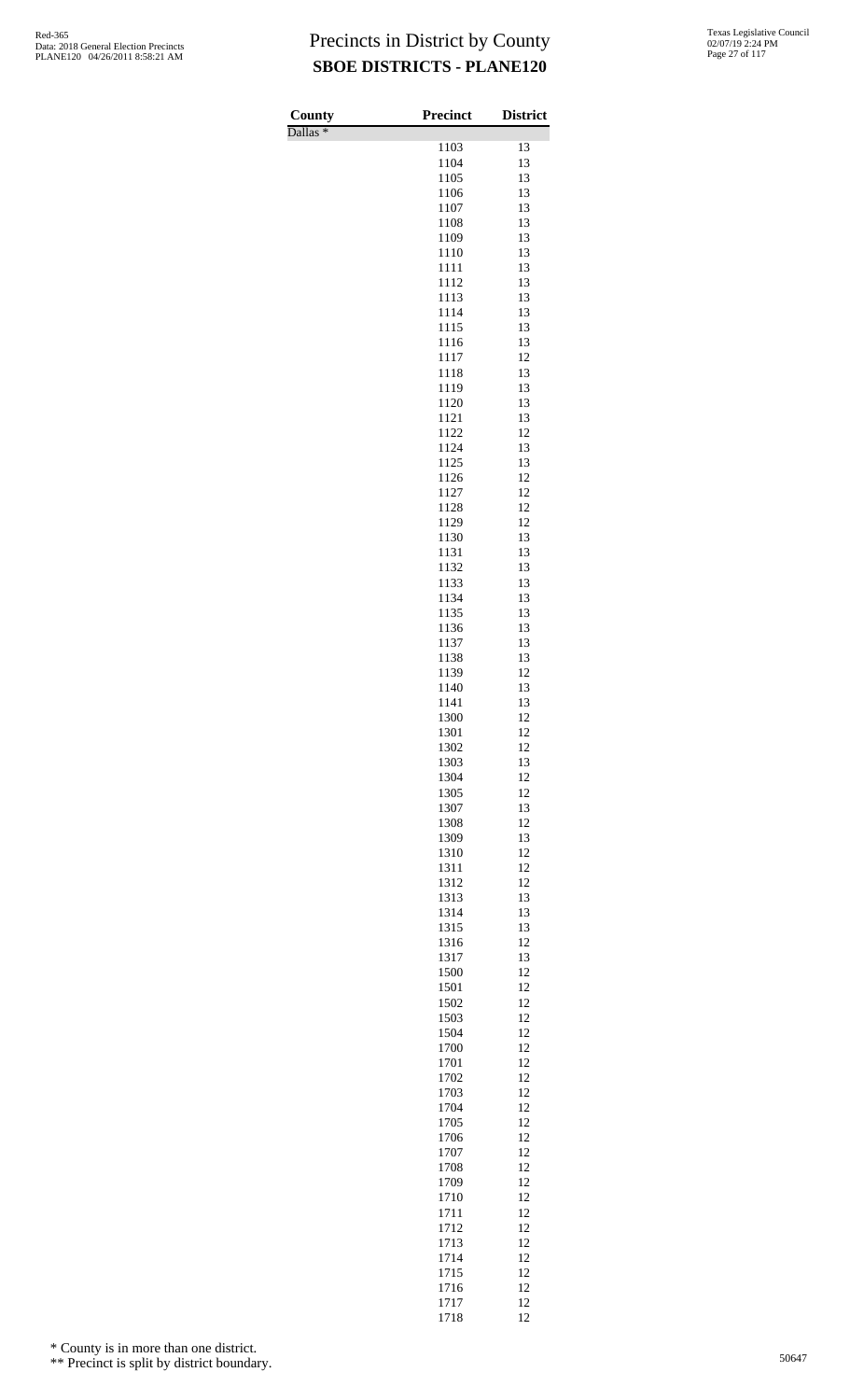Dallas \*

| County<br>$\overline{\text{Dallas}}$ * | Precinct     | <b>District</b> |
|----------------------------------------|--------------|-----------------|
|                                        | 1103         | 13              |
|                                        | 1104         | 13              |
|                                        | 1105         | 13              |
|                                        | 1106         | 13              |
|                                        | 1107<br>1108 | 13<br>13        |
|                                        | 1109         | 13              |
|                                        | 1110         | 13              |
|                                        | 1111         | 13              |
|                                        | 1112         | 13              |
|                                        | 1113<br>1114 | 13<br>13        |
|                                        | 1115         | 13              |
|                                        | 1116         | 13              |
|                                        | 1117         | 12              |
|                                        | 1118<br>1119 | 13<br>13        |
|                                        | 1120         | 13              |
|                                        | 1121         | 13              |
|                                        | 1122         | 12              |
|                                        | 1124         | 13              |
|                                        | 1125<br>1126 | 13<br>12        |
|                                        | 1127         | 12              |
|                                        | 1128         | 12              |
|                                        | 1129         | 12              |
|                                        | 1130         | 13              |
|                                        | 1131<br>1132 | 13<br>13        |
|                                        | 1133         | 13              |
|                                        | 1134         | 13              |
|                                        | 1135         | 13              |
|                                        | 1136         | 13              |
|                                        | 1137<br>1138 | 13<br>13        |
|                                        | 1139         | 12              |
|                                        | 1140         | 13              |
|                                        | 1141         | 13              |
|                                        | 1300         | 12              |
|                                        | 1301<br>1302 | 12<br>12        |
|                                        | 1303         | 13              |
|                                        | 1304         | 12              |
|                                        | 1305         | 12              |
|                                        | 1307         | 13              |
|                                        | 1308<br>1309 | 12<br>13        |
|                                        | 1310         | 12              |
|                                        | 1311         | 12              |
|                                        | 1312         | 12              |
|                                        | 1313         | 13              |
|                                        | 1314<br>1315 | 13<br>13        |
|                                        | 1316         | 12              |
|                                        | 1317         | 13              |
|                                        | 1500         | 12              |
|                                        | 1501         | 12              |
|                                        | 1502<br>1503 | 12<br>12        |
|                                        | 1504         | 12              |
|                                        | 1700         | 12              |
|                                        | 1701         | 12              |
|                                        | 1702         | 12              |
|                                        | 1703<br>1704 | 12<br>12        |
|                                        | 1705         | 12              |
|                                        | 1706         | 12              |
|                                        | 1707         | 12              |
|                                        | 1708         | 12<br>12        |
|                                        | 1709<br>1710 | 12              |
|                                        | 1711         | 12              |
|                                        | 1712         | 12              |
|                                        | 1713         | 12              |
|                                        | 1714<br>1715 | 12              |
|                                        | 1716         | 12<br>12        |
|                                        | 1717         | 12              |
|                                        | 1718         | 12              |

\* County is in more than one district.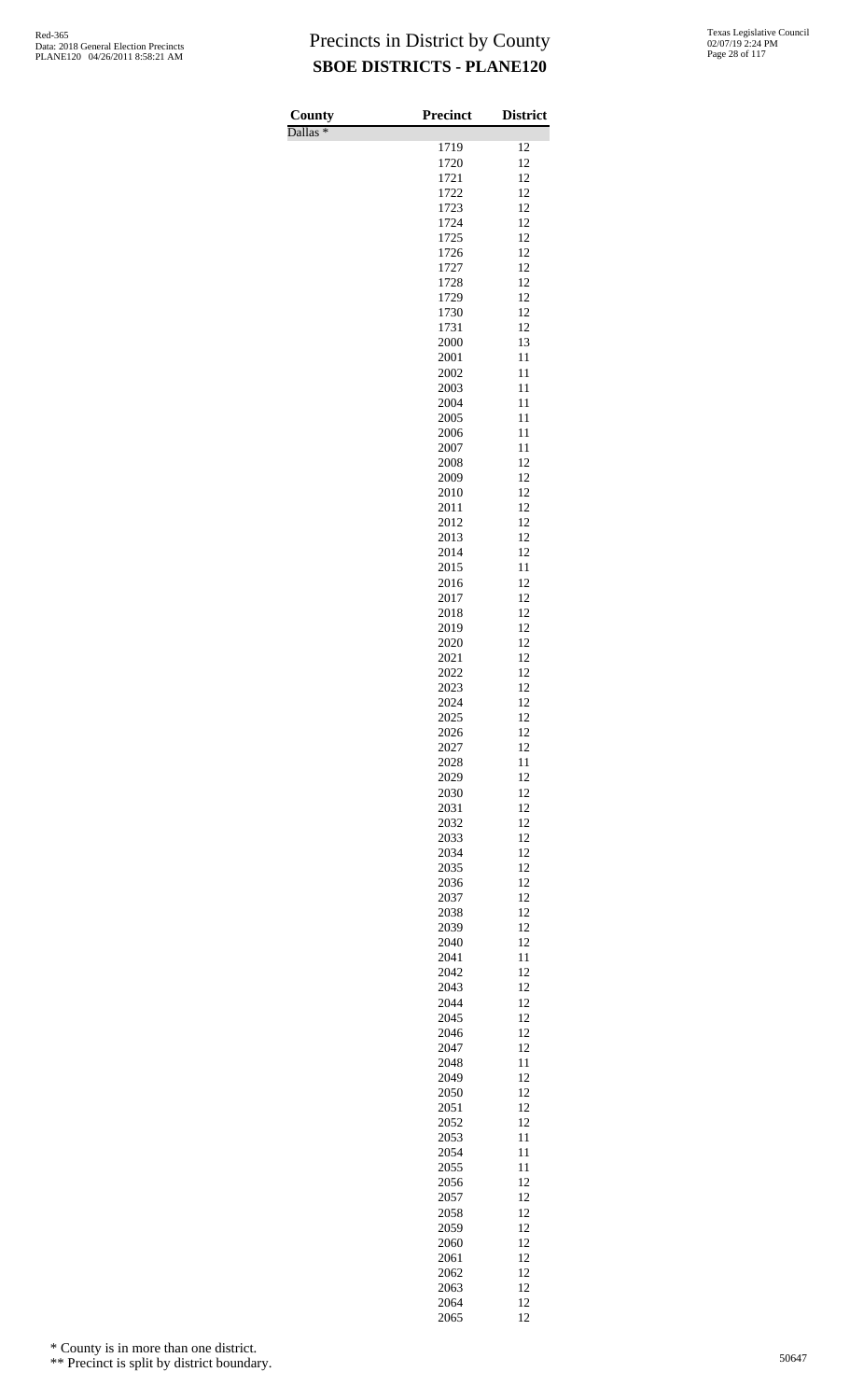Dallas \*

| County<br>$\overline{\mathrm{Dallas}}$ * | <b>Precinct</b> | <b>District</b> |
|------------------------------------------|-----------------|-----------------|
|                                          | 1719            | 12              |
|                                          | 1720            | 12              |
|                                          | 1721            | 12              |
|                                          | 1722<br>1723    | 12<br>12        |
|                                          | 1724            | 12              |
|                                          | 1725            | 12              |
|                                          | 1726            | 12              |
|                                          | 1727            | 12              |
|                                          | 1728<br>1729    | 12<br>12        |
|                                          | 1730            | 12              |
|                                          | 1731            | 12              |
|                                          | 2000            | 13              |
|                                          | 2001            | 11              |
|                                          | 2002<br>2003    | 11<br>11        |
|                                          | 2004            | 11              |
|                                          | 2005            | 11              |
|                                          | 2006            | 11              |
|                                          | 2007            | 11              |
|                                          | 2008<br>2009    | 12<br>12        |
|                                          | 2010            | 12              |
|                                          | 2011            | 12              |
|                                          | 2012            | 12              |
|                                          | 2013            | 12              |
|                                          | 2014<br>2015    | 12<br>11        |
|                                          | 2016            | 12              |
|                                          | 2017            | 12              |
|                                          | 2018            | 12              |
|                                          | 2019            | 12              |
|                                          | 2020<br>2021    | 12<br>12        |
|                                          | 2022            | 12              |
|                                          | 2023            | 12              |
|                                          | 2024            | 12              |
|                                          | 2025            | 12              |
|                                          | 2026<br>2027    | 12<br>12        |
|                                          | 2028            | 11              |
|                                          | 2029            | 12              |
|                                          | 2030            | 12              |
|                                          | 2031            | 12              |
|                                          | 2032            | 12              |
|                                          | 2033<br>2034    | 12<br>12        |
|                                          | 2035            | 12              |
|                                          | 2036            | 12              |
|                                          | 2037            | 12              |
|                                          | 2038            | 12              |
|                                          | 2039<br>2040    | 12<br>12        |
|                                          | 2041            | 11              |
|                                          | 2042            | 12              |
|                                          | 2043            | 12              |
|                                          | 2044            | 12              |
|                                          | 2045<br>2046    | 12<br>12        |
|                                          | 2047            | 12              |
|                                          | 2048            | 11              |
|                                          | 2049            | 12              |
|                                          | 2050            | 12              |
|                                          | 2051<br>2052    | 12<br>12        |
|                                          | 2053            | 11              |
|                                          | 2054            | 11              |
|                                          | 2055            | 11              |
|                                          | 2056            | 12              |
|                                          | 2057<br>2058    | 12<br>12        |
|                                          | 2059            | 12              |
|                                          | 2060            | 12              |
|                                          | 2061            | 12              |
|                                          | 2062            | 12              |
|                                          | 2063<br>2064    | 12<br>12        |
|                                          | 2065            | 12              |

\* County is in more than one district.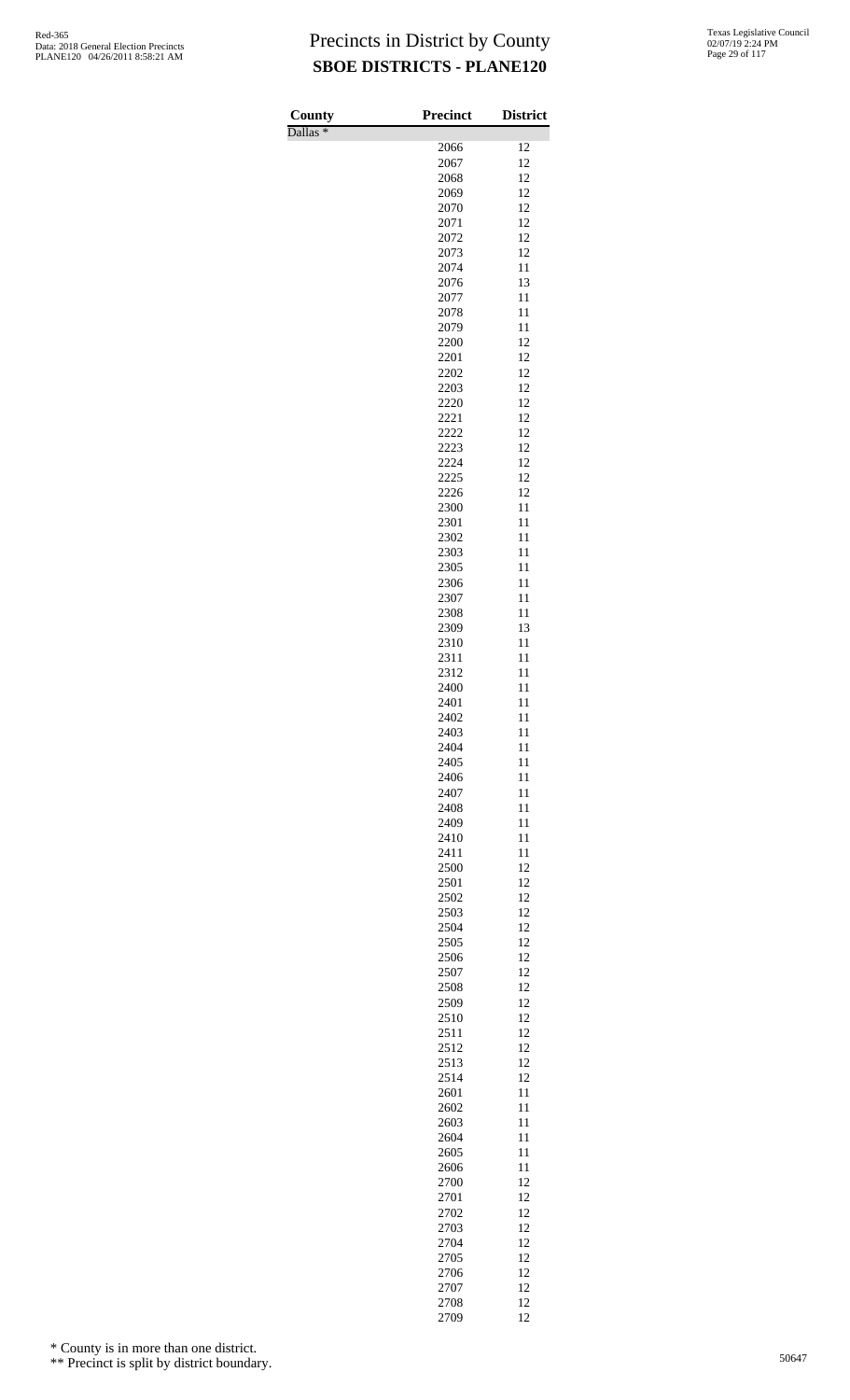Dallas \*

| County              | <b>Precinct</b> | <b>District</b> |
|---------------------|-----------------|-----------------|
| Dallas <sup>*</sup> | 2066            | 12              |
|                     | 2067            | 12              |
|                     | 2068            | 12              |
|                     | 2069            | 12              |
|                     | 2070            | 12              |
|                     | 2071<br>2072    | 12<br>12        |
|                     | 2073            | 12              |
|                     | 2074            | 11              |
|                     | 2076            | 13              |
|                     | 2077            | 11              |
|                     | 2078<br>2079    | 11<br>11        |
|                     | 2200            | 12              |
|                     | 2201            | 12              |
|                     | 2202            | 12              |
|                     | 2203            | 12              |
|                     | 2220<br>2221    | 12<br>12        |
|                     | 2222            | 12              |
|                     | 2223            | 12              |
|                     | 2224            | 12              |
|                     | 2225            | 12              |
|                     | 2226<br>2300    | 12<br>11        |
|                     | 2301            | 11              |
|                     | 2302            | 11              |
|                     | 2303            | 11              |
|                     | 2305            | 11              |
|                     | 2306<br>2307    | 11<br>11        |
|                     | 2308            | 11              |
|                     | 2309            | 13              |
|                     | 2310            | 11              |
|                     | 2311            | 11              |
|                     | 2312<br>2400    | 11<br>11        |
|                     | 2401            | 11              |
|                     | 2402            | 11              |
|                     | 2403            | 11              |
|                     | 2404            | 11              |
|                     | 2405<br>2406    | 11<br>11        |
|                     | 2407            | 11              |
|                     | 2408            | 11              |
|                     | 2409            | 11              |
|                     | 2410            | 11              |
|                     | 2411            | 11              |
|                     | 2500<br>2501    | 12<br>12        |
|                     | 2502            | 12              |
|                     | 2503            | 12              |
|                     | 2504            | 12              |
|                     | 2505            | 12<br>12        |
|                     | 2506<br>2507    | 12              |
|                     | 2508            | 12              |
|                     | 2509            | 12              |
|                     | 2510            | 12              |
|                     | 2511            | 12              |
|                     | 2512<br>2513    | 12<br>12        |
|                     | 2514            | 12              |
|                     | 2601            | 11              |
|                     | 2602            | 11              |
|                     | 2603            | 11              |
|                     | 2604<br>2605    | 11<br>11        |
|                     | 2606            | 11              |
|                     | 2700            | 12              |
|                     | 2701            | 12              |
|                     | 2702            | 12              |
|                     | 2703<br>2704    | 12<br>12        |
|                     | 2705            | 12              |
|                     | 2706            | 12              |
|                     | 2707            | 12              |
|                     | 2708            | 12              |
|                     | 2709            | 12              |

\* County is in more than one district.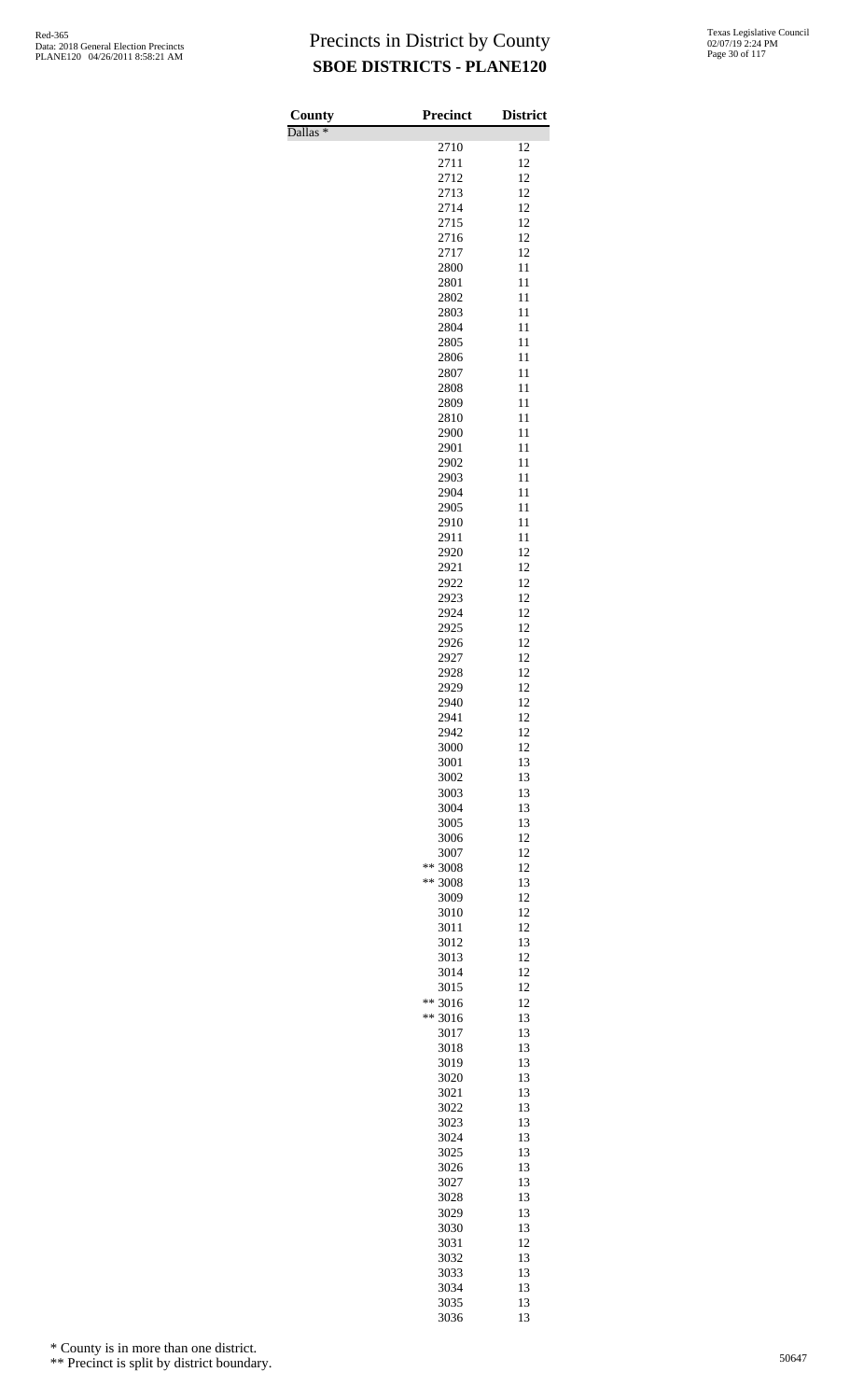Dallas \*

| County<br>Dallas <sup>*</sup> | <b>Precinct</b> | <b>District</b> |
|-------------------------------|-----------------|-----------------|
|                               | 2710            | 12              |
|                               | 2711            | 12              |
|                               | 2712            | 12              |
|                               | 2713            | 12              |
|                               | 2714            | 12              |
|                               | 2715<br>2716    | 12<br>12        |
|                               | 2717            | 12              |
|                               | 2800            | 11              |
|                               | 2801            | 11              |
|                               | 2802            | 11              |
|                               | 2803            | 11              |
|                               | 2804            | 11              |
|                               | 2805<br>2806    | 11<br>11        |
|                               | 2807            | 11              |
|                               | 2808            | 11              |
|                               | 2809            | 11              |
|                               | 2810            | 11              |
|                               | 2900            | 11              |
|                               | 2901            | 11              |
|                               | 2902            | 11<br>11        |
|                               | 2903<br>2904    | 11              |
|                               | 2905            | 11              |
|                               | 2910            | 11              |
|                               | 2911            | 11              |
|                               | 2920            | 12              |
|                               | 2921            | 12              |
|                               | 2922            | 12<br>12        |
|                               | 2923<br>2924    | 12              |
|                               | 2925            | 12              |
|                               | 2926            | 12              |
|                               | 2927            | 12              |
|                               | 2928            | 12              |
|                               | 2929            | 12              |
|                               | 2940<br>2941    | 12<br>12        |
|                               | 2942            | 12              |
|                               | 3000            | 12              |
|                               | 3001            | 13              |
|                               | 3002            | 13              |
|                               | 3003            | 13              |
|                               | 3004            | 13              |
|                               | 3005<br>3006    | 13<br>12        |
|                               | 3007            | 12              |
|                               | ** 3008         | 12              |
|                               | ** 3008         | 13              |
|                               | 3009            | 12              |
|                               | 3010            | 12              |
|                               | 3011<br>3012    | 12<br>13        |
|                               | 3013            | 12              |
|                               | 3014            | 12              |
|                               | 3015            | 12              |
|                               | ** 3016         | 12              |
|                               | ** 3016         | 13              |
|                               | 3017            | 13              |
|                               | 3018<br>3019    | 13<br>13        |
|                               | 3020            | 13              |
|                               | 3021            | 13              |
|                               | 3022            | 13              |
|                               | 3023            | 13              |
|                               | 3024            | 13              |
|                               | 3025<br>3026    | 13<br>13        |
|                               | 3027            | 13              |
|                               | 3028            | 13              |
|                               | 3029            | 13              |
|                               | 3030            | 13              |
|                               | 3031            | 12              |
|                               | 3032            | 13              |
|                               | 3033            | 13<br>13        |
|                               | 3034<br>3035    | 13              |
|                               | 3036            | 13              |

\* County is in more than one district.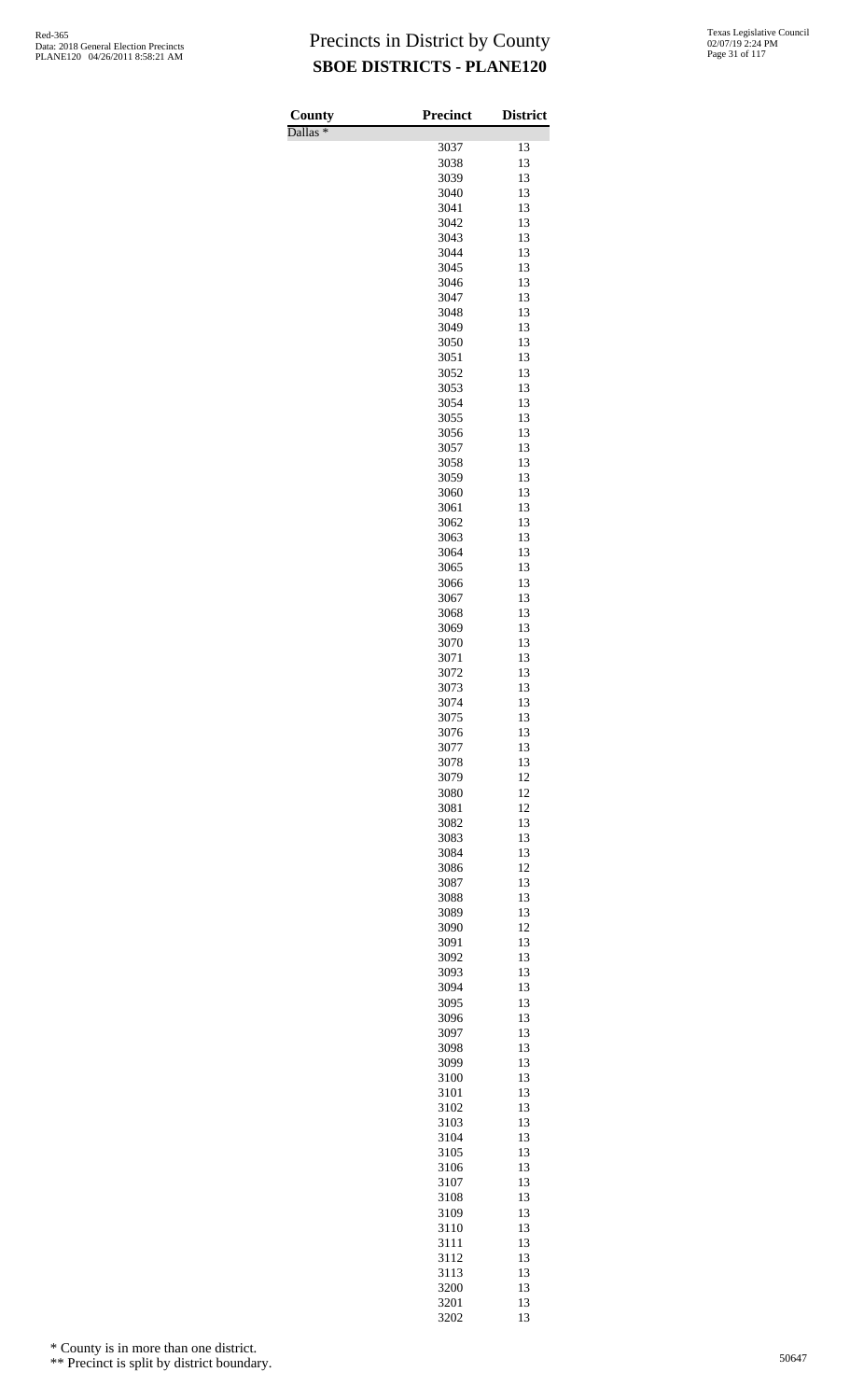Dallas \*

| County<br>$\overline{\text{Dallas}}$ * | <b>Precinct</b> | <b>District</b> |
|----------------------------------------|-----------------|-----------------|
|                                        | 3037            | 13              |
|                                        | 3038            | 13              |
|                                        | 3039            | 13              |
|                                        | 3040            | 13              |
|                                        | 3041            | 13<br>13        |
|                                        | 3042<br>3043    | 13              |
|                                        | 3044            | 13              |
|                                        | 3045            | 13              |
|                                        | 3046            | 13              |
|                                        | 3047            | 13              |
|                                        | 3048            | 13              |
|                                        | 3049<br>3050    | 13<br>13        |
|                                        | 3051            | 13              |
|                                        | 3052            | 13              |
|                                        | 3053            | 13              |
|                                        | 3054            | 13              |
|                                        | 3055            | 13              |
|                                        | 3056<br>3057    | 13<br>13        |
|                                        | 3058            | 13              |
|                                        | 3059            | 13              |
|                                        | 3060            | 13              |
|                                        | 3061            | 13              |
|                                        | 3062            | 13              |
|                                        | 3063<br>3064    | 13<br>13        |
|                                        | 3065            | 13              |
|                                        | 3066            | 13              |
|                                        | 3067            | 13              |
|                                        | 3068            | 13              |
|                                        | 3069            | 13              |
|                                        | 3070            | 13<br>13        |
|                                        | 3071<br>3072    | 13              |
|                                        | 3073            | 13              |
|                                        | 3074            | 13              |
|                                        | 3075            | 13              |
|                                        | 3076            | 13              |
|                                        | 3077<br>3078    | 13<br>13        |
|                                        | 3079            | 12              |
|                                        | 3080            | 12              |
|                                        | 3081            | 12              |
|                                        | 3082            | 13              |
|                                        | 3083            | 13              |
|                                        | 3084<br>3086    | 13<br>12        |
|                                        | 3087            | 13              |
|                                        | 3088            | 13              |
|                                        | 3089            | 13              |
|                                        | 3090            | 12              |
|                                        | 3091            | 13<br>13        |
|                                        | 3092<br>3093    | 13              |
|                                        | 3094            | 13              |
|                                        | 3095            | 13              |
|                                        | 3096            | 13              |
|                                        | 3097            | 13              |
|                                        | 3098            | 13              |
|                                        | 3099<br>3100    | 13<br>13        |
|                                        | 3101            | 13              |
|                                        | 3102            | 13              |
|                                        | 3103            | 13              |
|                                        | 3104            | 13              |
|                                        | 3105            | 13              |
|                                        | 3106<br>3107    | 13<br>13        |
|                                        | 3108            | 13              |
|                                        | 3109            | 13              |
|                                        | 3110            | 13              |
|                                        | 3111            | 13              |
|                                        | 3112            | 13              |
|                                        | 3113<br>3200    | 13<br>13        |
|                                        | 3201            | 13              |
|                                        | 3202            | 13              |

\* County is in more than one district.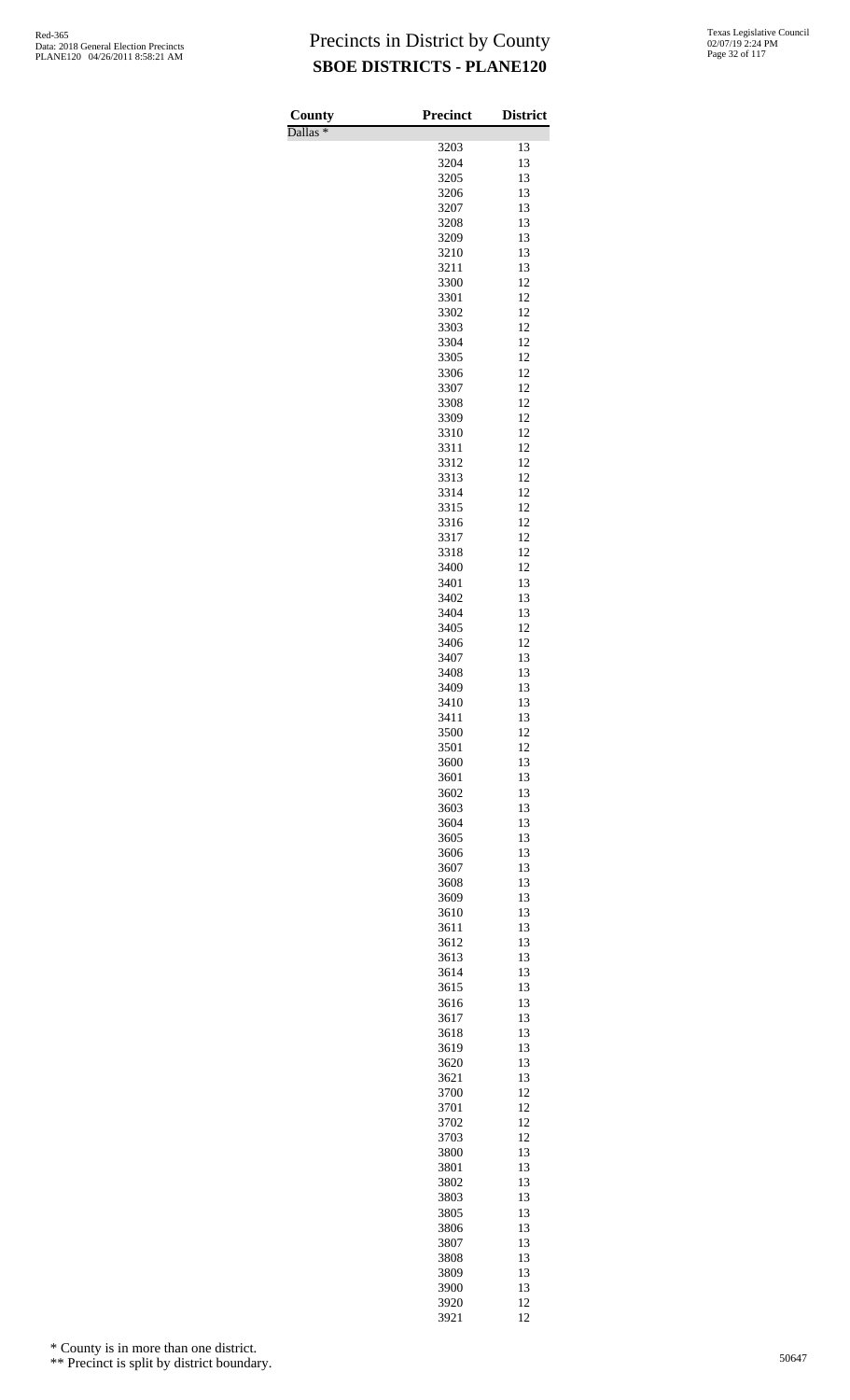Dallas \*

| County<br>$\overline{\text{Dallas}}$ $*$ | Precinct     | <b>District</b> |
|------------------------------------------|--------------|-----------------|
|                                          | 3203         | 13              |
|                                          | 3204         | 13              |
|                                          | 3205         | 13              |
|                                          | 3206         | 13              |
|                                          | 3207         | 13<br>13        |
|                                          | 3208<br>3209 | 13              |
|                                          | 3210         | 13              |
|                                          | 3211         | 13              |
|                                          | 3300         | 12              |
|                                          | 3301         | 12              |
|                                          | 3302<br>3303 | 12<br>12        |
|                                          | 3304         | 12              |
|                                          | 3305         | 12              |
|                                          | 3306         | 12              |
|                                          | 3307         | 12              |
|                                          | 3308         | 12              |
|                                          | 3309<br>3310 | 12<br>12        |
|                                          | 3311         | 12              |
|                                          | 3312         | 12              |
|                                          | 3313         | 12              |
|                                          | 3314         | 12              |
|                                          | 3315         | 12              |
|                                          | 3316<br>3317 | 12<br>12        |
|                                          | 3318         | 12              |
|                                          | 3400         | 12              |
|                                          | 3401         | 13              |
|                                          | 3402         | 13              |
|                                          | 3404<br>3405 | 13<br>12        |
|                                          | 3406         | 12              |
|                                          | 3407         | 13              |
|                                          | 3408         | 13              |
|                                          | 3409         | 13              |
|                                          | 3410<br>3411 | 13<br>13        |
|                                          | 3500         | 12              |
|                                          | 3501         | 12              |
|                                          | 3600         | 13              |
|                                          | 3601         | 13              |
|                                          | 3602<br>3603 | 13<br>13        |
|                                          | 3604         | 13              |
|                                          | 3605         | 13              |
|                                          | 3606         | 13              |
|                                          | 3607         | 13              |
|                                          | 3608         | 13              |
|                                          | 3609<br>3610 | 13<br>13        |
|                                          | 3611         | 13              |
|                                          | 3612         | 13              |
|                                          | 3613         | 13              |
|                                          | 3614<br>3615 | 13<br>13        |
|                                          | 3616         | 13              |
|                                          | 3617         | 13              |
|                                          | 3618         | 13              |
|                                          | 3619         | 13              |
|                                          | 3620         | 13<br>13        |
|                                          | 3621<br>3700 | 12              |
|                                          | 3701         | 12              |
|                                          | 3702         | 12              |
|                                          | 3703         | 12              |
|                                          | 3800<br>3801 | 13<br>13        |
|                                          | 3802         | 13              |
|                                          | 3803         | 13              |
|                                          | 3805         | 13              |
|                                          | 3806         | 13              |
|                                          | 3807<br>3808 | 13<br>13        |
|                                          | 3809         | 13              |
|                                          | 3900         | 13              |
|                                          | 3920         | 12              |
|                                          | 3921         | 12              |

\* County is in more than one district.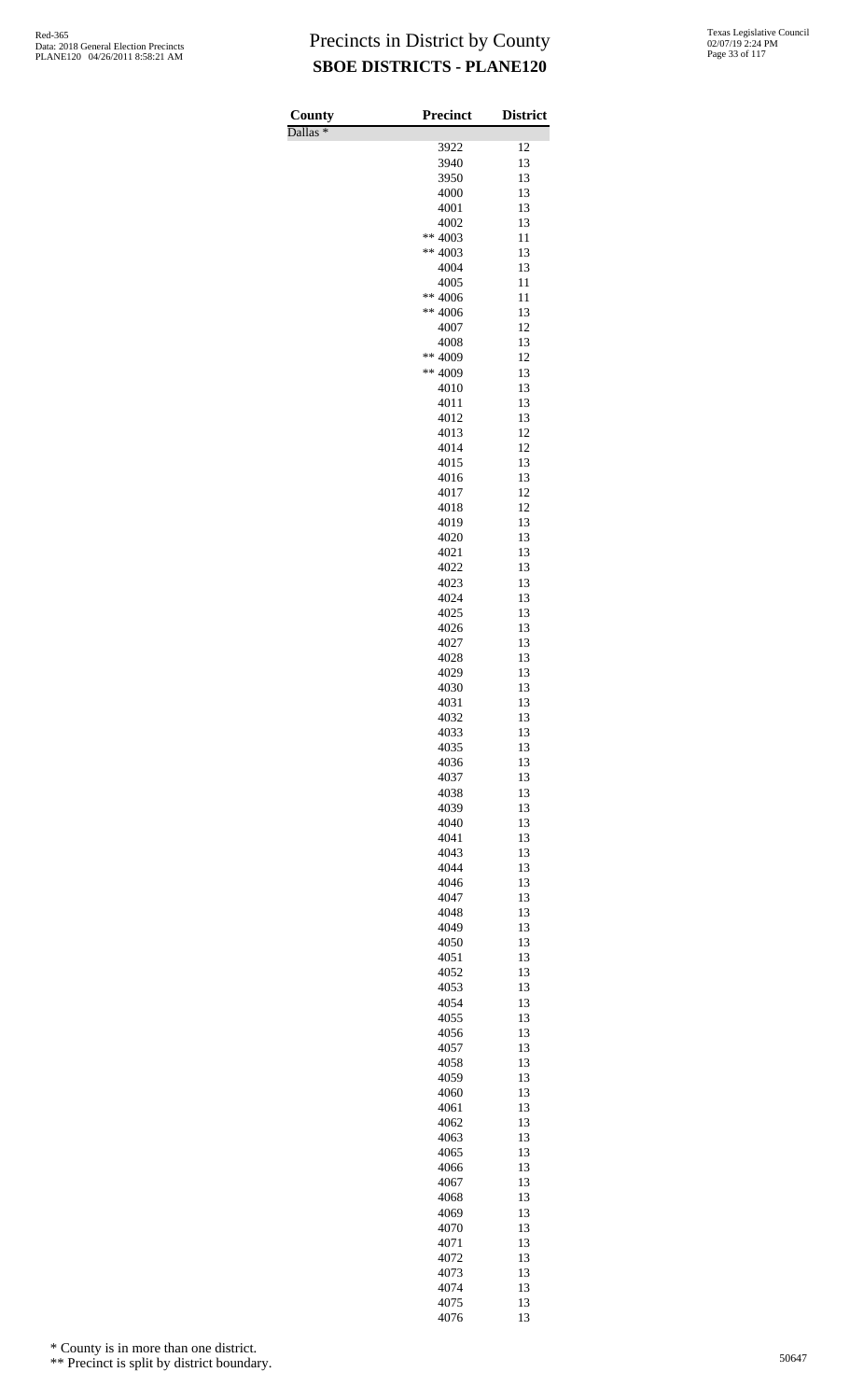Dallas \*

| County<br>Dallas $*$ | <b>Precinct</b>    | <b>District</b> |
|----------------------|--------------------|-----------------|
|                      | 3922               | 12              |
|                      | 3940               | 13              |
|                      | 3950               | 13              |
|                      | 4000               | 13<br>13        |
|                      | 4001<br>4002       | 13              |
|                      | ** 4003            | 11              |
|                      | ** 4003            | 13              |
|                      | 4004               | 13              |
|                      | 4005               | 11              |
|                      | ** 4006<br>** 4006 | 11<br>13        |
|                      | 4007               | 12              |
|                      | 4008               | 13              |
|                      | ** 4009            | 12              |
|                      | ** 4009            | 13              |
|                      | 4010<br>4011       | 13<br>13        |
|                      | 4012               | 13              |
|                      | 4013               | 12              |
|                      | 4014               | 12              |
|                      | 4015               | 13<br>13        |
|                      | 4016<br>4017       | 12              |
|                      | 4018               | 12              |
|                      | 4019               | 13              |
|                      | 4020               | 13              |
|                      | 4021               | 13              |
|                      | 4022<br>4023       | 13<br>13        |
|                      | 4024               | 13              |
|                      | 4025               | 13              |
|                      | 4026               | 13              |
|                      | 4027               | 13              |
|                      | 4028<br>4029       | 13<br>13        |
|                      | 4030               | 13              |
|                      | 4031               | 13              |
|                      | 4032               | 13              |
|                      | 4033               | 13              |
|                      | 4035<br>4036       | 13<br>13        |
|                      | 4037               | 13              |
|                      | 4038               | 13              |
|                      | 4039               | 13              |
|                      | 4040               | 13              |
|                      | 4041<br>4043       | 13<br>13        |
|                      | 4044               | 13              |
|                      | 4046               | 13              |
|                      | 4047               | 13              |
|                      | 4048               | 13              |
|                      | 4049<br>4050       | 13<br>13        |
|                      | 4051               | 13              |
|                      | 4052               | 13              |
|                      | 4053               | 13              |
|                      | 4054               | 13              |
|                      | 4055<br>4056       | 13<br>13        |
|                      | 4057               | 13              |
|                      | 4058               | 13              |
|                      | 4059               | 13              |
|                      | 4060               | 13              |
|                      | 4061<br>4062       | 13<br>13        |
|                      | 4063               | 13              |
|                      | 4065               | 13              |
|                      | 4066               | 13              |
|                      | 4067               | 13              |
|                      | 4068<br>4069       | 13<br>13        |
|                      | 4070               | 13              |
|                      | 4071               | 13              |
|                      | 4072               | 13              |
|                      | 4073               | 13              |
|                      | 4074<br>4075       | 13<br>13        |
|                      | 4076               | 13              |

\* County is in more than one district.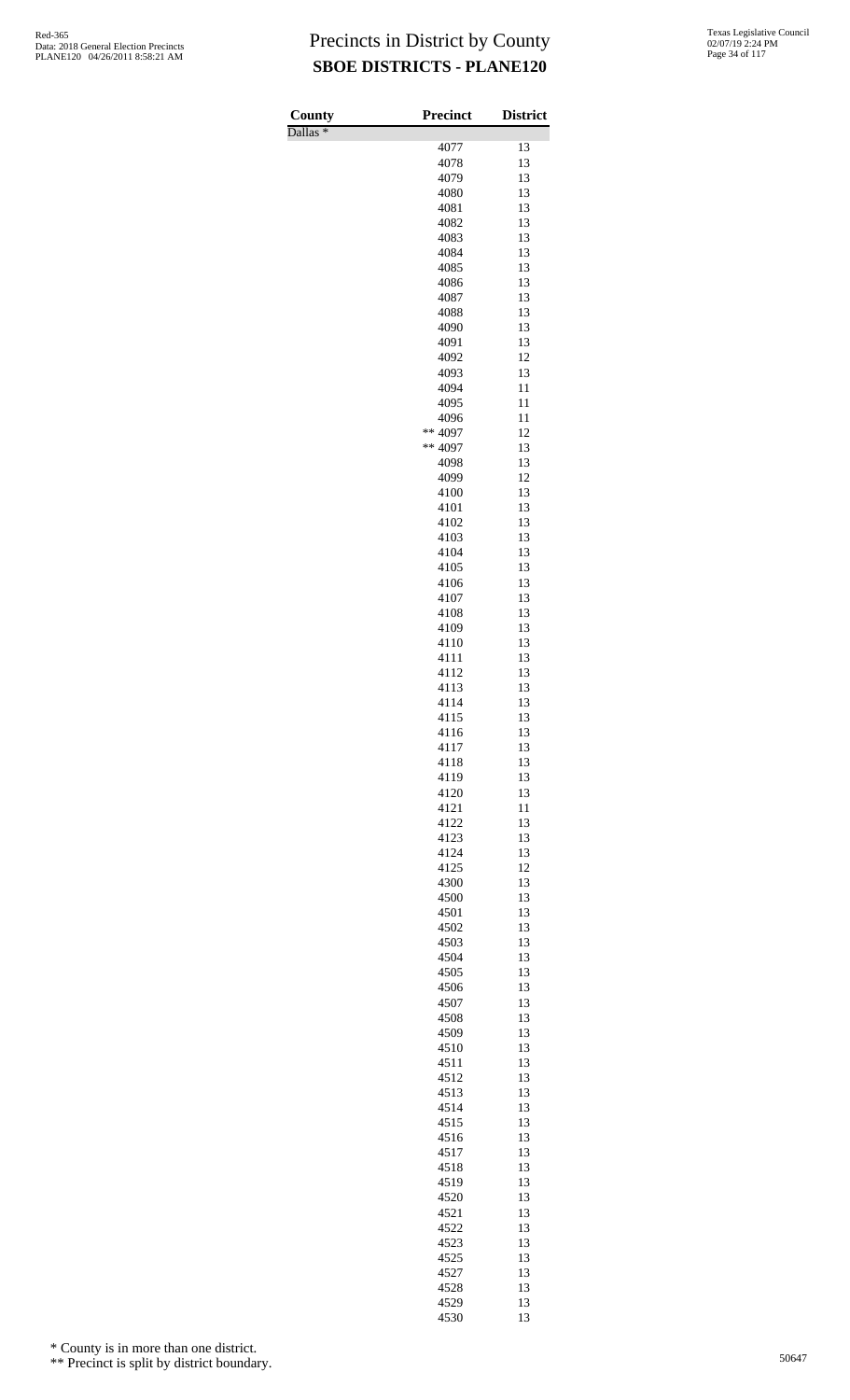Dallas \*

| County              | <b>Precinct</b> | <b>District</b> |
|---------------------|-----------------|-----------------|
| Dallas <sup>*</sup> | 4077            | 13              |
|                     | 4078            | 13              |
|                     | 4079            | 13              |
|                     | 4080            | 13              |
|                     | 4081<br>4082    | 13<br>13        |
|                     | 4083            | 13              |
|                     | 4084            | 13              |
|                     | 4085            | 13              |
|                     | 4086            | 13              |
|                     | 4087<br>4088    | 13<br>13        |
|                     | 4090            | 13              |
|                     | 4091            | 13              |
|                     | 4092            | 12              |
|                     | 4093            | 13              |
|                     | 4094            | 11<br>11        |
|                     | 4095<br>4096    | 11              |
|                     | ** 4097         | 12              |
|                     | ** 4097         | 13              |
|                     | 4098            | 13              |
|                     | 4099            | 12              |
|                     | 4100<br>4101    | 13<br>13        |
|                     | 4102            | 13              |
|                     | 4103            | 13              |
|                     | 4104            | 13              |
|                     | 4105            | 13              |
|                     | 4106<br>4107    | 13<br>13        |
|                     | 4108            | 13              |
|                     | 4109            | 13              |
|                     | 4110            | 13              |
|                     | 4111            | 13              |
|                     | 4112<br>4113    | 13<br>13        |
|                     | 4114            | 13              |
|                     | 4115            | 13              |
|                     | 4116            | 13              |
|                     | 4117            | 13              |
|                     | 4118<br>4119    | 13<br>13        |
|                     | 4120            | 13              |
|                     | 4121            | 11              |
|                     | 4122            | 13              |
|                     | 4123            | 13              |
|                     | 4124<br>4125    | 13<br>12        |
|                     | 4300            | 13              |
|                     | 4500            | 13              |
|                     | 4501            | 13              |
|                     | 4502            | 13              |
|                     | 4503<br>4504    | 13<br>13        |
|                     | 4505            | 13              |
|                     | 4506            | 13              |
|                     | 4507            | 13              |
|                     | 4508            | 13              |
|                     | 4509<br>4510    | 13<br>13        |
|                     | 4511            | 13              |
|                     | 4512            | 13              |
|                     | 4513            | 13              |
|                     | 4514            | 13              |
|                     | 4515<br>4516    | 13<br>13        |
|                     | 4517            | 13              |
|                     | 4518            | 13              |
|                     | 4519            | 13              |
|                     | 4520            | 13              |
|                     | 4521            | 13              |
|                     | 4522<br>4523    | 13<br>13        |
|                     | 4525            | 13              |
|                     | 4527            | 13              |
|                     | 4528            | 13              |
|                     | 4529<br>4530    | 13<br>13        |
|                     |                 |                 |

\* County is in more than one district.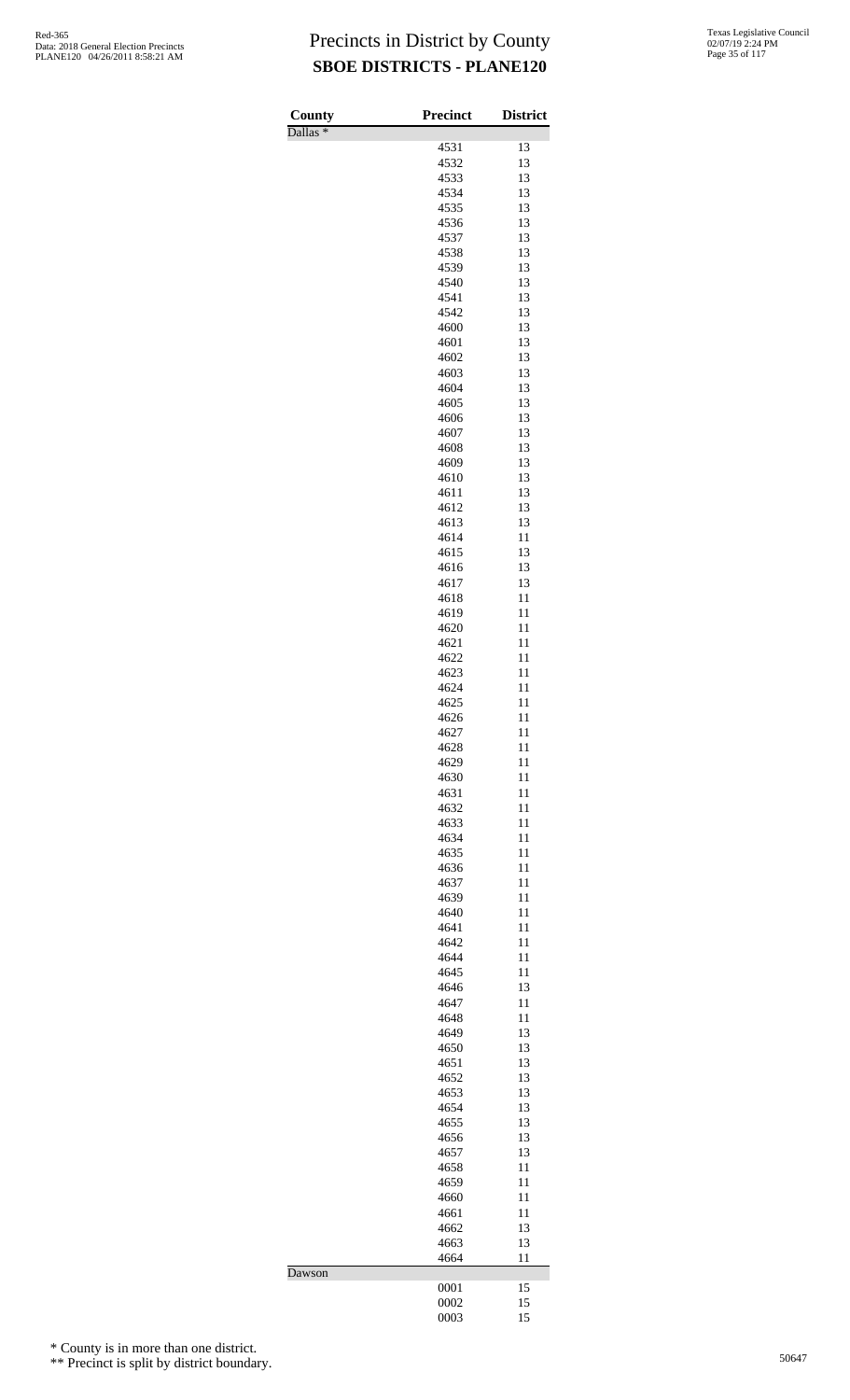| County              | Precinct     | <b>District</b> |
|---------------------|--------------|-----------------|
| Dallas <sup>*</sup> |              |                 |
|                     | 4531         | 13              |
|                     | 4532<br>4533 | 13<br>13        |
|                     | 4534         | 13              |
|                     | 4535         | 13              |
|                     | 4536         | 13              |
|                     | 4537         | 13              |
|                     | 4538         | 13              |
|                     | 4539<br>4540 | 13<br>13        |
|                     | 4541         | 13              |
|                     | 4542         | 13              |
|                     | 4600         | 13              |
|                     | 4601         | 13<br>13        |
|                     | 4602<br>4603 | 13              |
|                     | 4604         | 13              |
|                     | 4605         | 13              |
|                     | 4606         | 13              |
|                     | 4607         | 13              |
|                     | 4608<br>4609 | 13<br>13        |
|                     | 4610         | 13              |
|                     | 4611         | 13              |
|                     | 4612         | 13              |
|                     | 4613         | 13              |
|                     | 4614<br>4615 | 11<br>13        |
|                     | 4616         | 13              |
|                     | 4617         | 13              |
|                     | 4618         | 11              |
|                     | 4619<br>4620 | 11<br>11        |
|                     | 4621         | 11              |
|                     | 4622         | 11              |
|                     | 4623         | 11              |
|                     | 4624         | 11              |
|                     | 4625<br>4626 | 11<br>11        |
|                     | 4627         | 11              |
|                     | 4628         | 11              |
|                     | 4629         | 11              |
|                     | 4630<br>4631 | 11<br>11        |
|                     | 4632         | 11              |
|                     | 4633         | 11              |
|                     | 4634         | 11              |
|                     | 4635<br>4636 | 11<br>11        |
|                     | 4637         | 11              |
|                     | 4639         | 11              |
|                     | 4640         | 11              |
|                     | 4641<br>4642 | 11<br>11        |
|                     | 4644         | 11              |
|                     | 4645         | 11              |
|                     | 4646         | 13              |
|                     | 4647         | 11              |
|                     | 4648<br>4649 | 11<br>13        |
|                     | 4650         | 13              |
|                     | 4651         | 13              |
|                     | 4652         | 13              |
|                     | 4653<br>4654 | 13<br>13        |
|                     | 4655         | 13              |
|                     | 4656         | 13              |
|                     | 4657         | 13              |
|                     | 4658<br>4659 | 11<br>11        |
|                     | 4660         | 11              |
|                     | 4661         | 11              |
|                     | 4662         | 13              |
|                     | 4663<br>4664 | 13<br>11        |
| Dawson              |              |                 |
|                     | 0001         | 15              |
|                     | 0002<br>0003 | 15<br>15        |
|                     |              |                 |

\* County is in more than one district.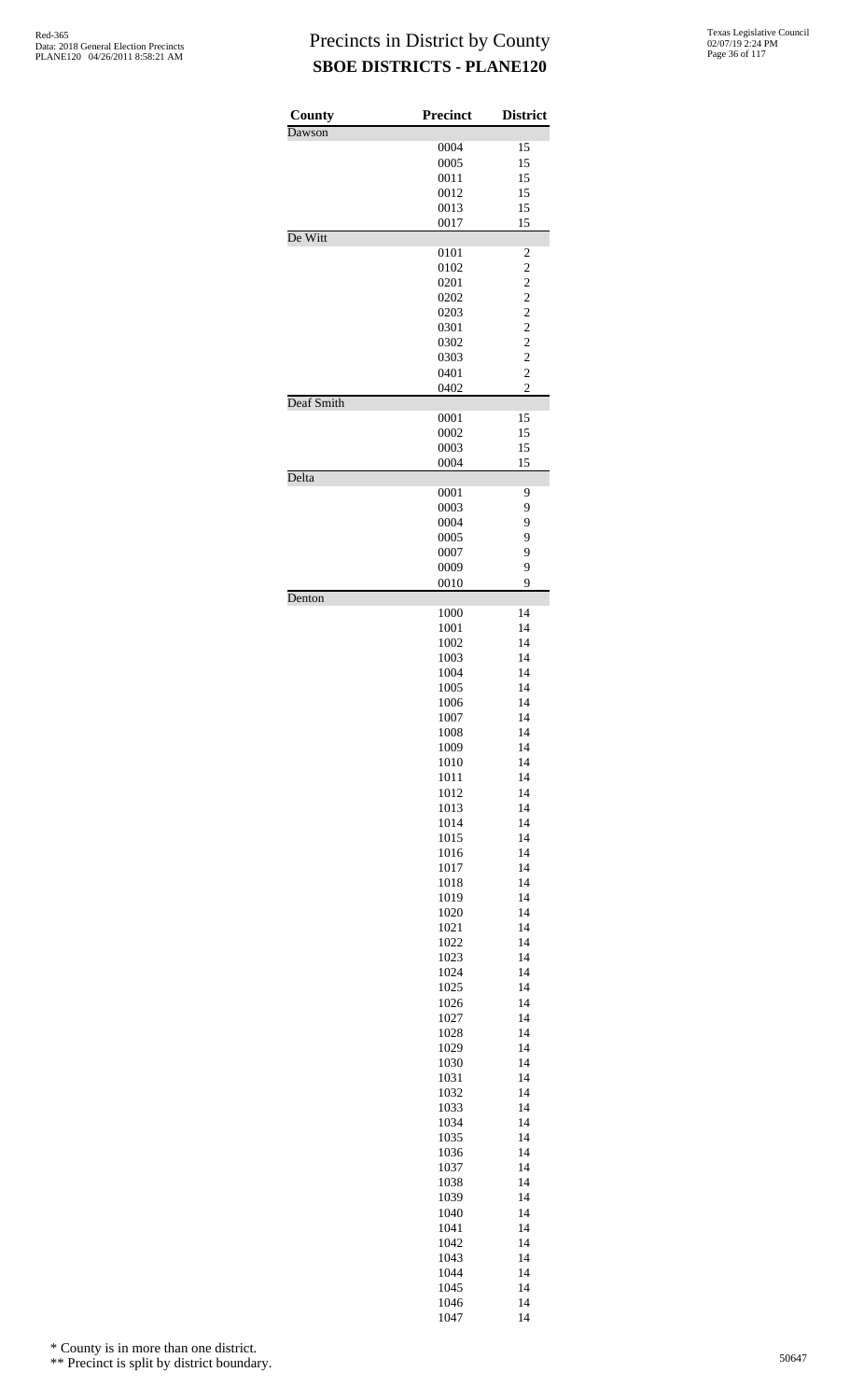| County     | <b>Precinct</b> | <b>District</b>         |
|------------|-----------------|-------------------------|
| Dawson     |                 |                         |
|            | 0004            | 15                      |
|            | 0005            | 15                      |
|            | 0011            | 15                      |
|            | 0012            | 15                      |
|            | 0013            | 15                      |
| De Witt    | 0017            | 15                      |
|            | 0101            | $\overline{c}$          |
|            | 0102            | $\overline{c}$          |
|            | 0201            | $\overline{\mathbf{c}}$ |
|            | 0202            | $\overline{c}$          |
|            | 0203            | $\overline{c}$          |
|            | 0301            | $\overline{c}$          |
|            | 0302            | $\overline{c}$          |
|            | 0303            | $\overline{\mathbf{c}}$ |
|            | 0401            | $\overline{c}$          |
|            | 0402            | $\overline{c}$          |
| Deaf Smith |                 |                         |
|            | 0001            | 15                      |
|            | 0002<br>0003    | 15<br>15                |
|            | 0004            | 15                      |
| Delta      |                 |                         |
|            | 0001            | 9                       |
|            | 0003            | 9                       |
|            | 0004            | 9                       |
|            | 0005            | 9                       |
|            | 0007            | 9                       |
|            | 0009            | 9                       |
| Denton     | 0010            | 9                       |
|            | 1000            | 14                      |
|            | 1001            | 14                      |
|            | 1002            | 14                      |
|            | 1003            | 14                      |
|            | 1004            | 14                      |
|            | 1005            | 14                      |
|            | 1006            | 14                      |
|            | 1007            | 14                      |
|            | 1008            | 14                      |
|            | 1009            | 14                      |
|            | 1010            | 14                      |
|            | 1011            | 14                      |
|            | 1012            | 14                      |
|            | 1013            | 14                      |
|            | 1014<br>1015    | 14<br>14                |
|            | 1016            | 14                      |
|            | 1017            | 14                      |
|            | 1018            | 14                      |
|            | 1019            | 14                      |
|            | 1020            | 14                      |
|            | 1021            | 14                      |
|            | 1022            | 14                      |
|            | 1023            | 14                      |
|            | 1024            | 14                      |
|            | 1025            | 14                      |
|            | 1026            | 14                      |
|            | 1027            | 14                      |
|            | 1028            | 14                      |
|            | 1029<br>1030    | 14<br>14                |
|            | 1031            | 14                      |
|            | 1032            | 14                      |
|            | 1033            | 14                      |
|            | 1034            | 14                      |
|            | 1035            | 14                      |
|            | 1036            | 14                      |
|            | 1037            | 14                      |
|            | 1038            | 14                      |
|            | 1039            | 14                      |
|            | 1040            | 14                      |
|            | 1041            | 14                      |
|            | 1042<br>1043    | 14<br>14                |
|            | 1044            | 14                      |
|            | 1045            | 14                      |
|            | 1046            | 14                      |
|            | 1047            | 14                      |

\* County is in more than one district.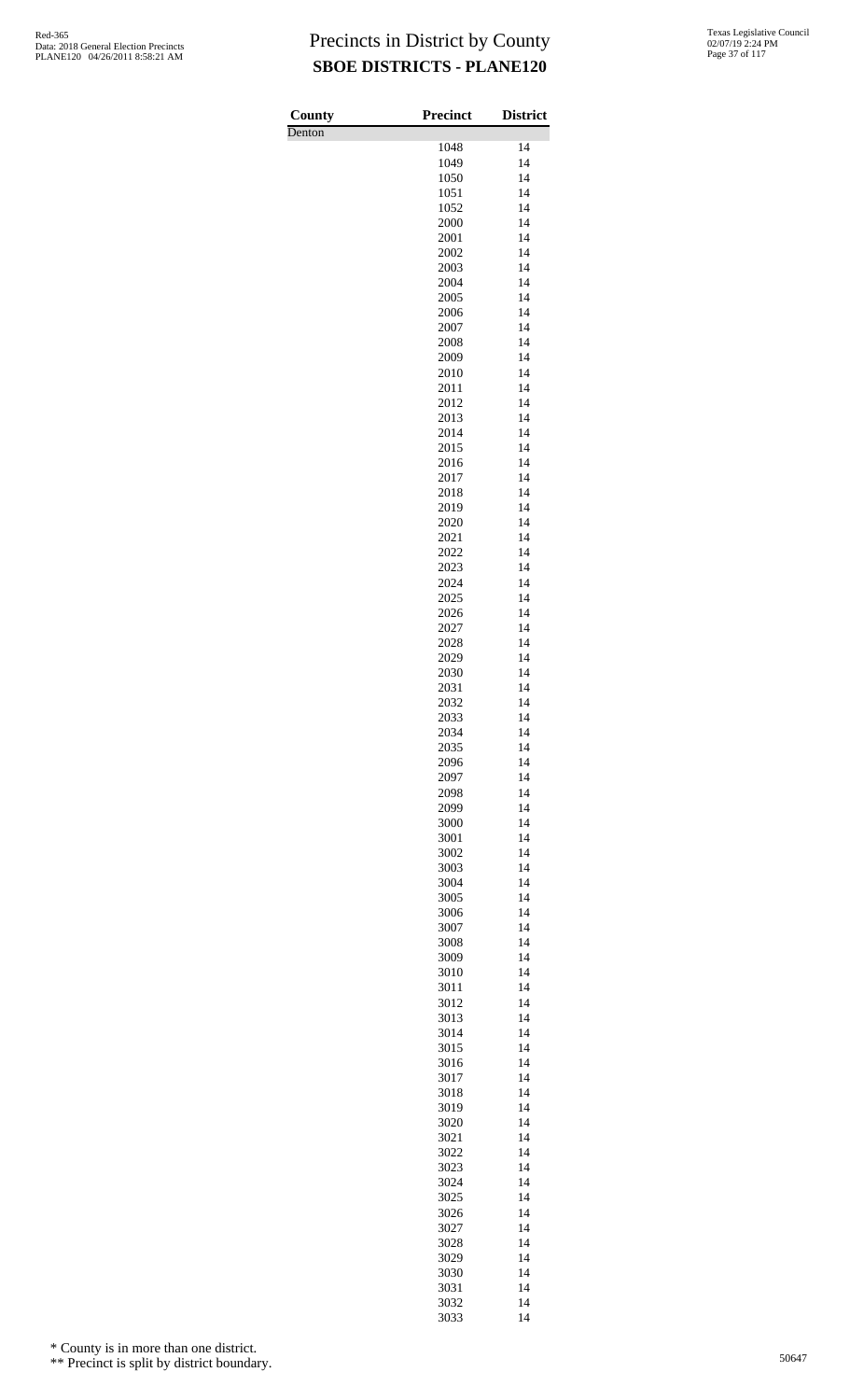Denton

| County | <b>Precinct</b> | <b>District</b> |
|--------|-----------------|-----------------|
| Denton | 1048            | 14              |
|        | 1049            | 14              |
|        | 1050            | 14              |
|        | 1051            | 14              |
|        | 1052            | 14              |
|        | 2000            | 14              |
|        | 2001            | 14              |
|        | 2002            | 14<br>14        |
|        | 2003<br>2004    | 14              |
|        | 2005            | 14              |
|        | 2006            | 14              |
|        | 2007            | 14              |
|        | 2008            | 14              |
|        | 2009            | 14              |
|        | 2010            | 14              |
|        | 2011<br>2012    | 14<br>14        |
|        | 2013            | 14              |
|        | 2014            | 14              |
|        | 2015            | 14              |
|        | 2016            | 14              |
|        | 2017            | 14              |
|        | 2018            | 14              |
|        | 2019            | 14              |
|        | 2020            | 14              |
|        | 2021<br>2022    | 14<br>14        |
|        | 2023            | 14              |
|        | 2024            | 14              |
|        | 2025            | 14              |
|        | 2026            | 14              |
|        | 2027            | 14              |
|        | 2028            | 14              |
|        | 2029            | 14              |
|        | 2030<br>2031    | 14<br>14        |
|        | 2032            | 14              |
|        | 2033            | 14              |
|        | 2034            | 14              |
|        | 2035            | 14              |
|        | 2096            | 14              |
|        | 2097            | 14              |
|        | 2098            | 14              |
|        | 2099            | 14              |
|        | 3000<br>3001    | 14<br>14        |
|        | 3002            | 14              |
|        | 3003            | 14              |
|        | 3004            | 14              |
|        | 3005            | 14              |
|        | 3006            | 14              |
|        | 3007            | 14              |
|        | 3008            | 14              |
|        | 3009            | 14              |
|        | 3010<br>3011    | 14<br>14        |
|        | 3012            | 14              |
|        | 3013            | 14              |
|        | 3014            | 14              |
|        | 3015            | 14              |
|        | 3016            | 14              |
|        | 3017            | 14              |
|        | 3018            | 14              |
|        | 3019<br>3020    | 14<br>14        |
|        | 3021            | 14              |
|        | 3022            | 14              |
|        | 3023            | 14              |
|        | 3024            | 14              |
|        | 3025            | 14              |
|        | 3026            | 14              |
|        | 3027            | 14              |
|        | 3028<br>3029    | 14<br>14        |
|        | 3030            | 14              |
|        | 3031            | 14              |
|        | 3032            | 14              |
|        | 3033            | 14              |

\* County is in more than one district.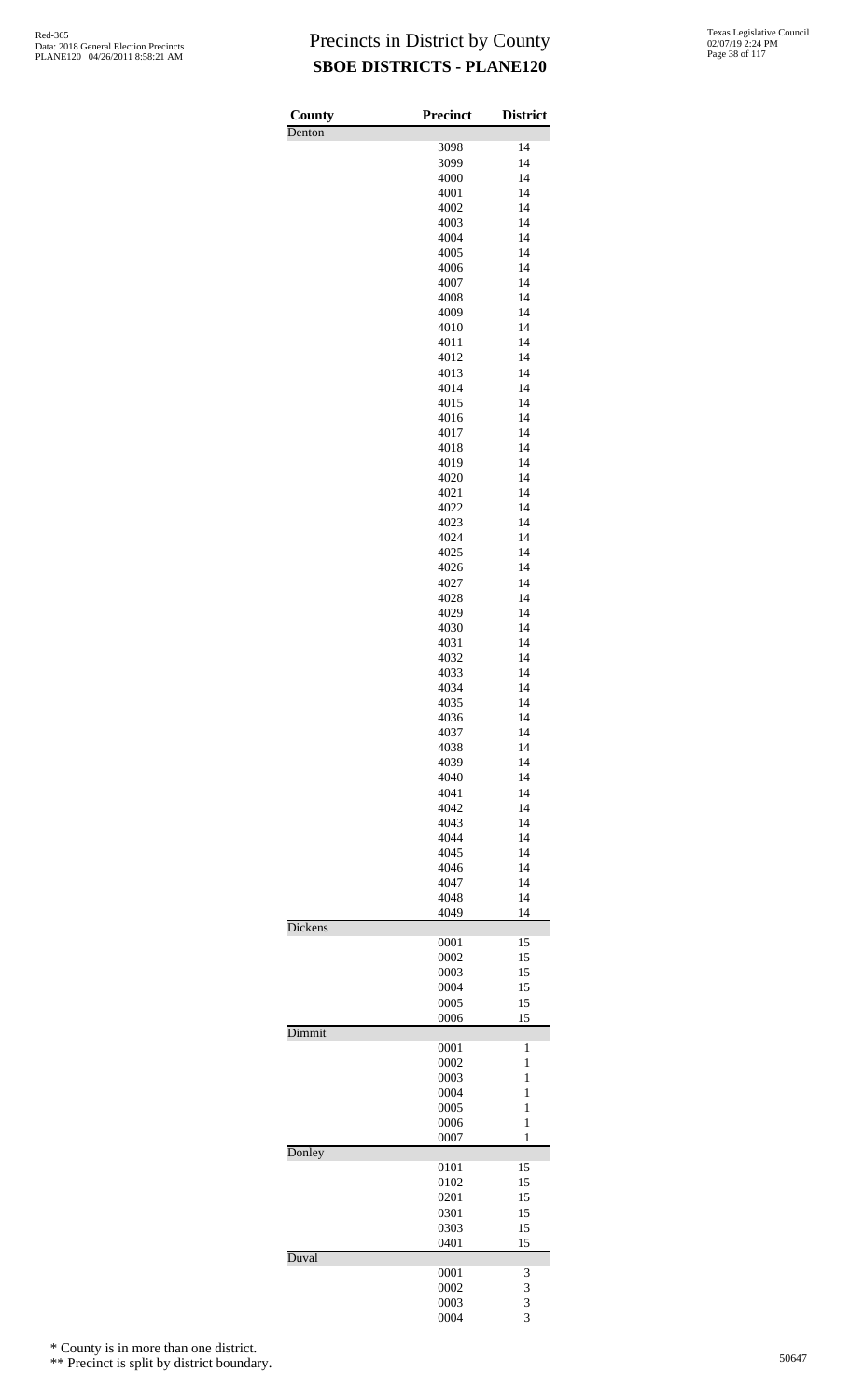| County  | Precinct     | <b>District</b> |
|---------|--------------|-----------------|
| Denton  |              |                 |
|         | 3098         | 14              |
|         | 3099<br>4000 | 14<br>14        |
|         | 4001         | 14              |
|         | 4002         | 14              |
|         | 4003         | 14              |
|         | 4004         | 14              |
|         | 4005         | 14              |
|         | 4006<br>4007 | 14<br>14        |
|         | 4008         | 14              |
|         | 4009         | 14              |
|         | 4010         | 14              |
|         | 4011         | 14              |
|         | 4012         | 14              |
|         | 4013<br>4014 | 14<br>14        |
|         | 4015         | 14              |
|         | 4016         | 14              |
|         | 4017         | 14              |
|         | 4018         | 14              |
|         | 4019         | 14              |
|         | 4020<br>4021 | 14<br>14        |
|         | 4022         | 14              |
|         | 4023         | 14              |
|         | 4024         | 14              |
|         | 4025         | 14              |
|         | 4026         | 14              |
|         | 4027<br>4028 | 14<br>14        |
|         | 4029         | 14              |
|         | 4030         | 14              |
|         | 4031         | 14              |
|         | 4032         | 14              |
|         | 4033         | 14<br>14        |
|         | 4034<br>4035 | 14              |
|         | 4036         | 14              |
|         | 4037         | 14              |
|         | 4038         | 14              |
|         | 4039<br>4040 | 14<br>14        |
|         | 4041         | 14              |
|         | 4042         | 14              |
|         | 4043         | 14              |
|         | 4044         | 14              |
|         | 4045         | 14              |
|         | 4046<br>4047 | 14<br>14        |
|         | 4048         | 14              |
|         | 4049         | 14              |
| Dickens |              |                 |
|         | 0001<br>0002 | 15<br>15        |
|         | 0003         | 15              |
|         | 0004         | 15              |
|         | 0005         | 15              |
| Dimmit  | 0006         | 15              |
|         | 0001         | 1               |
|         | 0002         | 1               |
|         | 0003         | 1               |
|         | 0004         | 1               |
|         | 0005<br>0006 | 1<br>1          |
|         | 0007         | $\mathbf{1}$    |
| Donley  |              |                 |
|         | 0101         | 15              |
|         | 0102<br>0201 | 15<br>15        |
|         | 0301         | 15              |
|         | 0303         | 15              |
|         | 0401         | 15              |
| Duval   | 0001         | 3               |
|         | 0002         | 3               |
|         | 0003         | 3               |
|         | 0004         | 3               |

\* County is in more than one district.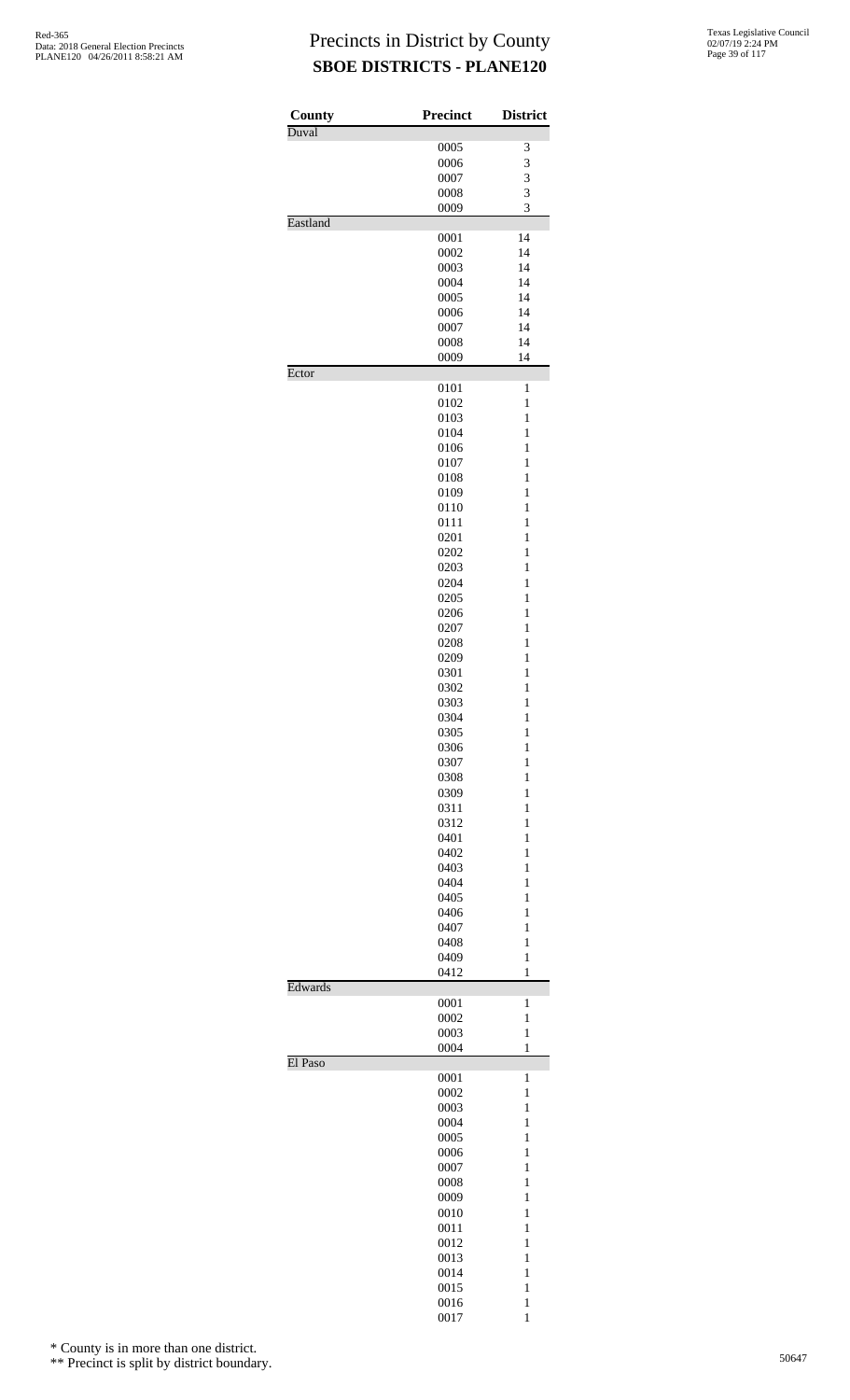| <b>County</b> | <b>Precinct</b> | <b>District</b>   |
|---------------|-----------------|-------------------|
| Duval         | 0005            | 3                 |
|               | 0006            | 3                 |
|               | 0007            | 3                 |
|               | 0008            | 3                 |
|               | 0009            | 3                 |
| Eastland      |                 |                   |
|               | 0001            | 14                |
|               | 0002            | 14<br>14          |
|               | 0003<br>0004    | 14                |
|               | 0005            | 14                |
|               | 0006            | 14                |
|               | 0007            | 14                |
|               | 0008            | 14                |
|               | 0009            | 14                |
| Ector         |                 |                   |
|               | 0101            | $\mathbf{1}$      |
|               | 0102<br>0103    | $\mathbf{1}$<br>1 |
|               | 0104            | $\mathbf{1}$      |
|               | 0106            | $\mathbf{1}$      |
|               | 0107            | 1                 |
|               | 0108            | 1                 |
|               | 0109            | 1                 |
|               | 0110            | $\mathbf{1}$      |
|               | 0111            | $\mathbf{1}$      |
|               | 0201            | $\mathbf{1}$      |
|               | 0202            | 1<br>1            |
|               | 0203<br>0204    | $\mathbf{1}$      |
|               | 0205            | $\mathbf{1}$      |
|               | 0206            | 1                 |
|               | 0207            | 1                 |
|               | 0208            | 1                 |
|               | 0209            | $\mathbf{1}$      |
|               | 0301            | $\mathbf{1}$      |
|               | 0302            | $\mathbf{1}$      |
|               | 0303            | $\mathbf{1}$      |
|               | 0304<br>0305    | 1<br>$\mathbf{1}$ |
|               | 0306            | $\mathbf{1}$      |
|               | 0307            | 1                 |
|               | 0308            | 1                 |
|               | 0309            | 1                 |
|               | 0311            | $\mathbf{1}$      |
|               | 0312            | $\mathbf{1}$      |
|               | 0401            | 1                 |
|               | 0402<br>0403    | 1<br>1            |
|               | 0404            | $\mathbf{1}$      |
|               | 0405            | $\mathbf{1}$      |
|               | 0406            | 1                 |
|               | 0407            | 1                 |
|               | 0408            | 1                 |
|               | 0409            | $\mathbf{1}$      |
| Edwards       | 0412            | $\mathbf{1}$      |
|               | 0001            | 1                 |
|               | 0002            | $\mathbf{1}$      |
|               | 0003            | $\mathbf{1}$      |
|               | 0004            | $\mathbf{1}$      |
| El Paso       |                 |                   |
|               | 0001<br>0002    | 1<br>1            |
|               | 0003            | $\mathbf{1}$      |
|               | 0004            | 1                 |
|               | 0005            | 1                 |
|               | 0006            | 1                 |
|               | 0007            | 1                 |
|               | 0008            | $\mathbf{1}$      |
|               | 0009            | $\mathbf{1}$      |
|               | 0010<br>0011    | 1<br>1            |
|               | 0012            | 1                 |
|               | 0013            | $\mathbf{1}$      |
|               | 0014            | $\mathbf{1}$      |
|               | 0015            | $\mathbf{1}$      |
|               | 0016            | $\mathbf{1}$      |
|               | 0017            | $\mathbf{1}$      |

\* County is in more than one district.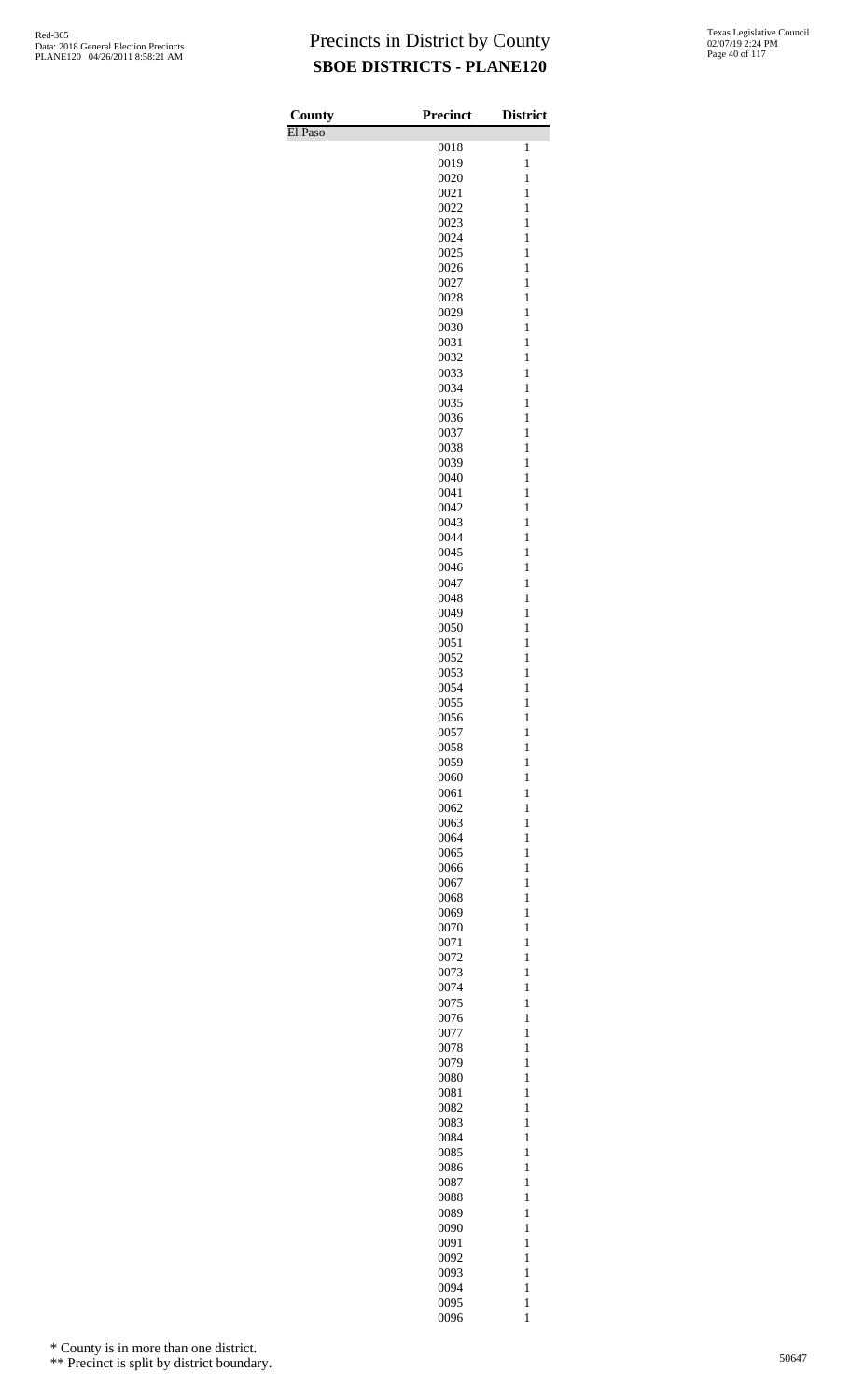| County  | <b>Precinct</b> | <b>District</b>              |
|---------|-----------------|------------------------------|
| El Paso |                 |                              |
|         | 0018            | 1                            |
|         | 0019            | $\mathbf{1}$                 |
|         | 0020            | $\mathbf{1}$                 |
|         | 0021<br>0022    | $\mathbf{1}$<br>$\mathbf{1}$ |
|         | 0023            | $\mathbf{1}$                 |
|         | 0024            | $\mathbf{1}$                 |
|         | 0025            | $\mathbf{1}$                 |
|         | 0026            | $\mathbf{1}$                 |
|         | 0027            | $\mathbf{1}$                 |
|         | 0028            | $\mathbf{1}$                 |
|         | 0029            | $\mathbf{1}$                 |
|         | 0030            | $\mathbf{1}$<br>$\mathbf{1}$ |
|         | 0031<br>0032    | $\mathbf{1}$                 |
|         | 0033            | $\mathbf{1}$                 |
|         | 0034            | $\mathbf{1}$                 |
|         | 0035            | $\mathbf{1}$                 |
|         | 0036            | $\mathbf{1}$                 |
|         | 0037            | $\mathbf{1}$                 |
|         | 0038            | $\mathbf{1}$                 |
|         | 0039            | $\mathbf{1}$                 |
|         | 0040<br>0041    | $\mathbf{1}$<br>$\mathbf{1}$ |
|         | 0042            | $\mathbf{1}$                 |
|         | 0043            | $\mathbf{1}$                 |
|         | 0044            | $\mathbf{1}$                 |
|         | 0045            | $\mathbf{1}$                 |
|         | 0046            | $\mathbf{1}$                 |
|         | 0047            | $\mathbf{1}$                 |
|         | 0048            | $\mathbf{1}$                 |
|         | 0049            | $\mathbf{1}$                 |
|         | 0050<br>0051    | $\mathbf{1}$<br>$\mathbf{1}$ |
|         | 0052            | $\mathbf{1}$                 |
|         | 0053            | $\mathbf{1}$                 |
|         | 0054            | $\mathbf{1}$                 |
|         | 0055            | $\mathbf{1}$                 |
|         | 0056            | 1                            |
|         | 0057            | 1                            |
|         | 0058<br>0059    | $\mathbf{1}$<br>$\mathbf{1}$ |
|         | 0060            | $\mathbf{1}$                 |
|         | 0061            | $\mathbf{1}$                 |
|         | 0062            | $\mathbf{1}$                 |
|         | 0063            | $\mathbf{1}$                 |
|         | 0064            | $\mathbf{1}$                 |
|         | 0065            | $\mathbf{1}$                 |
|         | 0066            | $\mathbf{1}$                 |
|         | 0067            | $\mathbf{1}$                 |
|         | 0068<br>0069    | $\mathbf{1}$<br>$\mathbf{1}$ |
|         | 0070            | $\mathbf{1}$                 |
|         | 0071            | $\mathbf{1}$                 |
|         | 0072            | $\mathbf{1}$                 |
|         | 0073            | $\mathbf{1}$                 |
|         | 0074            | $\mathbf{1}$                 |
|         | 0075            | $\mathbf{1}$                 |
|         | 0076            | $\mathbf{1}$                 |
|         | 0077            | $\mathbf{1}$                 |
|         | 0078<br>0079    | $\mathbf{1}$<br>$\mathbf{1}$ |
|         | 0080            | $\mathbf{1}$                 |
|         | 0081            | $\mathbf{1}$                 |
|         | 0082            | $\mathbf{1}$                 |
|         | 0083            | $\mathbf{1}$                 |
|         | 0084            | $\mathbf{1}$                 |
|         | 0085            | $\mathbf{1}$                 |
|         | 0086            | $\mathbf{1}$                 |
|         | 0087            | $\mathbf{1}$<br>$\mathbf{1}$ |
|         | 0088<br>0089    | $\mathbf{1}$                 |
|         | 0090            | $\mathbf{1}$                 |
|         | 0091            | $\mathbf{1}$                 |
|         | 0092            | $\mathbf{1}$                 |
|         | 0093            | $\mathbf{1}$                 |
|         | 0094            | $\mathbf{1}$                 |
|         | 0095            | $\mathbf{1}$                 |
|         | 0096            | $\mathbf{1}$                 |

\* County is in more than one district.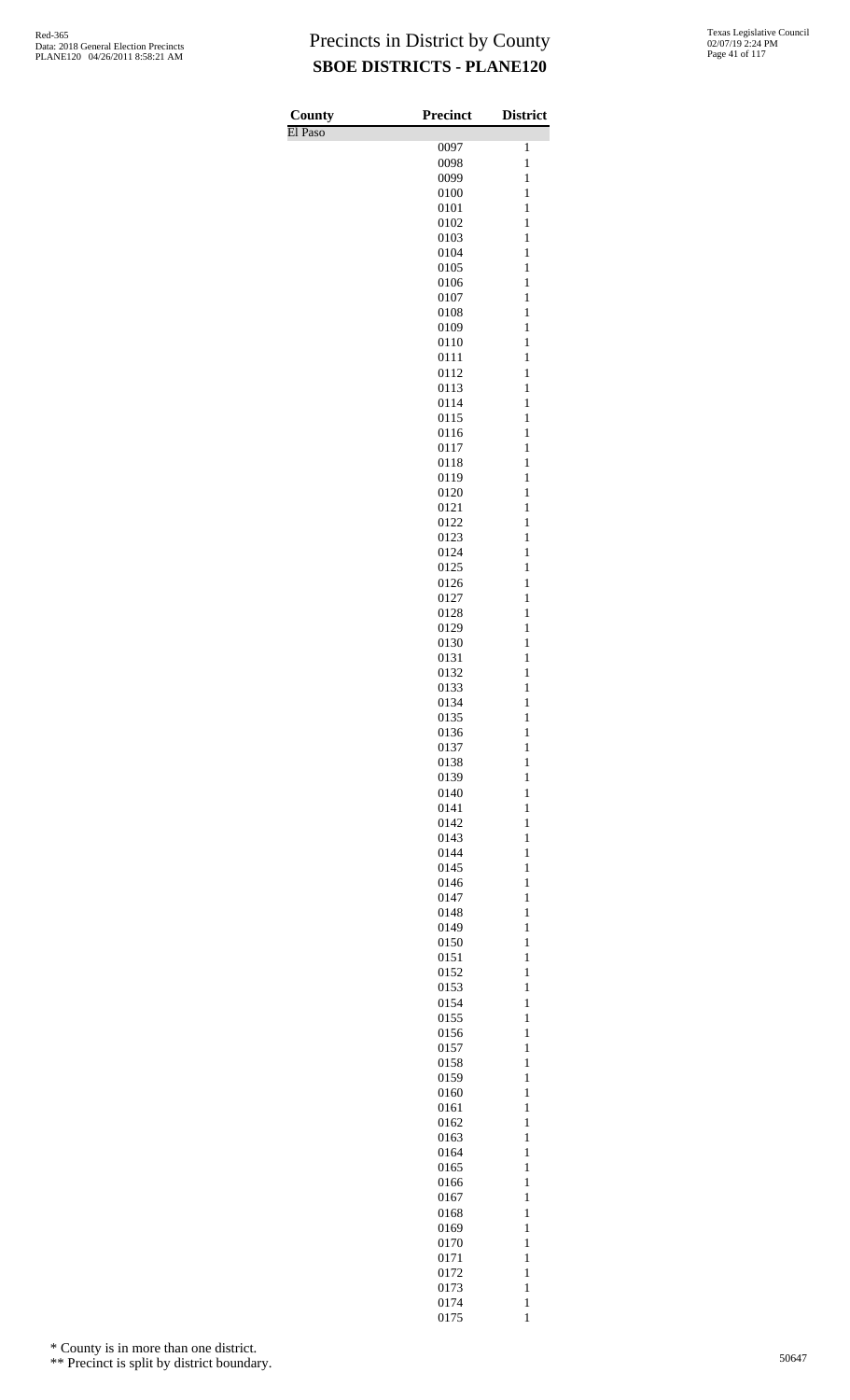| County  | Precinct     | <b>District</b>              |
|---------|--------------|------------------------------|
| El Paso |              |                              |
|         | 0097<br>0098 | 1<br>$\mathbf{1}$            |
|         | 0099         | $\mathbf{1}$                 |
|         | 0100         | $\mathbf{1}$                 |
|         | 0101         | $\mathbf{1}$                 |
|         | 0102         | $\mathbf{1}$                 |
|         | 0103         | $\mathbf{1}$                 |
|         | 0104         | $\mathbf{1}$                 |
|         | 0105<br>0106 | $\mathbf{1}$<br>$\mathbf{1}$ |
|         | 0107         | 1                            |
|         | 0108         | $\mathbf{1}$                 |
|         | 0109         | $\mathbf{1}$                 |
|         | 0110         | $\mathbf{1}$                 |
|         | 0111         | $\mathbf{1}$                 |
|         | 0112         | $\mathbf{1}$                 |
|         | 0113<br>0114 | $\mathbf{1}$<br>$\mathbf{1}$ |
|         | 0115         | $\mathbf{1}$                 |
|         | 0116         | $\mathbf{1}$                 |
|         | 0117         | 1                            |
|         | 0118         | $\mathbf{1}$                 |
|         | 0119         | $\mathbf{1}$                 |
|         | 0120         | $\mathbf{1}$                 |
|         | 0121         | $\mathbf{1}$                 |
|         | 0122<br>0123 | $\mathbf{1}$<br>$\mathbf{1}$ |
|         | 0124         | $\mathbf{1}$                 |
|         | 0125         | $\mathbf{1}$                 |
|         | 0126         | $\mathbf{1}$                 |
|         | 0127         | 1                            |
|         | 0128         | $\mathbf{1}$                 |
|         | 0129         | $\mathbf{1}$                 |
|         | 0130         | $\mathbf{1}$                 |
|         | 0131         | $\mathbf{1}$                 |
|         | 0132<br>0133 | $\mathbf{1}$<br>$\mathbf{1}$ |
|         | 0134         | $\mathbf{1}$                 |
|         | 0135         | $\mathbf{1}$                 |
|         | 0136         | $\mathbf{1}$                 |
|         | 0137         | $\mathbf{1}$                 |
|         | 0138         | $\mathbf{1}$                 |
|         | 0139         | $\mathbf{1}$                 |
|         | 0140         | $\mathbf{1}$                 |
|         | 0141<br>0142 | $\mathbf{1}$<br>$\mathbf{1}$ |
|         | 0143         | $\mathbf{1}$                 |
|         | 0144         | $\mathbf{1}$                 |
|         | 0145         | $\mathbf{1}$                 |
|         | 0146         | $\mathbf{1}$                 |
|         | 0147         | $\mathbf{1}$                 |
|         | 0148         | $\mathbf{1}$                 |
|         | 0149         | $\mathbf{1}$                 |
|         | 0150<br>0151 | $\mathbf{1}$<br>$\mathbf{1}$ |
|         | 0152         | $\mathbf{1}$                 |
|         | 0153         | $\mathbf{1}$                 |
|         | 0154         | $\mathbf{1}$                 |
|         | 0155         | $\mathbf{1}$                 |
|         | 0156         | $\mathbf{1}$                 |
|         | 0157         | $\mathbf{1}$                 |
|         | 0158         | $\mathbf{1}$                 |
|         | 0159         | $\mathbf{1}$                 |
|         | 0160<br>0161 | $\mathbf{1}$<br>$\mathbf{1}$ |
|         | 0162         | $\mathbf{1}$                 |
|         | 0163         | $\mathbf{1}$                 |
|         | 0164         | $\mathbf{1}$                 |
|         | 0165         | $\mathbf{1}$                 |
|         | 0166         | $\mathbf{1}$                 |
|         | 0167         | $\mathbf{1}$                 |
|         | 0168         | $\mathbf{1}$                 |
|         | 0169<br>0170 | $\mathbf{1}$<br>$\mathbf{1}$ |
|         | 0171         | $\mathbf{1}$                 |
|         | 0172         | $\mathbf{1}$                 |
|         | 0173         | $\mathbf{1}$                 |
|         | 0174         | $\mathbf{1}$                 |
|         | 0175         | $\mathbf 1$                  |

\* County is in more than one district.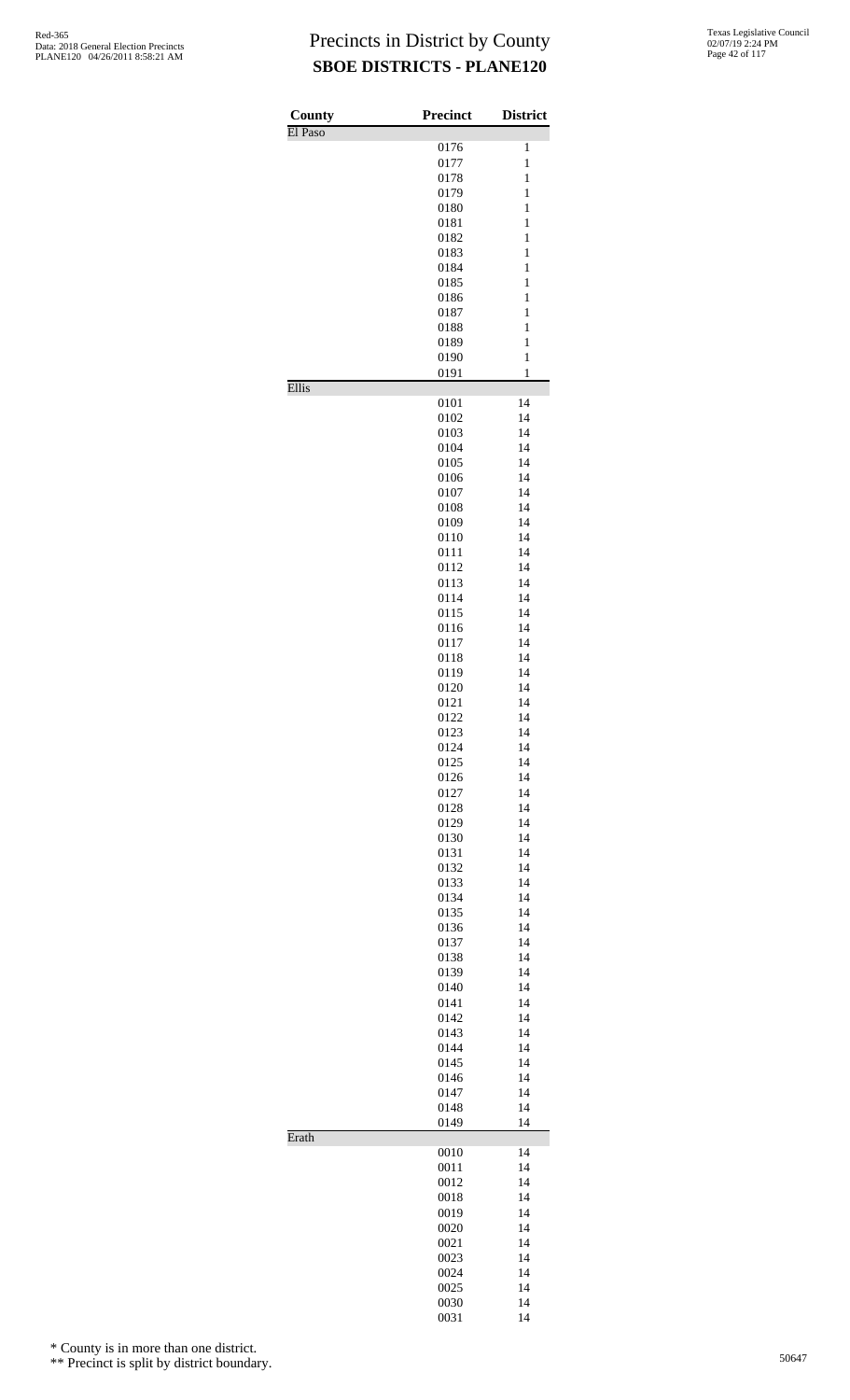| County  | <b>Precinct</b> | <b>District</b>              |
|---------|-----------------|------------------------------|
| El Paso | 0176            | $\mathbf{1}$                 |
|         | 0177            | $\mathbf{1}$                 |
|         | 0178            | $\mathbf{1}$                 |
|         | 0179            | $\mathbf{1}$                 |
|         | 0180            | $\mathbf{1}$                 |
|         | 0181            | $\mathbf{1}$                 |
|         | 0182            | $\mathbf{1}$                 |
|         | 0183<br>0184    | $\mathbf{1}$<br>$\mathbf{1}$ |
|         | 0185            | $\mathbf{1}$                 |
|         | 0186            | $\mathbf{1}$                 |
|         | 0187            | $\mathbf{1}$                 |
|         | 0188            | $\mathbf{1}$                 |
|         | 0189            | $\mathbf{1}$                 |
|         | 0190            | $\mathbf{1}$                 |
| Ellis   | 0191            | $\mathbf{1}$                 |
|         | 0101            | 14                           |
|         | 0102<br>0103    | 14<br>14                     |
|         | 0104            | 14                           |
|         | 0105            | 14                           |
|         | 0106            | 14                           |
|         | 0107            | 14                           |
|         | 0108            | 14                           |
|         | 0109            | 14                           |
|         | 0110            | 14                           |
|         | 0111<br>0112    | 14<br>14                     |
|         | 0113            | 14                           |
|         | 0114            | 14                           |
|         | 0115            | 14                           |
|         | 0116            | 14                           |
|         | 0117            | 14                           |
|         | 0118            | 14                           |
|         | 0119<br>0120    | 14<br>14                     |
|         | 0121            | 14                           |
|         | 0122            | 14                           |
|         | 0123            | 14                           |
|         | 0124            | 14                           |
|         | 0125            | 14                           |
|         | 0126            | 14                           |
|         | 0127            | 14                           |
|         | 0128<br>0129    | 14<br>14                     |
|         | 0130            | 14                           |
|         | 0131            | 14                           |
|         | 0132            | 14                           |
|         | 0133            | 14                           |
|         | 0134            | 14                           |
|         | 0135            | 14                           |
|         | 0136            | 14                           |
|         | 0137<br>0138    | 14<br>14                     |
|         | 0139            | 14                           |
|         | 0140            | 14                           |
|         | 0141            | 14                           |
|         | 0142            | 14                           |
|         | 0143            | 14                           |
|         | 0144            | 14                           |
|         | 0145            | 14                           |
|         | 0146<br>0147    | 14<br>14                     |
|         | 0148            | 14                           |
|         | 0149            | 14                           |
| Erath   | 0010            | 14                           |
|         | 0011            | 14                           |
|         | 0012            | 14                           |
|         | 0018            | 14                           |
|         | 0019            | 14                           |
|         | 0020            | 14                           |
|         | 0021<br>0023    | 14<br>14                     |
|         | 0024            | 14                           |
|         | 0025            | 14                           |
|         | 0030            | 14                           |
|         | 0031            | 14                           |

\* County is in more than one district.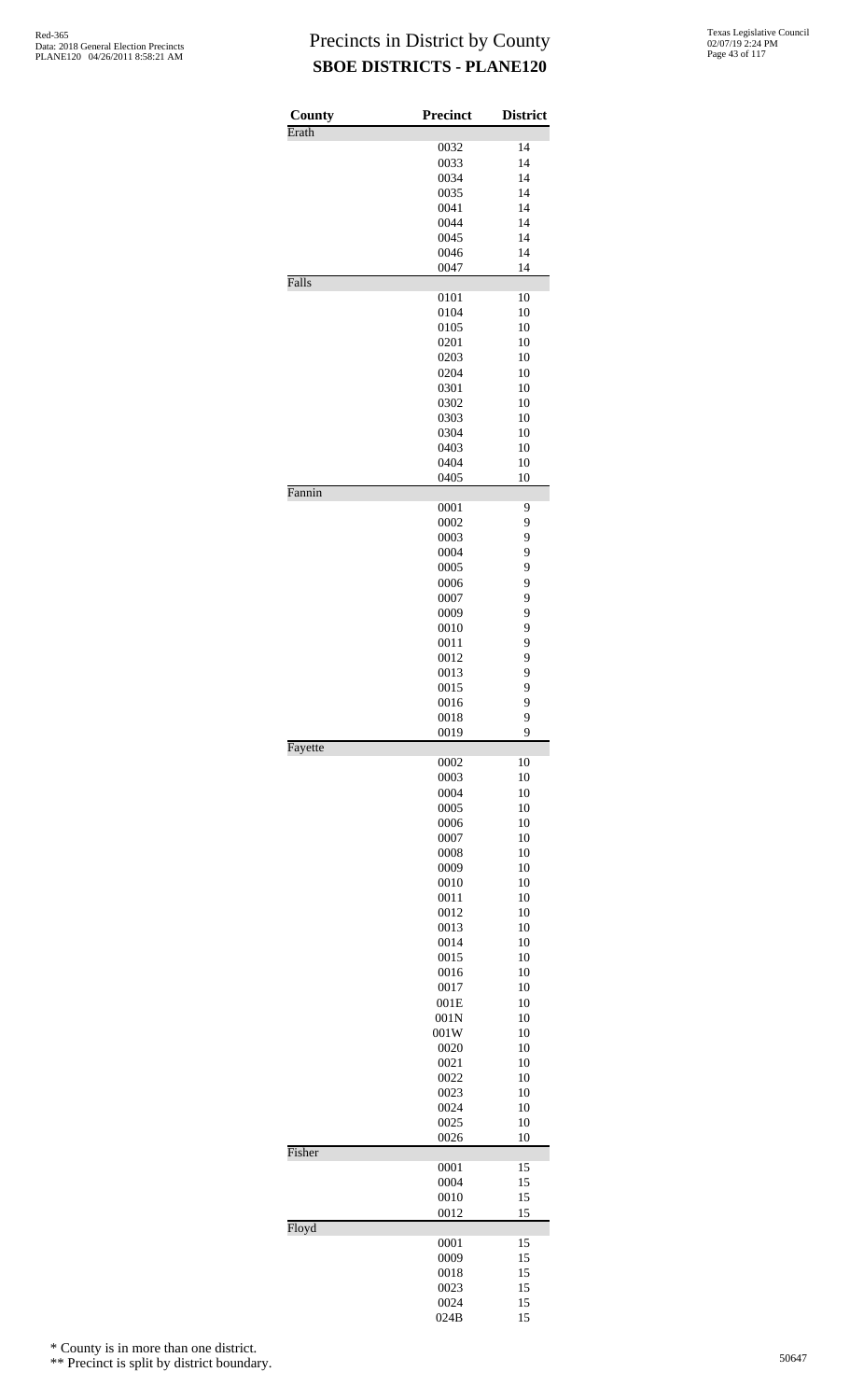| County  | Precinct     | <b>District</b> |
|---------|--------------|-----------------|
| Erath   |              |                 |
|         | 0032<br>0033 | 14<br>14        |
|         | 0034         | 14              |
|         | 0035         | 14              |
|         | 0041         | 14              |
|         | 0044         | 14              |
|         | 0045         | 14              |
|         | 0046         | 14              |
|         | 0047         | 14              |
| Falls   |              |                 |
|         | 0101         | 10              |
|         | 0104         | 10              |
|         | 0105         | 10              |
|         | 0201         | 10              |
|         | 0203         | 10              |
|         | 0204         | 10              |
|         | 0301         | 10              |
|         | 0302         | 10              |
|         | 0303         | 10              |
|         | 0304         | 10              |
|         | 0403         | 10              |
|         | 0404<br>0405 | 10<br>10        |
| Fannin  |              |                 |
|         | 0001         | 9               |
|         | 0002         | 9               |
|         | 0003         | 9               |
|         | 0004         | 9               |
|         | 0005         | 9               |
|         | 0006         | 9               |
|         | 0007         | 9               |
|         | 0009         | 9               |
|         | 0010         | 9               |
|         | 0011         | 9               |
|         | 0012         | 9               |
|         | 0013         | 9               |
|         | 0015         | 9               |
|         | 0016         | 9               |
|         | 0018<br>0019 | 9<br>9          |
| Fayette |              |                 |
|         | 0002         | 10              |
|         | 0003         | 10              |
|         | 0004         | 10              |
|         | 0005         | 10              |
|         | 0006         | 10              |
|         | 0007         | 10              |
|         | 0008         | 10              |
|         | 0009         | 10              |
|         | 0010         | 10              |
|         | 0011         | 10              |
|         | 0012         | 10              |
|         | 0013         | 10              |
|         | 0014         | 10              |
|         | 0015         | 10              |
|         | 0016         | 10              |
|         | 0017         | 10              |
|         | 001E         | 10              |
|         | 001N         | 10              |
|         | 001W<br>0020 | 10<br>10        |
|         | 0021         | 10              |
|         | 0022         | 10              |
|         | 0023         | 10              |
|         | 0024         | 10              |
|         | 0025         | 10              |
|         | 0026         | 10              |
| Fisher  | 0001         | 15              |
|         | 0004         | 15              |
|         | 0010         | 15              |
|         | 0012         | 15              |
| Floyd   |              |                 |
|         | 0001<br>0009 | 15<br>15        |
|         | 0018         | 15              |
|         | 0023         | 15              |
|         | 0024         | 15              |
|         | 024B         | 15              |

\* County is in more than one district.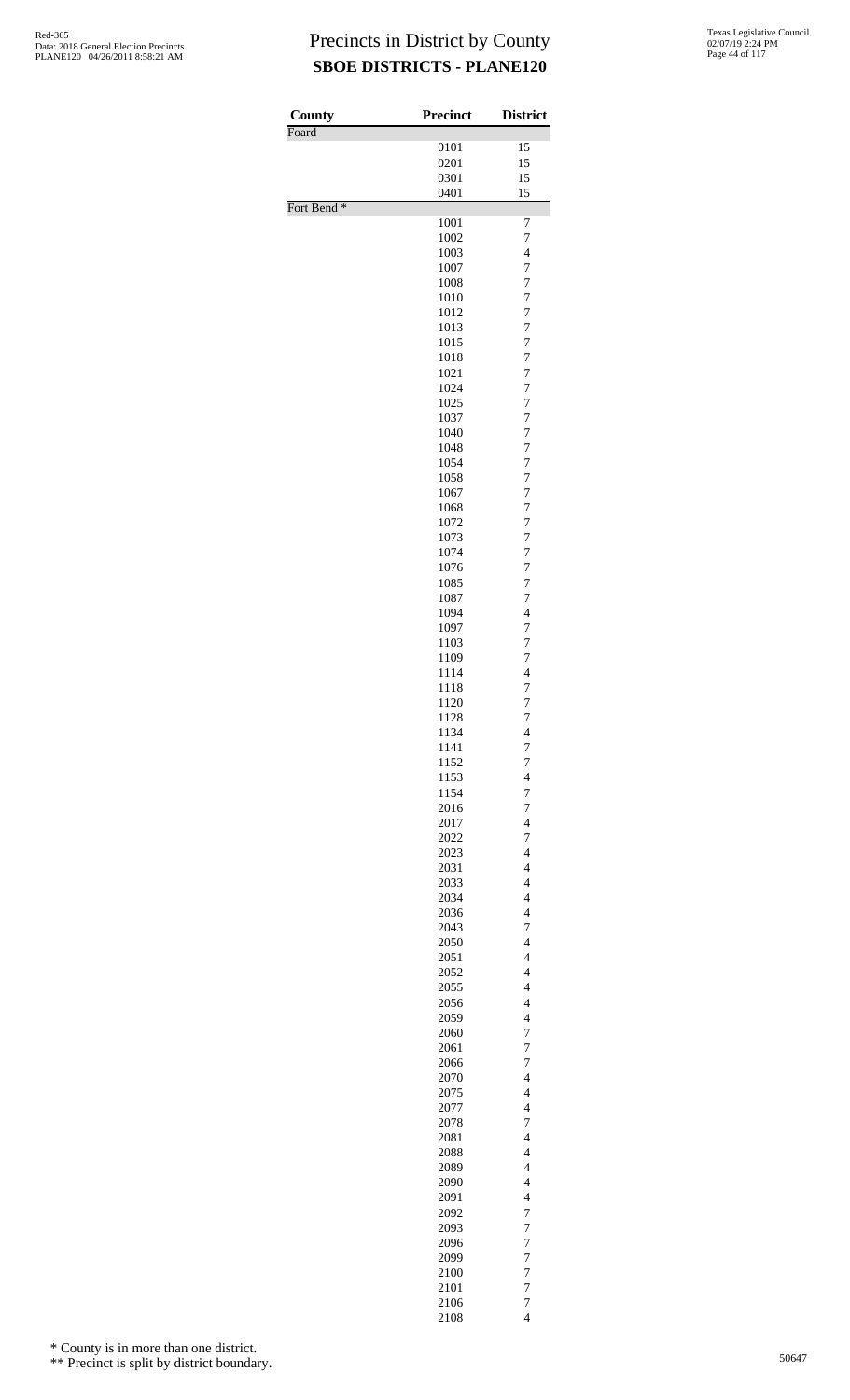| County                 | <b>Precinct</b> | <b>District</b>                                      |
|------------------------|-----------------|------------------------------------------------------|
| Foard                  |                 |                                                      |
|                        | 0101            | 15                                                   |
|                        | 0201<br>0301    | 15<br>15                                             |
|                        | 0401            | 15                                                   |
| Fort Bend <sup>*</sup> |                 |                                                      |
|                        | 1001            | 7                                                    |
|                        | 1002            | 7                                                    |
|                        | 1003            | $\overline{4}$                                       |
|                        | 1007            | 7<br>7                                               |
|                        | 1008<br>1010    | 7                                                    |
|                        | 1012            | 7                                                    |
|                        | 1013            | 7                                                    |
|                        | 1015            | $\overline{7}$                                       |
|                        | 1018            | 7                                                    |
|                        | 1021            | 7                                                    |
|                        | 1024            | 7                                                    |
|                        | 1025            | 7                                                    |
|                        | 1037            | $\overline{7}$                                       |
|                        | 1040            | 7                                                    |
|                        | 1048<br>1054    | 7<br>7                                               |
|                        | 1058            | 7                                                    |
|                        | 1067            | $\overline{7}$                                       |
|                        | 1068            | 7                                                    |
|                        | 1072            | 7                                                    |
|                        | 1073            | 7                                                    |
|                        | 1074            | 7                                                    |
|                        | 1076            | $\overline{7}$                                       |
|                        | 1085            | 7                                                    |
|                        | 1087            | 7                                                    |
|                        | 1094            | $\overline{4}$                                       |
|                        | 1097            | 7<br>$\overline{7}$                                  |
|                        | 1103<br>1109    | 7                                                    |
|                        | 1114            | $\overline{4}$                                       |
|                        | 1118            | 7                                                    |
|                        | 1120            | 7                                                    |
|                        | 1128            | $\overline{7}$                                       |
|                        | 1134            | 4                                                    |
|                        | 1141            | $\overline{7}$                                       |
|                        | 1152            | $\overline{7}$                                       |
|                        | 1153            | $\overline{\mathbf{4}}$                              |
|                        | 1154            | $\overline{7}$                                       |
|                        | 2016<br>2017    | $\overline{7}$<br>$\overline{\mathcal{L}}$           |
|                        | 2022            | 7                                                    |
|                        | 2023            | $\overline{\mathbf{4}}$                              |
|                        | 2031            | $\overline{4}$                                       |
|                        | 2033            | $\overline{\mathbf{4}}$                              |
|                        | 2034            | $\overline{\mathcal{L}}$                             |
|                        | 2036            | $\overline{\mathcal{L}}$                             |
|                        | 2043            | 7                                                    |
|                        | 2050            | $\overline{4}$                                       |
|                        | 2051            | $\overline{4}$                                       |
|                        | 2052            | $\overline{4}$                                       |
|                        | 2055            | $\overline{\mathcal{L}}$                             |
|                        | 2056<br>2059    | $\overline{\mathbf{4}}$<br>$\overline{4}$            |
|                        | 2060            | 7                                                    |
|                        | 2061            | $\overline{7}$                                       |
|                        | 2066            | 7                                                    |
|                        | 2070            | $\overline{\mathbf{4}}$                              |
|                        | 2075            | $\overline{4}$                                       |
|                        | 2077            | $\overline{4}$                                       |
|                        | 2078            | $\overline{7}$                                       |
|                        | 2081            | $\overline{\mathcal{L}}$                             |
|                        | 2088            | $\overline{\mathbf{4}}$                              |
|                        | 2089            | $\overline{4}$                                       |
|                        | 2090<br>2091    | $\overline{\mathcal{L}}$<br>$\overline{\mathcal{L}}$ |
|                        | 2092            | 7                                                    |
|                        | 2093            | $\overline{7}$                                       |
|                        | 2096            | $\overline{7}$                                       |
|                        | 2099            | $\overline{7}$                                       |
|                        | 2100            | $\overline{7}$                                       |
|                        | 2101            | $\overline{7}$                                       |
|                        | 2106            | $\overline{7}$                                       |
|                        | 2108            | $\overline{\mathcal{L}}$                             |

\* County is in more than one district.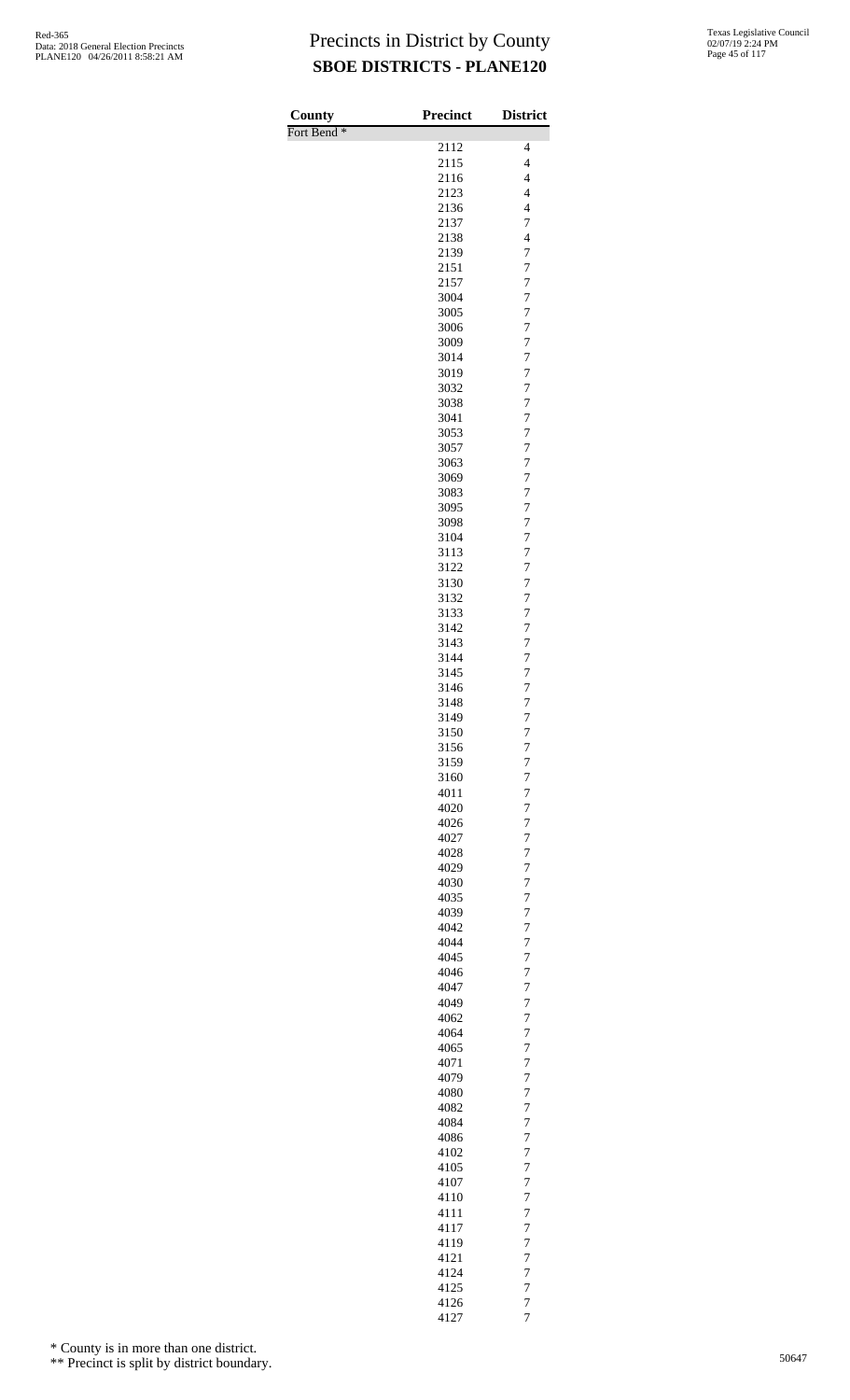| County                 | Precinct     | <b>District</b>                            |
|------------------------|--------------|--------------------------------------------|
| Fort Bend <sup>*</sup> | 2112         | $\overline{\mathcal{L}}$                   |
|                        | 2115         | $\overline{4}$                             |
|                        | 2116         | $\overline{4}$                             |
|                        | 2123         | $\overline{4}$<br>$\overline{\mathcal{L}}$ |
|                        | 2136<br>2137 | 7                                          |
|                        | 2138         | $\overline{4}$                             |
|                        | 2139         | 7                                          |
|                        | 2151<br>2157 | $\overline{7}$<br>$\boldsymbol{7}$         |
|                        | 3004         | $\overline{7}$                             |
|                        | 3005         | $\overline{7}$                             |
|                        | 3006         | $\overline{7}$                             |
|                        | 3009<br>3014 | $\overline{7}$<br>$\overline{7}$           |
|                        | 3019         | $\overline{7}$                             |
|                        | 3032         | $\boldsymbol{7}$                           |
|                        | 3038<br>3041 | $\overline{7}$<br>$\overline{7}$           |
|                        | 3053         | $\boldsymbol{7}$                           |
|                        | 3057         | $\overline{7}$                             |
|                        | 3063         | $\overline{7}$                             |
|                        | 3069<br>3083 | $\overline{7}$<br>$\overline{7}$           |
|                        | 3095         | $\overline{7}$                             |
|                        | 3098         | $\overline{7}$                             |
|                        | 3104         | $\boldsymbol{7}$                           |
|                        | 3113<br>3122 | 7<br>$\overline{7}$                        |
|                        | 3130         | $\boldsymbol{7}$                           |
|                        | 3132         | $\overline{7}$                             |
|                        | 3133<br>3142 | 7<br>7                                     |
|                        | 3143         | $\overline{7}$                             |
|                        | 3144         | 7                                          |
|                        | 3145         | $\overline{7}$                             |
|                        | 3146<br>3148 | 7<br>$\overline{7}$                        |
|                        | 3149         | $\overline{7}$                             |
|                        | 3150         | 7                                          |
|                        | 3156<br>3159 | $\overline{7}$<br>7                        |
|                        | 3160         | 7                                          |
|                        | 4011         | $\overline{7}$                             |
|                        | 4020         | 7                                          |
|                        | 4026<br>4027 | $\overline{7}$<br>7                        |
|                        | 4028         | 7                                          |
|                        | 4029         | $\overline{7}$                             |
|                        | 4030<br>4035 | $\overline{7}$<br>$\overline{7}$           |
|                        | 4039         | 7                                          |
|                        | 4042         | 7                                          |
|                        | 4044         | $\overline{7}$                             |
|                        | 4045<br>4046 | $\overline{7}$<br>$\overline{7}$           |
|                        | 4047         | 7                                          |
|                        | 4049         | 7                                          |
|                        | 4062         | $\overline{7}$                             |
|                        | 4064<br>4065 | $\overline{7}$<br>$\overline{7}$           |
|                        | 4071         | 7                                          |
|                        | 4079         | 7                                          |
|                        | 4080<br>4082 | $\overline{7}$<br>$\overline{7}$           |
|                        | 4084         | $\overline{7}$                             |
|                        | 4086         | 7                                          |
|                        | 4102         | 7                                          |
|                        | 4105<br>4107 | $\overline{7}$<br>$\overline{7}$           |
|                        | 4110         | $\overline{7}$                             |
|                        | 4111         | 7                                          |
|                        | 4117         | 7                                          |
|                        | 4119<br>4121 | $\overline{7}$<br>$\overline{7}$           |
|                        | 4124         | $\overline{7}$                             |
|                        | 4125         | $\overline{7}$                             |
|                        | 4126<br>4127 | $\overline{7}$<br>$\overline{7}$           |

\* County is in more than one district.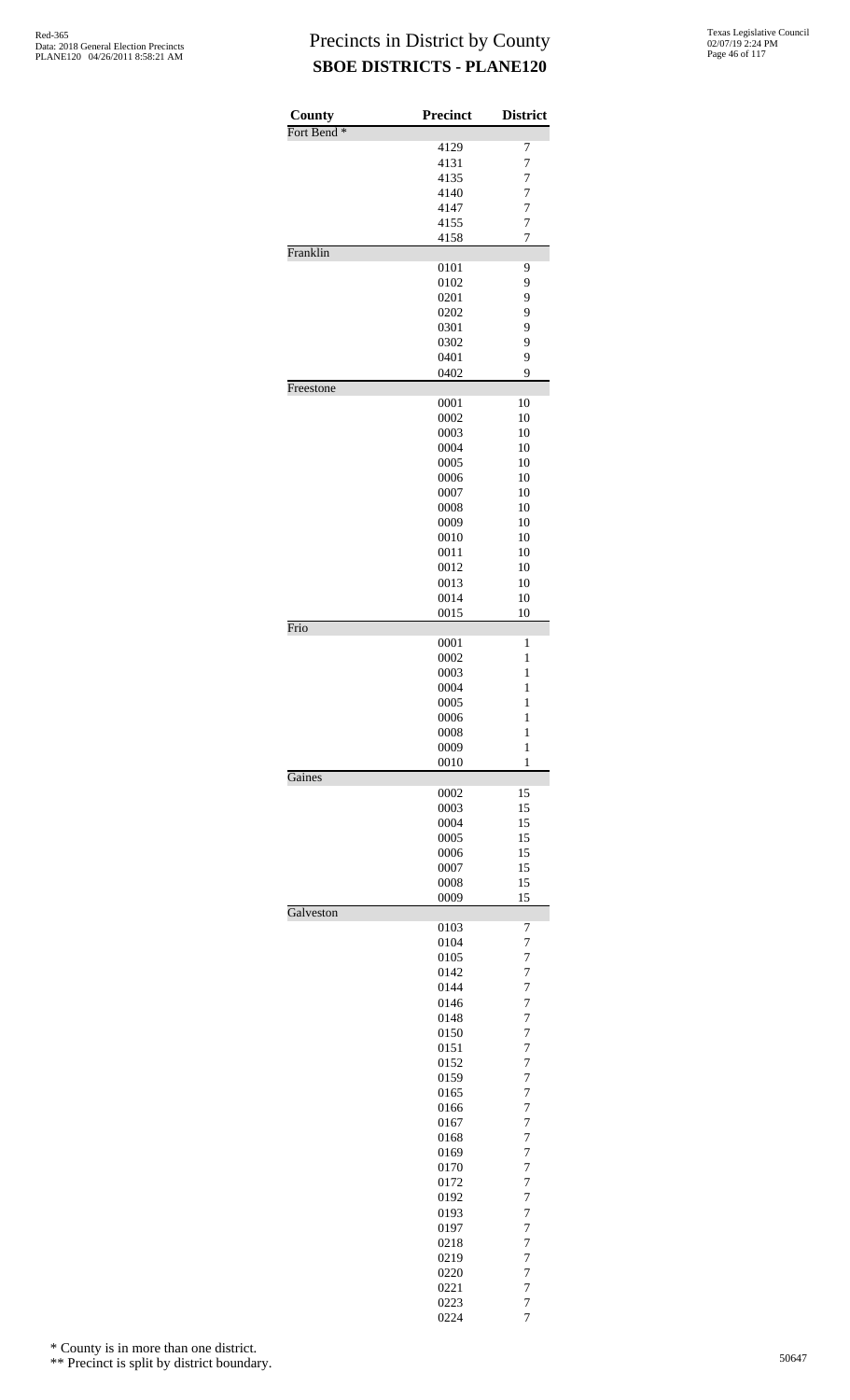| County                 | <b>Precinct</b> | <b>District</b>                  |
|------------------------|-----------------|----------------------------------|
| Fort Bend <sup>*</sup> |                 |                                  |
|                        | 4129<br>4131    | 7<br>$\overline{7}$              |
|                        | 4135            | $\overline{7}$                   |
|                        | 4140            | 7                                |
|                        | 4147            | $\overline{7}$                   |
|                        | 4155            | $\overline{7}$                   |
|                        | 4158            | $\overline{7}$                   |
| Franklin               |                 |                                  |
|                        | 0101            | 9                                |
|                        | 0102            | 9                                |
|                        | 0201            | 9                                |
|                        | 0202            | 9                                |
|                        | 0301            | 9                                |
|                        | 0302            | 9                                |
|                        | 0401<br>0402    | 9<br>9                           |
| Freestone              |                 |                                  |
|                        | 0001            | 10                               |
|                        | 0002            | 10                               |
|                        | 0003            | 10                               |
|                        | 0004            | 10                               |
|                        | 0005            | 10                               |
|                        | 0006            | 10                               |
|                        | 0007            | 10                               |
|                        | 0008            | 10                               |
|                        | 0009            | 10                               |
|                        | 0010            | 10                               |
|                        | 0011            | 10                               |
|                        | 0012            | 10                               |
|                        | 0013            | 10                               |
|                        | 0014<br>0015    | 10<br>10                         |
| Frio                   |                 |                                  |
|                        | 0001            | 1                                |
|                        | 0002            | $\mathbf{1}$                     |
|                        | 0003            | $\mathbf{1}$                     |
|                        | 0004            | $\mathbf{1}$                     |
|                        | 0005            | $\mathbf{1}$                     |
|                        | 0006            | $\mathbf{1}$                     |
|                        | 0008            | $\mathbf{1}$                     |
|                        | 0009<br>0010    | $\mathbf{1}$<br>$\mathbf{1}$     |
| Gaines                 |                 |                                  |
|                        | 0002            | 15                               |
|                        | 0003            | 15                               |
|                        | 0004            | 15                               |
|                        | 0005            | 15                               |
|                        | 0006            | 15                               |
|                        | 0007            | 15                               |
|                        | 0008            | 15                               |
| Galveston              | 0009            | 15                               |
|                        | 0103            | 7                                |
|                        | 0104            | $\overline{7}$                   |
|                        | 0105            | $\overline{7}$                   |
|                        | 0142            | $\overline{7}$                   |
|                        | 0144            | $\overline{7}$                   |
|                        | 0146            | $\overline{7}$                   |
|                        | 0148            | $\overline{7}$                   |
|                        | 0150            | $\overline{7}$                   |
|                        | 0151            | $\overline{7}$                   |
|                        | 0152<br>0159    | $\overline{7}$<br>7              |
|                        | 0165            | $\overline{7}$                   |
|                        | 0166            | $\overline{7}$                   |
|                        | 0167            | $\overline{7}$                   |
|                        | 0168            | $\overline{7}$                   |
|                        | 0169            | $\overline{7}$                   |
|                        | 0170            | $\overline{7}$                   |
|                        | 0172            | $\overline{7}$                   |
|                        | 0192            | $\overline{7}$                   |
|                        | 0193            | $\overline{7}$                   |
|                        | 0197            | 7                                |
|                        | 0218            | $\overline{7}$                   |
|                        | 0219            | $\overline{7}$                   |
|                        | 0220            | $\overline{7}$                   |
|                        | 0221<br>0223    | $\overline{7}$<br>$\overline{7}$ |
|                        | 0224            | $\overline{7}$                   |

\* County is in more than one district.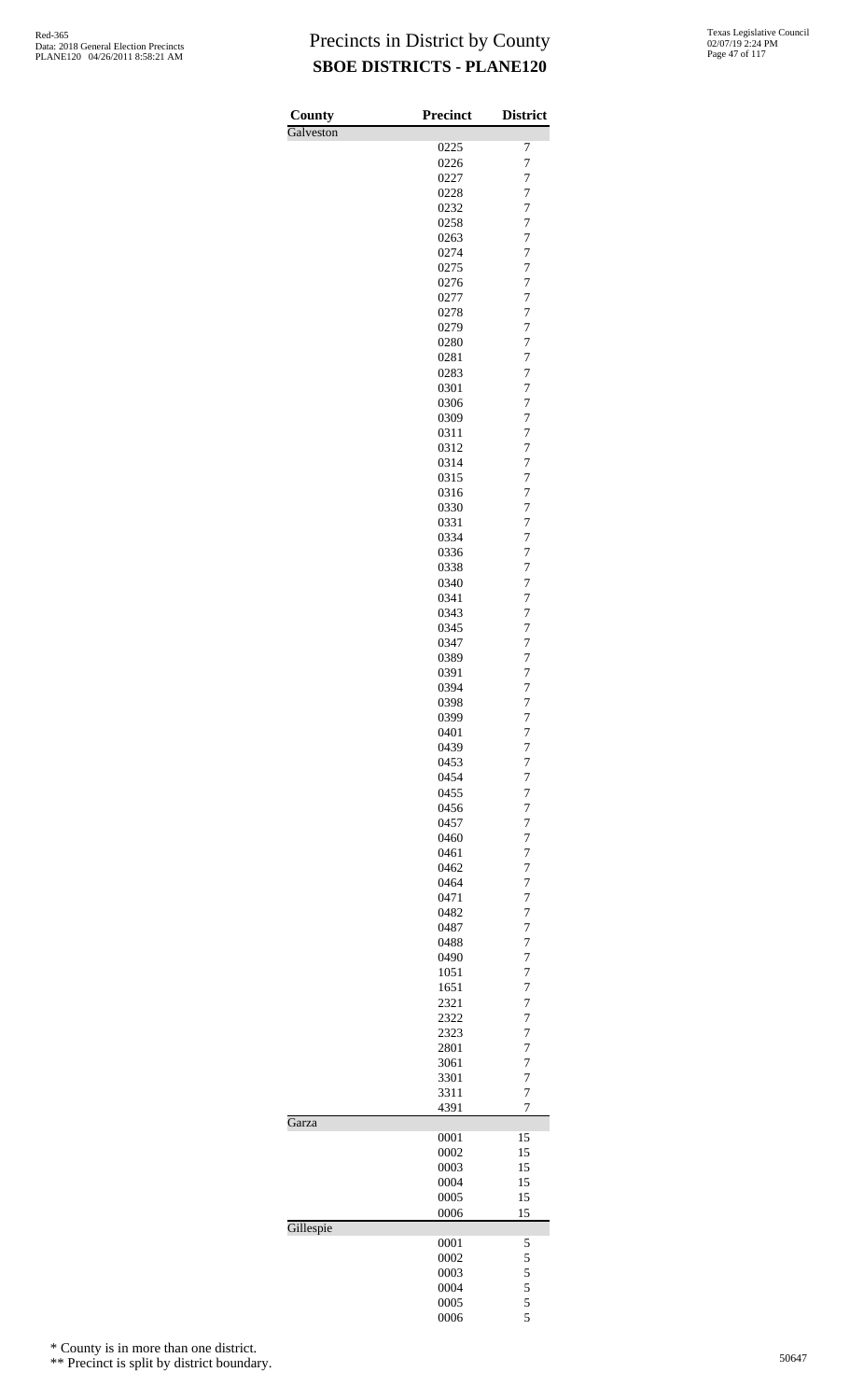| County    | <b>Precinct</b> | <b>District</b>     |
|-----------|-----------------|---------------------|
| Galveston |                 |                     |
|           | 0225            | 7                   |
|           | 0226<br>0227    | $\overline{7}$<br>7 |
|           | 0228            | $\overline{7}$      |
|           | 0232            | 7                   |
|           | 0258            | 7                   |
|           | 0263            | $\overline{7}$      |
|           | 0274            | 7                   |
|           | 0275<br>0276    | $\overline{7}$<br>7 |
|           | 0277            | 7                   |
|           | 0278            | $\overline{7}$      |
|           | 0279            | 7                   |
|           | 0280            | $\overline{7}$      |
|           | 0281<br>0283    | 7<br>7              |
|           | 0301            | $\overline{7}$      |
|           | 0306            | 7                   |
|           | 0309            | $\overline{7}$      |
|           | 0311            | 7                   |
|           | 0312            | 7<br>$\overline{7}$ |
|           | 0314<br>0315    | 7                   |
|           | 0316            | $\overline{7}$      |
|           | 0330            | 7                   |
|           | 0331            | 7                   |
|           | 0334            | $\overline{7}$      |
|           | 0336<br>0338    | 7<br>$\overline{7}$ |
|           | 0340            | 7                   |
|           | 0341            | 7                   |
|           | 0343            | $\overline{7}$      |
|           | 0345<br>0347    | 7<br>$\overline{7}$ |
|           | 0389            | 7                   |
|           | 0391            | 7                   |
|           | 0394            | $\overline{7}$      |
|           | 0398            | 7<br>$\overline{7}$ |
|           | 0399<br>0401    | 7                   |
|           | 0439            | $\overline{7}$      |
|           | 0453            | $\overline{7}$      |
|           | 0454            | 7                   |
|           | 0455<br>0456    | $\overline{7}$<br>7 |
|           | 0457            | 7                   |
|           | 0460            | 7                   |
|           | 0461            | 7                   |
|           | 0462            | $\overline{7}$      |
|           | 0464<br>0471    | 7<br>7              |
|           | 0482            | 7                   |
|           | 0487            | 7                   |
|           | 0488            | $\overline{7}$      |
|           | 0490<br>1051    | 7<br>7              |
|           | 1651            | 7                   |
|           | 2321            | 7                   |
|           | 2322            | $\overline{7}$      |
|           | 2323<br>2801    | 7<br>7              |
|           | 3061            | 7                   |
|           | 3301            | 7                   |
|           | 3311            | $\overline{7}$      |
| Garza     | 4391            | 7                   |
|           | 0001            | 15                  |
|           | 0002            | 15                  |
|           | 0003            | 15                  |
|           | 0004<br>0005    | 15<br>15            |
|           | 0006            | 15                  |
| Gillespie |                 |                     |
|           | 0001            | 5                   |
|           | 0002<br>0003    | 5<br>5              |
|           | 0004            | 5                   |
|           | 0005            | 5                   |
|           | 0006            | 5                   |

\* County is in more than one district.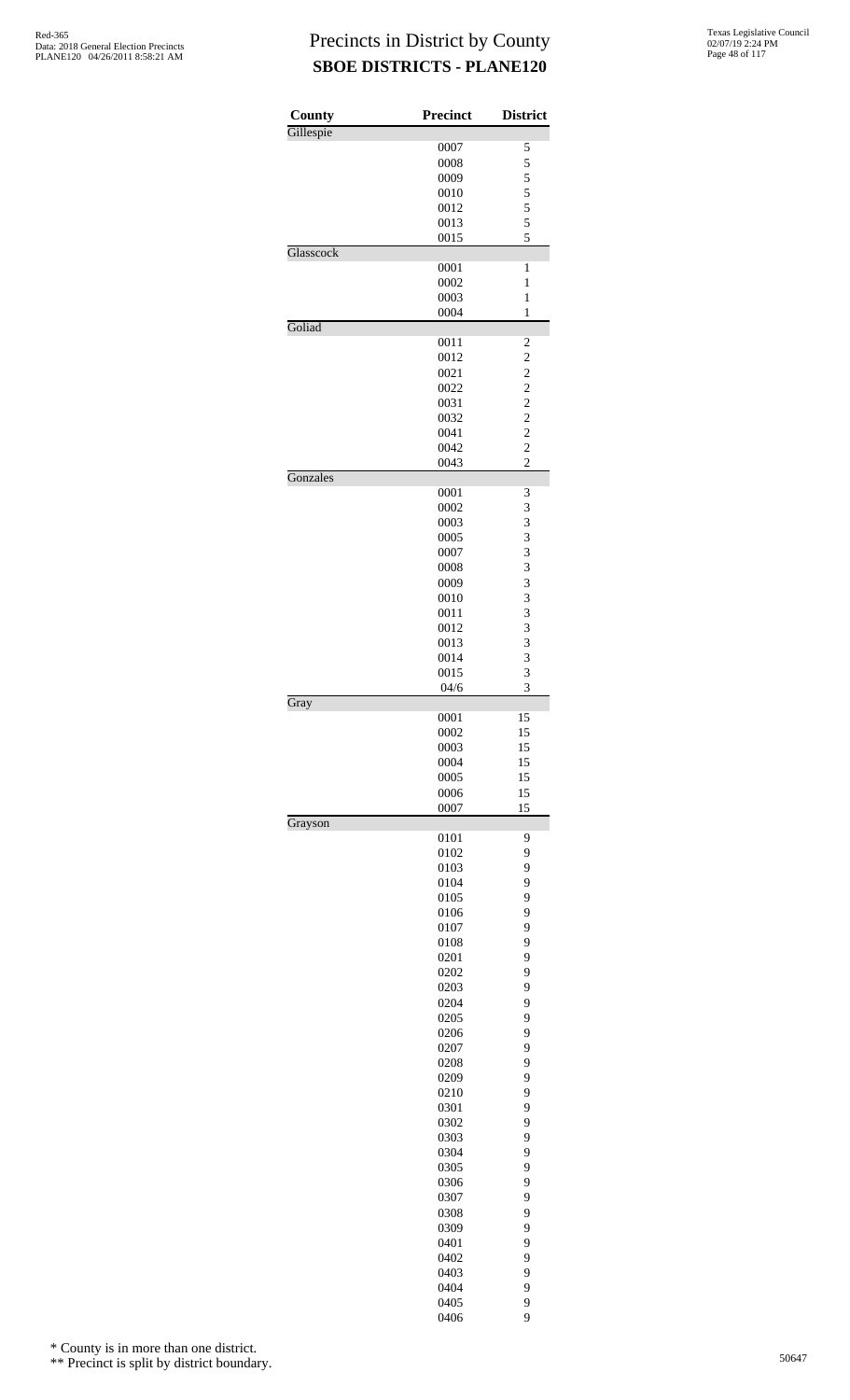| County    | <b>Precinct</b> | <b>District</b>                  |
|-----------|-----------------|----------------------------------|
| Gillespie | 0007            | 5                                |
|           | 0008            | 5                                |
|           | 0009            | 5                                |
|           | 0010            | 5                                |
|           | 0012            | 5                                |
|           | 0013            | 5                                |
|           | 0015            | 5                                |
| Glasscock |                 |                                  |
|           | 0001            | $\mathbf{1}$                     |
|           | 0002            | $\mathbf{1}$                     |
|           | 0003<br>0004    | $\mathbf{1}$<br>$\mathbf{1}$     |
| Goliad    |                 |                                  |
|           | 0011            | $\overline{\mathbf{c}}$          |
|           | 0012            | $\overline{c}$                   |
|           | 0021            | $\overline{\mathbf{c}}$          |
|           | 0022            | $\overline{c}$                   |
|           | 0031            | $\frac{2}{2}$                    |
|           | 0032            |                                  |
|           | 0041            | $\overline{c}$                   |
|           | 0042            | $\overline{c}$<br>$\overline{c}$ |
| Gonzales  | 0043            |                                  |
|           | 0001            | 3                                |
|           | 0002            | 3                                |
|           | 0003            | 3                                |
|           | 0005            | 3                                |
|           | 0007            | 3                                |
|           | 0008            | 3                                |
|           | 0009            | 3                                |
|           | 0010            | 3                                |
|           | 0011            | 3                                |
|           | 0012            | 3                                |
|           | 0013<br>0014    | 3<br>3                           |
|           | 0015            | 3                                |
|           | 04/6            | 3                                |
| Gray      |                 |                                  |
|           | 0001            | 15                               |
|           | 0002            | 15                               |
|           | 0003            | 15                               |
|           | 0004            | 15                               |
|           | 0005            | 15                               |
|           | 0006<br>0007    | 15<br>15                         |
| Grayson   |                 |                                  |
|           | 0101            | 9                                |
|           | 0102            | 9                                |
|           | 0103            | 9                                |
|           | 0104            | 9                                |
|           | 0105            | 9                                |
|           | 0106            | 9                                |
|           | 0107            | 9                                |
|           | 0108<br>0201    | 9<br>9                           |
|           | 0202            | 9                                |
|           | 0203            | 9                                |
|           | 0204            | 9                                |
|           | 0205            | 9                                |
|           | 0206            | 9                                |
|           | 0207            | 9                                |
|           | 0208            | 9                                |
|           | 0209            | 9                                |
|           | 0210            | 9                                |
|           | 0301            | 9                                |
|           | 0302<br>0303    | 9<br>9                           |
|           | 0304            | 9                                |
|           | 0305            | 9                                |
|           | 0306            | 9                                |
|           | 0307            | 9                                |
|           | 0308            | 9                                |
|           | 0309            | 9                                |
|           | 0401            | 9                                |
|           | 0402            | 9                                |
|           | 0403            | 9                                |
|           | 0404            | 9                                |
|           | 0405            | 9                                |

9

\* County is in more than one district.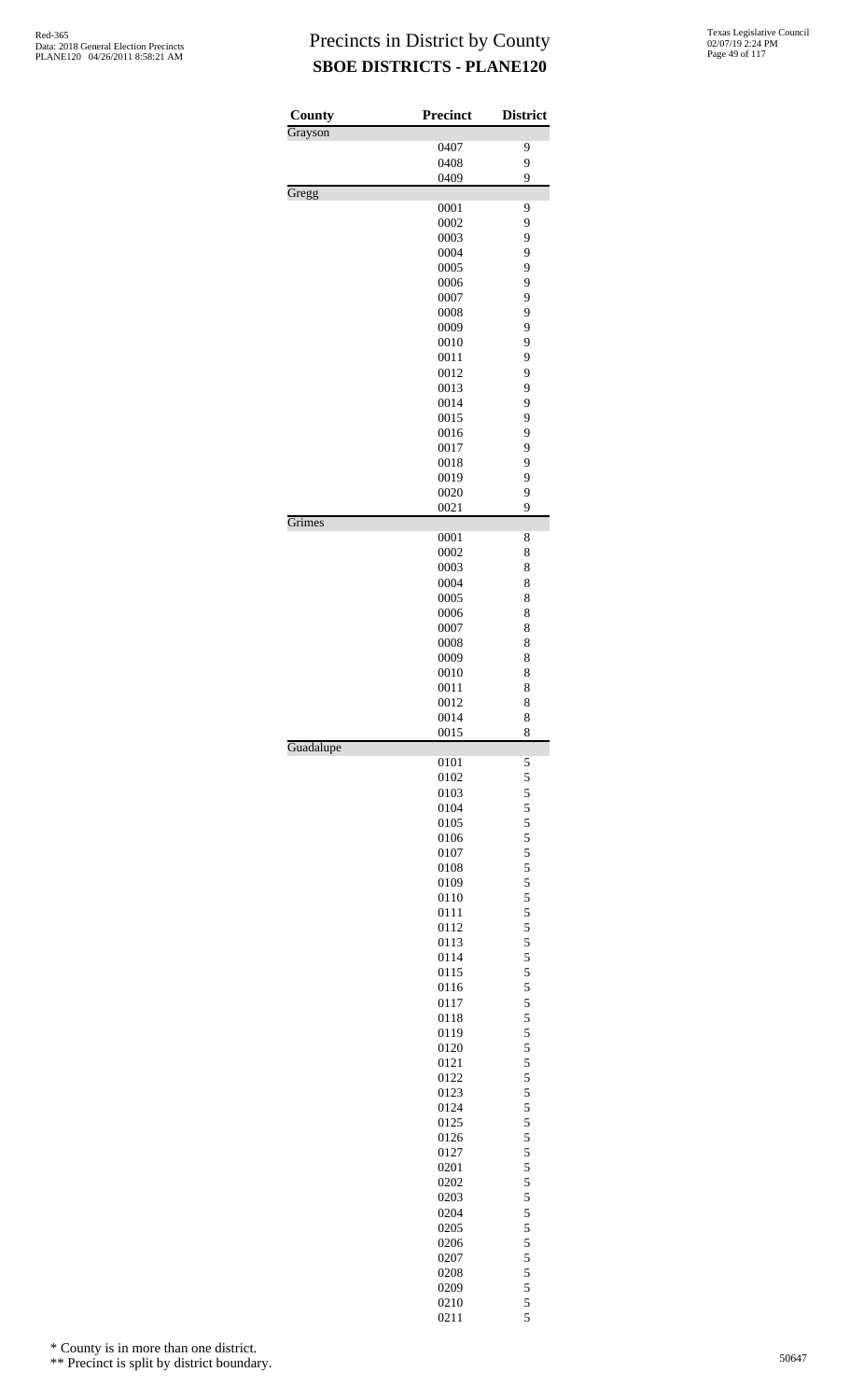| County    | <b>Precinct</b> | <b>District</b> |
|-----------|-----------------|-----------------|
| Grayson   |                 |                 |
|           | 0407            | 9               |
|           | 0408            | 9               |
| Gregg     | 0409            | 9               |
|           | 0001            | 9               |
|           | 0002            | 9               |
|           | 0003            | 9               |
|           | 0004            | 9               |
|           | 0005<br>0006    | 9<br>9          |
|           | 0007            | 9               |
|           | 0008            | 9               |
|           | 0009            | 9               |
|           | 0010            | 9               |
|           | 0011            | 9               |
|           | 0012            | 9               |
|           | 0013            | 9               |
|           | 0014            | 9<br>9          |
|           | 0015<br>0016    | 9               |
|           | 0017            | 9               |
|           | 0018            | 9               |
|           | 0019            | 9               |
|           | 0020            | 9               |
|           | 0021            | 9               |
| Grimes    |                 |                 |
|           | 0001<br>0002    | 8<br>8          |
|           | 0003            | 8               |
|           | 0004            | 8               |
|           | 0005            | 8               |
|           | 0006            | 8               |
|           | 0007            | 8               |
|           | 0008            | 8               |
|           | 0009            | 8               |
|           | 0010<br>0011    | 8<br>8          |
|           | 0012            | 8               |
|           | 0014            | 8               |
|           | 0015            | 8               |
| Guadalupe |                 |                 |
|           | 0101<br>0102    | 5               |
|           | 0103            | 5<br>5          |
|           | 0104            | 5               |
|           | 0105            | 5               |
|           | 0106            | 5               |
|           | 0107            | $\frac{5}{5}$   |
|           | 0108            |                 |
|           | 0109            | 5               |
|           | 0110            | 5<br>5          |
|           | 0111<br>0112    | 5               |
|           | 0113            | 5               |
|           | 0114            | 5               |
|           | 0115            | 5               |
|           | 0116            | 5               |
|           | 0117            | 5               |
|           | 0118            | 5               |
|           | 0119            | 5               |
|           | 0120<br>0121    | 5<br>5          |
|           | 0122            | 5               |
|           | 0123            | 5               |
|           | 0124            | 5               |
|           | 0125            | 5               |
|           | 0126            | 5               |
|           | 0127            | 5               |
|           | 0201            | 5               |
|           | 0202            | 5               |
|           | 0203<br>0204    | 5<br>5          |
|           | 0205            |                 |
|           | 0206            | $\frac{5}{5}$   |
|           | 0207            | 5               |
|           | 0208            | 5               |
|           | 0209            | 5               |
|           | 0210            | 5               |

5

\* County is in more than one district.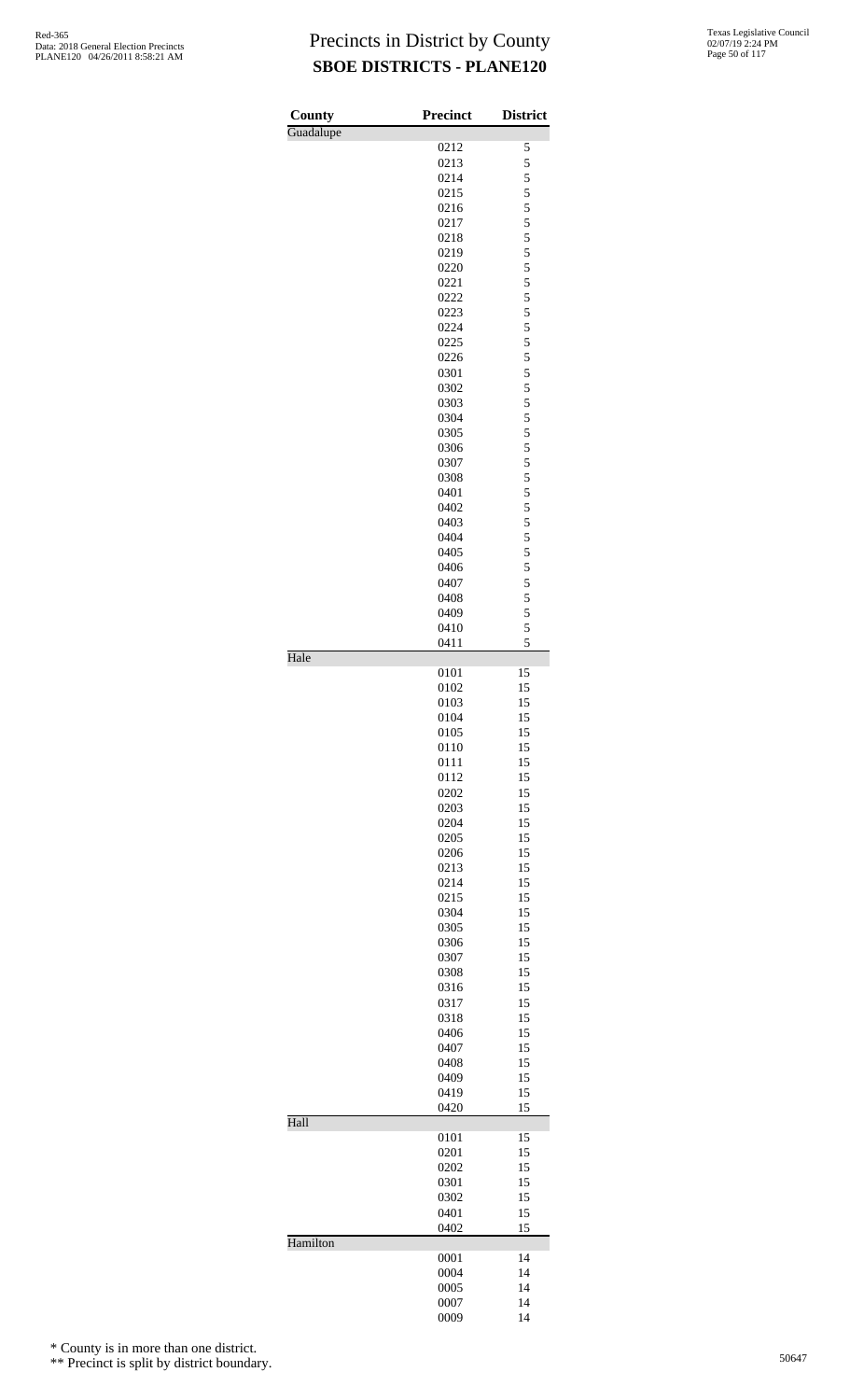| County    | <b>Precinct</b> | <b>District</b> |
|-----------|-----------------|-----------------|
| Guadalupe |                 |                 |
|           | 0212            | 5               |
|           | 0213<br>0214    | 5<br>5          |
|           | 0215            | 5               |
|           | 0216            | 5               |
|           | 0217            | 5               |
|           | 0218            | 5               |
|           | 0219            | 5               |
|           | 0220            | 5               |
|           | 0221            | 5               |
|           | 0222            | 5               |
|           | 0223            | 5               |
|           | 0224<br>0225    | 5<br>5          |
|           | 0226            | 5               |
|           | 0301            | 5               |
|           | 0302            | 5               |
|           | 0303            | 5               |
|           | 0304            | 5               |
|           | 0305            | 5               |
|           | 0306            | 5               |
|           | 0307            | 5               |
|           | 0308            | 5               |
|           | 0401<br>0402    | 5<br>5          |
|           | 0403            | 5               |
|           | 0404            | 5               |
|           | 0405            | 5               |
|           | 0406            | 5               |
|           | 0407            | 5               |
|           | 0408            | 5               |
|           | 0409            | 5               |
|           | 0410            | 5               |
| Hale      | 0411            | 5               |
|           | 0101            | 15              |
|           | 0102            | 15              |
|           | 0103            | 15              |
|           | 0104            | 15              |
|           | 0105            | 15              |
|           | 0110<br>0111    | 15<br>15        |
|           | 0112            | 15              |
|           | 0202            | 15              |
|           | 0203            | 15              |
|           | 0204            | 15              |
|           | 0205            | 15              |
|           | 0206            | 15              |
|           | 0213            | 15              |
|           | 0214            | 15              |
|           | 0215            | 15              |
|           | 0304<br>0305    | 15<br>15        |
|           | 0306            | 15              |
|           | 0307            | 15              |
|           | 0308            | 15              |
|           | 0316            | 15              |
|           | 0317            | 15              |
|           | 0318            | 15              |
|           | 0406            | 15              |
|           | 0407            | 15              |
|           | 0408            | 15              |
|           | 0409            | 15              |
|           | 0419<br>0420    | 15<br>15        |
| Hall      |                 |                 |
|           | 0101            | 15              |
|           | 0201            | 15              |
|           | 0202            | 15              |
|           | 0301            | 15              |
|           | 0302<br>0401    | 15<br>15        |
|           | 0402            | 15              |
| Hamilton  |                 |                 |
|           | 0001<br>0004    | 14<br>14        |
|           | 0005            | 14              |
|           | 0007            | 14              |
|           | 0009            | 14              |

\* County is in more than one district.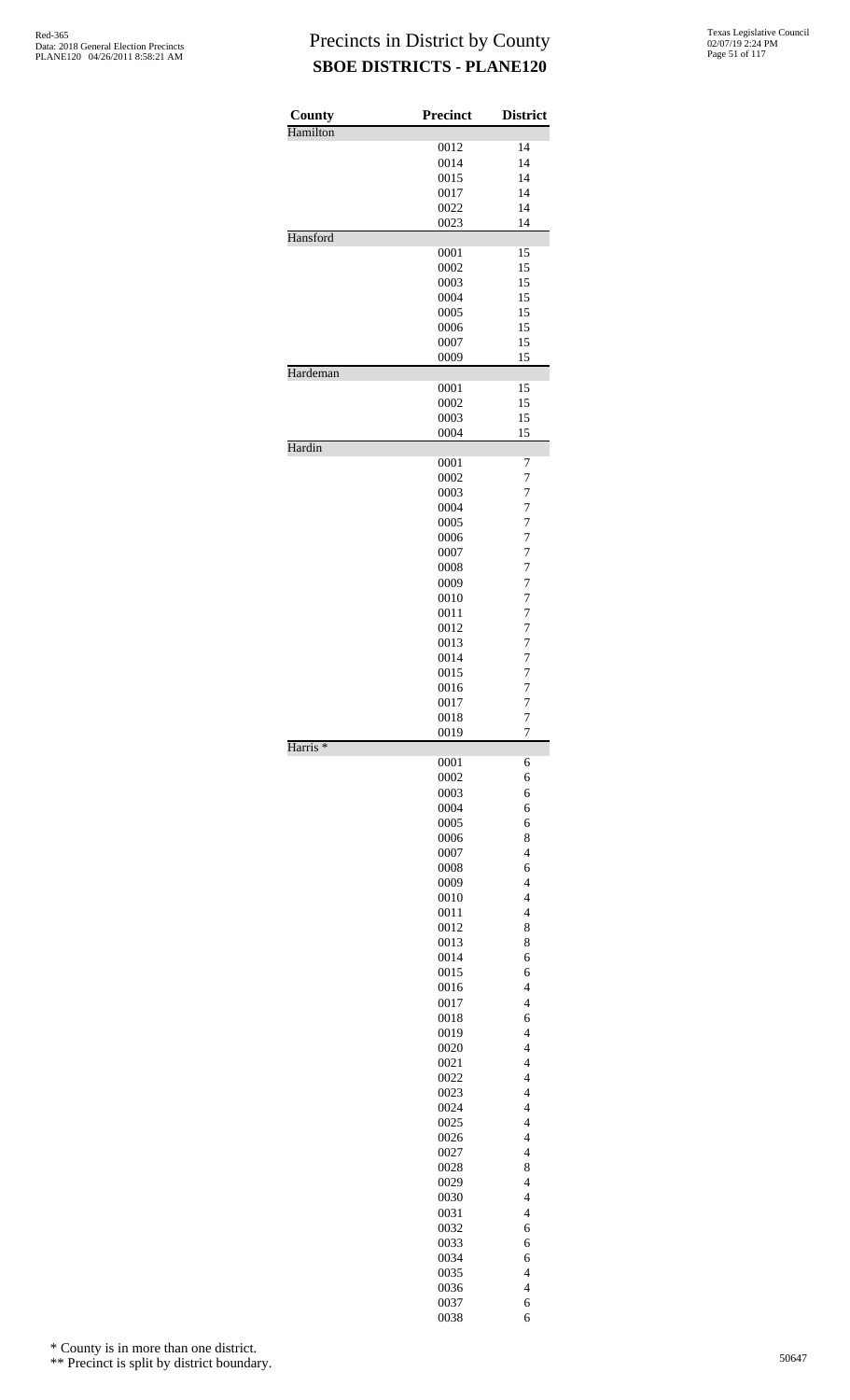| <b>County</b>       | <b>Precinct</b> | <b>District</b>                  |
|---------------------|-----------------|----------------------------------|
| Hamilton            |                 |                                  |
|                     | 0012            | 14                               |
|                     | 0014            | 14                               |
|                     | 0015            | 14                               |
|                     | 0017            | 14                               |
|                     | 0022            | 14                               |
| Hansford            | 0023            | 14                               |
|                     | 0001            |                                  |
|                     | 0002            | 15<br>15                         |
|                     | 0003            | 15                               |
|                     | 0004            | 15                               |
|                     | 0005            | 15                               |
|                     | 0006            | 15                               |
|                     | 0007            | 15                               |
|                     | 0009            | 15                               |
| Hardeman            |                 |                                  |
|                     | 0001            | 15                               |
|                     | 0002            | 15                               |
|                     | 0003            | 15                               |
|                     | 0004            | 15                               |
| Hardin              | 0001            | 7                                |
|                     | 0002            | 7                                |
|                     | 0003            | 7                                |
|                     | 0004            | $\overline{7}$                   |
|                     | 0005            | $\overline{7}$                   |
|                     | 0006            | $\overline{7}$                   |
|                     | 0007            | 7                                |
|                     | 0008            | 7                                |
|                     | 0009            | $\overline{7}$                   |
|                     | 0010            | $\overline{7}$                   |
|                     | 0011            | 7                                |
|                     | 0012            | 7                                |
|                     | 0013            | 7                                |
|                     | 0014            | $\overline{7}$                   |
|                     | 0015            | 7                                |
|                     | 0016            | $\overline{7}$                   |
|                     | 0017            | $\overline{7}$                   |
|                     | 0018            | 7                                |
|                     | 0019            | $\overline{7}$                   |
| Harris <sup>*</sup> |                 |                                  |
|                     | 0001<br>0002    | 6                                |
|                     | 0003            | 6<br>6                           |
|                     | 0004            | 6                                |
|                     | 0005            | 6                                |
|                     | 0006            | 8                                |
|                     | 0007            | $\overline{4}$                   |
|                     | 0008            | 6                                |
|                     | 0009            | $\overline{4}$                   |
|                     | 0010            | $\overline{4}$                   |
|                     | 0011            | $\overline{4}$                   |
|                     | 0012            | 8                                |
|                     | 0013            | 8                                |
|                     | 0014            | 6                                |
|                     | 0015            | 6                                |
|                     | 0016            | $\overline{4}$                   |
|                     | 0017            | $\overline{4}$                   |
|                     | 0018            | 6                                |
|                     | 0019            | $\overline{4}$                   |
|                     | 0020            | $\overline{4}$                   |
|                     | 0021            | $\overline{4}$                   |
|                     | 0022<br>0023    | $\overline{4}$<br>$\overline{4}$ |
|                     | 0024            | $\overline{4}$                   |
|                     | 0025            | $\overline{4}$                   |
|                     | 0026            | $\overline{4}$                   |
|                     | 0027            | $\overline{4}$                   |
|                     | 0028            | 8                                |
|                     | 0029            | $\overline{4}$                   |
|                     | 0030            | $\overline{4}$                   |
|                     | 0031            | $\overline{4}$                   |
|                     | 0032            | 6                                |
|                     | 0033            | 6                                |
|                     | 0034            | 6                                |
|                     | 0035            | $\overline{4}$                   |
|                     | 0036            | $\overline{4}$                   |
|                     | 0037            | 6                                |
|                     | 0038            | 6                                |

\* County is in more than one district.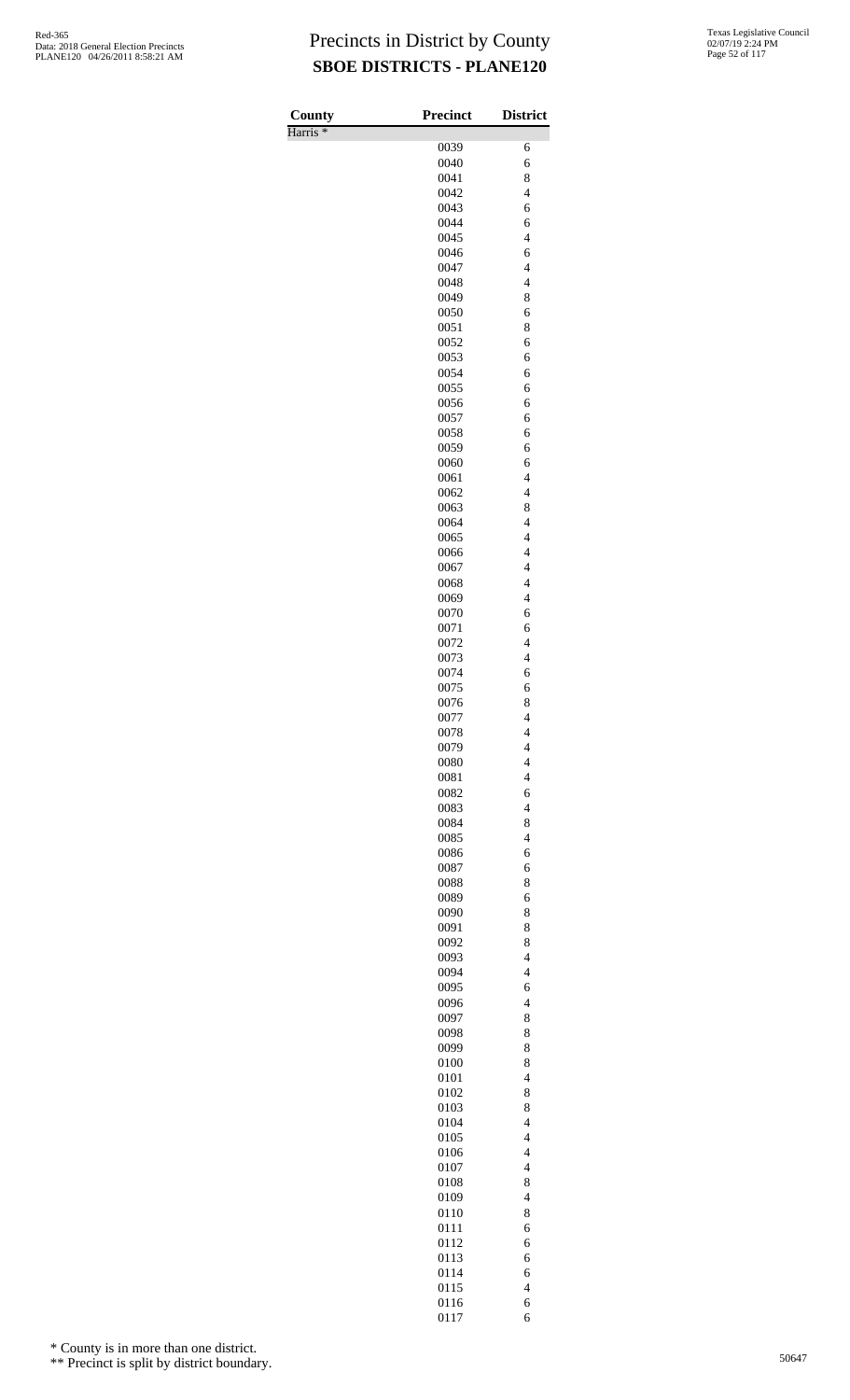| County<br>Harris <sup>*</sup> | <b>Precinct</b> | <b>District</b>                                      |
|-------------------------------|-----------------|------------------------------------------------------|
|                               | 0039            | 6                                                    |
|                               | 0040            | 6                                                    |
|                               | 0041            | 8                                                    |
|                               | 0042            | $\overline{4}$                                       |
|                               | 0043            | 6                                                    |
|                               | 0044<br>0045    | 6<br>$\overline{4}$                                  |
|                               | 0046            | 6                                                    |
|                               | 0047            | $\overline{4}$                                       |
|                               | 0048            | $\overline{4}$                                       |
|                               | 0049            | 8                                                    |
|                               | 0050            | 6                                                    |
|                               | 0051<br>0052    | 8<br>6                                               |
|                               | 0053            | 6                                                    |
|                               | 0054            | 6                                                    |
|                               | 0055            | 6                                                    |
|                               | 0056            | 6                                                    |
|                               | 0057<br>0058    | 6<br>6                                               |
|                               | 0059            | 6                                                    |
|                               | 0060            | 6                                                    |
|                               | 0061            | $\overline{4}$                                       |
|                               | 0062            | $\overline{4}$                                       |
|                               | 0063            | 8                                                    |
|                               | 0064<br>0065    | $\overline{4}$<br>$\overline{4}$                     |
|                               | 0066            | $\overline{4}$                                       |
|                               | 0067            | $\overline{\mathcal{L}}$                             |
|                               | 0068            | $\overline{\mathcal{L}}$                             |
|                               | 0069            | $\overline{4}$                                       |
|                               | 0070            | 6                                                    |
|                               | 0071<br>0072    | 6<br>$\overline{4}$                                  |
|                               | 0073            | $\overline{4}$                                       |
|                               | 0074            | 6                                                    |
|                               | 0075            | 6                                                    |
|                               | 0076            | 8                                                    |
|                               | 0077            | $\overline{\mathcal{L}}$                             |
|                               | 0078<br>0079    | 4<br>$\overline{4}$                                  |
|                               | 0080            | $\overline{\mathcal{L}}$                             |
|                               | 0081            | $\overline{\mathcal{L}}$                             |
|                               | 0082            | 6                                                    |
|                               | 0083            | $\overline{4}$                                       |
|                               | 0084            | 8                                                    |
|                               | 0085<br>0086    | $\overline{\mathcal{L}}$<br>6                        |
|                               | 0087            | 6                                                    |
|                               | 0088            | 8                                                    |
|                               | 0089            | 6                                                    |
|                               | 0090            | 8                                                    |
|                               | 0091            | 8                                                    |
|                               | 0092<br>0093    | 8<br>$\overline{4}$                                  |
|                               | 0094            | $\overline{\mathcal{L}}$                             |
|                               | 0095            | 6                                                    |
|                               | 0096            | $\overline{\mathcal{L}}$                             |
|                               | 0097            | 8                                                    |
|                               | 0098            | 8                                                    |
|                               | 0099<br>0100    | 8<br>8                                               |
|                               | 0101            | $\overline{\mathcal{L}}$                             |
|                               | 0102            | 8                                                    |
|                               | 0103            | 8                                                    |
|                               | 0104            | $\overline{4}$                                       |
|                               | 0105            | $\overline{\mathcal{L}}$                             |
|                               | 0106<br>0107    | $\overline{\mathcal{L}}$<br>$\overline{\mathcal{L}}$ |
|                               | 0108            | 8                                                    |
|                               | 0109            | $\overline{\mathcal{L}}$                             |
|                               | 0110            | 8                                                    |
|                               | 0111            | 6                                                    |
|                               | 0112            | 6                                                    |
|                               | 0113            | 6                                                    |
|                               | 0114<br>0115    | 6<br>$\overline{\mathcal{L}}$                        |
|                               | 0116            | 6                                                    |
|                               | 0117            | 6                                                    |

\* County is in more than one district.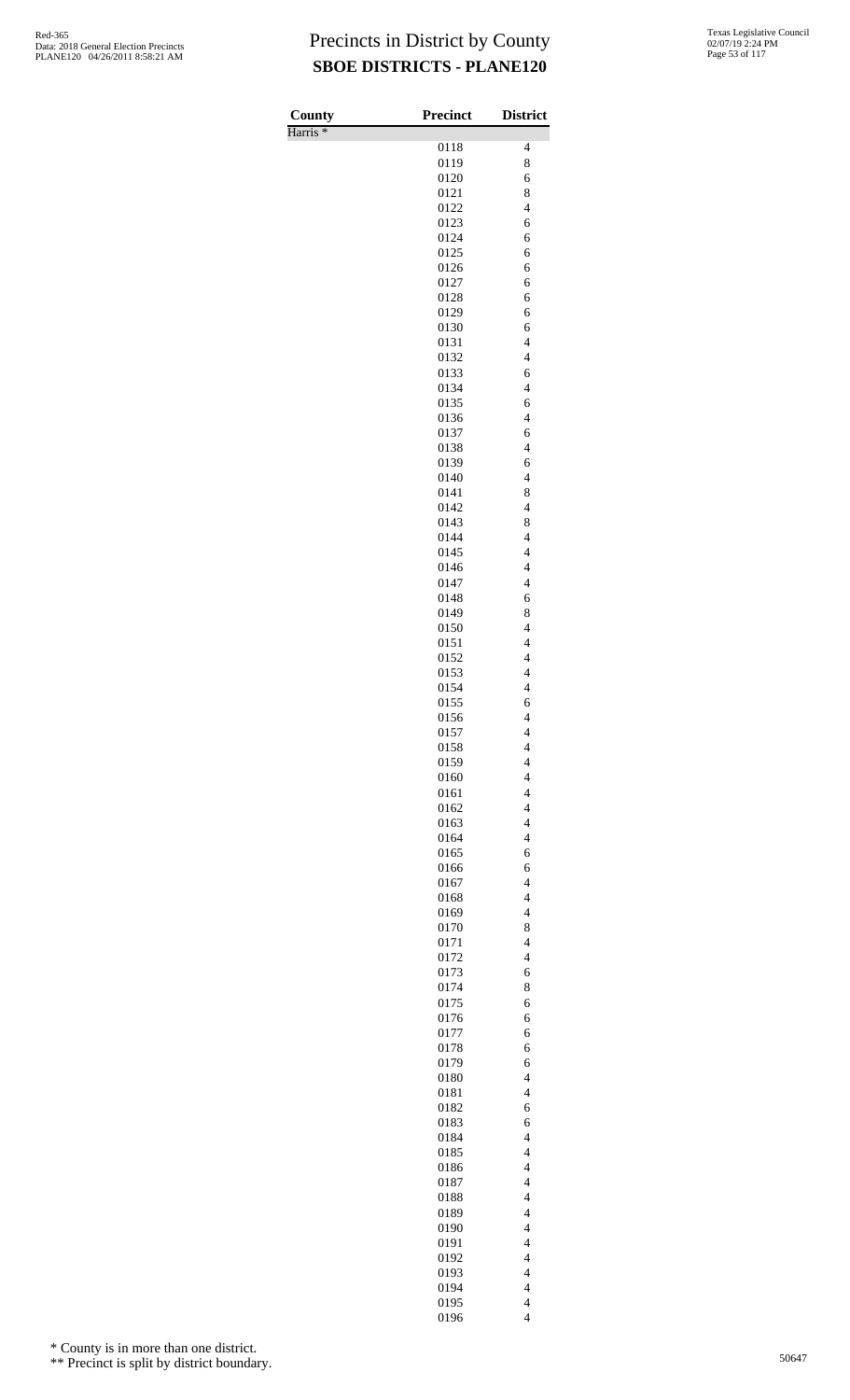Harris \*

| County<br>Harris <sup>*</sup> | <b>Precinct</b> | <b>District</b>                                      |
|-------------------------------|-----------------|------------------------------------------------------|
|                               | 0118            | 4                                                    |
|                               | 0119            | 8                                                    |
|                               | 0120            | 6                                                    |
|                               | 0121            | 8                                                    |
|                               | 0122<br>0123    | $\overline{\mathcal{L}}$<br>6                        |
|                               | 0124            | 6                                                    |
|                               | 0125            | 6                                                    |
|                               | 0126            | 6                                                    |
|                               | 0127            | 6                                                    |
|                               | 0128            | 6                                                    |
|                               | 0129            | 6                                                    |
|                               | 0130<br>0131    | 6<br>$\overline{\mathcal{L}}$                        |
|                               | 0132            | $\overline{\mathbf{4}}$                              |
|                               | 0133            | 6                                                    |
|                               | 0134            | $\overline{\mathcal{L}}$                             |
|                               | 0135            | 6                                                    |
|                               | 0136            | $\overline{\mathcal{L}}$<br>6                        |
|                               | 0137<br>0138    | $\overline{4}$                                       |
|                               | 0139            | 6                                                    |
|                               | 0140            | $\overline{\mathcal{L}}$                             |
|                               | 0141            | 8                                                    |
|                               | 0142            | $\overline{\mathbf{4}}$                              |
|                               | 0143            | 8                                                    |
|                               | 0144<br>0145    | $\overline{4}$<br>$\overline{4}$                     |
|                               | 0146            | $\overline{\mathcal{L}}$                             |
|                               | 0147            | $\overline{\mathcal{L}}$                             |
|                               | 0148            | 6                                                    |
|                               | 0149            | 8                                                    |
|                               | 0150            | $\overline{\mathcal{L}}$                             |
|                               | 0151<br>0152    | $\overline{\mathcal{L}}$<br>$\overline{\mathbf{4}}$  |
|                               | 0153            | $\overline{\mathbf{4}}$                              |
|                               | 0154            | $\overline{4}$                                       |
|                               | 0155            | 6                                                    |
|                               | 0156            | $\overline{4}$                                       |
|                               | 0157            | 4                                                    |
|                               | 0158<br>0159    | $\overline{\mathcal{L}}$<br>$\overline{\mathcal{L}}$ |
|                               | 0160            | $\overline{\mathcal{L}}$                             |
|                               | 0161            | $\overline{\mathcal{L}}$                             |
|                               | 0162            | $\overline{\mathcal{L}}$                             |
|                               | 0163            | $\overline{\mathcal{L}}$                             |
|                               | 0164            | $\overline{\mathcal{L}}$                             |
|                               | 0165<br>0166    | 6<br>6                                               |
|                               | 0167            | $\overline{\mathcal{L}}$                             |
|                               | 0168            | $\overline{\mathcal{L}}$                             |
|                               | 0169            | $\overline{\mathcal{L}}$                             |
|                               | 0170            | 8                                                    |
|                               | 0171            | $\overline{\mathcal{L}}$<br>$\overline{\mathcal{L}}$ |
|                               | 0172<br>0173    | 6                                                    |
|                               | 0174            | 8                                                    |
|                               | 0175            | 6                                                    |
|                               | 0176            | 6                                                    |
|                               | 0177            | 6                                                    |
|                               | 0178            | 6                                                    |
|                               | 0179<br>0180    | 6<br>$\overline{\mathcal{L}}$                        |
|                               | 0181            | $\overline{4}$                                       |
|                               | 0182            | 6                                                    |
|                               | 0183            | 6                                                    |
|                               | 0184            | $\overline{\mathcal{L}}$                             |
|                               | 0185            | $\overline{\mathcal{L}}$                             |
|                               | 0186<br>0187    | $\overline{\mathcal{L}}$<br>$\overline{\mathcal{L}}$ |
|                               | 0188            | $\overline{\mathcal{L}}$                             |
|                               | 0189            | $\overline{4}$                                       |
|                               | 0190            | $\overline{\mathcal{L}}$                             |
|                               | 0191            | $\overline{\mathcal{L}}$                             |
|                               | 0192            | $\overline{4}$                                       |
|                               | 0193<br>0194    | $\overline{\mathcal{L}}$<br>$\overline{\mathcal{L}}$ |
|                               | 0195            | $\overline{\mathcal{L}}$                             |
|                               | 0196            | $\overline{4}$                                       |

\* County is in more than one district.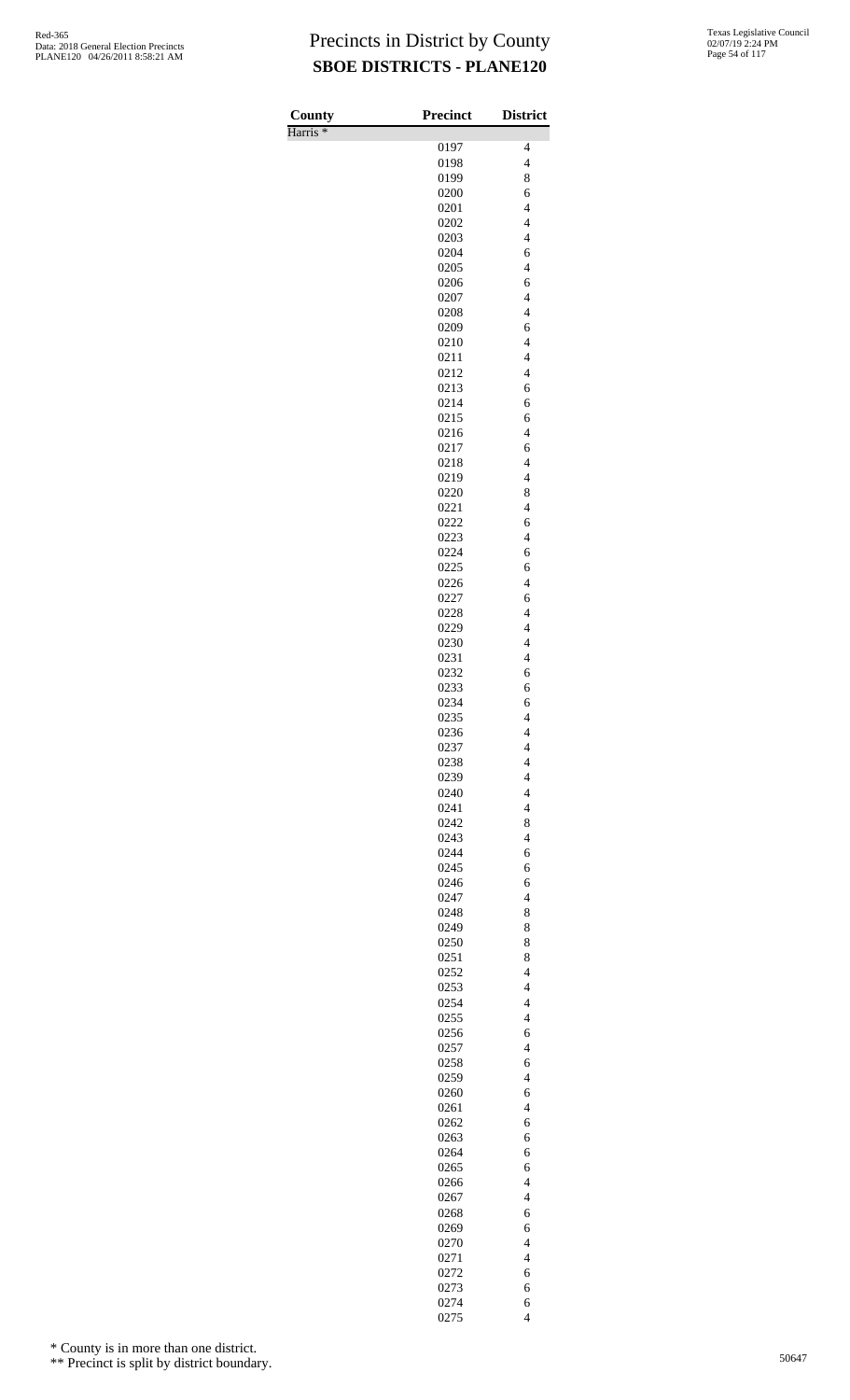Harris \*

| County              | Precinct     | <b>District</b>                                      |
|---------------------|--------------|------------------------------------------------------|
| Harris <sup>*</sup> |              |                                                      |
|                     | 0197         | 4                                                    |
|                     | 0198<br>0199 | $\overline{\mathcal{L}}$<br>8                        |
|                     | 0200         | 6                                                    |
|                     | 0201         | $\overline{\mathcal{L}}$                             |
|                     | 0202         | $\overline{\mathbf{4}}$                              |
|                     | 0203         | $\overline{\mathcal{L}}$                             |
|                     | 0204         | 6                                                    |
|                     | 0205         | $\overline{4}$                                       |
|                     | 0206         | 6                                                    |
|                     | 0207         | $\overline{\mathbf{4}}$<br>$\overline{\mathbf{4}}$   |
|                     | 0208<br>0209 | 6                                                    |
|                     | 0210         | $\overline{4}$                                       |
|                     | 0211         | $\overline{\mathcal{L}}$                             |
|                     | 0212         | $\overline{\mathbf{4}}$                              |
|                     | 0213         | 6                                                    |
|                     | 0214         | 6                                                    |
|                     | 0215         | 6                                                    |
|                     | 0216         | $\overline{\mathcal{L}}$                             |
|                     | 0217         | 6                                                    |
|                     | 0218<br>0219 | $\overline{4}$<br>$\overline{4}$                     |
|                     | 0220         | 8                                                    |
|                     | 0221         | $\overline{\mathcal{L}}$                             |
|                     | 0222         | 6                                                    |
|                     | 0223         | $\overline{\mathbf{4}}$                              |
|                     | 0224         | 6                                                    |
|                     | 0225         | 6                                                    |
|                     | 0226         | $\overline{\mathcal{L}}$                             |
|                     | 0227<br>0228 | 6<br>$\overline{\mathbf{4}}$                         |
|                     | 0229         | $\overline{\mathcal{L}}$                             |
|                     | 0230         | $\overline{4}$                                       |
|                     | 0231         | $\overline{4}$                                       |
|                     | 0232         | 6                                                    |
|                     | 0233         | 6                                                    |
|                     | 0234         | 6                                                    |
|                     | 0235         | 4                                                    |
|                     | 0236<br>0237 | $\overline{\mathcal{L}}$<br>$\overline{\mathcal{L}}$ |
|                     | 0238         | $\overline{\mathcal{L}}$                             |
|                     | 0239         | $\overline{\mathcal{L}}$                             |
|                     | 0240         | $\overline{4}$                                       |
|                     | 0241         | $\overline{4}$                                       |
|                     | 0242         | 8                                                    |
|                     | 0243         | $\overline{\mathcal{L}}$                             |
|                     | 0244         | 6                                                    |
|                     | 0245         | 6                                                    |
|                     | 0246<br>0247 | 6<br>$\overline{\mathcal{L}}$                        |
|                     | 0248         | 8                                                    |
|                     | 0249         | 8                                                    |
|                     | 0250         | 8                                                    |
|                     | 0251         | 8                                                    |
|                     | 0252         | $\overline{\mathcal{L}}$                             |
|                     | 0253         | $\overline{\mathcal{L}}$                             |
|                     | 0254         | $\overline{\mathcal{L}}$                             |
|                     | 0255         | $\overline{4}$                                       |
|                     | 0256<br>0257 | 6<br>$\overline{\mathcal{L}}$                        |
|                     | 0258         | 6                                                    |
|                     | 0259         | $\overline{4}$                                       |
|                     | 0260         | 6                                                    |
|                     | 0261         | $\overline{4}$                                       |
|                     | 0262         | 6                                                    |
|                     | 0263         | 6                                                    |
|                     | 0264         | 6                                                    |
|                     | 0265         | 6                                                    |
|                     | 0266<br>0267 | $\overline{4}$<br>$\overline{\mathcal{L}}$           |
|                     | 0268         | 6                                                    |
|                     | 0269         | 6                                                    |
|                     | 0270         | $\overline{4}$                                       |
|                     | 0271         | $\overline{4}$                                       |
|                     | 0272         | 6                                                    |
|                     | 0273         | 6                                                    |
|                     | 0274         | 6                                                    |
|                     | 0275         | $\overline{4}$                                       |

\* County is in more than one district.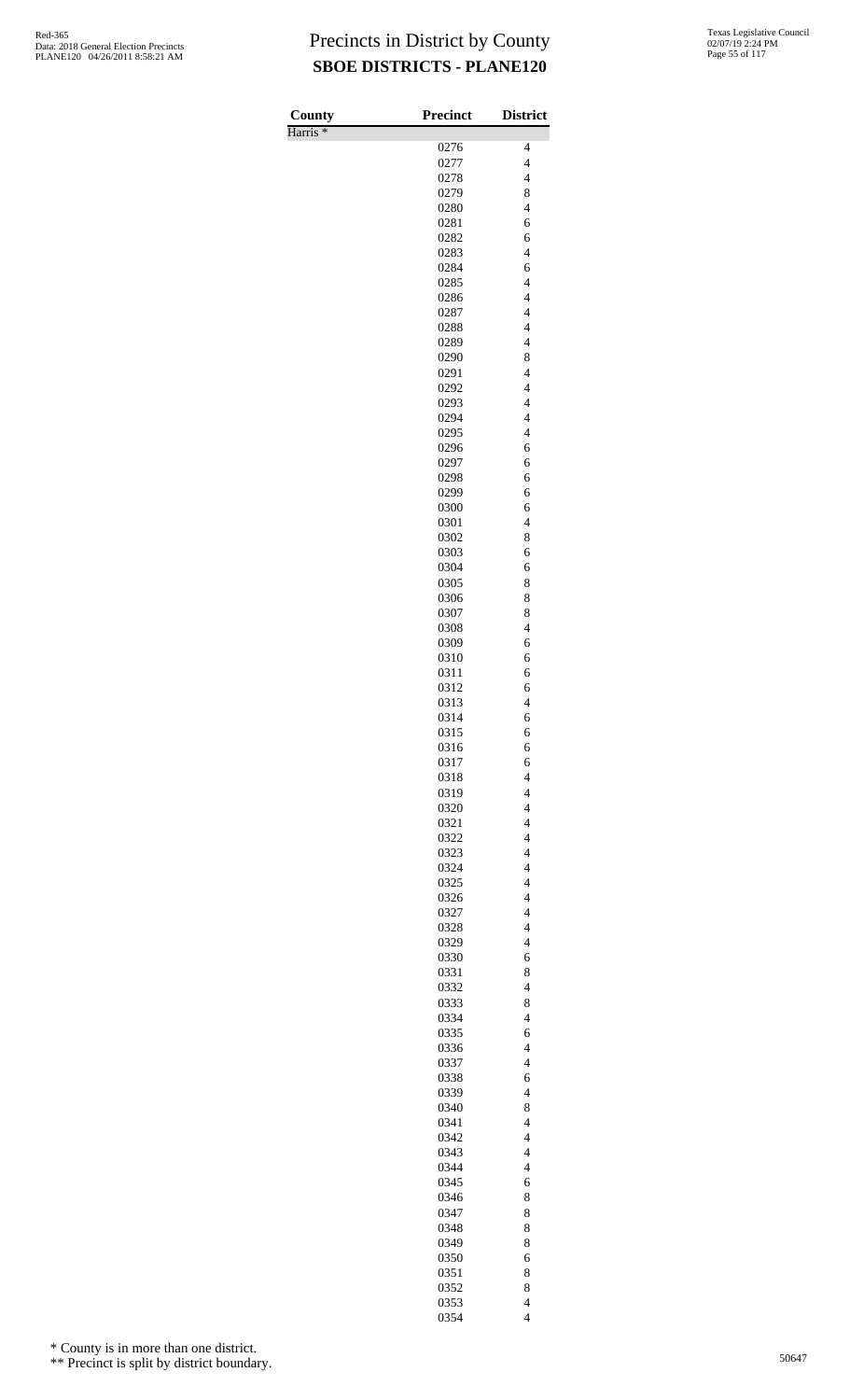Harris \*

| County              | Precinct     | <b>District</b>                                     |
|---------------------|--------------|-----------------------------------------------------|
| Harris <sup>*</sup> |              |                                                     |
|                     | 0276<br>0277 | 4<br>$\overline{\mathcal{L}}$                       |
|                     | 0278         | $\overline{\mathcal{L}}$                            |
|                     | 0279         | 8                                                   |
|                     | 0280         | $\overline{4}$                                      |
|                     | 0281         | 6                                                   |
|                     | 0282         | 6                                                   |
|                     | 0283         | $\overline{\mathcal{L}}$                            |
|                     | 0284<br>0285 | 6<br>$\overline{4}$                                 |
|                     | 0286         | $\overline{\mathbf{4}}$                             |
|                     | 0287         | $\overline{\mathcal{L}}$                            |
|                     | 0288         | $\overline{\mathcal{L}}$                            |
|                     | 0289         | $\overline{4}$                                      |
|                     | 0290         | 8                                                   |
|                     | 0291<br>0292 | $\overline{\mathbf{4}}$<br>$\overline{\mathbf{4}}$  |
|                     | 0293         | $\overline{\mathcal{L}}$                            |
|                     | 0294         | $\overline{4}$                                      |
|                     | 0295         | $\overline{4}$                                      |
|                     | 0296         | 6                                                   |
|                     | 0297         | 6                                                   |
|                     | 0298<br>0299 | 6<br>6                                              |
|                     | 0300         | 6                                                   |
|                     | 0301         | $\overline{\mathbf{4}}$                             |
|                     | 0302         | 8                                                   |
|                     | 0303         | 6                                                   |
|                     | 0304         | 6                                                   |
|                     | 0305         | 8<br>8                                              |
|                     | 0306<br>0307 | 8                                                   |
|                     | 0308         | $\overline{4}$                                      |
|                     | 0309         | 6                                                   |
|                     | 0310         | 6                                                   |
|                     | 0311         | 6                                                   |
|                     | 0312         | 6<br>$\overline{4}$                                 |
|                     | 0313<br>0314 | 6                                                   |
|                     | 0315         | 6                                                   |
|                     | 0316         | 6                                                   |
|                     | 0317         | 6                                                   |
|                     | 0318         | $\overline{\mathcal{L}}$                            |
|                     | 0319         | $\overline{4}$<br>$\overline{4}$                    |
|                     | 0320<br>0321 | $\overline{\mathbf{4}}$                             |
|                     | 0322         | $\overline{\mathcal{L}}$                            |
|                     | 0323         | $\overline{\mathcal{L}}$                            |
|                     | 0324         | $\overline{4}$                                      |
|                     | 0325         | $\overline{\mathcal{L}}$                            |
|                     | 0326<br>0327 | $\overline{\mathbf{4}}$<br>$\overline{\mathcal{L}}$ |
|                     | 0328         | $\overline{\mathcal{L}}$                            |
|                     | 0329         | $\overline{4}$                                      |
|                     | 0330         | 6                                                   |
|                     | 0331         | 8                                                   |
|                     | 0332         | $\overline{4}$                                      |
|                     | 0333<br>0334 | 8<br>$\overline{4}$                                 |
|                     | 0335         | 6                                                   |
|                     | 0336         | $\overline{\mathbf{4}}$                             |
|                     | 0337         | $\overline{\mathcal{L}}$                            |
|                     | 0338         | 6                                                   |
|                     | 0339         | $\overline{4}$                                      |
|                     | 0340         | 8                                                   |
|                     | 0341<br>0342 | $\overline{\mathcal{L}}$<br>$\overline{4}$          |
|                     | 0343         | $\overline{4}$                                      |
|                     | 0344         | $\overline{4}$                                      |
|                     | 0345         | 6                                                   |
|                     | 0346         | 8                                                   |
|                     | 0347         | 8                                                   |
|                     | 0348         | 8                                                   |
|                     | 0349<br>0350 | 8<br>6                                              |
|                     | 0351         | 8                                                   |
|                     | 0352         | 8                                                   |
|                     | 0353         | $\overline{\mathcal{L}}$                            |
|                     | 0354         | $\overline{\mathcal{L}}$                            |

\* County is in more than one district.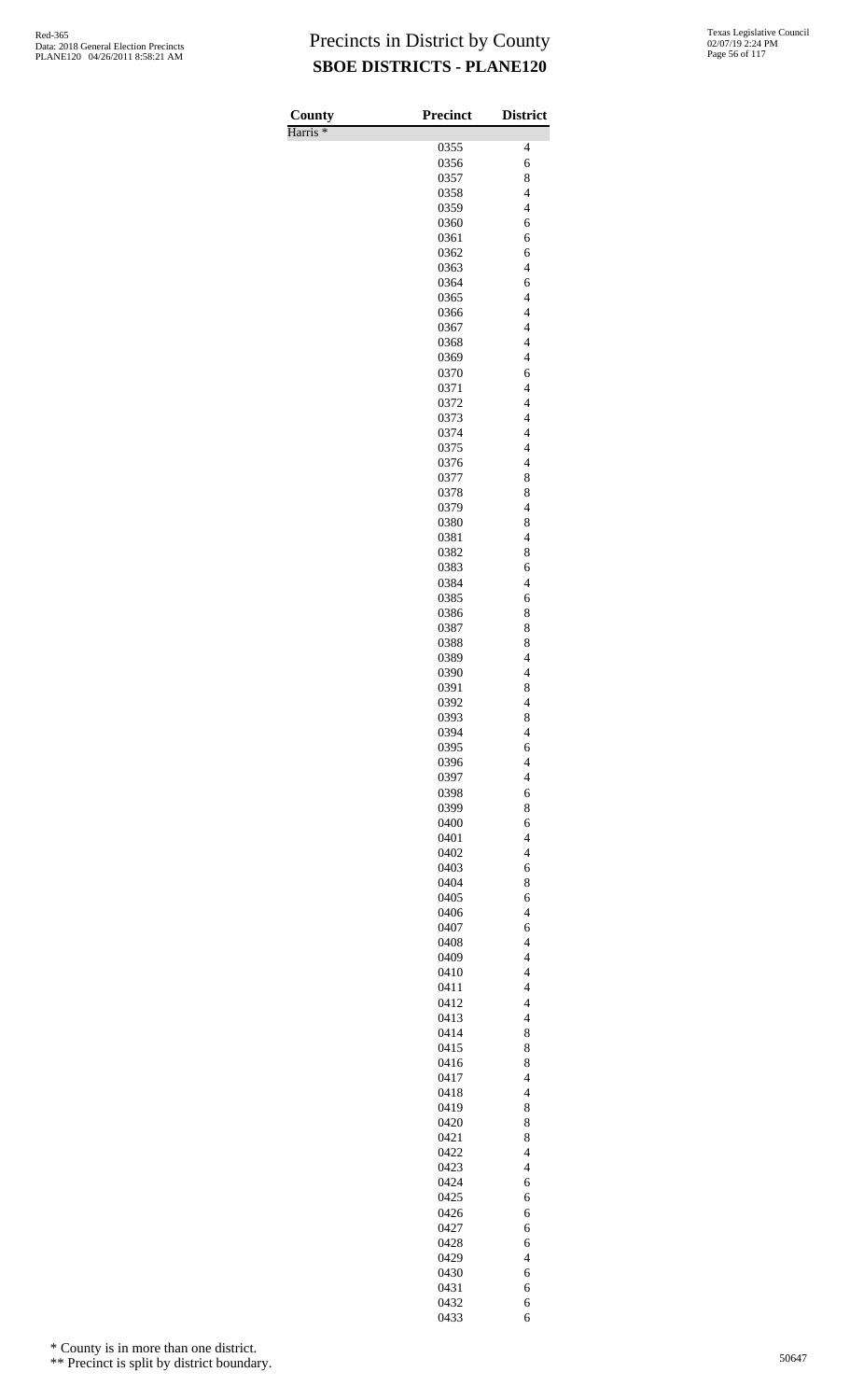Harris \*

| County              | <b>Precinct</b> | <b>District</b>                  |
|---------------------|-----------------|----------------------------------|
| Harris <sup>*</sup> |                 |                                  |
|                     | 0355            | 4                                |
|                     | 0356<br>0357    | 6<br>8                           |
|                     | 0358            | $\overline{4}$                   |
|                     | 0359            | $\overline{4}$                   |
|                     | 0360            | 6                                |
|                     | 0361            | 6                                |
|                     | 0362            | 6                                |
|                     | 0363            | $\overline{\mathcal{L}}$         |
|                     | 0364            | 6                                |
|                     | 0365            | $\overline{\mathcal{L}}$         |
|                     | 0366            | $\overline{\mathcal{L}}$         |
|                     | 0367            | $\overline{4}$                   |
|                     | 0368            | $\overline{4}$                   |
|                     | 0369            | $\overline{4}$                   |
|                     | 0370<br>0371    | 6<br>$\overline{\mathcal{L}}$    |
|                     | 0372            | $\overline{\mathcal{L}}$         |
|                     | 0373            | $\overline{4}$                   |
|                     | 0374            | $\overline{4}$                   |
|                     | 0375            | $\overline{\mathcal{L}}$         |
|                     | 0376            | $\overline{\mathcal{L}}$         |
|                     | 0377            | 8                                |
|                     | 0378            | 8                                |
|                     | 0379            | $\overline{4}$                   |
|                     | 0380            | 8                                |
|                     | 0381            | $\overline{\mathcal{L}}$         |
|                     | 0382            | 8                                |
|                     | 0383            | 6                                |
|                     | 0384            | $\overline{4}$                   |
|                     | 0385            | 6                                |
|                     | 0386            | 8                                |
|                     | 0387            | 8                                |
|                     | 0388            | 8                                |
|                     | 0389            | $\overline{4}$                   |
|                     | 0390            | $\overline{\mathcal{L}}$         |
|                     | 0391<br>0392    | 8<br>$\overline{4}$              |
|                     | 0393            | 8                                |
|                     | 0394            | $\overline{\mathcal{L}}$         |
|                     | 0395            | 6                                |
|                     | 0396            | $\overline{\mathcal{L}}$         |
|                     | 0397            | $\overline{\mathcal{L}}$         |
|                     | 0398            | 6                                |
|                     | 0399            | 8                                |
|                     | 0400            | 6                                |
|                     | 0401            | $\overline{4}$                   |
|                     | 0402            | $\overline{4}$                   |
|                     | 0403            | 6                                |
|                     | 0404            | 8                                |
|                     | 0405            | 6                                |
|                     | 0406            | $\overline{4}$                   |
|                     | 0407            | 6                                |
|                     | 0408            | $\overline{4}$                   |
|                     | 0409            | $\overline{4}$                   |
|                     | 0410            | $\overline{4}$                   |
|                     | 0411            | $\overline{\mathcal{L}}$         |
|                     | 0412<br>0413    | $\overline{4}$<br>$\overline{4}$ |
|                     | 0414            | 8                                |
|                     | 0415            | 8                                |
|                     | 0416            | 8                                |
|                     | 0417            | $\overline{\mathcal{L}}$         |
|                     | 0418            | $\overline{4}$                   |
|                     | 0419            | 8                                |
|                     | 0420            | 8                                |
|                     | 0421            | 8                                |
|                     | 0422            | $\overline{4}$                   |
|                     | 0423            | $\overline{4}$                   |
|                     | 0424            | 6                                |
|                     | 0425            | 6                                |
|                     | 0426            | 6                                |
|                     | 0427            | 6                                |
|                     | 0428            | 6                                |
|                     | 0429            | $\overline{4}$                   |
|                     | 0430            | 6                                |
|                     | 0431            | 6                                |
|                     | 0432            | 6                                |
|                     | 0433            | 6                                |

\* County is in more than one district.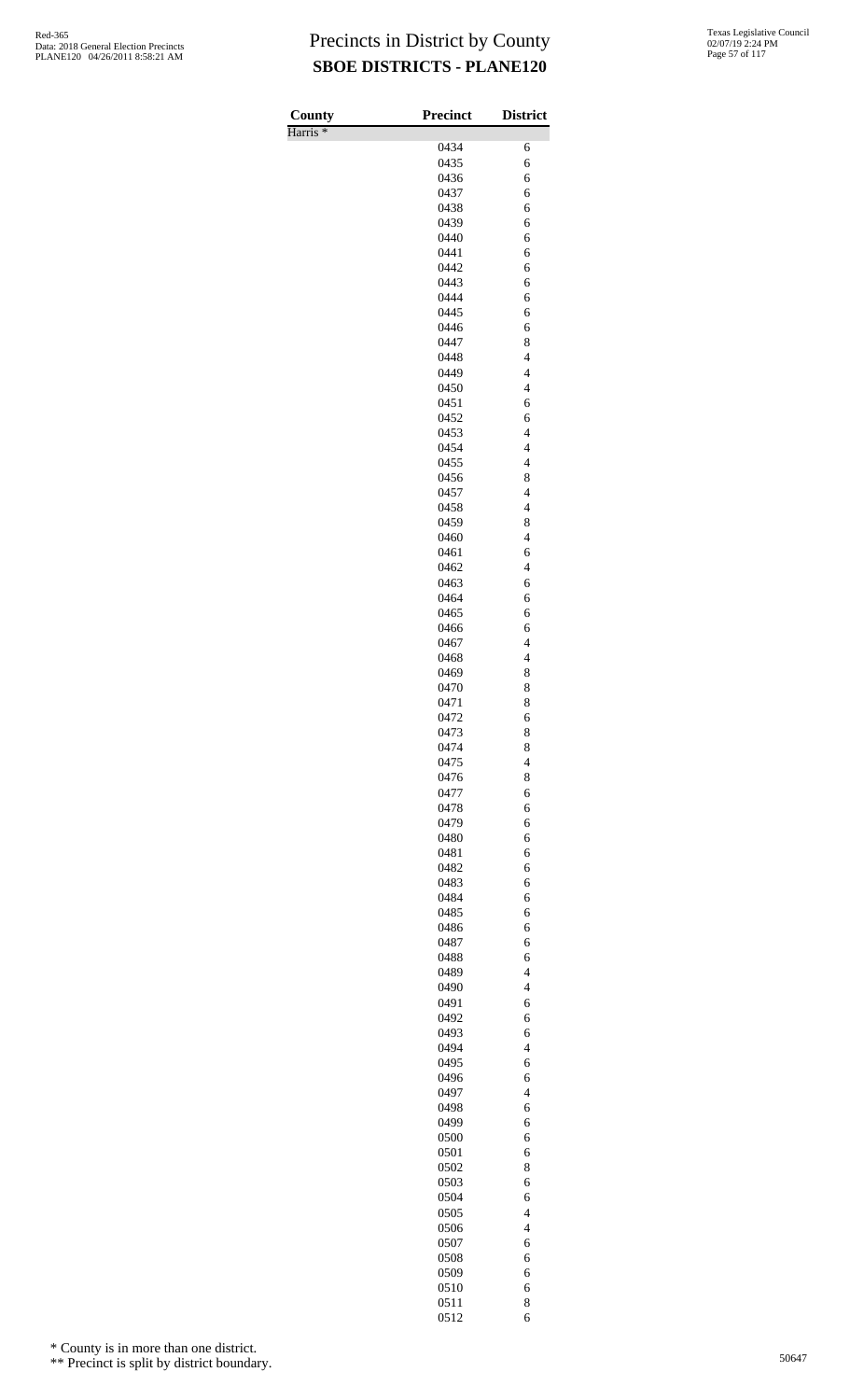| County              | <b>Precinct</b> | <b>District</b>                            |
|---------------------|-----------------|--------------------------------------------|
| Harris <sup>*</sup> | 0434            | 6                                          |
|                     | 0435            | 6                                          |
|                     | 0436            | 6                                          |
|                     | 0437            | 6                                          |
|                     | 0438            | 6                                          |
|                     | 0439            | 6                                          |
|                     | 0440            | 6                                          |
|                     | 0441<br>0442    | 6<br>6                                     |
|                     | 0443            | 6                                          |
|                     | 0444            | 6                                          |
|                     | 0445            | 6                                          |
|                     | 0446            | 6                                          |
|                     | 0447            | 8                                          |
|                     | 0448            | $\overline{4}$                             |
|                     | 0449<br>0450    | $\overline{4}$<br>$\overline{4}$           |
|                     | 0451            | 6                                          |
|                     | 0452            | 6                                          |
|                     | 0453            | $\overline{4}$                             |
|                     | 0454            | $\overline{4}$                             |
|                     | 0455            | $\overline{4}$                             |
|                     | 0456            | 8                                          |
|                     | 0457            | $\overline{4}$<br>$\overline{4}$           |
|                     | 0458<br>0459    | 8                                          |
|                     | 0460            | $\overline{4}$                             |
|                     | 0461            | 6                                          |
|                     | 0462            | $\overline{4}$                             |
|                     | 0463            | 6                                          |
|                     | 0464            | 6                                          |
|                     | 0465            | 6                                          |
|                     | 0466<br>0467    | 6<br>$\overline{4}$                        |
|                     | 0468            | $\overline{\mathcal{L}}$                   |
|                     | 0469            | 8                                          |
|                     | 0470            | 8                                          |
|                     | 0471            | 8                                          |
|                     | 0472            | 6                                          |
|                     | 0473<br>0474    | 8<br>8                                     |
|                     | 0475            | $\overline{\mathcal{L}}$                   |
|                     | 0476            | 8                                          |
|                     | 0477            | 6                                          |
|                     | 0478            | 6                                          |
|                     | 0479            | 6                                          |
|                     | 0480            | 6                                          |
|                     | 0481<br>0482    | 6<br>6                                     |
|                     | 0483            | 6                                          |
|                     | 0484            | 6                                          |
|                     | 0485            | 6                                          |
|                     | 0486            | 6                                          |
|                     | 0487            | 6                                          |
|                     | 0488            | 6                                          |
|                     | 0489<br>0490    | $\overline{\mathcal{L}}$<br>$\overline{4}$ |
|                     | 0491            | 6                                          |
|                     | 0492            | 6                                          |
|                     | 0493            | 6                                          |
|                     | 0494            | $\overline{\mathcal{L}}$                   |
|                     | 0495            | 6                                          |
|                     | 0496<br>0497    | 6<br>$\overline{\mathcal{L}}$              |
|                     | 0498            | 6                                          |
|                     | 0499            | 6                                          |
|                     | 0500            | 6                                          |
|                     | 0501            | 6                                          |
|                     | 0502            | 8                                          |
|                     | 0503            | 6                                          |
|                     | 0504            | 6                                          |
|                     | 0505<br>0506    | $\overline{\mathcal{L}}$<br>$\overline{4}$ |
|                     | 0507            | 6                                          |
|                     | 0508            | 6                                          |
|                     | 0509            | 6                                          |
|                     | 0510            | 6                                          |
|                     | 0511            | 8                                          |

6

\* County is in more than one district.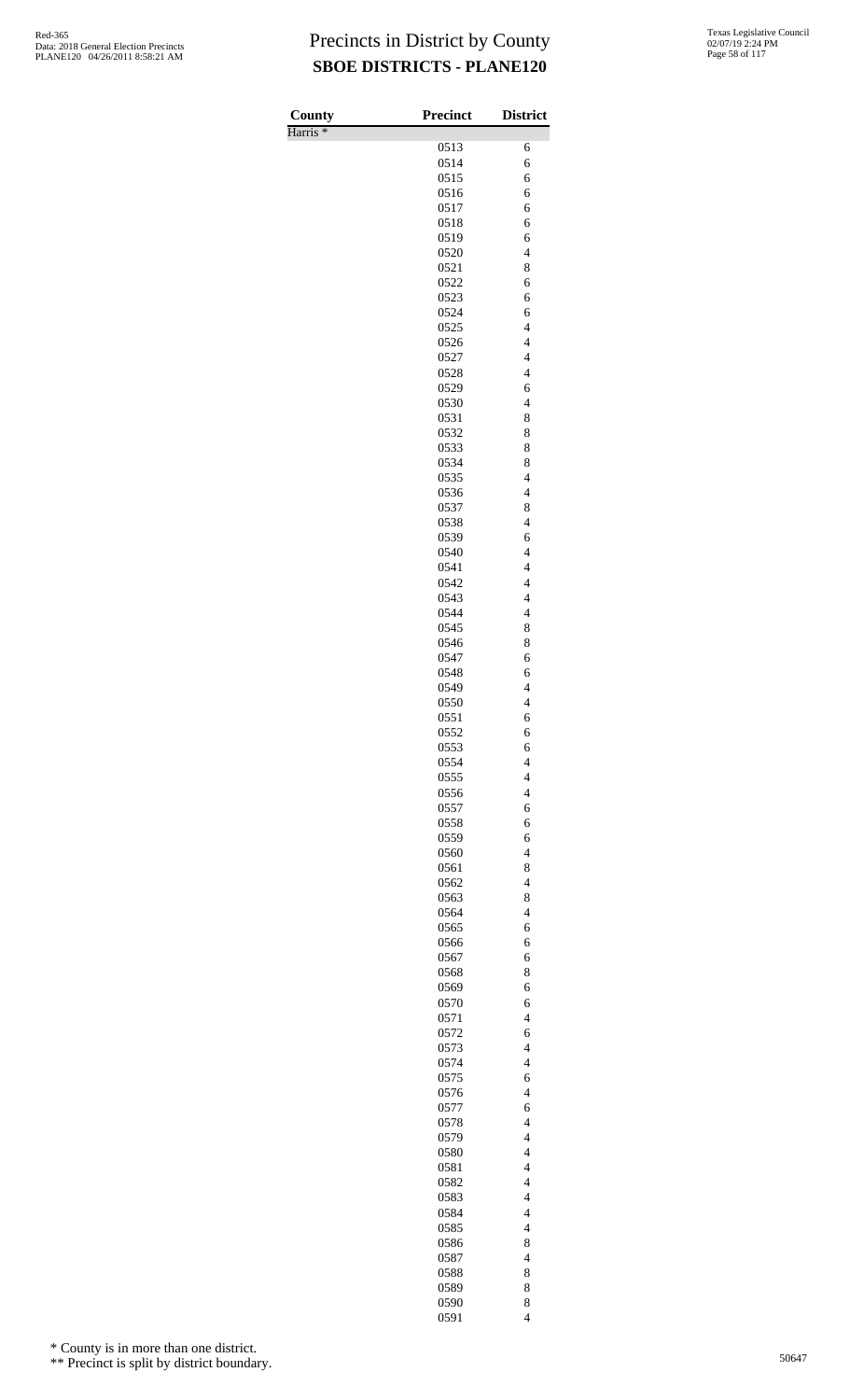| County<br>Harris <sup>*</sup> | <b>Precinct</b> | <b>District</b>               |
|-------------------------------|-----------------|-------------------------------|
|                               | 0513            | 6                             |
|                               | 0514            | 6                             |
|                               | 0515            | 6                             |
|                               | 0516            | 6                             |
|                               | 0517            | 6                             |
|                               | 0518            | 6                             |
|                               | 0519            | 6                             |
|                               | 0520            | $\overline{4}$                |
|                               | 0521<br>0522    | 8<br>6                        |
|                               | 0523            | 6                             |
|                               | 0524            | 6                             |
|                               | 0525            | $\overline{4}$                |
|                               | 0526            | $\overline{\mathcal{L}}$      |
|                               | 0527            | $\overline{4}$                |
|                               | 0528            | $\overline{4}$                |
|                               | 0529            | 6                             |
|                               | 0530<br>0531    | $\overline{\mathcal{L}}$<br>8 |
|                               | 0532            | 8                             |
|                               | 0533            | 8                             |
|                               | 0534            | 8                             |
|                               | 0535            | $\overline{\mathcal{L}}$      |
|                               | 0536            | $\overline{\mathcal{L}}$      |
|                               | 0537            | 8                             |
|                               | 0538            | $\overline{4}$                |
|                               | 0539            | 6<br>$\overline{4}$           |
|                               | 0540<br>0541    | $\overline{\mathcal{L}}$      |
|                               | 0542            | $\overline{\mathcal{L}}$      |
|                               | 0543            | $\overline{4}$                |
|                               | 0544            | $\overline{\mathcal{L}}$      |
|                               | 0545            | 8                             |
|                               | 0546            | 8                             |
|                               | 0547            | 6                             |
|                               | 0548<br>0549    | 6<br>$\overline{\mathcal{L}}$ |
|                               | 0550            | $\overline{4}$                |
|                               | 0551            | 6                             |
|                               | 0552            | 6                             |
|                               | 0553            | 6                             |
|                               | 0554            | $\overline{4}$                |
|                               | 0555            | $\overline{\mathcal{L}}$      |
|                               | 0556            | $\overline{\mathcal{L}}$      |
|                               | 0557            | 6                             |
|                               | 0558<br>0559    | 6<br>6                        |
|                               | 0560            | $\overline{\mathcal{L}}$      |
|                               | 0561            | 8                             |
|                               | 0562            | $\overline{\mathbf{4}}$       |
|                               | 0563            | 8                             |
|                               | 0564            | $\overline{\mathcal{L}}$      |
|                               | 0565            | 6                             |
|                               | 0566<br>0567    | 6<br>6                        |
|                               | 0568            | 8                             |
|                               | 0569            | 6                             |
|                               | 0570            | 6                             |
|                               | 0571            | $\overline{\mathcal{L}}$      |
|                               | 0572            | 6                             |
|                               | 0573            | $\overline{4}$                |
|                               | 0574            | $\overline{\mathcal{L}}$      |
|                               | 0575            | 6                             |
|                               | 0576<br>0577    | $\overline{\mathcal{L}}$<br>6 |
|                               | 0578            | $\overline{4}$                |
|                               | 0579            | $\overline{\mathcal{L}}$      |
|                               | 0580            | $\overline{\mathcal{L}}$      |
|                               | 0581            | $\overline{\mathcal{L}}$      |
|                               | 0582            | $\overline{\mathbf{4}}$       |
|                               | 0583            | $\overline{4}$                |
|                               | 0584            | $\overline{\mathcal{L}}$      |
|                               | 0585<br>0586    | $\overline{\mathcal{L}}$<br>8 |
|                               | 0587            | $\overline{\mathbf{4}}$       |
|                               | 0588            | 8                             |
|                               | 0589            | 8                             |
|                               | 0590            | 8                             |
|                               | 0591            | $\overline{4}$                |

\* County is in more than one district.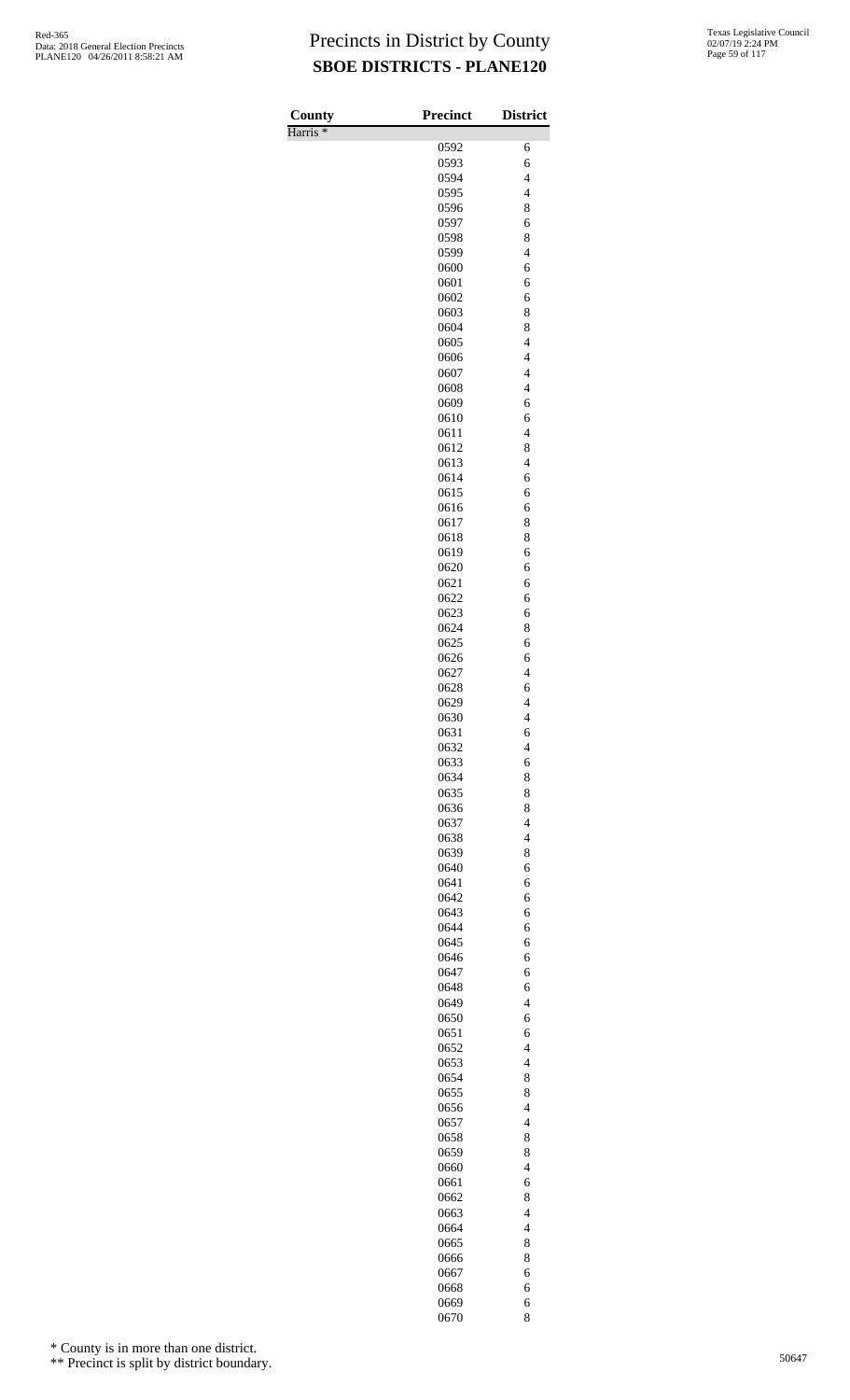Harris \*

| County              | <b>Precinct</b> | <b>District</b>                            |
|---------------------|-----------------|--------------------------------------------|
| Harris <sup>*</sup> | 0592            | 6                                          |
|                     | 0593            | 6                                          |
|                     | 0594            | $\overline{4}$                             |
|                     | 0595            | $\overline{4}$                             |
|                     | 0596            | 8                                          |
|                     | 0597            | 6                                          |
|                     | 0598            | 8                                          |
|                     | 0599            | $\overline{4}$                             |
|                     | 0600<br>0601    | 6<br>6                                     |
|                     | 0602            | 6                                          |
|                     | 0603            | 8                                          |
|                     | 0604            | 8                                          |
|                     | 0605            | $\overline{4}$                             |
|                     | 0606            | $\overline{4}$                             |
|                     | 0607            | $\overline{\mathcal{L}}$                   |
|                     | 0608            | $\overline{4}$                             |
|                     | 0609            | 6<br>6                                     |
|                     | 0610<br>0611    | $\overline{\mathcal{L}}$                   |
|                     | 0612            | 8                                          |
|                     | 0613            | $\overline{4}$                             |
|                     | 0614            | 6                                          |
|                     | 0615            | 6                                          |
|                     | 0616            | 6                                          |
|                     | 0617            | 8                                          |
|                     | 0618            | 8                                          |
|                     | 0619<br>0620    | 6<br>6                                     |
|                     | 0621            | 6                                          |
|                     | 0622            | 6                                          |
|                     | 0623            | 6                                          |
|                     | 0624            | 8                                          |
|                     | 0625            | 6                                          |
|                     | 0626            | 6                                          |
|                     | 0627            | $\overline{\mathcal{L}}$                   |
|                     | 0628            | 6                                          |
|                     | 0629            | $\overline{4}$<br>$\overline{\mathcal{L}}$ |
|                     | 0630<br>0631    | 6                                          |
|                     | 0632            | $\overline{4}$                             |
|                     | 0633            | 6                                          |
|                     | 0634            | 8                                          |
|                     | 0635            | 8                                          |
|                     | 0636            | 8                                          |
|                     | 0637            | $\overline{4}$                             |
|                     | 0638            | $\overline{\mathcal{L}}$                   |
|                     | 0639            | 8                                          |
|                     | 0640<br>0641    | 6<br>6                                     |
|                     | 0642            | 6                                          |
|                     | 0643            | 6                                          |
|                     | 0644            | 6                                          |
|                     | 0645            | 6                                          |
|                     | 0646            | 6                                          |
|                     | 0647            | 6                                          |
|                     | 0648            | 6                                          |
|                     | 0649            | $\overline{4}$                             |
|                     | 0650<br>0651    | 6<br>6                                     |
|                     | 0652            | $\overline{4}$                             |
|                     | 0653            | $\overline{\mathcal{L}}$                   |
|                     | 0654            | 8                                          |
|                     | 0655            | 8                                          |
|                     | 0656            | $\overline{4}$                             |
|                     | 0657            | $\overline{4}$                             |
|                     | 0658            | 8                                          |
|                     | 0659            | 8                                          |
|                     | 0660            | $\overline{4}$                             |
|                     | 0661<br>0662    | 6<br>8                                     |
|                     | 0663            | $\overline{\mathcal{L}}$                   |
|                     | 0664            | $\overline{\mathcal{L}}$                   |
|                     | 0665            | 8                                          |
|                     | 0666            | 8                                          |
|                     | 0667            | 6                                          |
|                     | 0668            | 6                                          |
|                     | 0669            | 6                                          |

8

\* County is in more than one district.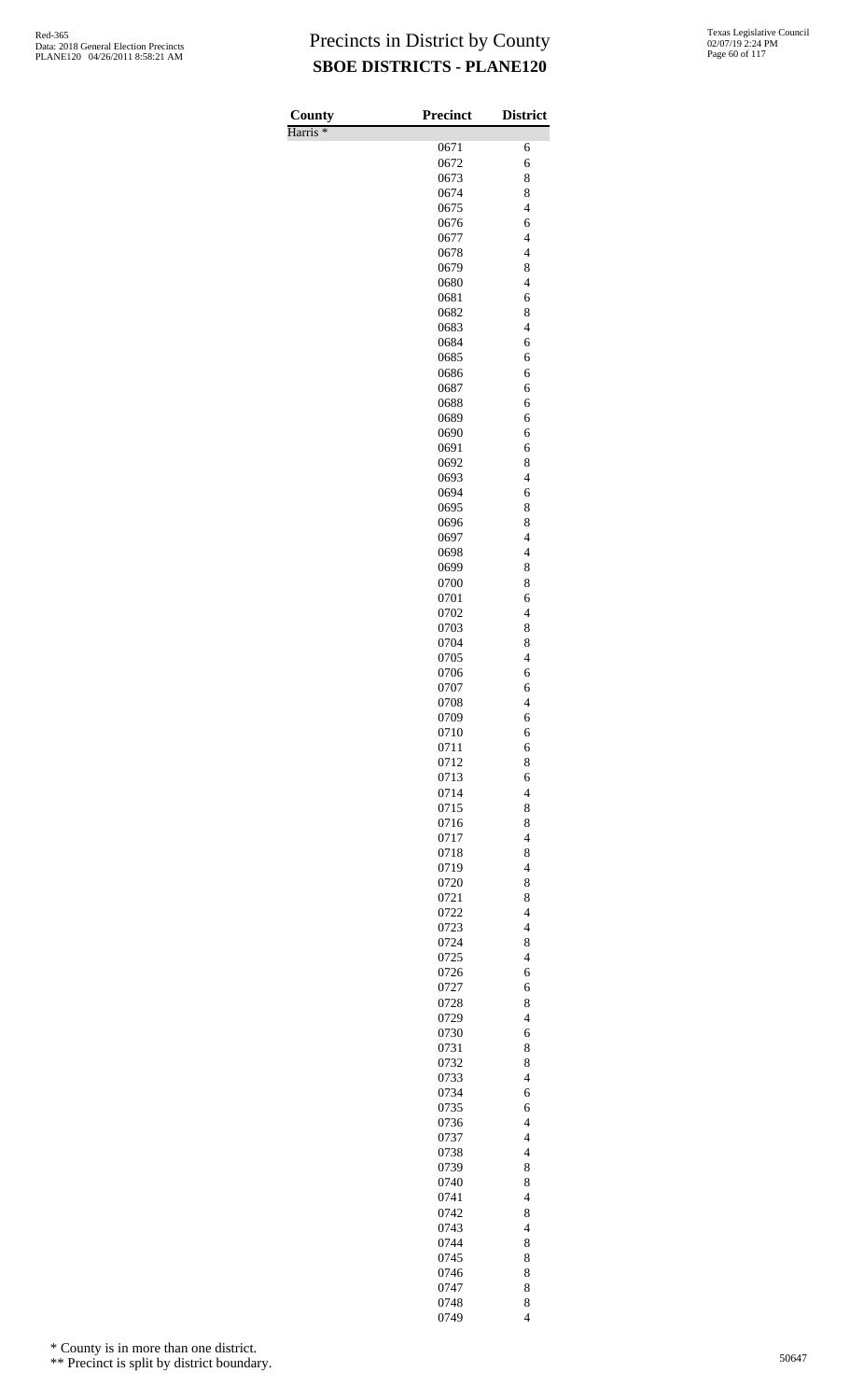Harris \*

| County              | <b>Precinct</b> | <b>District</b>               |
|---------------------|-----------------|-------------------------------|
| Harris <sup>*</sup> |                 |                               |
|                     | 0671<br>0672    | 6<br>6                        |
|                     | 0673            | 8                             |
|                     | 0674            | 8                             |
|                     | 0675            | $\overline{4}$                |
|                     | 0676            | 6                             |
|                     | 0677            | $\overline{\mathcal{L}}$      |
|                     | 0678<br>0679    | $\overline{4}$<br>8           |
|                     | 0680            | $\overline{4}$                |
|                     | 0681            | 6                             |
|                     | 0682            | 8                             |
|                     | 0683            | $\overline{4}$                |
|                     | 0684            | 6                             |
|                     | 0685<br>0686    | 6<br>6                        |
|                     | 0687            | 6                             |
|                     | 0688            | 6                             |
|                     | 0689            | 6                             |
|                     | 0690            | 6                             |
|                     | 0691            | 6                             |
|                     | 0692<br>0693    | 8<br>$\overline{4}$           |
|                     | 0694            | 6                             |
|                     | 0695            | 8                             |
|                     | 0696            | 8                             |
|                     | 0697            | $\overline{\mathcal{L}}$      |
|                     | 0698            | $\overline{4}$                |
|                     | 0699<br>0700    | 8<br>8                        |
|                     | 0701            | 6                             |
|                     | 0702            | $\overline{4}$                |
|                     | 0703            | 8                             |
|                     | 0704            | 8                             |
|                     | 0705            | $\overline{4}$                |
|                     | 0706<br>0707    | 6                             |
|                     | 0708            | 6<br>$\overline{4}$           |
|                     | 0709            | 6                             |
|                     | 0710            | 6                             |
|                     | 0711            | 6                             |
|                     | 0712            | 8                             |
|                     | 0713<br>0714    | 6<br>$\overline{\mathcal{L}}$ |
|                     | 0715            | 8                             |
|                     | 0716            | 8                             |
|                     | 0717            | $\overline{4}$                |
|                     | 0718            | 8                             |
|                     | 0719            | $\overline{\mathcal{L}}$      |
|                     | 0720            | 8                             |
|                     | 0721<br>0722    | 8<br>$\overline{4}$           |
|                     | 0723            | $\overline{4}$                |
|                     | 0724            | 8                             |
|                     | 0725            | $\overline{4}$                |
|                     | 0726            | 6                             |
|                     | 0727            | 6                             |
|                     | 0728<br>0729    | 8<br>$\overline{\mathcal{L}}$ |
|                     | 0730            | 6                             |
|                     | 0731            | 8                             |
|                     | 0732            | 8                             |
|                     | 0733            | $\overline{4}$                |
|                     | 0734            | 6                             |
|                     | 0735<br>0736    | 6<br>$\overline{4}$           |
|                     | 0737            | $\overline{4}$                |
|                     | 0738            | $\overline{\mathcal{L}}$      |
|                     | 0739            | 8                             |
|                     | 0740            | 8                             |
|                     | 0741            | $\overline{4}$                |
|                     | 0742            | 8                             |
|                     | 0743<br>0744    | $\overline{\mathcal{L}}$<br>8 |
|                     | 0745            | 8                             |
|                     | 0746            | 8                             |
|                     | 0747            | 8                             |
|                     | 0748            | 8                             |
|                     | 0749            | $\overline{4}$                |

\* County is in more than one district.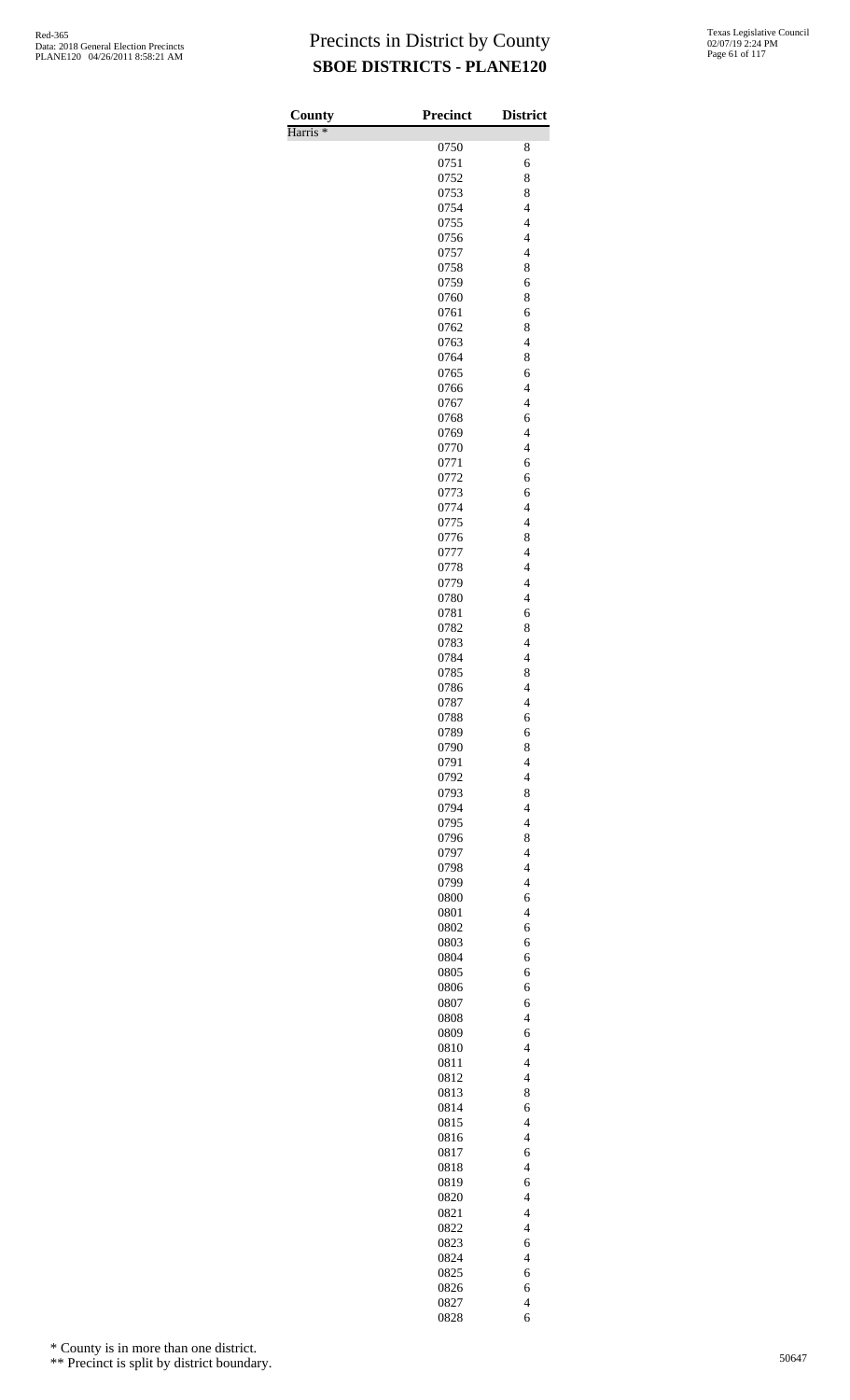Harris \*

| County<br>Harris <sup>*</sup> | <b>Precinct</b> | <b>District</b>                            |
|-------------------------------|-----------------|--------------------------------------------|
|                               | 0750            | 8                                          |
|                               | 0751            | 6                                          |
|                               | 0752            | 8                                          |
|                               | 0753            | 8                                          |
|                               | 0754            | $\overline{\mathcal{L}}$                   |
|                               | 0755            | $\overline{\mathcal{L}}$                   |
|                               | 0756            | $\overline{\mathcal{L}}$                   |
|                               | 0757<br>0758    | $\overline{4}$<br>8                        |
|                               | 0759            | 6                                          |
|                               | 0760            | 8                                          |
|                               | 0761            | 6                                          |
|                               | 0762            | 8                                          |
|                               | 0763            | $\overline{4}$                             |
|                               | 0764            | 8                                          |
|                               | 0765            | 6                                          |
|                               | 0766            | $\overline{4}$                             |
|                               | 0767<br>0768    | $\overline{4}$<br>6                        |
|                               | 0769            | $\overline{\mathcal{L}}$                   |
|                               | 0770            | $\overline{\mathcal{L}}$                   |
|                               | 0771            | 6                                          |
|                               | 0772            | 6                                          |
|                               | 0773            | 6                                          |
|                               | 0774            | $\overline{\mathbf{4}}$                    |
|                               | 0775            | $\overline{\mathcal{L}}$                   |
|                               | 0776            | 8<br>$\overline{4}$                        |
|                               | 0777<br>0778    | $\overline{4}$                             |
|                               | 0779            | $\overline{\mathcal{L}}$                   |
|                               | 0780            | $\overline{\mathcal{L}}$                   |
|                               | 0781            | 6                                          |
|                               | 0782            | 8                                          |
|                               | 0783            | $\overline{4}$                             |
|                               | 0784            | $\overline{\mathbf{4}}$                    |
|                               | 0785            | 8                                          |
|                               | 0786<br>0787    | $\overline{4}$<br>$\overline{\mathcal{L}}$ |
|                               | 0788            | 6                                          |
|                               | 0789            | 6                                          |
|                               | 0790            | 8                                          |
|                               | 0791            | $\overline{4}$                             |
|                               | 0792            | $\overline{4}$                             |
|                               | 0793            | 8                                          |
|                               | 0794            | $\overline{\mathcal{L}}$                   |
|                               | 0795            | $\overline{\mathcal{L}}$                   |
|                               | 0796<br>0797    | 8<br>$\overline{\mathcal{L}}$              |
|                               | 0798            | $\overline{4}$                             |
|                               | 0799            | $\overline{\mathcal{L}}$                   |
|                               | 0800            | 6                                          |
|                               | 0801            | $\overline{4}$                             |
|                               | 0802            | 6                                          |
|                               | 0803            | 6                                          |
|                               | 0804            | 6                                          |
|                               | 0805<br>0806    | 6<br>6                                     |
|                               | 0807            | 6                                          |
|                               | 0808            | $\overline{4}$                             |
|                               | 0809            | 6                                          |
|                               | 0810            | $\overline{\mathcal{L}}$                   |
|                               | 0811            | $\overline{\mathcal{L}}$                   |
|                               | 0812            | $\overline{4}$                             |
|                               | 0813            | 8                                          |
|                               | 0814            | 6<br>$\overline{4}$                        |
|                               | 0815<br>0816    | $\overline{4}$                             |
|                               | 0817            | 6                                          |
|                               | 0818            | $\overline{4}$                             |
|                               | 0819            | 6                                          |
|                               | 0820            | $\overline{\mathcal{L}}$                   |
|                               | 0821            | $\overline{\mathcal{L}}$                   |
|                               | 0822            | $\overline{4}$                             |
|                               | 0823            | 6                                          |
|                               | 0824            | $\overline{\mathcal{L}}$                   |
|                               | 0825<br>0826    | 6<br>6                                     |
|                               | 0827            | $\overline{\mathcal{L}}$                   |
|                               | 0828            | 6                                          |

\* County is in more than one district.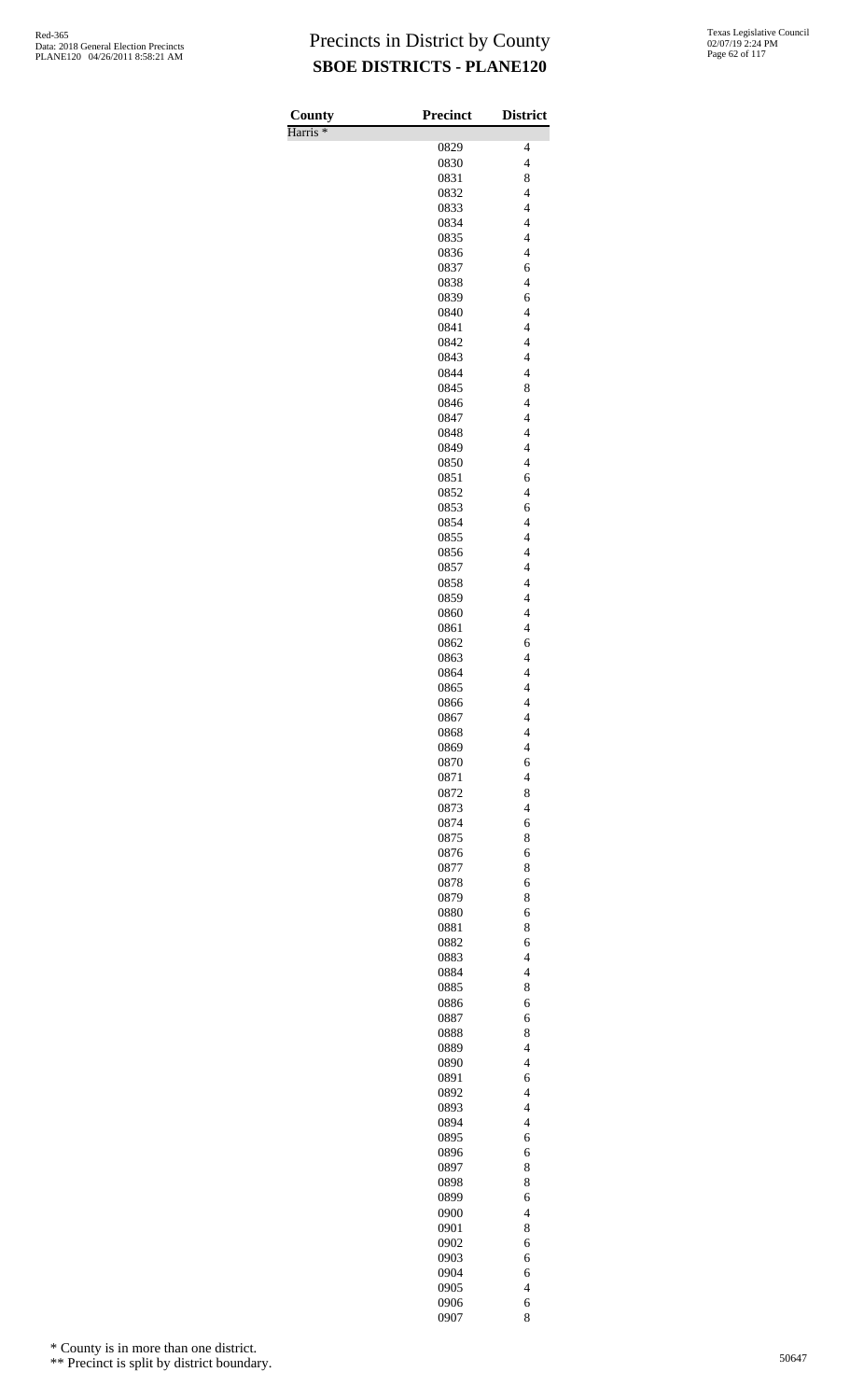Harris \*

| County              | <b>Precinct</b> | <b>District</b>                            |
|---------------------|-----------------|--------------------------------------------|
| Harris <sup>*</sup> | 0829            | $\overline{4}$                             |
|                     | 0830            | $\overline{4}$                             |
|                     | 0831            | 8                                          |
|                     | 0832            | $\overline{4}$                             |
|                     | 0833            | $\overline{\mathcal{L}}$                   |
|                     | 0834<br>0835    | $\overline{\mathcal{L}}$<br>$\overline{4}$ |
|                     | 0836            | $\overline{\mathcal{L}}$                   |
|                     | 0837            | 6                                          |
|                     | 0838            | $\overline{4}$                             |
|                     | 0839            | 6                                          |
|                     | 0840<br>0841    | $\overline{4}$<br>$\overline{\mathcal{L}}$ |
|                     | 0842            | $\overline{4}$                             |
|                     | 0843            | $\overline{4}$                             |
|                     | 0844            | $\overline{\mathcal{L}}$                   |
|                     | 0845            | 8<br>$\overline{\mathcal{L}}$              |
|                     | 0846<br>0847    | $\overline{4}$                             |
|                     | 0848            | $\overline{\mathcal{L}}$                   |
|                     | 0849            | $\overline{\mathcal{L}}$                   |
|                     | 0850            | $\overline{4}$                             |
|                     | 0851<br>0852    | 6<br>$\overline{4}$                        |
|                     | 0853            | 6                                          |
|                     | 0854            | $\overline{4}$                             |
|                     | 0855            | $\overline{\mathcal{L}}$                   |
|                     | 0856            | $\overline{\mathcal{L}}$                   |
|                     | 0857<br>0858    | $\overline{4}$<br>$\overline{4}$           |
|                     | 0859            | $\overline{\mathcal{L}}$                   |
|                     | 0860            | $\overline{4}$                             |
|                     | 0861            | $\overline{4}$                             |
|                     | 0862            | 6<br>$\overline{4}$                        |
|                     | 0863<br>0864    | $\overline{4}$                             |
|                     | 0865            | $\overline{\mathcal{L}}$                   |
|                     | 0866            | $\overline{4}$                             |
|                     | 0867            | 4                                          |
|                     | 0868<br>0869    | $\overline{\mathcal{L}}$<br>$\overline{4}$ |
|                     | 0870            | 6                                          |
|                     | 0871            | $\overline{\mathcal{L}}$                   |
|                     | 0872            | 8                                          |
|                     | 0873<br>0874    | $\overline{\mathcal{L}}$<br>6              |
|                     | 0875            | 8                                          |
|                     | 0876            | 6                                          |
|                     | 0877            | 8                                          |
|                     | 0878            | 6                                          |
|                     | 0879<br>0880    | 8<br>6                                     |
|                     | 0881            | 8                                          |
|                     | 0882            | 6                                          |
|                     | 0883            | $\overline{4}$                             |
|                     | 0884            | $\overline{4}$                             |
|                     | 0885<br>0886    | 8<br>6                                     |
|                     | 0887            | 6                                          |
|                     | 0888            | 8                                          |
|                     | 0889            | $\overline{\mathcal{L}}$                   |
|                     | 0890            | $\overline{4}$                             |
|                     | 0891<br>0892    | 6<br>$\overline{4}$                        |
|                     | 0893            | $\overline{4}$                             |
|                     | 0894            | $\overline{\mathcal{L}}$                   |
|                     | 0895            | 6                                          |
|                     | 0896            | 6                                          |
|                     | 0897<br>0898    | 8<br>8                                     |
|                     | 0899            | 6                                          |
|                     | 0900            | $\overline{\mathcal{L}}$                   |
|                     | 0901            | 8                                          |
|                     | 0902<br>0903    | 6<br>6                                     |
|                     | 0904            | 6                                          |
|                     | 0905            | $\overline{4}$                             |
|                     | 0906            | 6                                          |

8

\* County is in more than one district.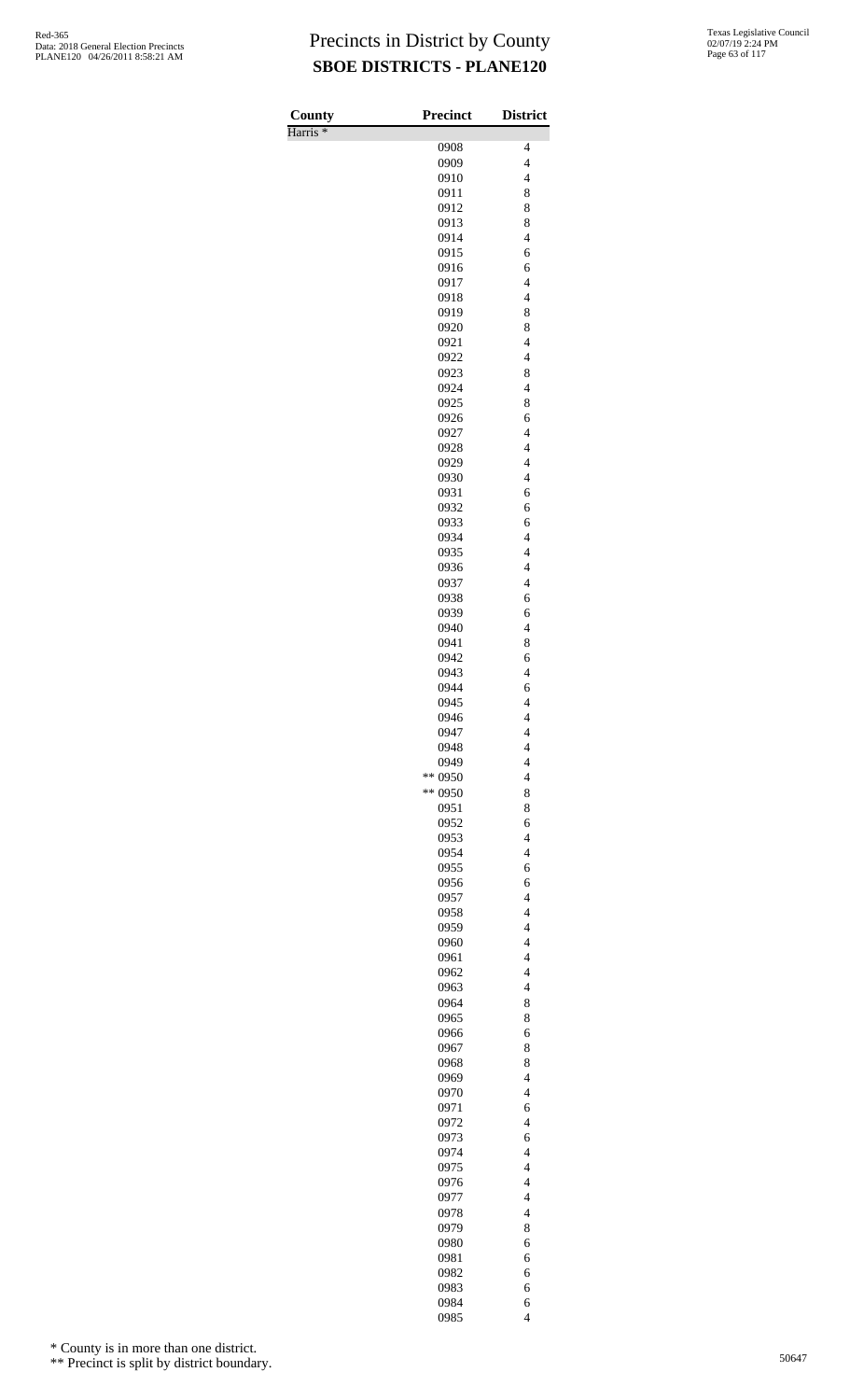Harris \*

| County<br>Harris <sup>*</sup> | <b>Precinct</b>    | <b>District</b>                            |
|-------------------------------|--------------------|--------------------------------------------|
|                               | 0908               | $\overline{\mathcal{L}}$                   |
|                               | 0909               | $\overline{4}$                             |
|                               | 0910               | $\overline{4}$                             |
|                               | 0911               | 8                                          |
|                               | 0912               | 8                                          |
|                               | 0913               | 8                                          |
|                               | 0914               | $\overline{4}$                             |
|                               | 0915<br>0916       | 6<br>6                                     |
|                               | 0917               | $\overline{\mathcal{L}}$                   |
|                               | 0918               | $\overline{4}$                             |
|                               | 0919               | 8                                          |
|                               | 0920               | 8                                          |
|                               | 0921               | $\overline{4}$                             |
|                               | 0922               | $\overline{\mathcal{L}}$                   |
|                               | 0923<br>0924       | 8<br>$\overline{4}$                        |
|                               | 0925               | 8                                          |
|                               | 0926               | 6                                          |
|                               | 0927               | $\overline{\mathcal{L}}$                   |
|                               | 0928               | $\overline{4}$                             |
|                               | 0929               | $\overline{4}$                             |
|                               | 0930               | $\overline{4}$                             |
|                               | 0931               | 6                                          |
|                               | 0932<br>0933       | 6<br>6                                     |
|                               | 0934               | $\overline{4}$                             |
|                               | 0935               | $\overline{4}$                             |
|                               | 0936               | $\overline{\mathcal{L}}$                   |
|                               | 0937               | $\overline{\mathcal{L}}$                   |
|                               | 0938               | 6                                          |
|                               | 0939               | 6                                          |
|                               | 0940               | $\overline{4}$                             |
|                               | 0941<br>0942       | 8<br>6                                     |
|                               | 0943               | $\overline{\mathcal{L}}$                   |
|                               | 0944               | 6                                          |
|                               | 0945               | $\overline{4}$                             |
|                               | 0946               | $\overline{4}$                             |
|                               | 0947               | 4                                          |
|                               | 0948               | $\overline{4}$                             |
|                               | 0949               | $\overline{4}$                             |
|                               | ** 0950<br>** 0950 | $\overline{\mathcal{L}}$<br>8              |
|                               | 0951               | 8                                          |
|                               | 0952               | 6                                          |
|                               | 0953               | $\overline{4}$                             |
|                               | 0954               | $\overline{\mathcal{L}}$                   |
|                               | 0955               | 6                                          |
|                               | 0956               | 6                                          |
|                               | 0957<br>0958       | $\overline{4}$<br>$\overline{4}$           |
|                               | 0959               | $\overline{\mathcal{L}}$                   |
|                               | 0960               | $\overline{4}$                             |
|                               | 0961               | $\overline{\mathcal{L}}$                   |
|                               | 0962               | $\overline{4}$                             |
|                               | 0963               | $\overline{4}$                             |
|                               | 0964               | 8                                          |
|                               | 0965               | 8                                          |
|                               | 0966               | 6<br>8                                     |
|                               | 0967<br>0968       | 8                                          |
|                               | 0969               | $\overline{\mathcal{L}}$                   |
|                               | 0970               | $\overline{\mathcal{L}}$                   |
|                               | 0971               | 6                                          |
|                               | 0972               | $\overline{\mathcal{L}}$                   |
|                               | 0973               | 6                                          |
|                               | 0974               | $\overline{4}$                             |
|                               | 0975               | $\overline{4}$<br>$\overline{\mathcal{L}}$ |
|                               | 0976<br>0977       | $\overline{4}$                             |
|                               | 0978               | $\overline{4}$                             |
|                               | 0979               | 8                                          |
|                               | 0980               | 6                                          |
|                               | 0981               | 6                                          |
|                               | 0982               | 6                                          |
|                               | 0983               | 6                                          |
|                               | 0984<br>0985       | 6<br>$\overline{4}$                        |
|                               |                    |                                            |

\* County is in more than one district.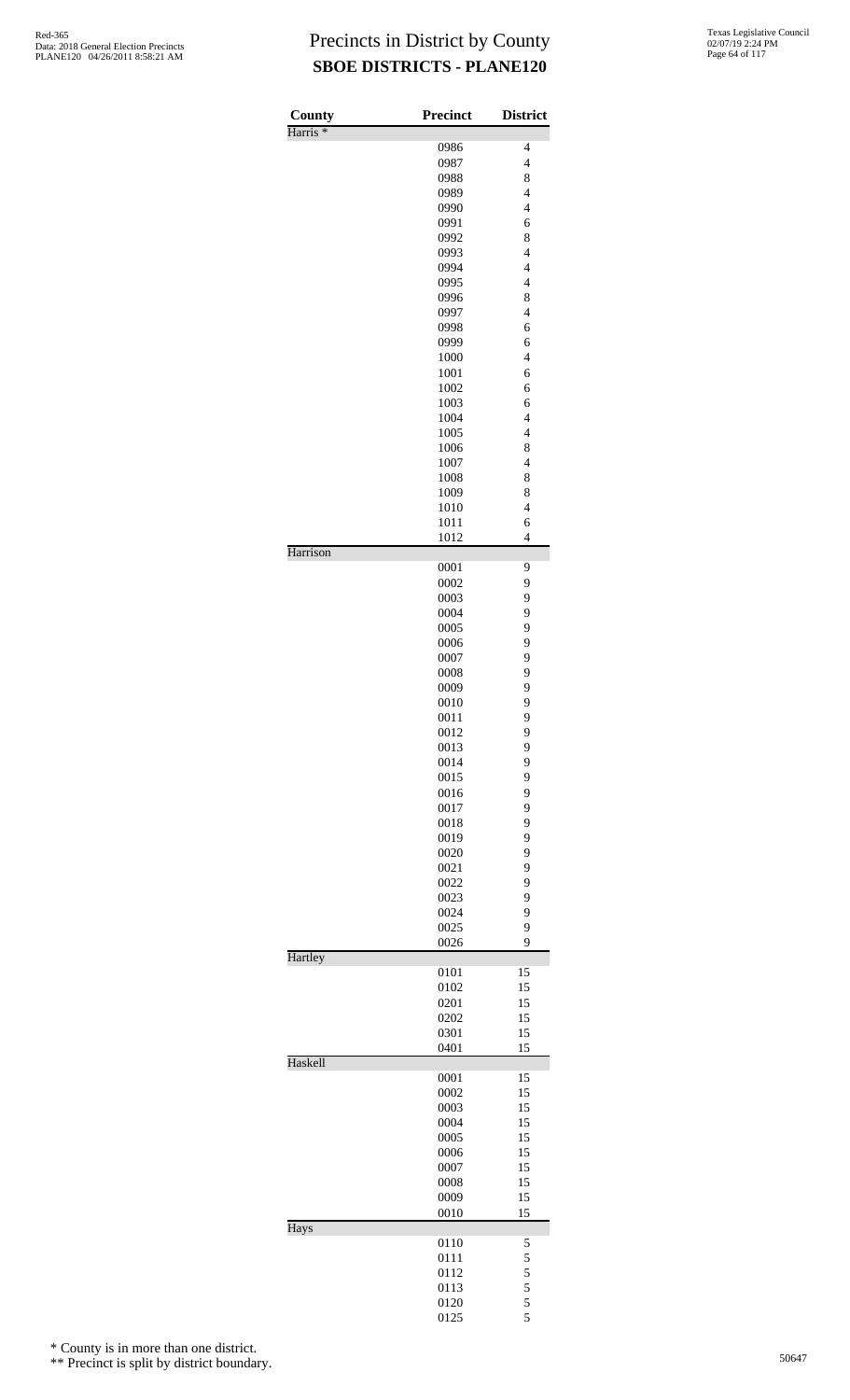| County<br>Harris <sup>*</sup> | <b>Precinct</b> | <b>District</b>     |
|-------------------------------|-----------------|---------------------|
|                               | 0986            | $\overline{4}$      |
|                               | 0987            | $\overline{4}$      |
|                               | 0988            | 8                   |
|                               | 0989            | $\overline{4}$      |
|                               | 0990            | $\overline{4}$      |
|                               | 0991            | 6                   |
|                               | 0992            | 8                   |
|                               | 0993            | $\overline{4}$      |
|                               | 0994            | $\overline{4}$      |
|                               | 0995            | $\overline{4}$      |
|                               | 0996<br>0997    | 8<br>$\overline{4}$ |
|                               | 0998            | 6                   |
|                               | 0999            | 6                   |
|                               | 1000            | $\overline{4}$      |
|                               | 1001            | 6                   |
|                               | 1002            | 6                   |
|                               | 1003            | 6                   |
|                               | 1004            | $\overline{4}$      |
|                               | 1005            | $\overline{4}$      |
|                               | 1006            | 8                   |
|                               | 1007            | $\overline{4}$      |
|                               | 1008            | 8                   |
|                               | 1009            | 8                   |
|                               | 1010            | $\overline{4}$      |
|                               | 1011<br>1012    | 6<br>$\overline{4}$ |
| Harrison                      |                 |                     |
|                               | 0001<br>0002    | 9<br>9              |
|                               | 0003            | 9                   |
|                               | 0004            | 9                   |
|                               | 0005            | 9                   |
|                               | 0006            | 9                   |
|                               | 0007            | 9                   |
|                               | 0008            | 9                   |
|                               | 0009            | 9                   |
|                               | 0010            | 9                   |
|                               | 0011            | 9                   |
|                               | 0012<br>0013    | 9<br>9              |
|                               | 0014            | 9                   |
|                               | 0015            | 9                   |
|                               | 0016            | 9                   |
|                               | 0017            | 9                   |
|                               | 0018            | 9                   |
|                               | 0019            | 9                   |
|                               | 0020            | 9                   |
|                               | 0021            | 9                   |
|                               | 0022            | 9                   |
|                               | 0023            | 9                   |
|                               | 0024            | 9                   |
|                               | 0025            | 9                   |
| Hartley                       | 0026            | 9                   |
|                               | 0101            | 15                  |
|                               | 0102            | 15                  |
|                               | 0201            | 15                  |
|                               | 0202            | 15                  |
|                               | 0301<br>0401    | 15<br>15            |
| Haskell                       |                 |                     |
|                               | 0001            | 15                  |
|                               | 0002            | 15<br>15            |
|                               | 0003<br>0004    | 15                  |
|                               | 0005            | 15                  |
|                               | 0006            | 15                  |
|                               | 0007            | 15                  |
|                               | 0008            | 15                  |
|                               | 0009            | 15                  |
| Hays                          | 0010            | 15                  |
|                               | 0110            | 5                   |
|                               | 0111            | 5                   |
|                               | 0112            | 5                   |
|                               | 0113            | 5                   |
|                               | 0120<br>0125    | 5<br>5              |
|                               |                 |                     |

\* County is in more than one district.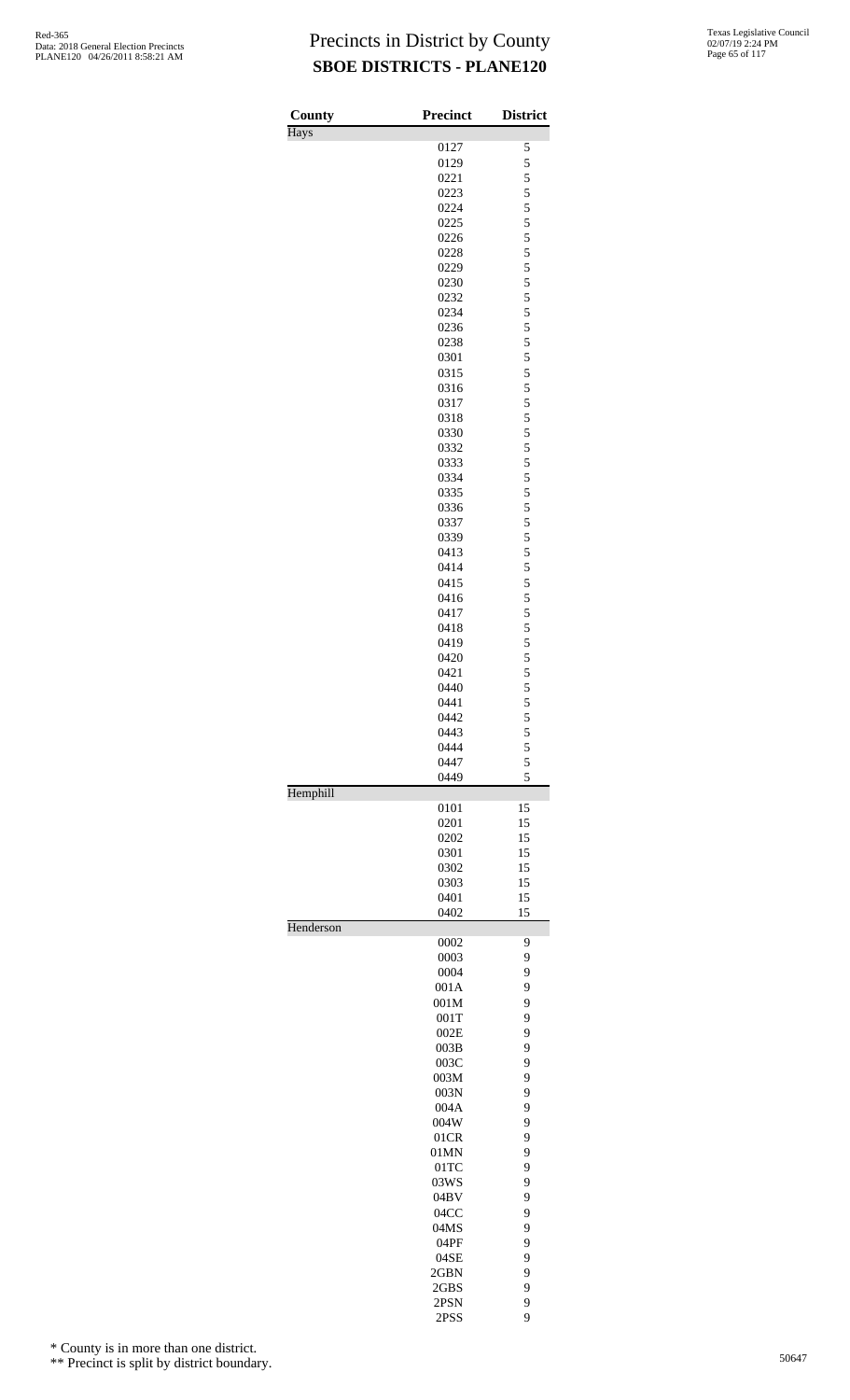| County    | <b>Precinct</b> | <b>District</b> |
|-----------|-----------------|-----------------|
| Hays      |                 |                 |
|           | 0127            | 5               |
|           | 0129            | 5               |
|           | 0221            | $\frac{5}{5}$   |
|           | 0223            | 5               |
|           | 0224<br>0225    | 5               |
|           | 0226            | 5               |
|           | 0228            |                 |
|           | 0229            | $\frac{5}{5}$   |
|           | 0230            | 5               |
|           | 0232            | 5               |
|           | 0234            | 5               |
|           | 0236            |                 |
|           | 0238            | $\frac{5}{5}$   |
|           | 0301            | 5               |
|           | 0315            | 5               |
|           | 0316            | 5               |
|           | 0317            | $\frac{5}{5}$   |
|           | 0318            |                 |
|           | 0330            | 5               |
|           | 0332            | 5               |
|           | 0333            | 5               |
|           | 0334            | $\frac{5}{5}$   |
|           | 0335            |                 |
|           | 0336            | 5               |
|           | 0337            | 5               |
|           | 0339<br>0413    | 5               |
|           | 0414            | $\frac{5}{5}$   |
|           | 0415            | 5               |
|           | 0416            | 5               |
|           | 0417            | 5               |
|           | 0418            |                 |
|           | 0419            | $\frac{5}{5}$   |
|           | 0420            | 5               |
|           | 0421            | 5               |
|           | 0440            | 5               |
|           | 0441            | 5               |
|           | 0442            | 5               |
|           | 0443            | 5               |
|           | 0444            | 5               |
|           | 0447            | 5               |
|           | 0449            | 5               |
| Hemphill  | 0101            | 15              |
|           | 0201            | 15              |
|           | 0202            | 15              |
|           | 0301            | 15              |
|           | 0302            | 15              |
|           | 0303            | 15              |
|           | 0401            | 15              |
|           | 0402            | 15              |
| Henderson |                 |                 |
|           | 0002            | 9               |
|           | 0003            | 9               |
|           | 0004            | 9               |
|           | 001A            | 9               |
|           | 001M            | 9<br>9          |
|           | 001T<br>002E    | 9               |
|           | 003B            | 9               |
|           | 003C            | 9               |
|           | 003M            | 9               |
|           | 003N            | 9               |
|           | 004A            | 9               |
|           | 004W            | 9               |
|           | 01CR            | 9               |
|           | 01MN            | 9               |
|           | $01$ TC         | 9               |
|           | 03WS            | 9               |
|           | 04BV            | 9               |
|           | 04CC            | 9               |
|           | 04MS            | 9               |
|           | 04PF            | 9               |
|           | 04SE            | 9               |
|           | 2GBN            | 9               |
|           | 2GBS            | 9               |
|           | 2PSN            | 9               |
|           | 2PSS            | 9               |

\* County is in more than one district.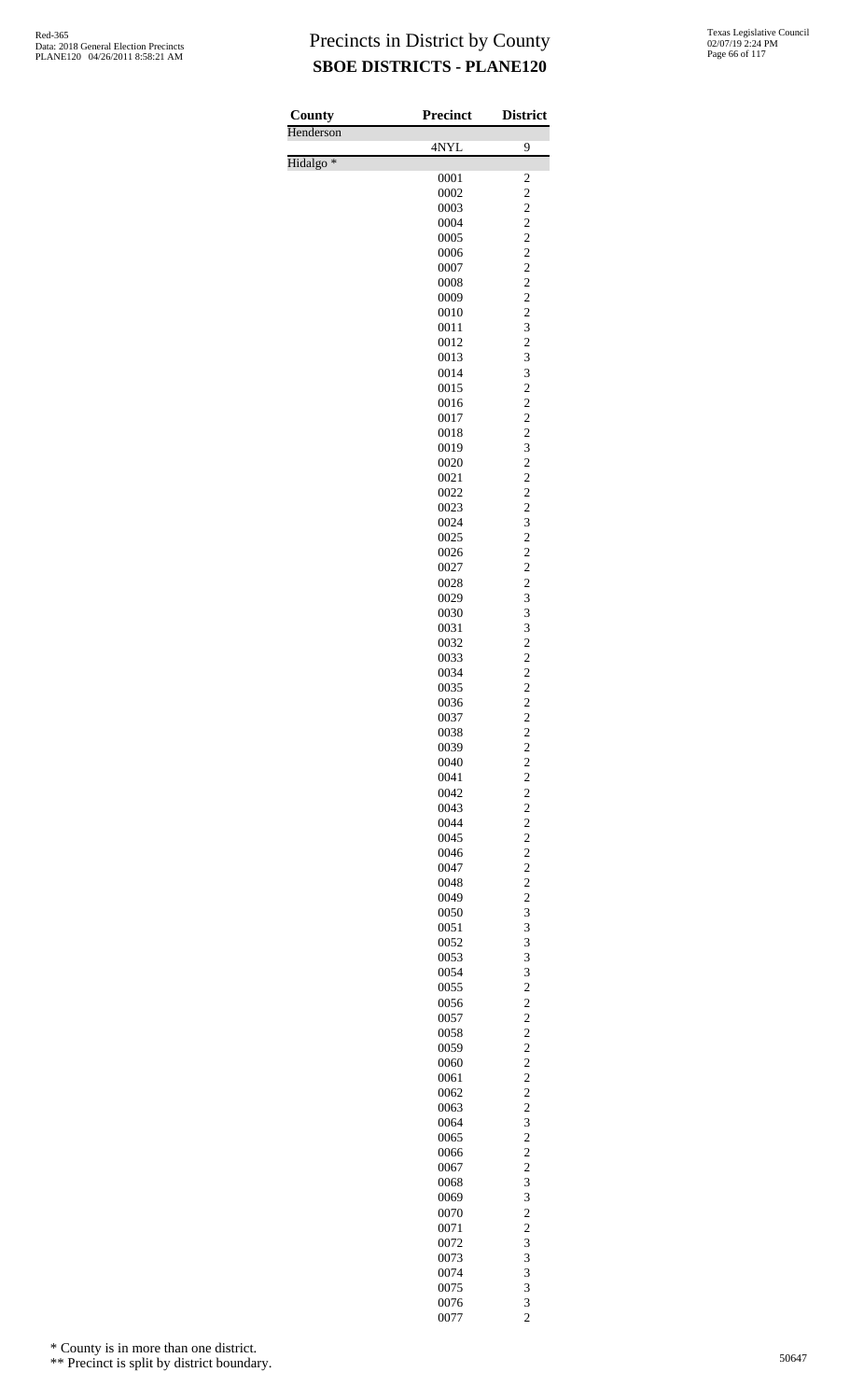| <b>County</b>        | Precinct     | <b>District</b>                                    |
|----------------------|--------------|----------------------------------------------------|
| Henderson            | 4NYL         | 9                                                  |
| Hidalgo <sup>*</sup> |              |                                                    |
|                      | 0001<br>0002 | $\overline{\mathbf{c}}$<br>$\overline{\mathbf{c}}$ |
|                      | 0003         | $\overline{\mathbf{c}}$                            |
|                      | 0004         | $\overline{c}$                                     |
|                      | 0005         | $\overline{c}$                                     |
|                      | 0006<br>0007 | $\overline{c}$<br>$\overline{c}$                   |
|                      | 0008         | $\overline{c}$                                     |
|                      | 0009         | $\overline{\mathbf{c}}$                            |
|                      | 0010         | $\overline{c}$<br>3                                |
|                      | 0011<br>0012 | $\overline{c}$                                     |
|                      | 0013         | 3                                                  |
|                      | 0014         | 3                                                  |
|                      | 0015<br>0016 | $\overline{c}$<br>$\overline{c}$                   |
|                      | 0017         | $\overline{c}$                                     |
|                      | 0018         | $\overline{c}$                                     |
|                      | 0019         | 3                                                  |
|                      | 0020<br>0021 | $\overline{c}$<br>$\overline{c}$                   |
|                      | 0022         | $\overline{c}$                                     |
|                      | 0023         | $\overline{c}$                                     |
|                      | 0024         | 3                                                  |
|                      | 0025<br>0026 | $\overline{c}$<br>$\overline{c}$                   |
|                      | 0027         | $\overline{c}$                                     |
|                      | 0028         | $\overline{c}$                                     |
|                      | 0029<br>0030 | 3<br>3                                             |
|                      | 0031         | 3                                                  |
|                      | 0032         | $\overline{c}$                                     |
|                      | 0033         | $\overline{\mathbf{c}}$                            |
|                      | 0034<br>0035 | $\frac{2}{2}$                                      |
|                      | 0036         | $\overline{c}$                                     |
|                      | 0037         | $\overline{c}$                                     |
|                      | 0038         | $\begin{array}{c}\n2 \\ 2 \\ 2 \\ 2\n\end{array}$  |
|                      | 0039<br>0040 |                                                    |
|                      | 0041         |                                                    |
|                      | 0042         |                                                    |
|                      | 0043<br>0044 | $\overline{c}$<br>$\overline{\mathbf{c}}$          |
|                      | 0045         | $\overline{\mathbf{c}}$                            |
|                      | 0046         |                                                    |
|                      | 0047         | $\begin{array}{c}\n2 \\ 2 \\ 2 \\ 3\n\end{array}$  |
|                      | 0048<br>0049 |                                                    |
|                      | 0050         |                                                    |
|                      | 0051         | 3                                                  |
|                      | 0052         | 3                                                  |
|                      | 0053<br>0054 | 3<br>3                                             |
|                      | 0055         | $\overline{\mathbf{c}}$                            |
|                      | 0056         | $\frac{2}{2}$                                      |
|                      | 0057<br>0058 | $\overline{\mathbf{c}}$                            |
|                      | 0059         | $\overline{\mathbf{c}}$                            |
|                      | 0060         | $\overline{\mathbf{c}}$                            |
|                      | 0061         | $\frac{2}{2}$                                      |
|                      | 0062<br>0063 | $\overline{c}$                                     |
|                      | 0064         | 3                                                  |
|                      | 0065         | $\overline{\mathbf{c}}$                            |
|                      | 0066         | $\overline{c}$<br>$\overline{c}$                   |
|                      | 0067<br>0068 | 3                                                  |
|                      | 0069         | 3                                                  |
|                      | 0070         | $\overline{c}$                                     |
|                      | 0071<br>0072 | $\overline{c}$<br>3                                |
|                      | 0073         | 3                                                  |
|                      | 0074         | 3                                                  |
|                      | 0075         | 3                                                  |
|                      | 0076<br>0077 | 3<br>$\overline{c}$                                |

\* County is in more than one district.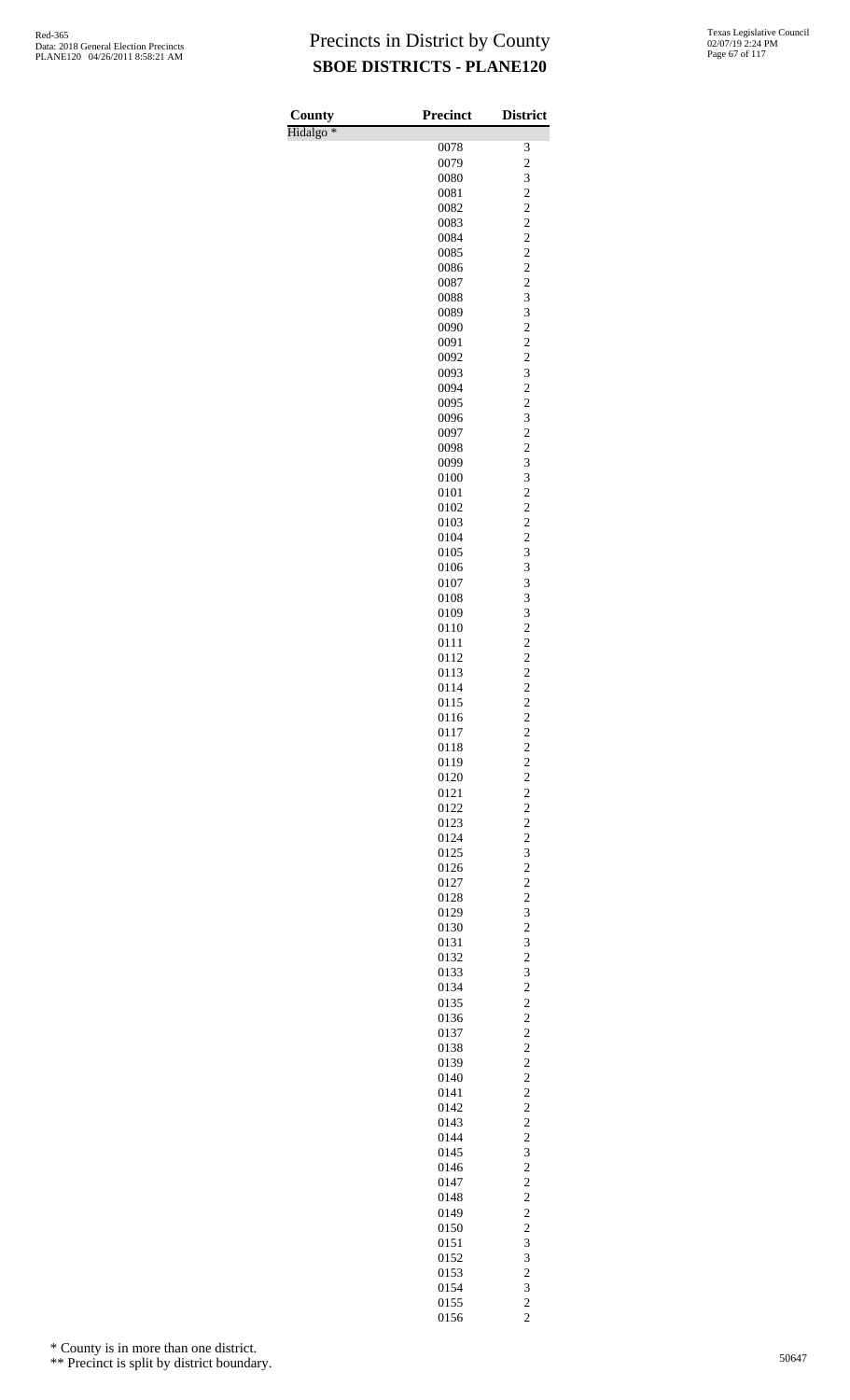| County               | <b>Precinct</b> | <b>District</b>                            |
|----------------------|-----------------|--------------------------------------------|
| Hidalgo <sup>*</sup> |                 |                                            |
|                      | 0078            | 3                                          |
|                      | 0079            | $\overline{c}$                             |
|                      | 0080            | 3                                          |
|                      | 0081            | $\overline{c}$                             |
|                      | 0082<br>0083    | $\overline{c}$<br>$\overline{c}$           |
|                      | 0084            | $\overline{c}$                             |
|                      | 0085            | $\overline{c}$                             |
|                      | 0086            | $\overline{c}$                             |
|                      | 0087            | $\overline{c}$                             |
|                      | 0088            | 3                                          |
|                      | 0089            | 3                                          |
|                      | 0090            | $\overline{c}$                             |
|                      | 0091            | $\overline{c}$                             |
|                      | 0092            | $\overline{c}$                             |
|                      | 0093<br>0094    | 3<br>$\overline{c}$                        |
|                      | 0095            | $\overline{c}$                             |
|                      | 0096            | $\overline{\mathbf{3}}$                    |
|                      | 0097            | $\overline{c}$                             |
|                      | 0098            | $\overline{c}$                             |
|                      | 0099            | 3                                          |
|                      | 0100            | 3                                          |
|                      | 0101            | $\overline{c}$                             |
|                      | 0102            | $\overline{c}$                             |
|                      | 0103            | $\overline{c}$                             |
|                      | 0104            | $\overline{c}$                             |
|                      | 0105            | 3<br>3                                     |
|                      | 0106<br>0107    | 3                                          |
|                      | 0108            | 3                                          |
|                      | 0109            | 3                                          |
|                      | 0110            | $\overline{c}$                             |
|                      | 0111            | $\overline{c}$                             |
|                      | 0112            | $\overline{c}$                             |
|                      | 0113            | $\overline{\mathbf{c}}$                    |
|                      | 0114            | $\overline{c}$                             |
|                      | 0115            | $\overline{c}$<br>$\overline{2}$           |
|                      | 0116<br>0117    |                                            |
|                      | 0118            |                                            |
|                      | 0119            | $\begin{array}{c} 2 \\ 2 \\ 2 \end{array}$ |
|                      | 0120            |                                            |
|                      | 0121            | $\begin{array}{c} 2 \\ 2 \\ 2 \end{array}$ |
|                      | 0122            |                                            |
|                      | 0123            | $\frac{2}{2}$                              |
|                      | 0124            |                                            |
|                      | 0125<br>0126    | $\begin{array}{c} 3 \\ 2 \\ 2 \end{array}$ |
|                      | 0127            |                                            |
|                      | 0128            |                                            |
|                      | 0129            | $\frac{2}{3}$                              |
|                      | 0130            | $\frac{2}{3}$                              |
|                      | 0131            |                                            |
|                      | 0132            | $\overline{c}$                             |
|                      | 0133            | 3                                          |
|                      | 0134            | $\overline{c}$                             |
|                      | 0135<br>0136    | $\begin{array}{c} 2 \\ 2 \\ 2 \end{array}$ |
|                      | 0137            |                                            |
|                      | 0138            |                                            |
|                      | 0139            | $\frac{2}{2}$                              |
|                      | 0140            |                                            |
|                      | 0141            | $\begin{array}{c} 2 \\ 2 \\ 2 \end{array}$ |
|                      | 0142            |                                            |
|                      | 0143            | $\frac{2}{2}$                              |
|                      | 0144            |                                            |
|                      | 0145<br>0146    | $\begin{array}{c} 3 \\ 2 \\ 2 \end{array}$ |
|                      | 0147            |                                            |
|                      | 0148            |                                            |
|                      | 0149            | $\frac{2}{2}$                              |
|                      | 0150            |                                            |
|                      | 0151            | $\frac{2}{3}$                              |
|                      | 0152            | 3                                          |
|                      | 0153            | $\frac{2}{3}$                              |
|                      | 0154            |                                            |
|                      | 0155<br>0156    | $\frac{2}{2}$                              |
|                      |                 |                                            |

\* County is in more than one district.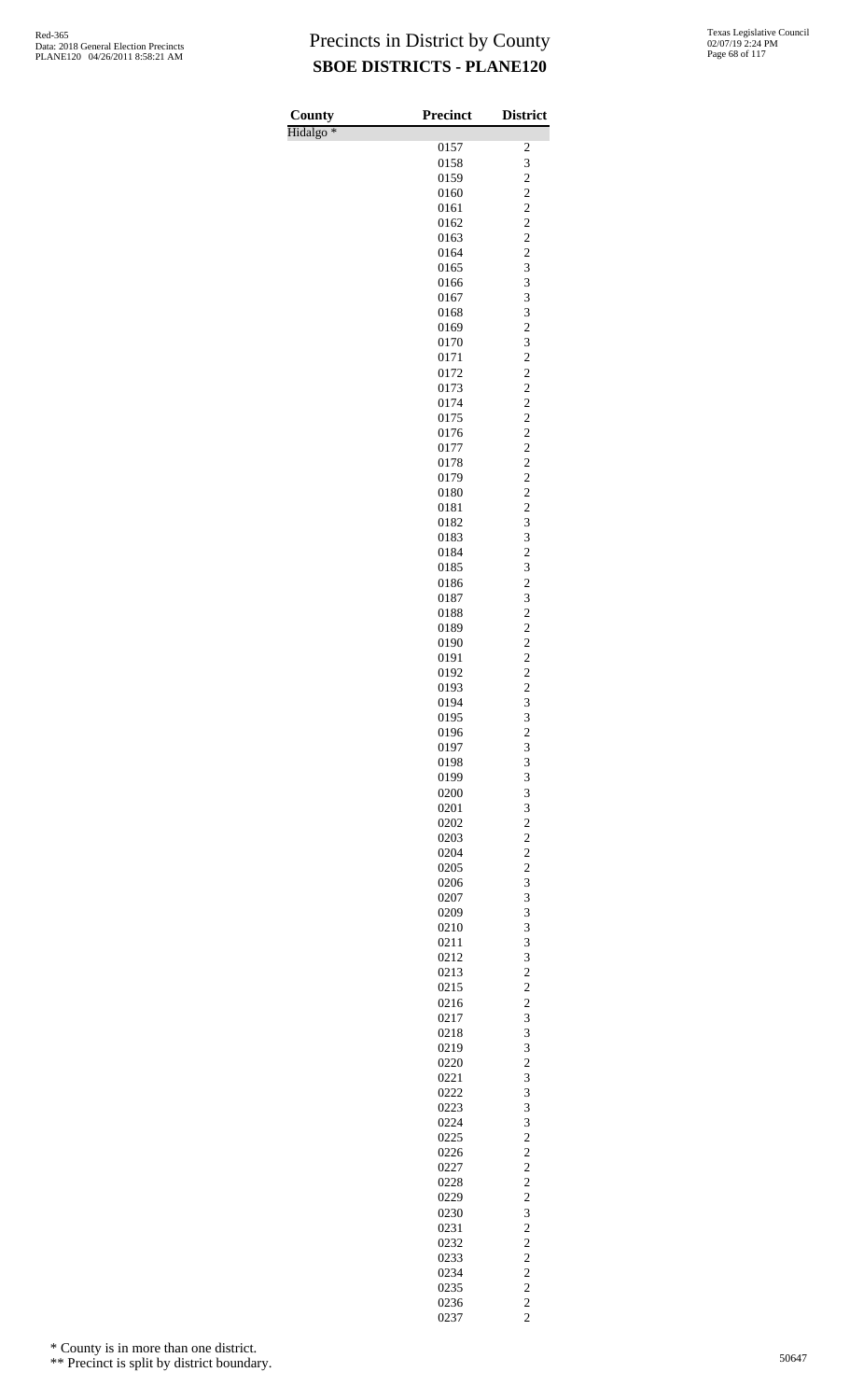| County               | <b>Precinct</b> | <b>District</b>                  |
|----------------------|-----------------|----------------------------------|
| Hidalgo <sup>*</sup> |                 |                                  |
|                      | 0157<br>0158    | 2<br>3                           |
|                      | 0159            | $\overline{c}$                   |
|                      | 0160            | $\overline{c}$                   |
|                      | 0161            | $\overline{c}$                   |
|                      | 0162            | $\overline{c}$                   |
|                      | 0163            | $\overline{c}$                   |
|                      | 0164            | $\overline{c}$                   |
|                      | 0165            | 3                                |
|                      | 0166<br>0167    | 3<br>3                           |
|                      | 0168            | 3                                |
|                      | 0169            | $\overline{c}$                   |
|                      | 0170            | 3                                |
|                      | 0171            | $\overline{c}$                   |
|                      | 0172            | $\overline{c}$                   |
|                      | 0173            | $\overline{c}$                   |
|                      | 0174            | $\overline{c}$<br>$\overline{c}$ |
|                      | 0175<br>0176    | $\overline{\mathbf{c}}$          |
|                      | 0177            | $\overline{c}$                   |
|                      | 0178            | $\overline{c}$                   |
|                      | 0179            | $\overline{c}$                   |
|                      | 0180            | $\overline{c}$                   |
|                      | 0181            | $\overline{c}$                   |
|                      | 0182            | 3                                |
|                      | 0183            | 3                                |
|                      | 0184<br>0185    | $\overline{c}$<br>3              |
|                      | 0186            | $\overline{\mathbf{c}}$          |
|                      | 0187            | 3                                |
|                      | 0188            | $\overline{c}$                   |
|                      | 0189            | $\overline{c}$                   |
|                      | 0190            | $\overline{c}$                   |
|                      | 0191            | $\overline{c}$                   |
|                      | 0192            | $\overline{c}$                   |
|                      | 0193<br>0194    | $\overline{c}$<br>3              |
|                      | 0195            | 3                                |
|                      | 0196            | $\overline{\mathbf{c}}$          |
|                      | 0197            | 3                                |
|                      | 0198            | 3                                |
|                      | 0199            | 3                                |
|                      | 0200            | 3                                |
|                      | 0201            | 3                                |
|                      | 0202            | $\overline{c}$<br>$\overline{c}$ |
|                      | 0203<br>0204    | $\overline{c}$                   |
|                      | 0205            | $\overline{c}$                   |
|                      | 0206            | 3                                |
|                      | 0207            | 3                                |
|                      | 0209            | 3                                |
|                      | 0210            | 3                                |
|                      | 0211            | 3                                |
|                      | 0212            | 3<br>$\overline{c}$              |
|                      | 0213<br>0215    | $\overline{c}$                   |
|                      | 0216            | $\overline{c}$                   |
|                      | 0217            | 3                                |
|                      | 0218            | 3                                |
|                      | 0219            | 3                                |
|                      | 0220            | $\overline{c}$                   |
|                      | 0221            | 3                                |
|                      | 0222            | 3                                |
|                      | 0223<br>0224    | 3<br>3                           |
|                      | 0225            | $\overline{c}$                   |
|                      | 0226            | $\overline{c}$                   |
|                      | 0227            | $\overline{c}$                   |
|                      | 0228            | $\overline{c}$                   |
|                      | 0229            | $\overline{c}$                   |
|                      | 0230            | 3                                |
|                      | 0231            | $\overline{c}$                   |
|                      | 0232<br>0233    | $\overline{c}$<br>$\overline{c}$ |
|                      | 0234            | $\overline{c}$                   |
|                      | 0235            | $\overline{c}$                   |
|                      | 0236            | $\overline{c}$                   |
|                      | 0237            | $\overline{c}$                   |

\* County is in more than one district.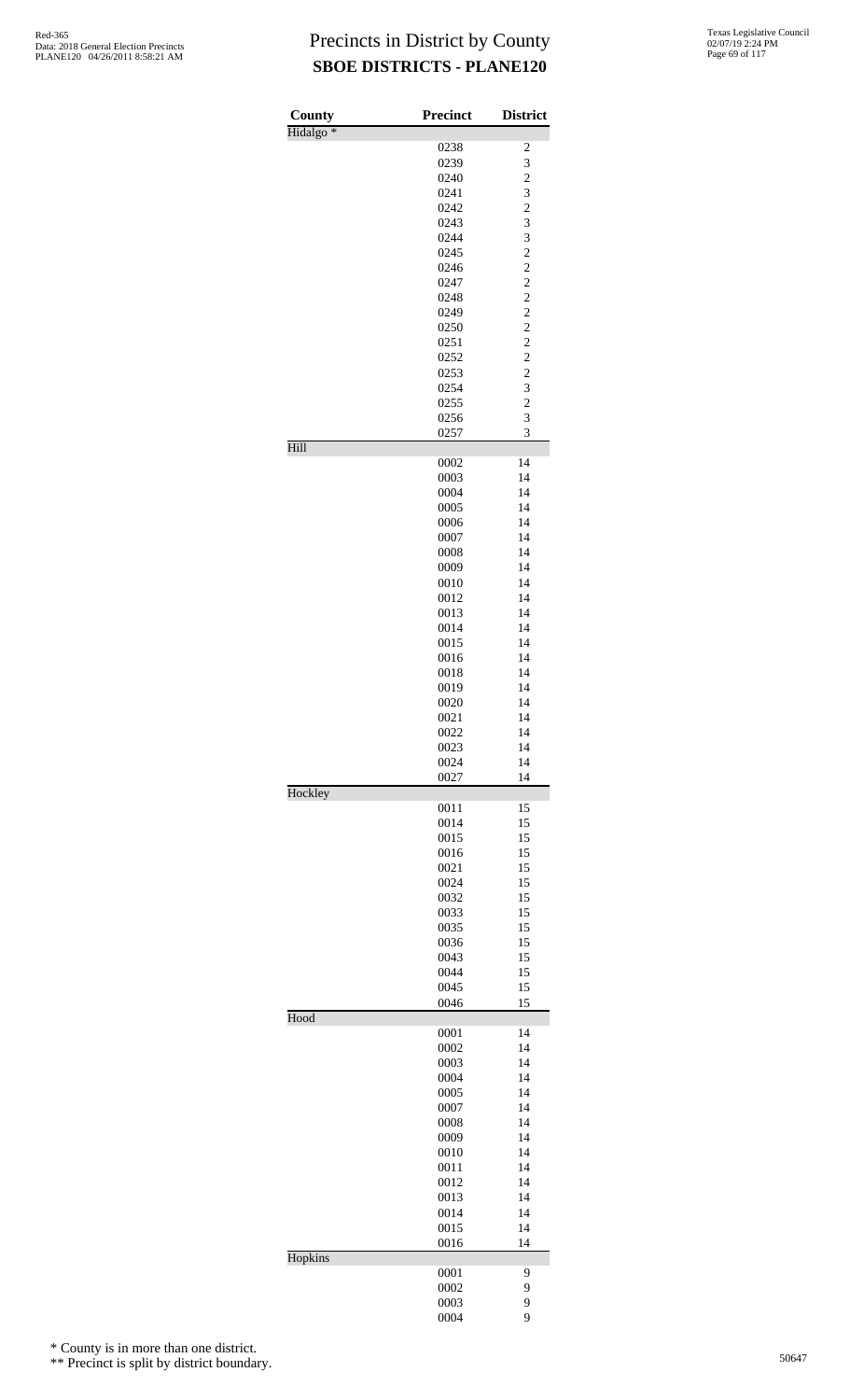| County               | Precinct     | <b>District</b>         |
|----------------------|--------------|-------------------------|
| Hidalgo <sup>*</sup> |              |                         |
|                      | 0238         | $\overline{\mathbf{c}}$ |
|                      | 0239         | 3                       |
|                      | 0240<br>0241 | $\overline{c}$<br>3     |
|                      | 0242         |                         |
|                      | 0243         | $\frac{2}{3}$           |
|                      | 0244         | 3                       |
|                      | 0245         | $\overline{c}$          |
|                      | 0246         | $\overline{c}$          |
|                      | 0247         | $\frac{2}{2}$           |
|                      | 0248         |                         |
|                      | 0249         | $\frac{2}{2}$           |
|                      | 0250<br>0251 | $\overline{c}$          |
|                      | 0252         | $\overline{c}$          |
|                      | 0253         | $\overline{\mathbf{c}}$ |
|                      | 0254         | 3                       |
|                      | 0255         | $\overline{c}$          |
|                      | 0256         | 3                       |
|                      | 0257         | 3                       |
| Hill                 |              |                         |
|                      | 0002         | 14                      |
|                      | 0003<br>0004 | 14<br>14                |
|                      | 0005         | 14                      |
|                      | 0006         | 14                      |
|                      | 0007         | 14                      |
|                      | 0008         | 14                      |
|                      | 0009         | 14                      |
|                      | 0010         | 14                      |
|                      | 0012         | 14                      |
|                      | 0013         | 14                      |
|                      | 0014<br>0015 | 14<br>14                |
|                      | 0016         | 14                      |
|                      | 0018         | 14                      |
|                      | 0019         | 14                      |
|                      | 0020         | 14                      |
|                      | 0021         | 14                      |
|                      | 0022         | 14                      |
|                      | 0023         | 14                      |
|                      | 0024<br>0027 | 14<br>14                |
| Hockley              |              |                         |
|                      | 0011         | 15                      |
|                      | 0014         | 15                      |
|                      | 0015         | 15                      |
|                      | 0016         | 15                      |
|                      | 0021         | 15                      |
|                      | 0024         | 15<br>15                |
|                      | 0032<br>0033 | 15                      |
|                      | 0035         | 15                      |
|                      | 0036         | 15                      |
|                      | 0043         | 15                      |
|                      | 0044         | 15                      |
|                      | 0045         | 15                      |
| Hood                 | 0046         | 15                      |
|                      | 0001         | 14                      |
|                      | 0002         | 14                      |
|                      | 0003         | 14                      |
|                      | 0004         | 14                      |
|                      | 0005         | 14                      |
|                      | 0007         | 14                      |
|                      | 0008         | 14                      |
|                      | 0009         | 14                      |
|                      | 0010<br>0011 | 14<br>14                |
|                      | 0012         | 14                      |
|                      | 0013         | 14                      |
|                      | 0014         | 14                      |
|                      | 0015         | 14                      |
|                      | 0016         | 14                      |
| Hopkins              |              |                         |
|                      | 0001         | 9                       |
|                      | 0002         | 9                       |
|                      | 0003<br>0004 | 9<br>9                  |
|                      |              |                         |

\* County is in more than one district.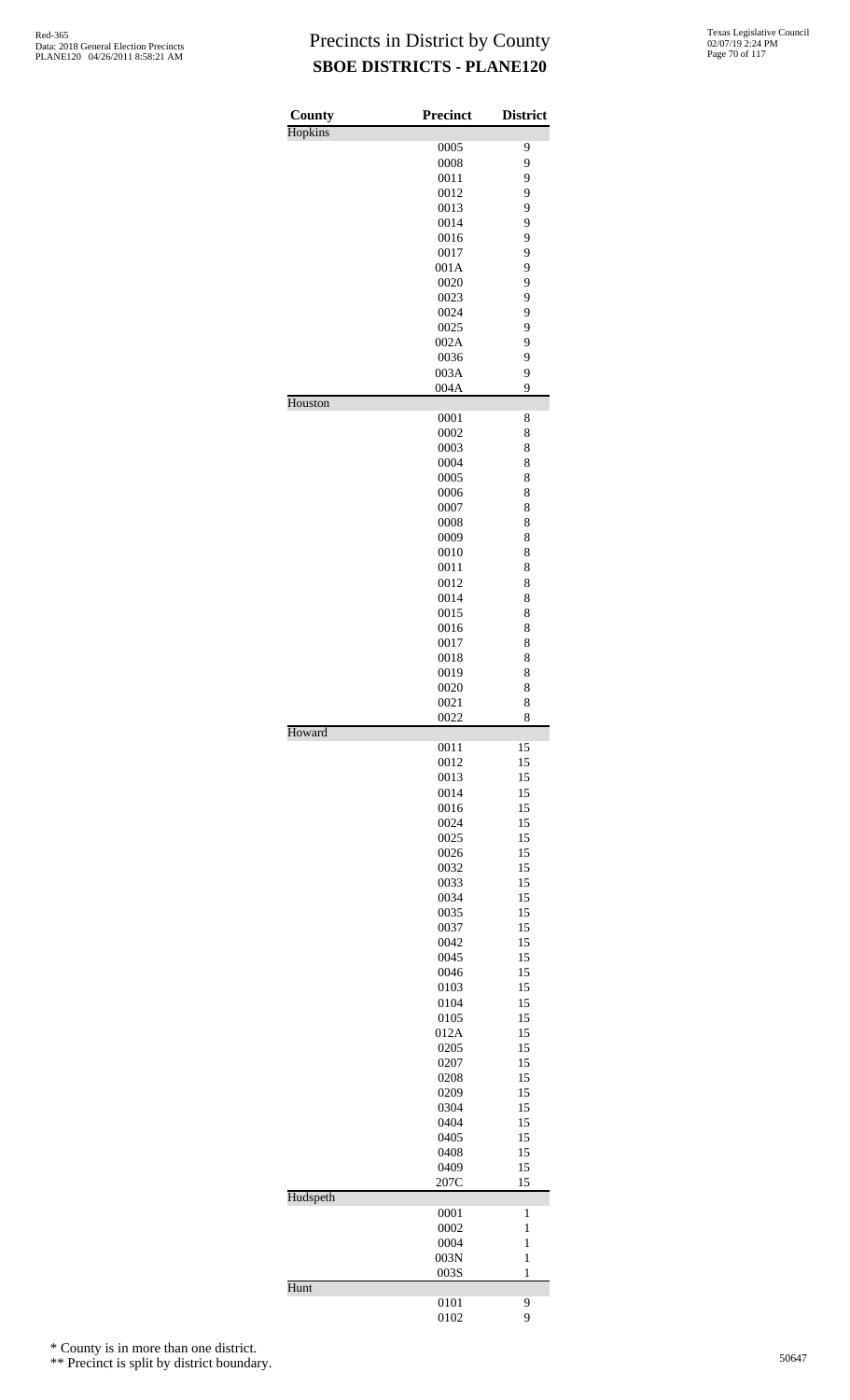| County   | <b>Precinct</b> | <b>District</b>   |
|----------|-----------------|-------------------|
| Hopkins  | 0005            | 9                 |
|          | 0008            | 9                 |
|          | 0011            | 9                 |
|          | 0012            | 9                 |
|          | 0013            | 9                 |
|          | 0014            | 9                 |
|          | 0016            | 9                 |
|          | 0017            | 9                 |
|          | 001A<br>0020    | 9<br>9            |
|          | 0023            | 9                 |
|          | 0024            | 9                 |
|          | 0025            | 9                 |
|          | 002A            | 9                 |
|          | 0036            | 9                 |
|          | 003A            | 9                 |
| Houston  | 004A            | 9                 |
|          | 0001            | 8                 |
|          | 0002            | 8                 |
|          | 0003            | 8                 |
|          | 0004<br>0005    | 8<br>8            |
|          | 0006            | 8                 |
|          | 0007            | 8                 |
|          | 0008            | 8                 |
|          | 0009            | 8                 |
|          | 0010            | 8                 |
|          | 0011            | 8                 |
|          | 0012            | 8                 |
|          | 0014<br>0015    | 8<br>8            |
|          | 0016            | 8                 |
|          | 0017            | 8                 |
|          | 0018            | 8                 |
|          | 0019            | 8                 |
|          | 0020            | 8                 |
|          | 0021<br>0022    | 8<br>8            |
| Howard   |                 |                   |
|          | 0011            | 15                |
|          | 0012            | 15                |
|          | 0013<br>0014    | 15<br>15          |
|          | 0016            | 15                |
|          | 0024            | 15                |
|          | 0025            | 15                |
|          | 0026            | 15                |
|          | 0032            | 15                |
|          | 0033            | 15                |
|          | 0034            | 15                |
|          | 0035            | 15                |
|          | 0037<br>0042    | 15<br>15          |
|          | 0045            | 15                |
|          | 0046            | 15                |
|          | 0103            | 15                |
|          | 0104            | 15                |
|          | 0105            | 15                |
|          | 012A            | 15                |
|          | 0205            | 15                |
|          | 0207<br>0208    | 15<br>15          |
|          | 0209            | 15                |
|          | 0304            | 15                |
|          | 0404            | 15                |
|          | 0405            | 15                |
|          | 0408            | 15                |
|          | 0409<br>207C    | 15<br>15          |
| Hudspeth |                 |                   |
|          | 0001            | 1                 |
|          | 0002            | 1                 |
|          | 0004            | $\mathbf{1}$      |
|          | 003N<br>003S    | $\mathbf{1}$<br>1 |
| Hunt     |                 |                   |
|          | 0101<br>0102    | 9<br>9            |
|          |                 |                   |

\* County is in more than one district.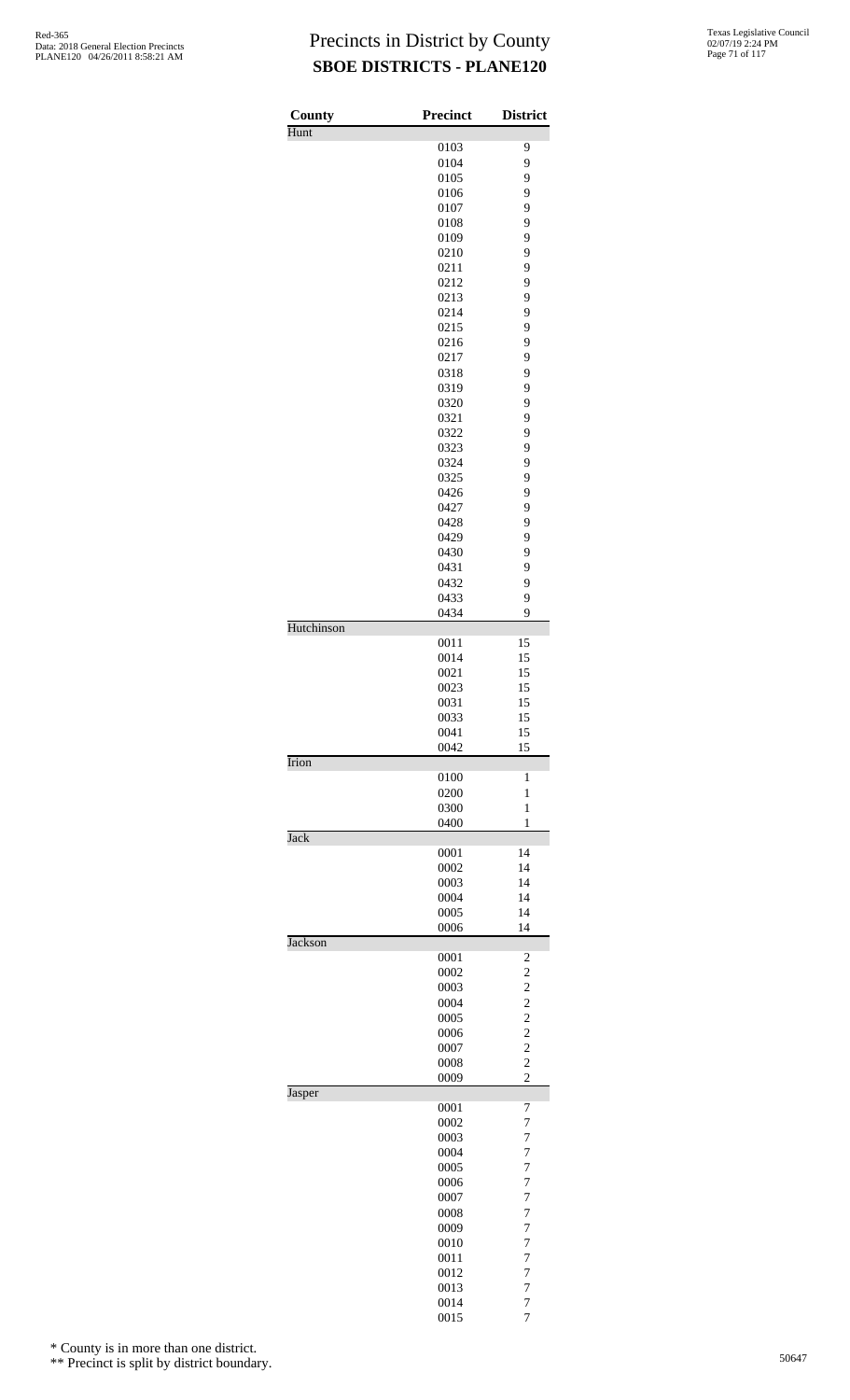| <b>County</b> | <b>Precinct</b> | <b>District</b>         |
|---------------|-----------------|-------------------------|
| Hunt          |                 |                         |
|               | 0103            | 9                       |
|               | 0104            | 9                       |
|               | 0105            | 9                       |
|               | 0106            | 9                       |
|               | 0107            | 9                       |
|               | 0108            | 9                       |
|               | 0109            | 9                       |
|               | 0210            | 9                       |
|               | 0211            | 9                       |
|               | 0212            | 9                       |
|               | 0213            | 9                       |
|               | 0214            | 9                       |
|               |                 | 9                       |
|               | 0215            | 9                       |
|               | 0216            |                         |
|               | 0217            | 9                       |
|               | 0318            | 9                       |
|               | 0319            | 9                       |
|               | 0320            | 9                       |
|               | 0321            | 9                       |
|               | 0322            | 9                       |
|               | 0323            | 9                       |
|               | 0324            | 9                       |
|               | 0325            | 9                       |
|               | 0426            | 9                       |
|               | 0427            | 9                       |
|               | 0428            | 9                       |
|               | 0429            | 9                       |
|               | 0430            | 9                       |
|               | 0431            | 9                       |
|               | 0432            | 9                       |
|               | 0433            | 9                       |
|               | 0434            | 9                       |
| Hutchinson    |                 |                         |
|               | 0011            | 15                      |
|               | 0014            | 15                      |
|               | 0021            | 15                      |
|               | 0023            | 15                      |
|               | 0031            | 15                      |
|               | 0033            | 15                      |
|               | 0041            | 15                      |
|               | 0042            | 15                      |
| Irion         |                 |                         |
|               | 0100            | 1                       |
|               | 0200            | 1                       |
|               | 0300            | 1                       |
|               | 0400            | $\mathbf{1}$            |
| Jack          |                 |                         |
|               | 0001            | 14                      |
|               | 0002            | 14                      |
|               | 0003            | 14                      |
|               | 0004            | 14                      |
|               | 0005            | 14                      |
|               | 0006            | 14                      |
| Jackson       |                 |                         |
|               | 0001            | $\overline{\mathbf{c}}$ |
|               | 0002            | $\overline{c}$          |
|               | 0003            | $\overline{c}$          |
|               | 0004            |                         |
|               | 0005            |                         |
|               | 0006            | $\frac{2}{2}$           |
|               | 0007            | $\overline{c}$          |
|               | 0008            | $\overline{c}$          |
|               | 0009            | $\overline{c}$          |
| Jasper        |                 |                         |
|               | 0001            | 7                       |
|               | 0002            | 7                       |
|               | 0003            | $\overline{7}$          |
|               | 0004            | $\overline{7}$          |
|               | 0005            | 7                       |
|               | 0006            | $\overline{7}$          |
|               |                 | $\overline{7}$          |
|               | 0007            |                         |
|               | 0008            | $\overline{7}$          |
|               | 0009            | $\overline{7}$          |
|               | 0010            | 7                       |
|               | 0011            | $\overline{7}$          |
|               | 0012            | $\overline{7}$          |
|               | 0013            | $\overline{7}$          |
|               | 0014            | $\boldsymbol{7}$        |

7

\* County is in more than one district.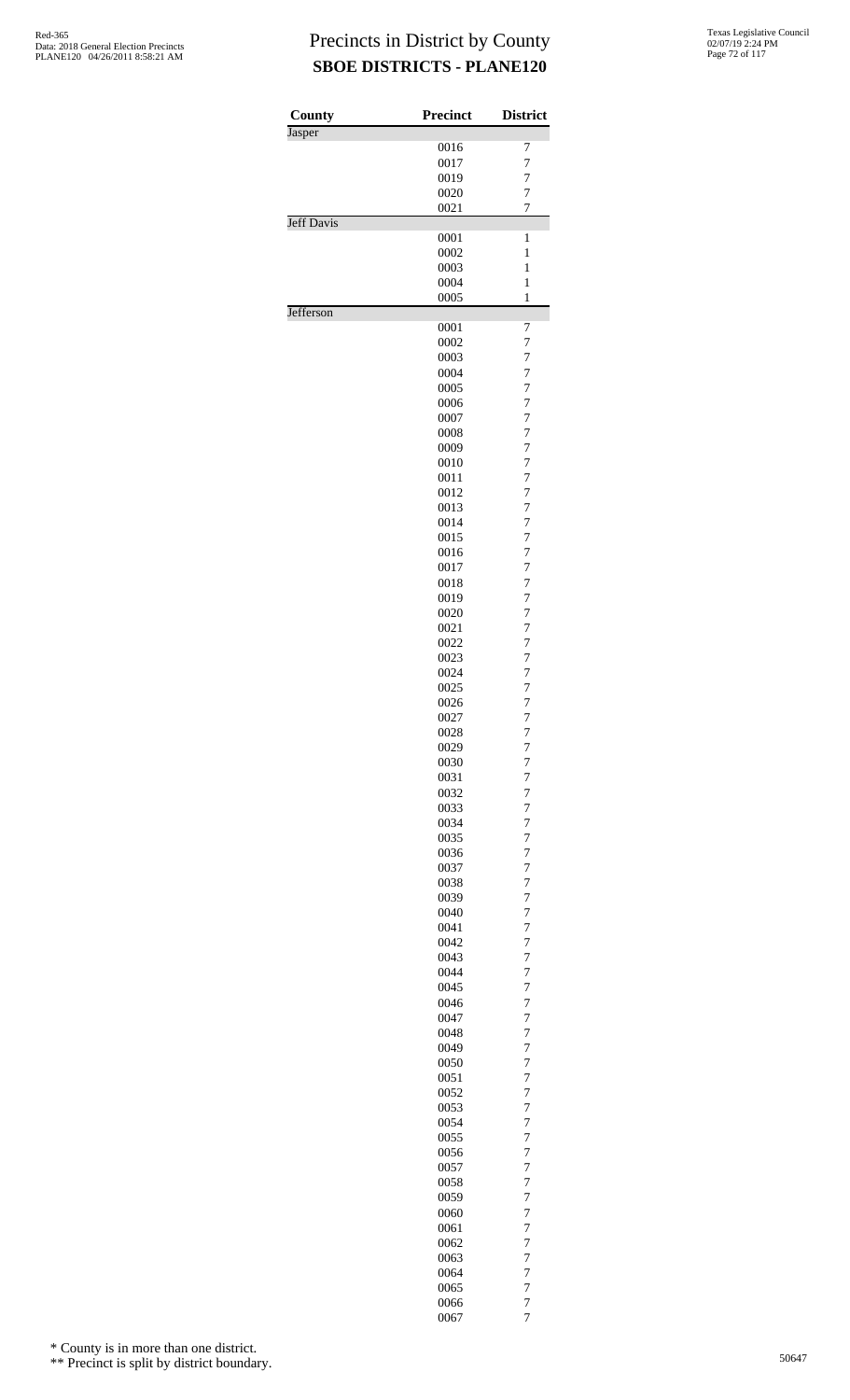| County            | <b>Precinct</b> | <b>District</b>     |
|-------------------|-----------------|---------------------|
| Jasper            |                 |                     |
|                   | 0016            | 7                   |
|                   | 0017            | 7                   |
|                   | 0019            | 7                   |
|                   | 0020            | $\overline{7}$      |
|                   | 0021            | 7                   |
| <b>Jeff Davis</b> | 0001            | $\mathbf{1}$        |
|                   | 0002            | $\mathbf{1}$        |
|                   | 0003            | 1                   |
|                   | 0004            | $\mathbf{1}$        |
|                   | 0005            | $\mathbf{1}$        |
| Jefferson         |                 |                     |
|                   | 0001            | 7                   |
|                   | 0002            | $\overline{7}$      |
|                   | 0003            | 7                   |
|                   | 0004            | 7                   |
|                   | 0005            | $\overline{7}$      |
|                   | 0006            | 7                   |
|                   | 0007            | $\overline{7}$      |
|                   | 0008            | 7                   |
|                   | 0009            | 7                   |
|                   | 0010            | $\overline{7}$      |
|                   | 0011            | 7                   |
|                   | 0012            | 7                   |
|                   |                 |                     |
|                   | 0013            | 7                   |
|                   | 0014            | 7                   |
|                   | 0015            | $\overline{7}$      |
|                   | 0016            | 7                   |
|                   | 0017            | 7                   |
|                   | 0018            | 7                   |
|                   | 0019            | 7                   |
|                   | 0020            | $\overline{7}$      |
|                   | 0021            | 7                   |
|                   | 0022            | 7                   |
|                   | 0023            | 7                   |
|                   | 0024            | 7                   |
|                   | 0025            | $\overline{7}$      |
|                   | 0026            | $\overline{7}$      |
|                   | 0027            | 7                   |
|                   | 0028            | 7                   |
|                   | 0029            | 7                   |
|                   | 0030            | $\overline{7}$      |
|                   | 0031            | $\overline{7}$      |
|                   | 0032            | $\overline{7}$      |
|                   | 0033            | 7                   |
|                   | 0034            | 7                   |
|                   | 0035            | $\overline{7}$      |
|                   | 0036            | $\overline{7}$      |
|                   | 0037            | $\overline{7}$      |
|                   | 0038            | 7                   |
|                   | 0039            | 7                   |
|                   | 0040            | $\overline{7}$      |
|                   |                 |                     |
|                   | 0041            | $\overline{7}$      |
|                   | 0042            | $\overline{7}$      |
|                   | 0043            | 7                   |
|                   | 0044            | 7                   |
|                   | 0045            | $\overline{7}$      |
|                   | 0046            | $\overline{7}$      |
|                   | 0047            | $\overline{7}$      |
|                   | 0048            | 7                   |
|                   | 0049            | 7                   |
|                   | 0050            | $\overline{7}$      |
|                   | 0051            | $\overline{7}$      |
|                   | 0052            | $\overline{7}$      |
|                   | 0053            | 7                   |
|                   | 0054            | 7                   |
|                   | 0055            | $\overline{7}$      |
|                   | 0056            | $\overline{7}$      |
|                   | 0057            | $\overline{7}$      |
|                   | 0058            | 7                   |
|                   | 0059            | 7                   |
|                   | 0060            | $\overline{7}$      |
|                   | 0061            | 7                   |
|                   | 0062            | $\overline{7}$      |
|                   | 0063            | 7                   |
|                   |                 | 7                   |
|                   | 0064            |                     |
|                   | 0065            | $\overline{7}$      |
|                   | 0066            | 7<br>$\overline{7}$ |
|                   | 0067            |                     |

\* County is in more than one district.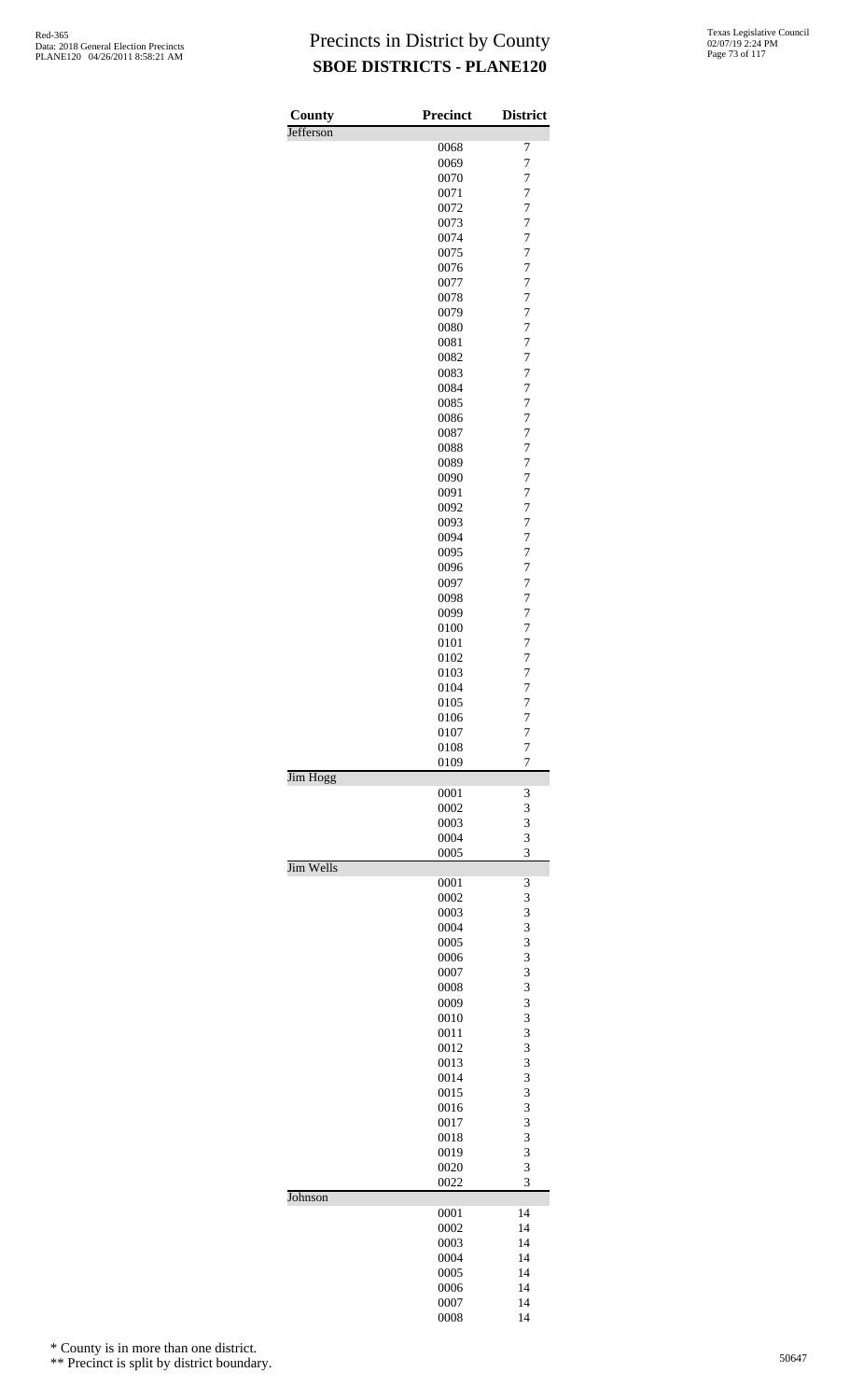| County    | <b>Precinct</b> | <b>District</b>     |
|-----------|-----------------|---------------------|
| Jefferson |                 |                     |
|           | 0068            | 7                   |
|           | 0069            | $\overline{7}$      |
|           | 0070            | $\overline{7}$      |
|           | 0071            | $\overline{7}$      |
|           | 0072            | $\overline{7}$      |
|           | 0073            | 7                   |
|           | 0074            | $\overline{7}$      |
|           | 0075            | 7                   |
|           | 0076            | $\overline{7}$      |
|           | 0077            | $\overline{7}$      |
|           | 0078            | 7<br>$\overline{7}$ |
|           | 0079<br>0080    | 7                   |
|           | 0081            | $\overline{7}$      |
|           | 0082            | $\overline{7}$      |
|           | 0083            | 7                   |
|           | 0084            | $\overline{7}$      |
|           | 0085            | 7                   |
|           | 0086            | $\overline{7}$      |
|           | 0087            | $\overline{7}$      |
|           | 0088            | 7                   |
|           | 0089            | $\overline{7}$      |
|           | 0090            | 7                   |
|           | 0091            | $\overline{7}$      |
|           | 0092            | $\overline{7}$      |
|           | 0093            | 7                   |
|           | 0094            | $\overline{7}$      |
|           | 0095            | 7                   |
|           | 0096            | $\overline{7}$      |
|           | 0097            | $\overline{7}$      |
|           | 0098            | 7                   |
|           | 0099            | $\overline{7}$      |
|           | 0100            | 7                   |
|           | 0101            | $\overline{7}$      |
|           | 0102            | $\overline{7}$      |
|           | 0103            | $\overline{7}$      |
|           | 0104            | $\overline{7}$      |
|           | 0105            | $\overline{7}$      |
|           | 0106            | 7                   |
|           | 0107            | $\overline{7}$      |
|           | 0108            | $\overline{7}$      |
| Jim Hogg  | 0109            | $\overline{7}$      |
|           | 0001            | 3                   |
|           | 0002            | 3                   |
|           | 0003            | 3                   |
|           | 0004            | 3                   |
|           | 0005            | 3                   |
| Jim Wells |                 |                     |
|           | 0001            | 3                   |
|           | 0002            | 3                   |
|           | 0003            | 3                   |
|           | 0004<br>0005    | 3<br>3              |
|           | 0006            | 3                   |
|           | 0007            | 3                   |
|           | 0008            | 3                   |
|           | 0009            | 3                   |
|           | 0010            | 3                   |
|           | 0011            | 3                   |
|           | 0012            | 3                   |
|           | 0013            | 3                   |
|           | 0014            | 3                   |
|           | 0015            | 3                   |
|           | 0016            | 3                   |
|           | 0017            | 3                   |
|           | 0018            | 3                   |
|           | 0019            | 3                   |
|           | 0020            | 3                   |
| Johnson   | 0022            | 3                   |
|           | 0001            | 14                  |
|           | 0002            | 14                  |
|           | 0003            | 14                  |
|           | 0004            | 14                  |
|           | 0005            | 14                  |
|           | 0006            | 14                  |
|           | 0007            | 14                  |

14

\* County is in more than one district.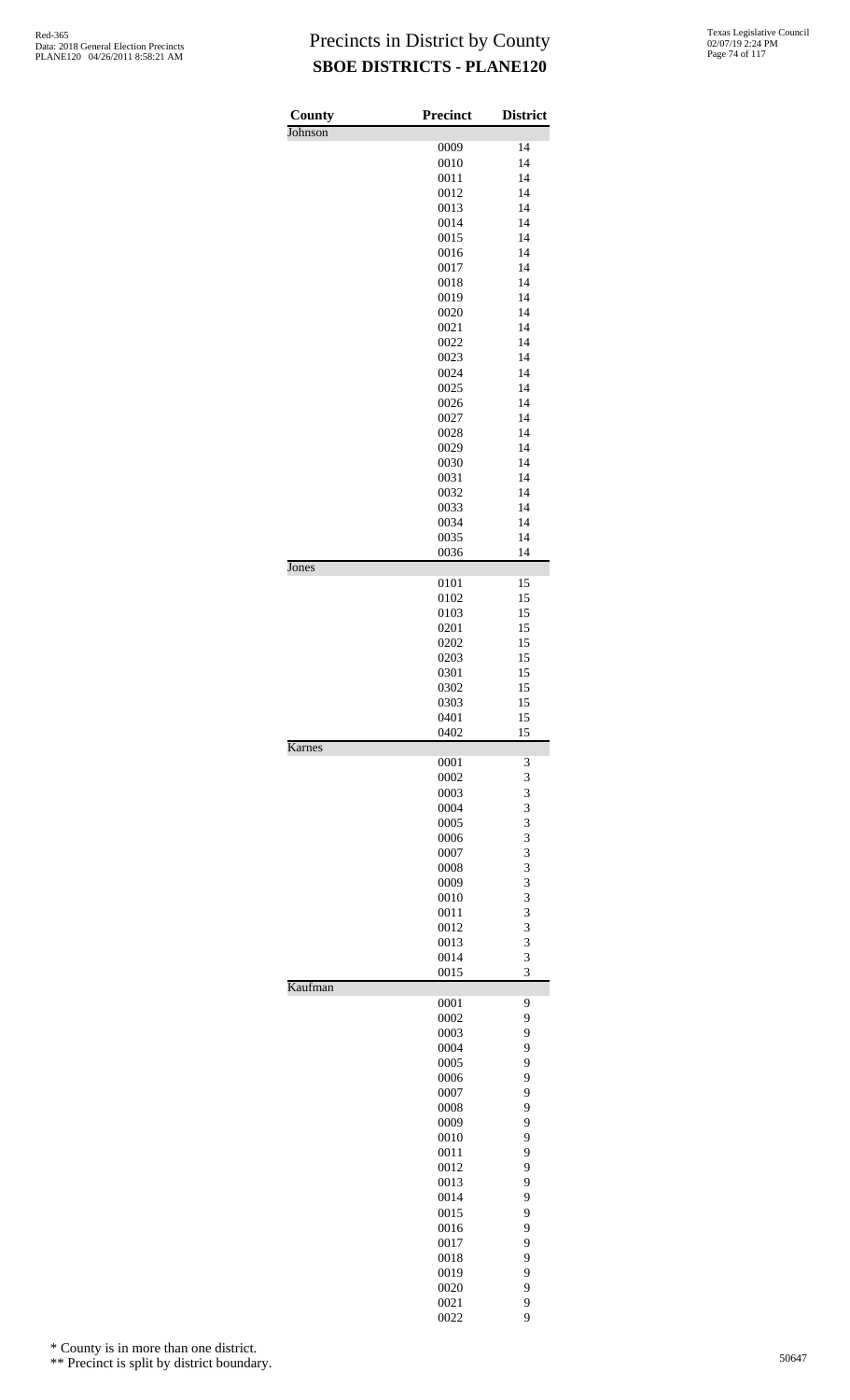| Johnson<br>0009<br>14<br>0010<br>14<br>0011<br>14<br>14<br>0012<br>0013<br>14<br>0014<br>14<br>0015<br>14<br>14<br>0016<br>14<br>0017<br>14<br>0018<br>0019<br>14<br>0020<br>14<br>0021<br>14<br>14<br>0022<br>0023<br>14<br>0024<br>14<br>0025<br>14<br>14<br>0026<br>14<br>0027<br>14<br>0028<br>0029<br>14<br>0030<br>14<br>0031<br>14<br>14<br>0032<br>0033<br>14<br>0034<br>14<br>0035<br>14<br>0036<br>14<br>Jones<br>0101<br>15<br>15<br>0102<br>0103<br>15<br>15<br>0201<br>15<br>0202<br>15<br>0203<br>15<br>0301<br>0302<br>15<br>0303<br>15<br>15<br>0401<br>0402<br>15<br>Karnes<br>0001<br>3<br>3<br>0002<br>3<br>0003<br>3<br>0004<br>3<br>0005<br>3<br>0006<br>3<br>0007<br>3<br>0008<br>3<br>0009<br>3<br>0010<br>3<br>0011<br>3<br>0012<br>3<br>0013<br>3<br>0014<br>3<br>0015<br>Kaufman<br>0001<br>9<br>9<br>0002<br>9<br>0003<br>9<br>0004<br>9<br>0005<br>9<br>0006<br>9<br>0007<br>9<br>0008<br>9<br>0009<br>9<br>0010<br>9<br>0011<br>9<br>0012<br>9<br>0013<br>9<br>0014<br>9<br>0015<br>9<br>0016<br>9<br>0017<br>9<br>0018<br>9<br>0019<br>9<br>0020<br>9<br>0021 | County | <b>Precinct</b> | <b>District</b> |
|---------------------------------------------------------------------------------------------------------------------------------------------------------------------------------------------------------------------------------------------------------------------------------------------------------------------------------------------------------------------------------------------------------------------------------------------------------------------------------------------------------------------------------------------------------------------------------------------------------------------------------------------------------------------------------------------------------------------------------------------------------------------------------------------------------------------------------------------------------------------------------------------------------------------------------------------------------------------------------------------------------------------------------------------------------------------------------------------|--------|-----------------|-----------------|
|                                                                                                                                                                                                                                                                                                                                                                                                                                                                                                                                                                                                                                                                                                                                                                                                                                                                                                                                                                                                                                                                                             |        |                 |                 |
|                                                                                                                                                                                                                                                                                                                                                                                                                                                                                                                                                                                                                                                                                                                                                                                                                                                                                                                                                                                                                                                                                             |        |                 |                 |
|                                                                                                                                                                                                                                                                                                                                                                                                                                                                                                                                                                                                                                                                                                                                                                                                                                                                                                                                                                                                                                                                                             |        |                 |                 |
|                                                                                                                                                                                                                                                                                                                                                                                                                                                                                                                                                                                                                                                                                                                                                                                                                                                                                                                                                                                                                                                                                             |        |                 |                 |
|                                                                                                                                                                                                                                                                                                                                                                                                                                                                                                                                                                                                                                                                                                                                                                                                                                                                                                                                                                                                                                                                                             |        |                 |                 |
|                                                                                                                                                                                                                                                                                                                                                                                                                                                                                                                                                                                                                                                                                                                                                                                                                                                                                                                                                                                                                                                                                             |        |                 |                 |
|                                                                                                                                                                                                                                                                                                                                                                                                                                                                                                                                                                                                                                                                                                                                                                                                                                                                                                                                                                                                                                                                                             |        |                 |                 |
|                                                                                                                                                                                                                                                                                                                                                                                                                                                                                                                                                                                                                                                                                                                                                                                                                                                                                                                                                                                                                                                                                             |        |                 |                 |
|                                                                                                                                                                                                                                                                                                                                                                                                                                                                                                                                                                                                                                                                                                                                                                                                                                                                                                                                                                                                                                                                                             |        |                 |                 |
|                                                                                                                                                                                                                                                                                                                                                                                                                                                                                                                                                                                                                                                                                                                                                                                                                                                                                                                                                                                                                                                                                             |        |                 |                 |
|                                                                                                                                                                                                                                                                                                                                                                                                                                                                                                                                                                                                                                                                                                                                                                                                                                                                                                                                                                                                                                                                                             |        |                 |                 |
|                                                                                                                                                                                                                                                                                                                                                                                                                                                                                                                                                                                                                                                                                                                                                                                                                                                                                                                                                                                                                                                                                             |        |                 |                 |
|                                                                                                                                                                                                                                                                                                                                                                                                                                                                                                                                                                                                                                                                                                                                                                                                                                                                                                                                                                                                                                                                                             |        |                 |                 |
|                                                                                                                                                                                                                                                                                                                                                                                                                                                                                                                                                                                                                                                                                                                                                                                                                                                                                                                                                                                                                                                                                             |        |                 |                 |
|                                                                                                                                                                                                                                                                                                                                                                                                                                                                                                                                                                                                                                                                                                                                                                                                                                                                                                                                                                                                                                                                                             |        |                 |                 |
|                                                                                                                                                                                                                                                                                                                                                                                                                                                                                                                                                                                                                                                                                                                                                                                                                                                                                                                                                                                                                                                                                             |        |                 |                 |
|                                                                                                                                                                                                                                                                                                                                                                                                                                                                                                                                                                                                                                                                                                                                                                                                                                                                                                                                                                                                                                                                                             |        |                 |                 |
|                                                                                                                                                                                                                                                                                                                                                                                                                                                                                                                                                                                                                                                                                                                                                                                                                                                                                                                                                                                                                                                                                             |        |                 |                 |
|                                                                                                                                                                                                                                                                                                                                                                                                                                                                                                                                                                                                                                                                                                                                                                                                                                                                                                                                                                                                                                                                                             |        |                 |                 |
|                                                                                                                                                                                                                                                                                                                                                                                                                                                                                                                                                                                                                                                                                                                                                                                                                                                                                                                                                                                                                                                                                             |        |                 |                 |
|                                                                                                                                                                                                                                                                                                                                                                                                                                                                                                                                                                                                                                                                                                                                                                                                                                                                                                                                                                                                                                                                                             |        |                 |                 |
|                                                                                                                                                                                                                                                                                                                                                                                                                                                                                                                                                                                                                                                                                                                                                                                                                                                                                                                                                                                                                                                                                             |        |                 |                 |
|                                                                                                                                                                                                                                                                                                                                                                                                                                                                                                                                                                                                                                                                                                                                                                                                                                                                                                                                                                                                                                                                                             |        |                 |                 |
|                                                                                                                                                                                                                                                                                                                                                                                                                                                                                                                                                                                                                                                                                                                                                                                                                                                                                                                                                                                                                                                                                             |        |                 |                 |
|                                                                                                                                                                                                                                                                                                                                                                                                                                                                                                                                                                                                                                                                                                                                                                                                                                                                                                                                                                                                                                                                                             |        |                 |                 |
|                                                                                                                                                                                                                                                                                                                                                                                                                                                                                                                                                                                                                                                                                                                                                                                                                                                                                                                                                                                                                                                                                             |        |                 |                 |
|                                                                                                                                                                                                                                                                                                                                                                                                                                                                                                                                                                                                                                                                                                                                                                                                                                                                                                                                                                                                                                                                                             |        |                 |                 |
|                                                                                                                                                                                                                                                                                                                                                                                                                                                                                                                                                                                                                                                                                                                                                                                                                                                                                                                                                                                                                                                                                             |        |                 |                 |
|                                                                                                                                                                                                                                                                                                                                                                                                                                                                                                                                                                                                                                                                                                                                                                                                                                                                                                                                                                                                                                                                                             |        |                 |                 |
|                                                                                                                                                                                                                                                                                                                                                                                                                                                                                                                                                                                                                                                                                                                                                                                                                                                                                                                                                                                                                                                                                             |        |                 |                 |
|                                                                                                                                                                                                                                                                                                                                                                                                                                                                                                                                                                                                                                                                                                                                                                                                                                                                                                                                                                                                                                                                                             |        |                 |                 |
|                                                                                                                                                                                                                                                                                                                                                                                                                                                                                                                                                                                                                                                                                                                                                                                                                                                                                                                                                                                                                                                                                             |        |                 |                 |
|                                                                                                                                                                                                                                                                                                                                                                                                                                                                                                                                                                                                                                                                                                                                                                                                                                                                                                                                                                                                                                                                                             |        |                 |                 |
|                                                                                                                                                                                                                                                                                                                                                                                                                                                                                                                                                                                                                                                                                                                                                                                                                                                                                                                                                                                                                                                                                             |        |                 |                 |
|                                                                                                                                                                                                                                                                                                                                                                                                                                                                                                                                                                                                                                                                                                                                                                                                                                                                                                                                                                                                                                                                                             |        |                 |                 |
|                                                                                                                                                                                                                                                                                                                                                                                                                                                                                                                                                                                                                                                                                                                                                                                                                                                                                                                                                                                                                                                                                             |        |                 |                 |
|                                                                                                                                                                                                                                                                                                                                                                                                                                                                                                                                                                                                                                                                                                                                                                                                                                                                                                                                                                                                                                                                                             |        |                 |                 |
|                                                                                                                                                                                                                                                                                                                                                                                                                                                                                                                                                                                                                                                                                                                                                                                                                                                                                                                                                                                                                                                                                             |        |                 |                 |
|                                                                                                                                                                                                                                                                                                                                                                                                                                                                                                                                                                                                                                                                                                                                                                                                                                                                                                                                                                                                                                                                                             |        |                 |                 |
|                                                                                                                                                                                                                                                                                                                                                                                                                                                                                                                                                                                                                                                                                                                                                                                                                                                                                                                                                                                                                                                                                             |        |                 |                 |
|                                                                                                                                                                                                                                                                                                                                                                                                                                                                                                                                                                                                                                                                                                                                                                                                                                                                                                                                                                                                                                                                                             |        |                 |                 |
|                                                                                                                                                                                                                                                                                                                                                                                                                                                                                                                                                                                                                                                                                                                                                                                                                                                                                                                                                                                                                                                                                             |        |                 |                 |
|                                                                                                                                                                                                                                                                                                                                                                                                                                                                                                                                                                                                                                                                                                                                                                                                                                                                                                                                                                                                                                                                                             |        |                 |                 |
|                                                                                                                                                                                                                                                                                                                                                                                                                                                                                                                                                                                                                                                                                                                                                                                                                                                                                                                                                                                                                                                                                             |        |                 |                 |
|                                                                                                                                                                                                                                                                                                                                                                                                                                                                                                                                                                                                                                                                                                                                                                                                                                                                                                                                                                                                                                                                                             |        |                 |                 |
|                                                                                                                                                                                                                                                                                                                                                                                                                                                                                                                                                                                                                                                                                                                                                                                                                                                                                                                                                                                                                                                                                             |        |                 |                 |
|                                                                                                                                                                                                                                                                                                                                                                                                                                                                                                                                                                                                                                                                                                                                                                                                                                                                                                                                                                                                                                                                                             |        |                 |                 |
|                                                                                                                                                                                                                                                                                                                                                                                                                                                                                                                                                                                                                                                                                                                                                                                                                                                                                                                                                                                                                                                                                             |        |                 |                 |
|                                                                                                                                                                                                                                                                                                                                                                                                                                                                                                                                                                                                                                                                                                                                                                                                                                                                                                                                                                                                                                                                                             |        |                 |                 |
|                                                                                                                                                                                                                                                                                                                                                                                                                                                                                                                                                                                                                                                                                                                                                                                                                                                                                                                                                                                                                                                                                             |        |                 |                 |
|                                                                                                                                                                                                                                                                                                                                                                                                                                                                                                                                                                                                                                                                                                                                                                                                                                                                                                                                                                                                                                                                                             |        |                 |                 |
|                                                                                                                                                                                                                                                                                                                                                                                                                                                                                                                                                                                                                                                                                                                                                                                                                                                                                                                                                                                                                                                                                             |        |                 |                 |
|                                                                                                                                                                                                                                                                                                                                                                                                                                                                                                                                                                                                                                                                                                                                                                                                                                                                                                                                                                                                                                                                                             |        |                 |                 |
|                                                                                                                                                                                                                                                                                                                                                                                                                                                                                                                                                                                                                                                                                                                                                                                                                                                                                                                                                                                                                                                                                             |        |                 |                 |
|                                                                                                                                                                                                                                                                                                                                                                                                                                                                                                                                                                                                                                                                                                                                                                                                                                                                                                                                                                                                                                                                                             |        |                 |                 |
|                                                                                                                                                                                                                                                                                                                                                                                                                                                                                                                                                                                                                                                                                                                                                                                                                                                                                                                                                                                                                                                                                             |        |                 |                 |
|                                                                                                                                                                                                                                                                                                                                                                                                                                                                                                                                                                                                                                                                                                                                                                                                                                                                                                                                                                                                                                                                                             |        |                 |                 |
|                                                                                                                                                                                                                                                                                                                                                                                                                                                                                                                                                                                                                                                                                                                                                                                                                                                                                                                                                                                                                                                                                             |        |                 |                 |
|                                                                                                                                                                                                                                                                                                                                                                                                                                                                                                                                                                                                                                                                                                                                                                                                                                                                                                                                                                                                                                                                                             |        |                 |                 |
|                                                                                                                                                                                                                                                                                                                                                                                                                                                                                                                                                                                                                                                                                                                                                                                                                                                                                                                                                                                                                                                                                             |        |                 |                 |
|                                                                                                                                                                                                                                                                                                                                                                                                                                                                                                                                                                                                                                                                                                                                                                                                                                                                                                                                                                                                                                                                                             |        |                 |                 |
|                                                                                                                                                                                                                                                                                                                                                                                                                                                                                                                                                                                                                                                                                                                                                                                                                                                                                                                                                                                                                                                                                             |        |                 |                 |
|                                                                                                                                                                                                                                                                                                                                                                                                                                                                                                                                                                                                                                                                                                                                                                                                                                                                                                                                                                                                                                                                                             |        |                 |                 |
|                                                                                                                                                                                                                                                                                                                                                                                                                                                                                                                                                                                                                                                                                                                                                                                                                                                                                                                                                                                                                                                                                             |        |                 |                 |
|                                                                                                                                                                                                                                                                                                                                                                                                                                                                                                                                                                                                                                                                                                                                                                                                                                                                                                                                                                                                                                                                                             |        |                 |                 |
|                                                                                                                                                                                                                                                                                                                                                                                                                                                                                                                                                                                                                                                                                                                                                                                                                                                                                                                                                                                                                                                                                             |        |                 |                 |
|                                                                                                                                                                                                                                                                                                                                                                                                                                                                                                                                                                                                                                                                                                                                                                                                                                                                                                                                                                                                                                                                                             |        | 0022            | 9               |

\* County is in more than one district.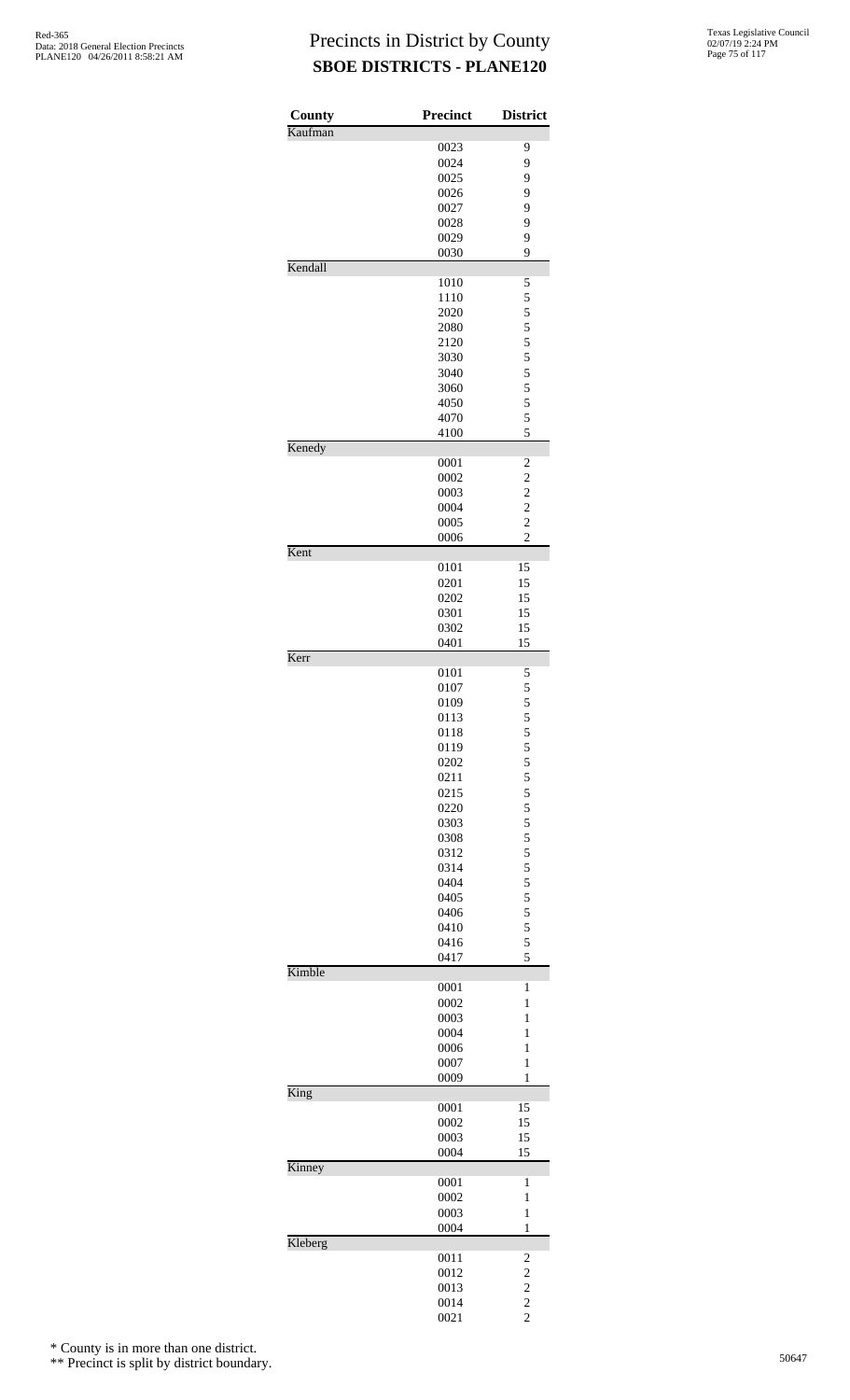| County  | Precinct     | <b>District</b>                            |
|---------|--------------|--------------------------------------------|
| Kaufman |              |                                            |
|         | 0023         | 9                                          |
|         | 0024         | 9                                          |
|         | 0025<br>0026 | 9                                          |
|         | 0027         | 9<br>9                                     |
|         | 0028         | 9                                          |
|         | 0029         | 9                                          |
|         | 0030         | 9                                          |
| Kendall |              |                                            |
|         | 1010         | 5                                          |
|         | 1110         | 5                                          |
|         | 2020         | 5                                          |
|         | 2080         |                                            |
|         | 2120         | $\begin{array}{c} 5 \\ 5 \\ 5 \end{array}$ |
|         | 3030         |                                            |
|         | 3040         | 5                                          |
|         | 3060         | 5                                          |
|         | 4050         | 5                                          |
|         | 4070         | 5                                          |
|         | 4100         | 5                                          |
| Kenedy  |              |                                            |
|         | 0001         | $\overline{c}$                             |
|         | 0002         | $\frac{2}{2}$                              |
|         | 0003         |                                            |
|         | 0004         | $\overline{c}$                             |
|         | 0005         | $\overline{c}$<br>$\overline{c}$           |
| Kent    | 0006         |                                            |
|         | 0101         | 15                                         |
|         | 0201         | 15                                         |
|         | 0202         | 15                                         |
|         | 0301         | 15                                         |
|         | 0302         | 15                                         |
|         | 0401         | 15                                         |
| Kerr    |              |                                            |
|         | 0101         | 5                                          |
|         | 0107         |                                            |
|         | 0109         | $\frac{5}{5}$                              |
|         | 0113         | 5                                          |
|         | 0118         | 5                                          |
|         | 0119         | 5 5 5 5 5 5                                |
|         | 0202         |                                            |
|         | 0211         |                                            |
|         | 0215         |                                            |
|         | 0220         |                                            |
|         | 0303         |                                            |
|         | 0308         |                                            |
|         | 0312<br>0314 |                                            |
|         | 0404         | 5 5 5 5 5 5                                |
|         | 0405         |                                            |
|         | 0406         | $\frac{5}{5}$                              |
|         | 0410         | 5                                          |
|         | 0416         | 5                                          |
|         | 0417         | 5                                          |
| Kimble  |              |                                            |
|         | 0001         | 1                                          |
|         | 0002         | 1                                          |
|         | 0003         | $\mathbf{1}$                               |
|         | 0004         | $\mathbf{1}$                               |
|         | 0006         | 1                                          |
|         | 0007         | $\mathbf{1}$                               |
|         | 0009         | 1                                          |
| King    |              |                                            |
|         | 0001         | 15                                         |
|         | 0002         | 15                                         |
|         | 0003         | 15                                         |
|         | 0004         | 15                                         |
| Kinney  |              |                                            |
|         | 0001         | $\mathbf{1}$                               |
|         | 0002         | 1                                          |
|         | 0003         | $\mathbf{1}$                               |
| Kleberg | 0004         | 1                                          |
|         | 0011         |                                            |
|         | 0012         | 2                                          |
|         | 0013         |                                            |
|         | 0014         | $\begin{array}{c} 2 \\ 2 \\ 2 \end{array}$ |
|         | 0021         |                                            |

\* County is in more than one district.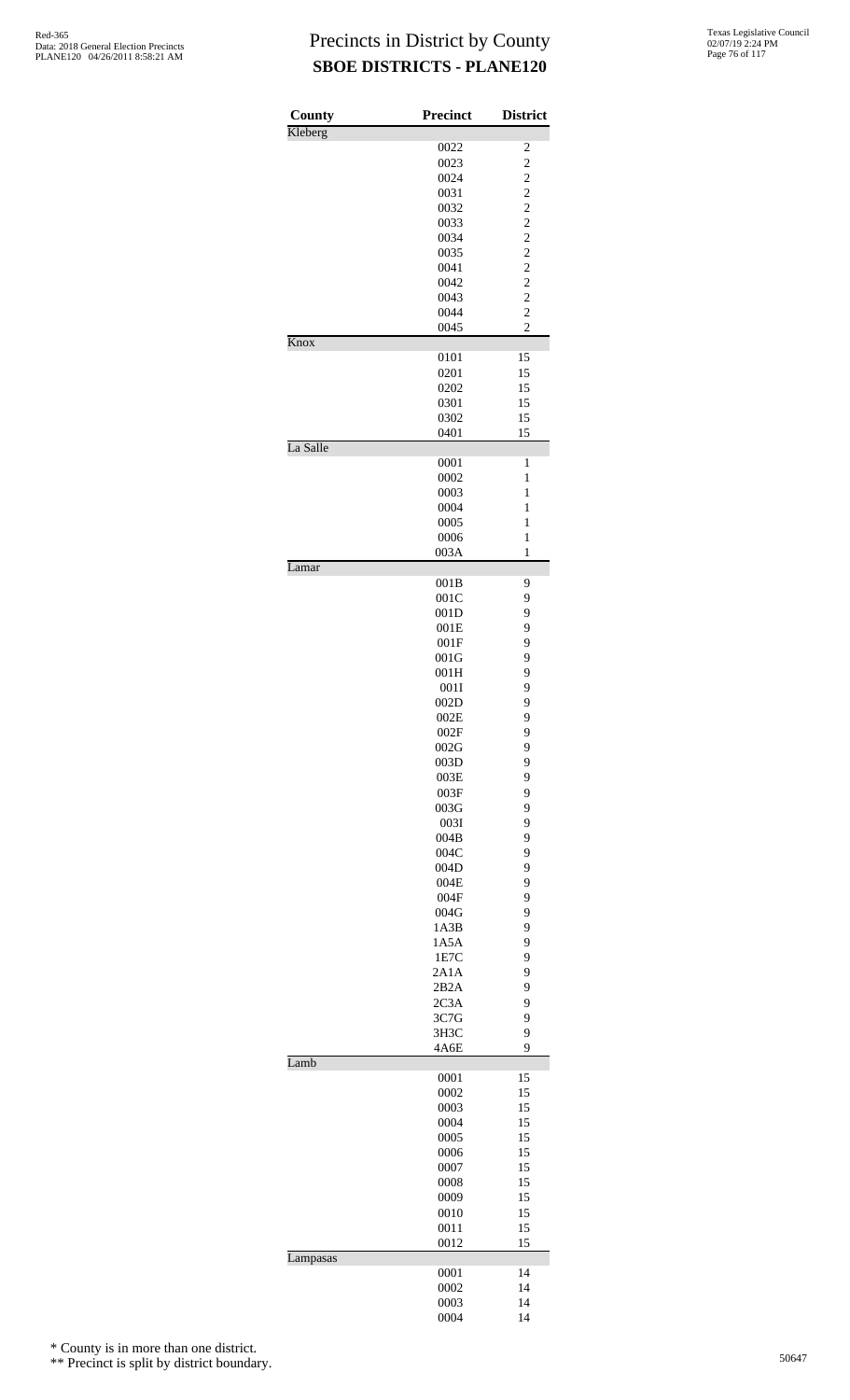| County   | Precinct     | <b>District</b>                  |
|----------|--------------|----------------------------------|
| Kleberg  |              |                                  |
|          | 0022         | $\overline{\mathbf{c}}$          |
|          | 0023         | $\overline{c}$                   |
|          | 0024<br>0031 | $\frac{2}{2}$                    |
|          | 0032         | $\overline{c}$                   |
|          | 0033         | $\overline{c}$                   |
|          | 0034         | $\overline{c}$                   |
|          | 0035         | $\overline{\mathbf{c}}$          |
|          | 0041         | $\overline{c}$                   |
|          | 0042         | $\overline{\mathbf{c}}$          |
|          | 0043<br>0044 | $\overline{c}$<br>$\overline{c}$ |
|          | 0045         | $\overline{c}$                   |
| Knox     |              |                                  |
|          | 0101         | 15                               |
|          | 0201         | 15                               |
|          | 0202         | 15<br>15                         |
|          | 0301<br>0302 | 15                               |
|          | 0401         | 15                               |
| La Salle |              |                                  |
|          | 0001         | 1                                |
|          | 0002         | $\mathbf{1}$                     |
|          | 0003         | $\mathbf{1}$                     |
|          | 0004<br>0005 | 1<br>1                           |
|          | 0006         | $\mathbf{1}$                     |
|          | 003A         | $\mathbf{1}$                     |
| Lamar    |              |                                  |
|          | 001B         | 9                                |
|          | 001C         | 9                                |
|          | 001D<br>001E | 9<br>9                           |
|          | 001F         | 9                                |
|          | 001G         | 9                                |
|          | 001H         | 9                                |
|          | 0011         | 9                                |
|          | 002D         | 9                                |
|          | 002E         | 9                                |
|          | 002F<br>002G | 9<br>9                           |
|          | 003D         | 9                                |
|          | 003E         | 9                                |
|          | 003F         | 9                                |
|          | 003G         | 9                                |
|          | 003I         | 9                                |
|          | 004B         | 9                                |
|          | 004C<br>004D | 9<br>9                           |
|          | 004E         | 9                                |
|          | 004F         | 9                                |
|          | 004G         | 9                                |
|          | 1A3B         | 9                                |
|          | 1A5A         | 9                                |
|          | 1E7C<br>2A1A | 9<br>9                           |
|          | 2B2A         | 9                                |
|          | 2C3A         | 9                                |
|          | 3C7G         | 9                                |
|          | 3H3C         | 9                                |
|          | 4A6E         | 9                                |
| Lamb     | 0001         | 15                               |
|          | 0002         | 15                               |
|          | 0003         | 15                               |
|          | 0004         | 15                               |
|          | 0005         | 15                               |
|          | 0006         | 15                               |
|          | 0007<br>0008 | 15<br>15                         |
|          | 0009         | 15                               |
|          | 0010         | 15                               |
|          | 0011         | 15                               |
|          | 0012         | 15                               |
| Lampasas |              |                                  |
|          | 0001         | 14                               |
|          | 0002<br>0003 | 14<br>14                         |
|          | 0004         | 14                               |

\* County is in more than one district.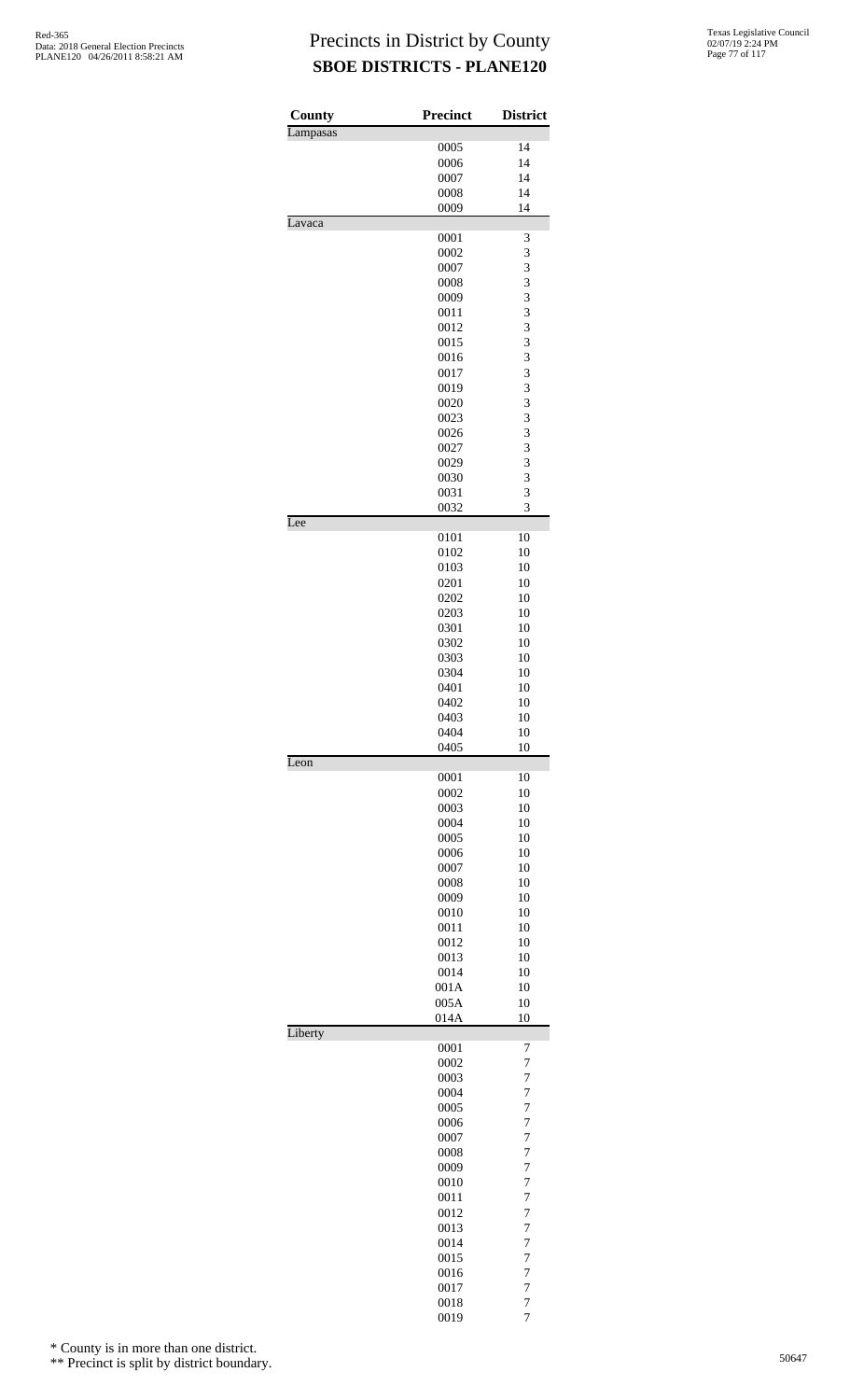| County   | <b>Precinct</b> | <b>District</b>     |
|----------|-----------------|---------------------|
| Lampasas |                 |                     |
|          | 0005<br>0006    | 14<br>14            |
|          |                 | 14                  |
|          | 0007<br>0008    | 14                  |
|          | 0009            | 14                  |
| Lavaca   |                 |                     |
|          | 0001            | 3                   |
|          | 0002            | 3                   |
|          | 0007            | 3                   |
|          | 0008            | 3                   |
|          | 0009            | 3                   |
|          | 0011            | 3                   |
|          | 0012            | 3                   |
|          | 0015            | 3                   |
|          | 0016            | 3                   |
|          | 0017            | 3                   |
|          | 0019            | 3                   |
|          | 0020            | 3                   |
|          | 0023            | 3                   |
|          | 0026            | 3                   |
|          | 0027            | 3                   |
|          | 0029            | 3<br>3              |
|          | 0030<br>0031    | 3                   |
|          | 0032            | 3                   |
| Lee      |                 |                     |
|          | 0101            | 10                  |
|          | 0102            | 10                  |
|          | 0103            | 10                  |
|          | 0201            | 10                  |
|          | 0202            | 10                  |
|          | 0203            | 10                  |
|          | 0301            | 10                  |
|          | 0302            | 10                  |
|          | 0303            | 10                  |
|          | 0304            | 10                  |
|          | 0401            | 10                  |
|          | 0402            | 10                  |
|          | 0403            | 10                  |
|          | 0404            | 10                  |
|          | 0405            | 10                  |
| Leon     |                 |                     |
|          | 0001<br>0002    | 10<br>10            |
|          | 0003            | 10                  |
|          | 0004            | 10                  |
|          | 0005            | 10                  |
|          | 0006            | 10                  |
|          | 0007            | 10                  |
|          | 0008            | 10                  |
|          | 0009            | 10                  |
|          | 0010            | 10                  |
|          | 0011            | 10                  |
|          | 0012            | 10                  |
|          | 0013            | 10                  |
|          | 0014            | 10                  |
|          | 001A            | 10                  |
|          | 005A            | 10                  |
|          | 014A            | 10                  |
| Liberty  |                 |                     |
|          | 0001<br>0002    | 7<br>$\overline{7}$ |
|          | 0003            | $\overline{7}$      |
|          | 0004            | $\overline{7}$      |
|          | 0005            | 7                   |
|          | 0006            | $\overline{7}$      |
|          | 0007            | $\overline{7}$      |
|          | 0008            | $\overline{7}$      |
|          | 0009            | $\overline{7}$      |
|          | 0010            | 7                   |
|          | 0011            | 7                   |
|          | 0012            | $\overline{7}$      |
|          | 0013            | 7                   |
|          | 0014            | $\overline{7}$      |
|          | 0015            | 7                   |
|          | 0016            | 7                   |
|          | 0017            | $\overline{7}$      |
|          | 0018            | $\overline{7}$      |
|          | 0019            | $\overline{7}$      |

\* County is in more than one district.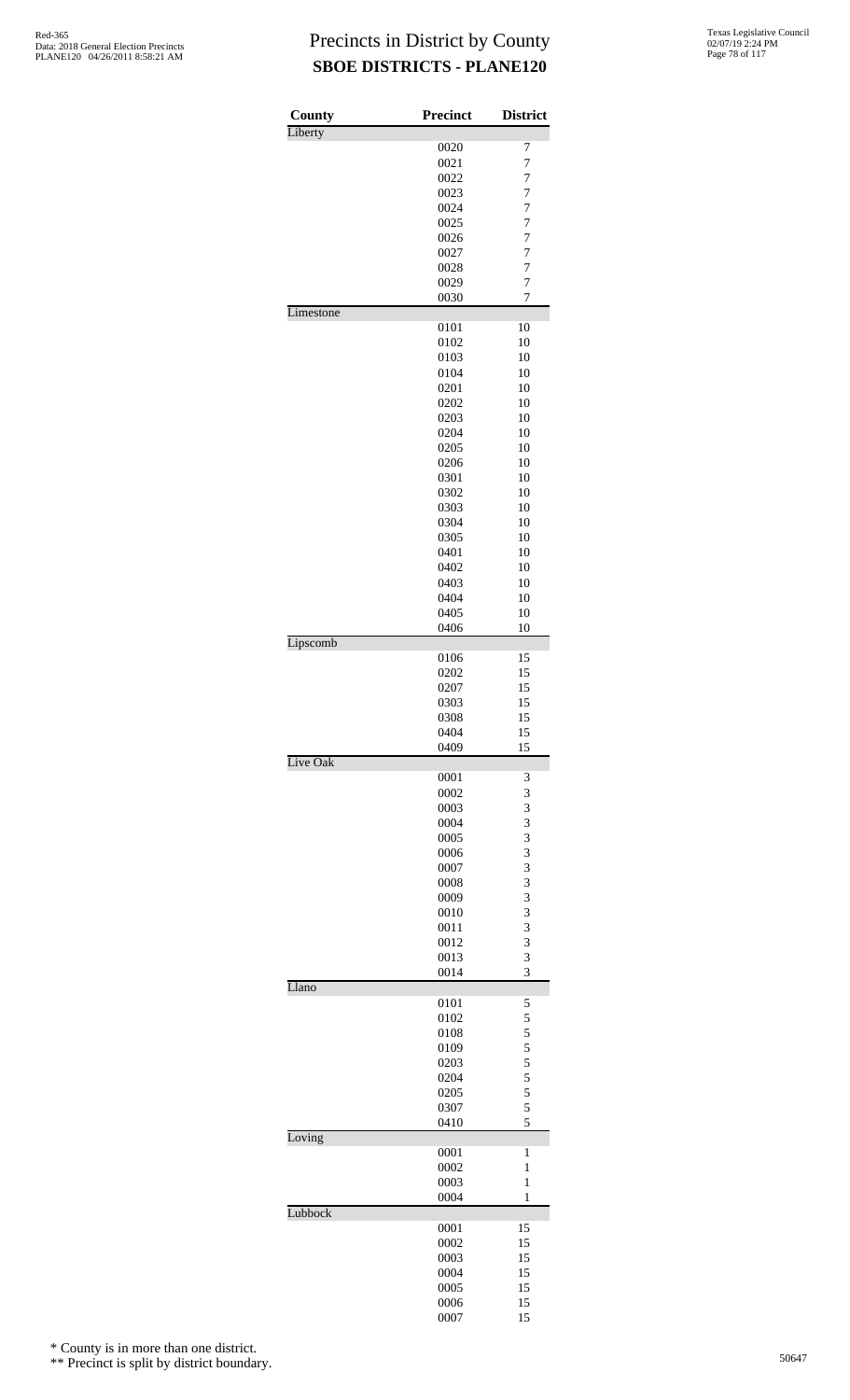| County    | <b>Precinct</b> | <b>District</b>         |
|-----------|-----------------|-------------------------|
| Liberty   | 0020            | 7                       |
|           | 0021            | 7                       |
|           | 0022            | 7                       |
|           | 0023            | 7                       |
|           | 0024            | $\overline{7}$          |
|           | 0025            | 7                       |
|           | 0026            | 7                       |
|           | 0027            | 7                       |
|           | 0028            | 7                       |
|           | 0029            | $\overline{7}$          |
|           | 0030            | 7                       |
| Limestone |                 |                         |
|           | 0101            | 10                      |
|           | 0102            | 10                      |
|           | 0103            | 10                      |
|           | 0104            | 10                      |
|           | 0201            | 10                      |
|           | 0202            | 10                      |
|           | 0203            | 10                      |
|           | 0204            | 10                      |
|           | 0205            | 10                      |
|           | 0206            | 10                      |
|           | 0301            | 10                      |
|           | 0302            | 10                      |
|           | 0303            | 10                      |
|           | 0304            | 10                      |
|           | 0305            | 10                      |
|           | 0401            | 10                      |
|           | 0402            | 10                      |
|           | 0403            | 10                      |
|           | 0404            | 10                      |
|           | 0405            | 10                      |
|           | 0406            | 10                      |
| Lipscomb  |                 |                         |
|           | 0106            | 15                      |
|           | 0202            | 15                      |
|           | 0207            | 15                      |
|           | 0303            | 15                      |
|           | 0308            | 15                      |
|           | 0404            | 15                      |
|           | 0409            | 15                      |
| Live Oak  | 0001            |                         |
|           | 0002            | 3<br>3                  |
|           | 0003            | 3                       |
|           | 0004            | 3                       |
|           | 0005            | 3                       |
|           | 0006            | 3                       |
|           | 0007            | 3                       |
|           | 0008            | 3                       |
|           |                 |                         |
|           | 0009            | 3                       |
|           | 0010            | 3                       |
|           | 0011            | 3                       |
|           | 0012            | 3                       |
|           | 0013<br>0014    | 3<br>3                  |
| Llano     |                 |                         |
|           | 0101            | 5                       |
|           | 0102            | 5                       |
|           | 0108            | 5                       |
|           | 0109            | $\overline{\mathbf{5}}$ |
|           | 0203            | 5                       |
|           | 0204            | 5                       |
|           | 0205            | 5                       |
|           | 0307            | 5                       |
|           | 0410            | 5                       |
| Loving    |                 |                         |
|           | 0001            | 1                       |
|           | 0002            | $\mathbf{1}$            |
|           | 0003            | $\mathbf{1}$            |
|           | 0004            | $\mathbf{1}$            |
| Lubbock   |                 |                         |
|           | 0001            | 15                      |
|           | 0002            | 15                      |
|           | 0003            | 15                      |
|           | 0004            | 15                      |
|           | 0005            | 15                      |
|           | 0006<br>0007    | 15<br>15                |
|           |                 |                         |

\* County is in more than one district.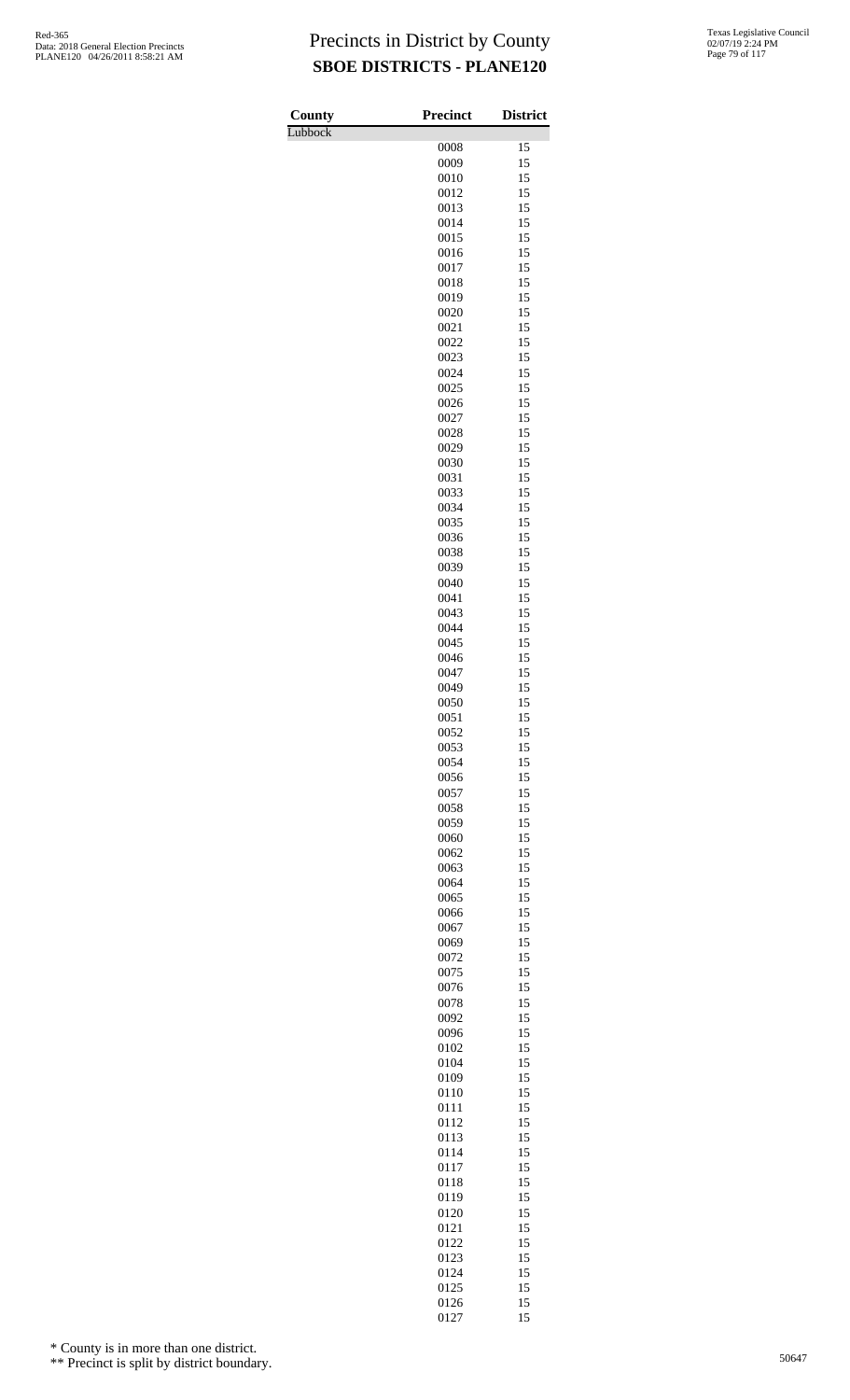Lubbock

| County  | <b>Precinct</b> | <b>District</b> |
|---------|-----------------|-----------------|
| Lubbock | 0008            | 15              |
|         | 0009            | 15              |
|         | 0010            | 15              |
|         | 0012            | 15              |
|         | 0013            | 15              |
|         | 0014<br>0015    | 15<br>15        |
|         | 0016            | 15              |
|         | 0017            | 15              |
|         | 0018            | 15              |
|         | 0019            | 15              |
|         | 0020<br>0021    | 15<br>15        |
|         | 0022            | 15              |
|         | 0023            | 15              |
|         | 0024            | 15              |
|         | 0025            | 15              |
|         | 0026<br>0027    | 15<br>15        |
|         | 0028            | 15              |
|         | 0029            | 15              |
|         | 0030            | 15              |
|         | 0031            | 15              |
|         | 0033<br>0034    | 15<br>15        |
|         | 0035            | 15              |
|         | 0036            | 15              |
|         | 0038            | 15              |
|         | 0039            | 15              |
|         | 0040<br>0041    | 15<br>15        |
|         | 0043            | 15              |
|         | 0044            | 15              |
|         | 0045            | 15              |
|         | 0046            | 15              |
|         | 0047<br>0049    | 15<br>15        |
|         | 0050            | 15              |
|         | 0051            | 15              |
|         | 0052            | 15              |
|         | 0053            | 15              |
|         | 0054<br>0056    | 15<br>15        |
|         | 0057            | 15              |
|         | 0058            | 15              |
|         | 0059            | 15              |
|         | 0060            | 15              |
|         | 0062            | 15<br>15        |
|         | 0063<br>0064    | 15              |
|         | 0065            | 15              |
|         | 0066            | 15              |
|         | 0067            | 15              |
|         | 0069            | 15<br>15        |
|         | 0072<br>0075    | 15              |
|         | 0076            | 15              |
|         | 0078            | 15              |
|         | 0092            | 15              |
|         | 0096<br>0102    | 15<br>15        |
|         | 0104            | 15              |
|         | 0109            | 15              |
|         | 0110            | 15              |
|         | 0111            | 15              |
|         | 0112            | 15              |
|         | 0113<br>0114    | 15<br>15        |
|         | 0117            | 15              |
|         | 0118            | 15              |
|         | 0119            | 15              |
|         | 0120            | 15              |
|         | 0121<br>0122    | 15<br>15        |
|         | 0123            | 15              |
|         | 0124            | 15              |
|         | 0125            | 15              |
|         | 0126<br>0127    | 15<br>15        |
|         |                 |                 |

\* County is in more than one district.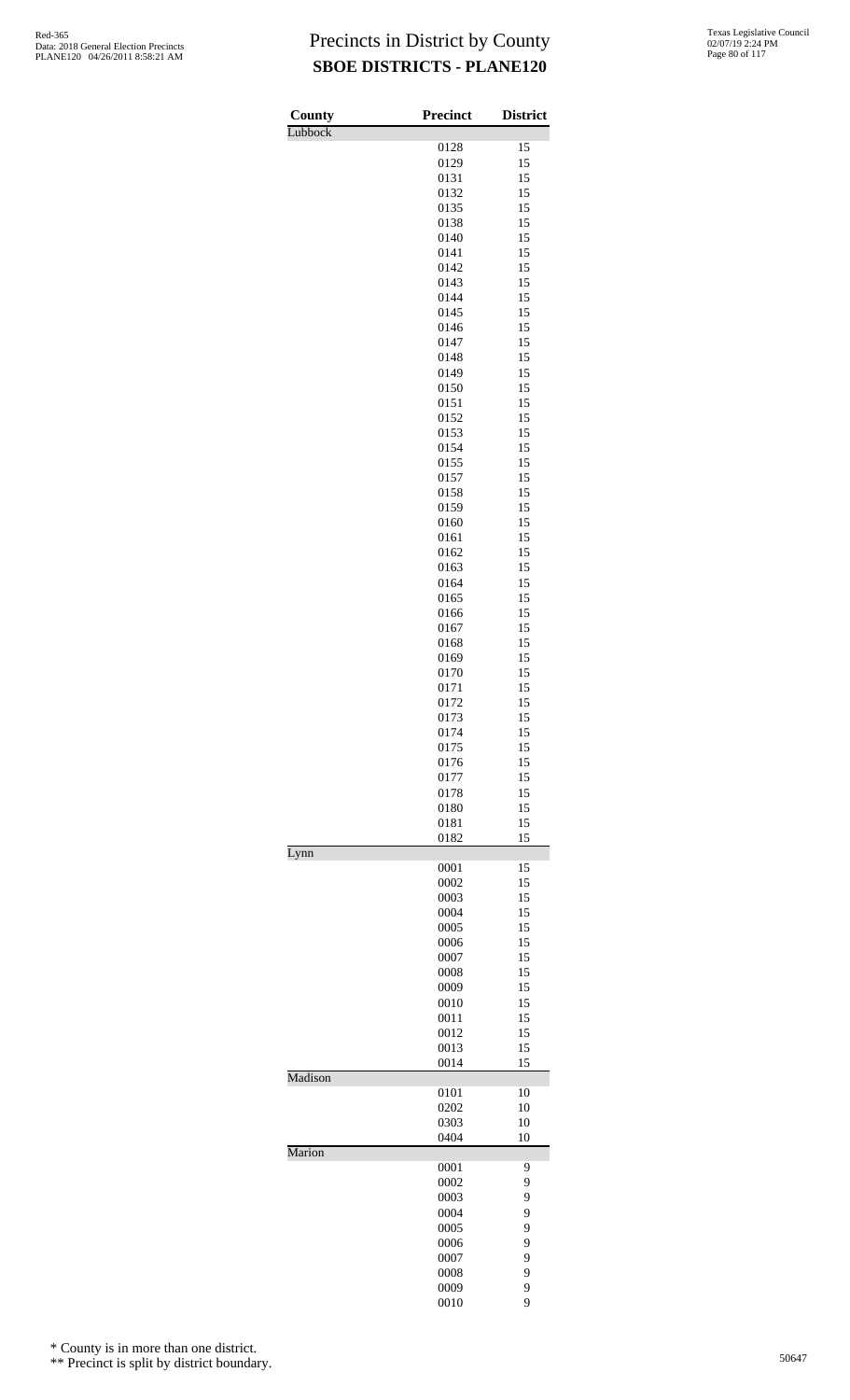| Texas Legislative Council |
|---------------------------|
| 02/07/19 2:24 PM          |
| Page 80 of 117            |

| County  | <b>Precinct</b> | <b>District</b> |
|---------|-----------------|-----------------|
| Lubbock |                 |                 |
|         | 0128            | 15              |
|         | 0129<br>0131    | 15<br>15        |
|         | 0132            | 15              |
|         | 0135            | 15              |
|         | 0138            | 15              |
|         | 0140            | 15              |
|         | 0141            | 15              |
|         | 0142<br>0143    | 15<br>15        |
|         | 0144            | 15              |
|         | 0145            | 15              |
|         | 0146            | 15              |
|         | 0147            | 15              |
|         | 0148<br>0149    | 15<br>15        |
|         | 0150            | 15              |
|         | 0151            | 15              |
|         | 0152            | 15              |
|         | 0153            | 15              |
|         | 0154            | 15              |
|         | 0155<br>0157    | 15<br>15        |
|         | 0158            | 15              |
|         | 0159            | 15              |
|         | 0160            | 15              |
|         | 0161            | 15              |
|         | 0162<br>0163    | 15<br>15        |
|         | 0164            | 15              |
|         | 0165            | 15              |
|         | 0166            | 15              |
|         | 0167            | 15              |
|         | 0168            | 15              |
|         | 0169<br>0170    | 15<br>15        |
|         | 0171            | 15              |
|         | 0172            | 15              |
|         | 0173            | 15              |
|         | 0174            | 15              |
|         | 0175            | 15              |
|         | 0176<br>0177    | 15<br>15        |
|         | 0178            | 15              |
|         | 0180            | 15              |
|         | 0181            | 15              |
| Lynn    | 0182            | 15              |
|         | 0001            | 15              |
|         | 0002            | 15              |
|         | 0003            | 15              |
|         | 0004            | 15              |
|         | 0005<br>0006    | 15<br>15        |
|         | 0007            | 15              |
|         | 0008            | 15              |
|         | 0009            | 15              |
|         | 0010            | 15              |
|         | 0011            | 15              |
|         | 0012<br>0013    | 15<br>15        |
|         | 0014            | 15              |
| Madison |                 |                 |
|         | 0101            | 10              |
|         | 0202            | 10              |
|         | 0303<br>0404    | 10<br>10        |
| Marion  |                 |                 |
|         | 0001            | 9               |
|         | 0002            | 9               |
|         | 0003            | 9               |
|         | 0004<br>0005    | 9<br>9          |
|         | 0006            | 9               |
|         | 0007            | 9               |
|         | 0008            | 9               |
|         | 0009            | 9               |
|         | 0010            | 9               |

\* County is in more than one district.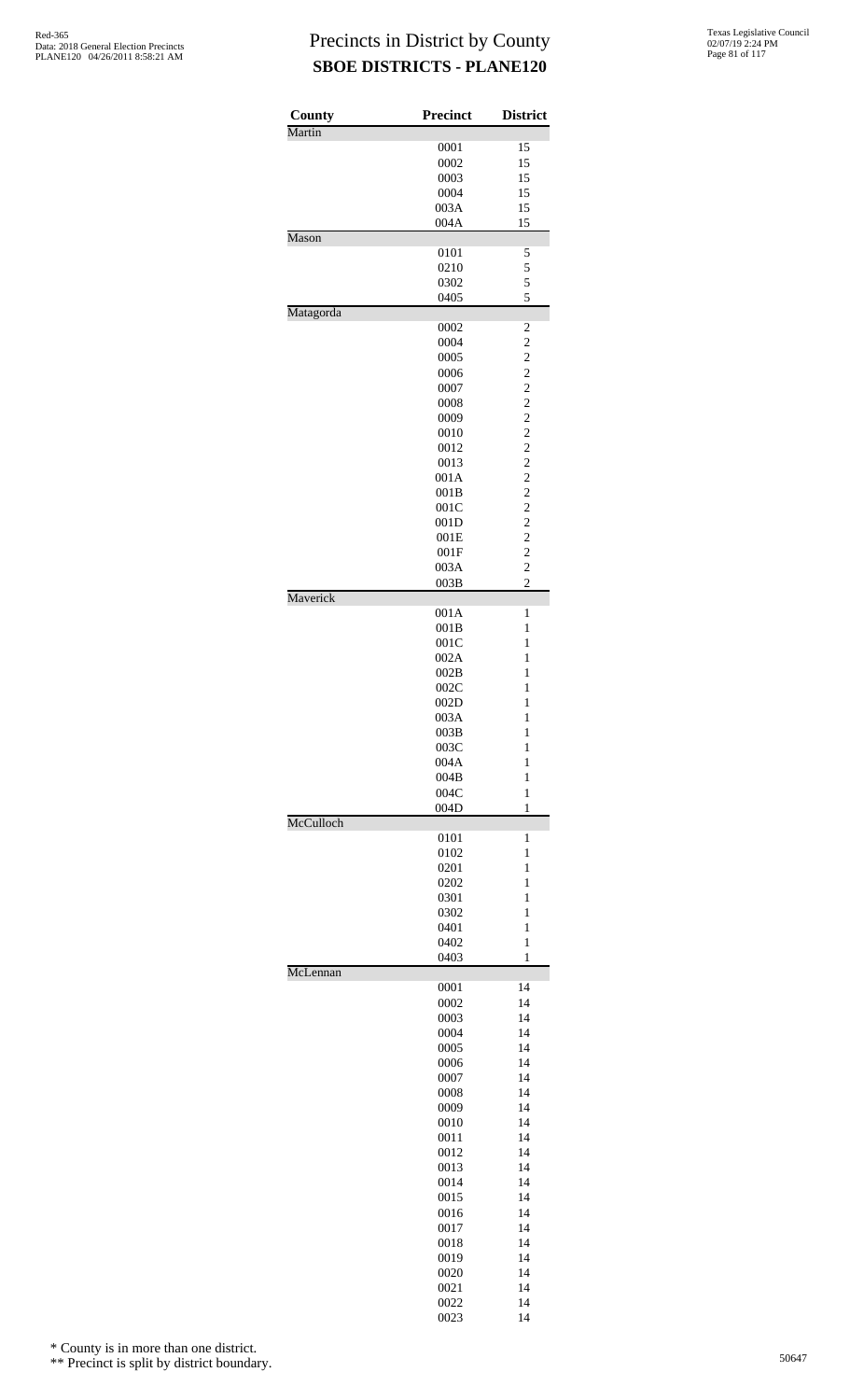| County    | Precinct     | <b>District</b>                  |
|-----------|--------------|----------------------------------|
| Martin    |              |                                  |
|           | 0001<br>0002 | 15<br>15                         |
|           | 0003         | 15                               |
|           | 0004         | 15                               |
|           | 003A         | 15                               |
|           | 004A         | 15                               |
| Mason     |              |                                  |
|           | 0101         | 5                                |
|           | 0210         | 5                                |
|           | 0302         | 5<br>5                           |
| Matagorda | 0405         |                                  |
|           | 0002         | $\overline{\mathbf{c}}$          |
|           | 0004         | $\overline{c}$                   |
|           | 0005         | $\overline{c}$                   |
|           | 0006         | $\overline{c}$                   |
|           | 0007         | $\overline{c}$                   |
|           | 0008         | $\overline{c}$                   |
|           | 0009         | $\overline{c}$                   |
|           | 0010         | $\overline{c}$                   |
|           | 0012         | $\overline{c}$                   |
|           | 0013         | $\overline{c}$                   |
|           | 001A<br>001B | $\overline{c}$<br>$\overline{c}$ |
|           | 001C         | $\overline{c}$                   |
|           | 001D         | $\overline{c}$                   |
|           | 001E         | $\overline{c}$                   |
|           | 001F         | $\overline{c}$                   |
|           | 003A         | $\overline{c}$                   |
|           | 003B         | $\overline{c}$                   |
| Maverick  |              |                                  |
|           | 001A         | $\mathbf{1}$                     |
|           | 001B<br>001C | $\mathbf{1}$<br>$\mathbf{1}$     |
|           | 002A         | $\mathbf{1}$                     |
|           | 002B         | $\mathbf{1}$                     |
|           | 002C         | $\mathbf{1}$                     |
|           | 002D         | 1                                |
|           | 003A         | $\mathbf{1}$                     |
|           | 003B         | $\mathbf{1}$                     |
|           | 003C         | 1                                |
|           | 004A         | 1                                |
|           | 004B         | 1                                |
|           | 004C         | $\mathbf{1}$                     |
| McCulloch | 004D         | $\mathbf{1}$                     |
|           | 0101         | 1                                |
|           | 0102         | 1                                |
|           | 0201         | $\mathbf{1}$                     |
|           | 0202         | $\mathbf{1}$                     |
|           | 0301         | 1                                |
|           | 0302         | 1                                |
|           | 0401         | 1                                |
|           | 0402<br>0403 | $\mathbf{1}$<br>$\mathbf{1}$     |
| McLennan  |              |                                  |
|           | 0001         | 14                               |
|           | 0002         | 14                               |
|           | 0003         | 14                               |
|           | 0004         | 14                               |
|           | 0005         | 14                               |
|           | 0006         | 14                               |
|           | 0007         | 14<br>14                         |
|           | 0008<br>0009 | 14                               |
|           | 0010         | 14                               |
|           | 0011         | 14                               |
|           | 0012         | 14                               |
|           | 0013         | 14                               |
|           | 0014         | 14                               |
|           | 0015         | 14                               |
|           | 0016         | 14                               |
|           | 0017         | 14                               |
|           | 0018         | 14                               |
|           | 0019         | 14                               |
|           |              | 14                               |
|           | 0020         |                                  |
|           | 0021<br>0022 | 14<br>14                         |

\* County is in more than one district.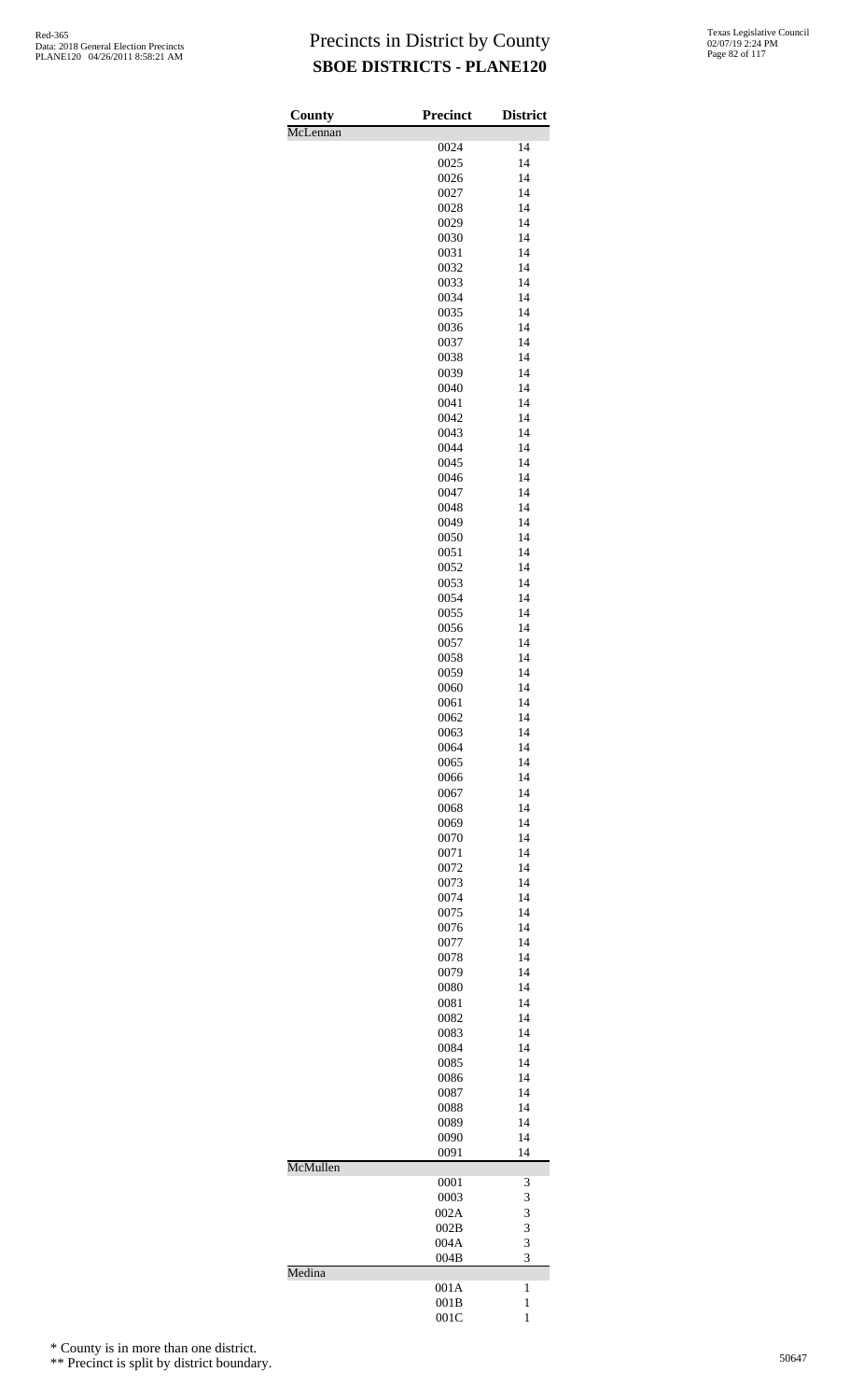| County   | <b>Precinct</b> | <b>District</b> |
|----------|-----------------|-----------------|
| McLennan | 0024            | 14              |
|          | 0025            | 14              |
|          | 0026            | 14              |
|          | 0027            | 14              |
|          | 0028<br>0029    | 14<br>14        |
|          | 0030            | 14              |
|          | 0031            | 14              |
|          | 0032            | 14              |
|          | 0033            | 14              |
|          | 0034<br>0035    | 14<br>14        |
|          | 0036            | 14              |
|          | 0037            | 14              |
|          | 0038            | 14              |
|          | 0039            | 14              |
|          | 0040<br>0041    | 14<br>14        |
|          | 0042            | 14              |
|          | 0043            | 14              |
|          | 0044            | 14              |
|          | 0045            | 14              |
|          | 0046<br>0047    | 14<br>14        |
|          | 0048            | 14              |
|          | 0049            | 14              |
|          | 0050            | 14              |
|          | 0051            | 14              |
|          | 0052            | 14<br>14        |
|          | 0053<br>0054    | 14              |
|          | 0055            | 14              |
|          | 0056            | 14              |
|          | 0057            | 14              |
|          | 0058            | 14<br>14        |
|          | 0059<br>0060    | 14              |
|          | 0061            | 14              |
|          | 0062            | 14              |
|          | 0063            | 14              |
|          | 0064            | 14              |
|          | 0065<br>0066    | 14<br>14        |
|          | 0067            | 14              |
|          | 0068            | 14              |
|          | 0069            | 14              |
|          | 0070            | 14              |
|          | 0071<br>0072    | 14<br>14        |
|          | 0073            | 14              |
|          | 0074            | 14              |
|          | 0075            | 14              |
|          | 0076            | 14              |
|          | 0077<br>0078    | 14<br>14        |
|          | 0079            | 14              |
|          | 0080            | 14              |
|          | 0081            | 14              |
|          | 0082            | 14<br>14        |
|          | 0083<br>0084    | 14              |
|          | 0085            | 14              |
|          | 0086            | 14              |
|          | 0087            | 14              |
|          | 0088            | 14<br>14        |
|          | 0089<br>0090    | 14              |
|          | 0091            | 14              |
| McMullen |                 |                 |
|          | 0001<br>0003    | 3<br>3          |
|          | 002A            | 3               |
|          | 002B            | 3               |
|          | 004A            | 3               |
| Medina   | 004B            | 3               |
|          | 001A            | 1               |
|          | 001B            | $\mathbf{1}$    |
|          | 001C            | $\mathbf{1}$    |

\* County is in more than one district.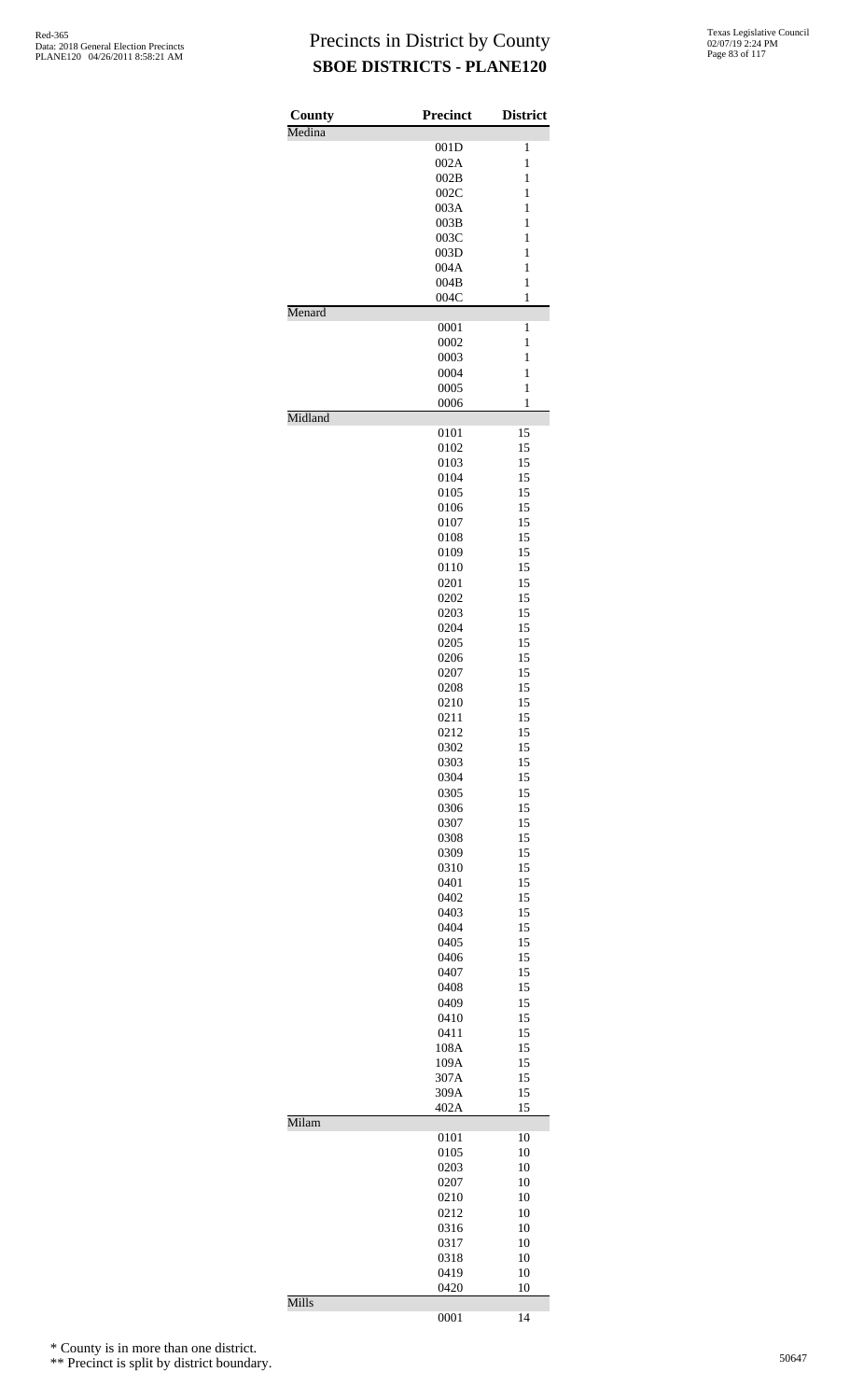| County  | Precinct     | <b>District</b>   |
|---------|--------------|-------------------|
| Medina  |              |                   |
|         | 001D         | 1                 |
|         | 002A         | 1                 |
|         | 002B<br>002C | 1<br>$\mathbf{1}$ |
|         | 003A         | $\mathbf{1}$      |
|         | 003B         | 1                 |
|         | 003C         | 1                 |
|         | 003D         | 1                 |
|         | 004A         | $\mathbf{1}$      |
|         | 004B         | $\mathbf{1}$      |
|         | 004C         | 1                 |
| Menard  |              |                   |
|         | 0001         | 1<br>$\mathbf{1}$ |
|         | 0002<br>0003 | $\mathbf{1}$      |
|         | 0004         | 1                 |
|         | 0005         | $\mathbf{1}$      |
|         | 0006         | $\mathbf{1}$      |
| Midland |              |                   |
|         | 0101         | 15                |
|         | 0102         | 15                |
|         | 0103         | 15                |
|         | 0104         | 15<br>15          |
|         | 0105<br>0106 | 15                |
|         | 0107         | 15                |
|         | 0108         | 15                |
|         | 0109         | 15                |
|         | 0110         | 15                |
|         | 0201         | 15                |
|         | 0202         | 15                |
|         | 0203         | 15                |
|         | 0204         | 15                |
|         | 0205         | 15                |
|         | 0206<br>0207 | 15<br>15          |
|         | 0208         | 15                |
|         | 0210         | 15                |
|         | 0211         | 15                |
|         | 0212         | 15                |
|         | 0302         | 15                |
|         | 0303         | 15                |
|         | 0304         | 15                |
|         | 0305         | 15                |
|         | 0306         | 15                |
|         | 0307         | 15                |
|         | 0308<br>0309 | 15<br>15          |
|         | 0310         | 15                |
|         | 0401         | 15                |
|         | 0402         | 15                |
|         | 0403         | 15                |
|         | 0404         | 15                |
|         | 0405         | 15                |
|         | 0406         | 15                |
|         | 0407         | 15                |
|         | 0408         | 15                |
|         | 0409<br>0410 | 15<br>15          |
|         | 0411         | 15                |
|         | 108A         | 15                |
|         | 109A         | 15                |
|         | 307A         | 15                |
|         | 309A         | 15                |
|         | 402A         | 15                |
| Milam   | 0101         | 10                |
|         | 0105         | 10                |
|         | 0203         | 10                |
|         | 0207         | 10                |
|         | 0210         | 10                |
|         | 0212         | 10                |
|         | 0316         | 10                |
|         | 0317         | 10                |
|         | 0318         | 10                |
|         | 0419         | 10                |
| Mills   | 0420         | 10                |
|         | 0001         | 14                |

\* County is in more than one district.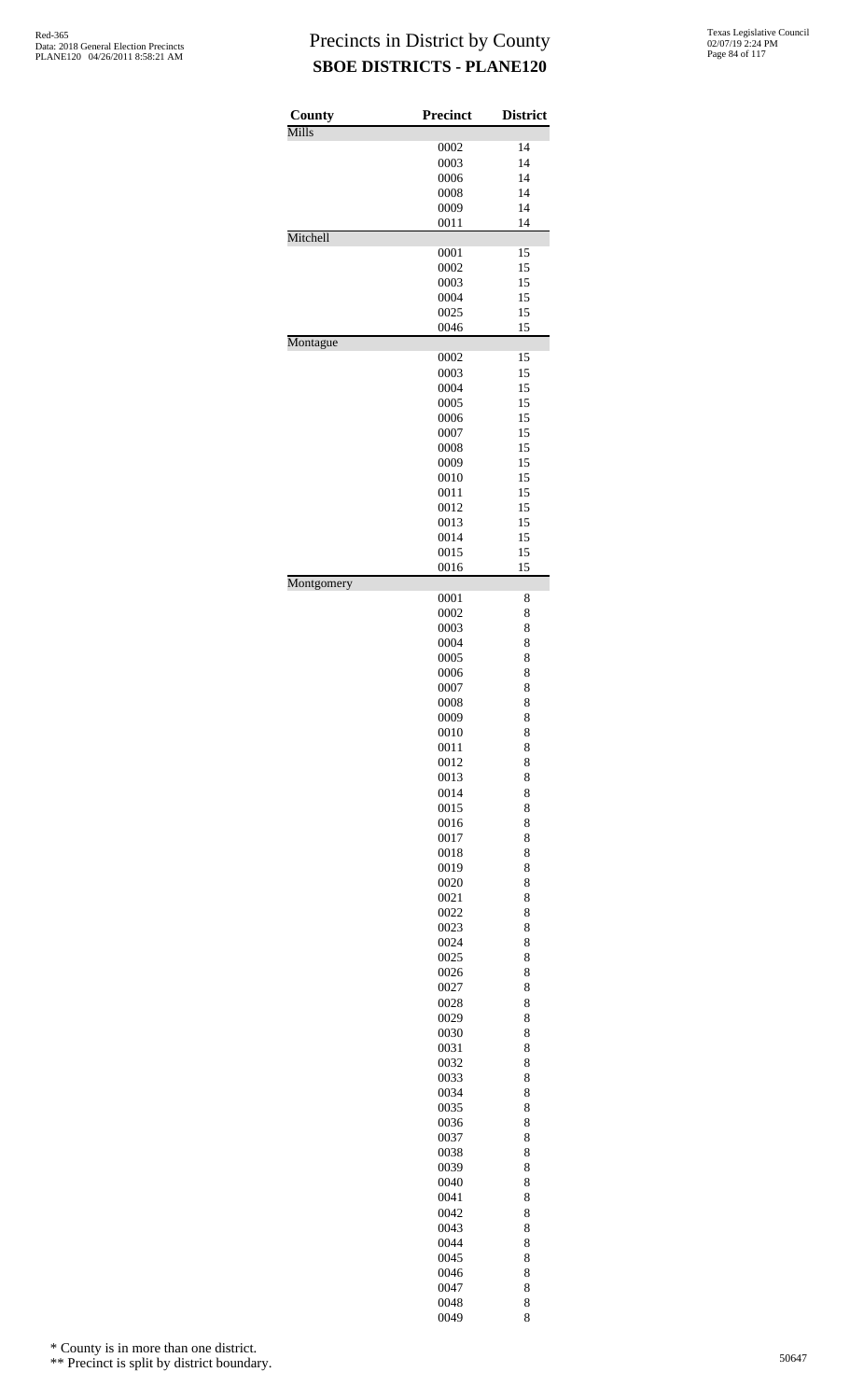| County<br>Mills | <b>Precinct</b> | <b>District</b> |
|-----------------|-----------------|-----------------|
|                 | 0002            | 14              |
|                 | 0003            | 14              |
|                 | 0006            | 14              |
|                 | 0008            | 14              |
|                 | 0009            | 14              |
|                 | 0011            | 14              |
| Mitchell        |                 |                 |
|                 | 0001            | 15              |
|                 | 0002            | 15              |
|                 | 0003            | 15              |
|                 | 0004            | 15              |
|                 | 0025<br>0046    | 15<br>15        |
| Montague        |                 |                 |
|                 | 0002            | 15              |
|                 | 0003            | 15              |
|                 | 0004            | 15              |
|                 | 0005            | 15              |
|                 | 0006            | 15              |
|                 | 0007            | 15              |
|                 | 0008            | 15              |
|                 | 0009            | 15              |
|                 | 0010            | 15<br>15        |
|                 | 0011<br>0012    | 15              |
|                 | 0013            | 15              |
|                 | 0014            | 15              |
|                 | 0015            | 15              |
|                 | 0016            | 15              |
| Montgomery      |                 |                 |
|                 | 0001<br>0002    | 8<br>8          |
|                 | 0003            | 8               |
|                 | 0004            | 8               |
|                 | 0005            | 8               |
|                 | 0006            | 8               |
|                 | 0007            | 8               |
|                 | 0008            | 8               |
|                 | 0009            | 8               |
|                 | 0010            | 8               |
|                 | 0011            | 8               |
|                 | 0012            | 8               |
|                 | 0013<br>0014    | 8<br>8          |
|                 | 0015            | 8               |
|                 | 0016            | 8               |
|                 | 0017            | 8               |
|                 | 0018            | 8               |
|                 | 0019            | 8               |
|                 | 0020            | 8               |
|                 | 0021            | 8               |
|                 | 0022            | 8               |
|                 | 0023            | 8               |
|                 | 0024            | 8               |
|                 | 0025            | 8               |
|                 | 0026            | 8               |
|                 | 0027<br>0028    | 8<br>8          |
|                 | 0029            | 8               |
|                 | 0030            | 8               |
|                 | 0031            | 8               |
|                 | 0032            | 8               |
|                 | 0033            | 8               |
|                 | 0034            | 8               |
|                 | 0035            | 8               |
|                 | 0036            | 8               |
|                 | 0037            | 8               |
|                 | 0038            | 8               |
|                 | 0039            | 8               |
|                 | 0040            | 8               |
|                 | 0041            | 8               |
|                 | 0042            | 8               |
|                 | 0043<br>0044    | 8<br>8          |
|                 | 0045            | 8               |
|                 | 0046            | 8               |
|                 | 0047            | 8               |
|                 | 0048            | 8               |
|                 | 0049            | 8               |

\* County is in more than one district.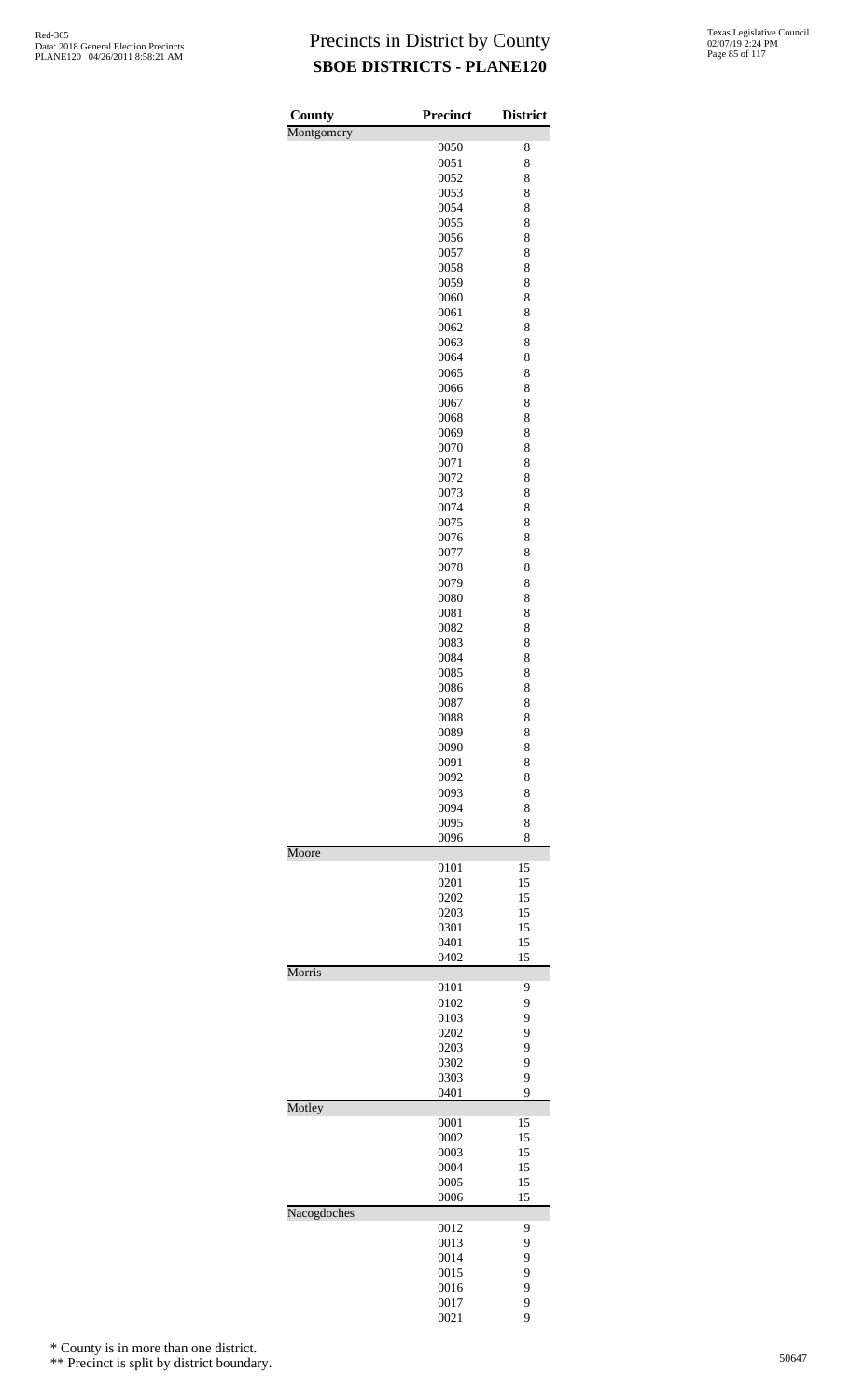| Texas Legislative Council |
|---------------------------|
| 02/07/19 2:24 PM          |
| Page 85 of 117            |

| County      | <b>Precinct</b> | <b>District</b> |
|-------------|-----------------|-----------------|
| Montgomery  |                 |                 |
|             | 0050            | 8               |
|             | 0051            | 8               |
|             | 0052            | 8               |
|             | 0053            | 8               |
|             | 0054<br>0055    | 8<br>8          |
|             | 0056            | 8               |
|             | 0057            | 8               |
|             | 0058            | 8               |
|             | 0059            | 8               |
|             | 0060            | 8               |
|             | 0061            | 8               |
|             | 0062            | 8               |
|             | 0063            | 8               |
|             | 0064            | 8               |
|             | 0065            | 8               |
|             | 0066            | 8               |
|             | 0067            | 8               |
|             | 0068            | 8               |
|             | 0069            | 8               |
|             | 0070            | 8               |
|             | 0071            | 8               |
|             | 0072            | 8               |
|             | 0073            | 8               |
|             | 0074            | 8               |
|             | 0075            | 8               |
|             | 0076            | 8               |
|             | 0077            | 8               |
|             | 0078            | 8               |
|             | 0079            | 8               |
|             | 0080            | 8               |
|             | 0081<br>0082    | 8<br>8          |
|             | 0083            | 8               |
|             | 0084            | 8               |
|             | 0085            | 8               |
|             | 0086            | 8               |
|             | 0087            | 8               |
|             | 0088            | 8               |
|             | 0089            | 8               |
|             | 0090            | 8               |
|             | 0091            | 8               |
|             | 0092            | 8               |
|             | 0093            | 8               |
|             | 0094            | 8               |
|             | 0095            | 8               |
|             | 0096            | 8               |
| Moore       |                 |                 |
|             | 0101            | 15              |
|             | 0201            | 15              |
|             | 0202            | 15              |
|             | 0203            | 15              |
|             | 0301            | 15              |
|             | 0401            | 15              |
| Morris      | 0402            | 15              |
|             | 0101            | 9               |
|             | 0102            | 9               |
|             | 0103            | 9               |
|             | 0202            | 9               |
|             | 0203            | 9               |
|             | 0302            | 9               |
|             | 0303            | 9               |
|             | 0401            | 9               |
| Motley      |                 |                 |
|             | 0001            | 15              |
|             | 0002            | 15              |
|             | 0003            | 15              |
|             | 0004            | 15              |
|             | 0005            | 15              |
|             | 0006            | 15              |
| Nacogdoches |                 |                 |
|             | 0012            | 9               |
|             | 0013            | 9               |
|             | 0014            | 9               |
|             | 0015            | 9               |
|             | 0016            | 9               |
|             | 0017            | 9               |
|             | 0021            | 9               |

\* County is in more than one district.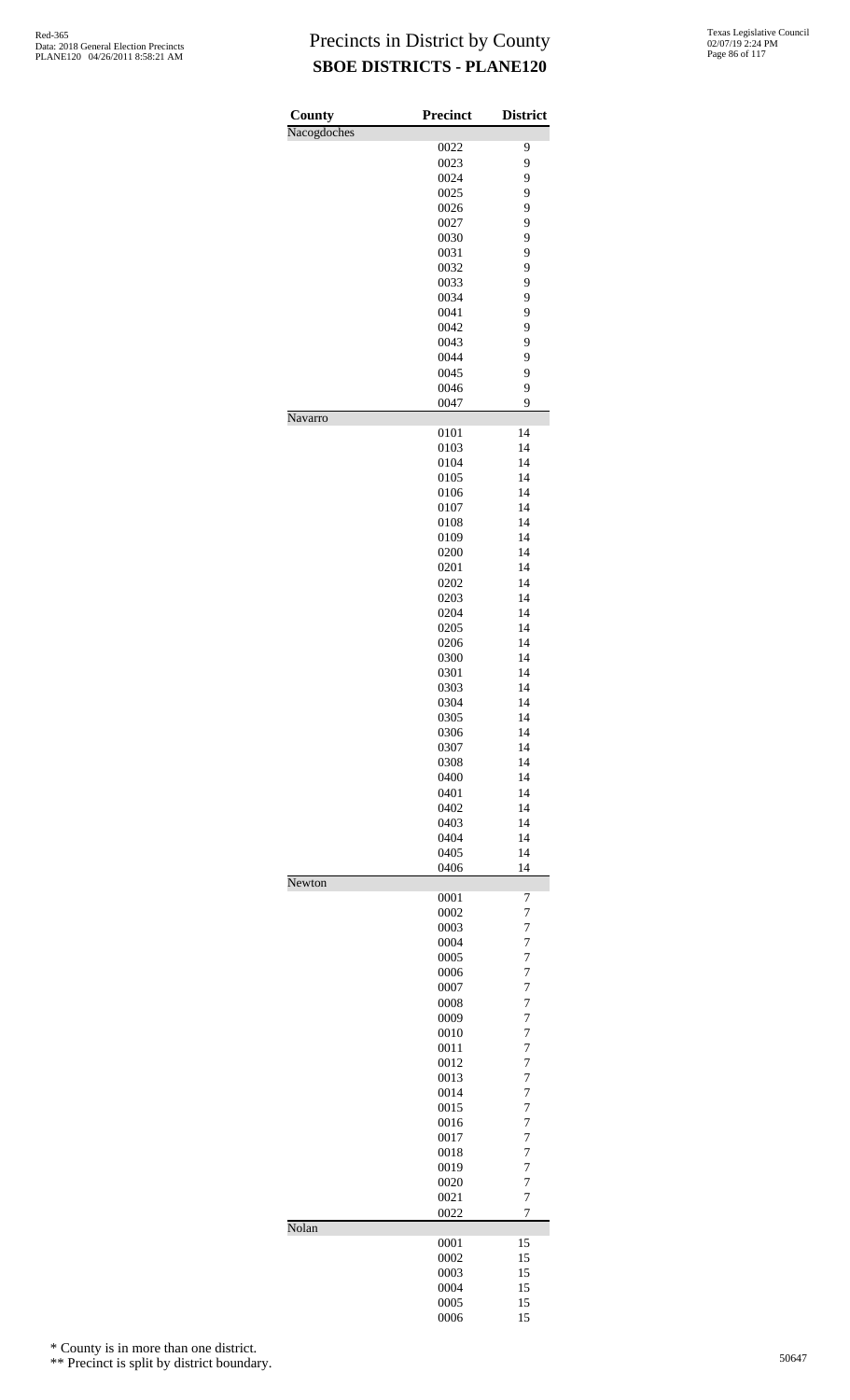| County      | Precinct     | <b>District</b>                  |
|-------------|--------------|----------------------------------|
| Nacogdoches | 0022         | 9                                |
|             | 0023         | 9                                |
|             | 0024         | 9                                |
|             | 0025         | 9                                |
|             | 0026         | 9                                |
|             | 0027         | 9                                |
|             | 0030         | 9                                |
|             | 0031         | 9                                |
|             | 0032<br>0033 | 9<br>9                           |
|             | 0034         | 9                                |
|             | 0041         | 9                                |
|             | 0042         | 9                                |
|             | 0043         | 9                                |
|             | 0044         | 9                                |
|             | 0045         | 9                                |
|             | 0046         | 9                                |
|             | 0047         | 9                                |
| Navarro     | 0101         | 14                               |
|             | 0103         | 14                               |
|             | 0104         | 14                               |
|             | 0105         | 14                               |
|             | 0106         | 14                               |
|             | 0107         | 14                               |
|             | 0108         | 14                               |
|             | 0109         | 14                               |
|             | 0200         | 14                               |
|             | 0201         | 14                               |
|             | 0202<br>0203 | 14<br>14                         |
|             | 0204         | 14                               |
|             | 0205         | 14                               |
|             | 0206         | 14                               |
|             | 0300         | 14                               |
|             | 0301         | 14                               |
|             | 0303         | 14                               |
|             | 0304         | 14                               |
|             | 0305         | 14                               |
|             | 0306         | 14<br>14                         |
|             | 0307<br>0308 | 14                               |
|             | 0400         | 14                               |
|             | 0401         | 14                               |
|             | 0402         | 14                               |
|             | 0403         | 14                               |
|             | 0404         | 14                               |
|             | 0405         | 14                               |
| Newton      | 0406         | 14                               |
|             | 0001         | 7                                |
|             | 0002         | 7                                |
|             | 0003         | 7                                |
|             | 0004         | $\overline{7}$                   |
|             | 0005         | $\overline{7}$                   |
|             | 0006         | $\overline{7}$                   |
|             | 0007         | $\overline{7}$                   |
|             | 0008         | 7                                |
|             | 0009<br>0010 | $\overline{7}$<br>$\overline{7}$ |
|             | 0011         | $\overline{7}$                   |
|             | 0012         | $\overline{7}$                   |
|             | 0013         | 7                                |
|             | 0014         | $\overline{7}$                   |
|             | 0015         | $\overline{7}$                   |
|             | 0016         | $\overline{7}$                   |
|             | 0017         | $\overline{7}$                   |
|             | 0018         | 7<br>7                           |
|             | 0019<br>0020 | 7                                |
|             | 0021         | 7                                |
|             | 0022         | 7                                |
| Nolan       |              |                                  |
|             | 0001         | 15                               |
|             | 0002         | 15                               |
|             | 0003         | 15                               |
|             | 0004<br>0005 | 15<br>15                         |
|             | 0006         | 15                               |

\* County is in more than one district.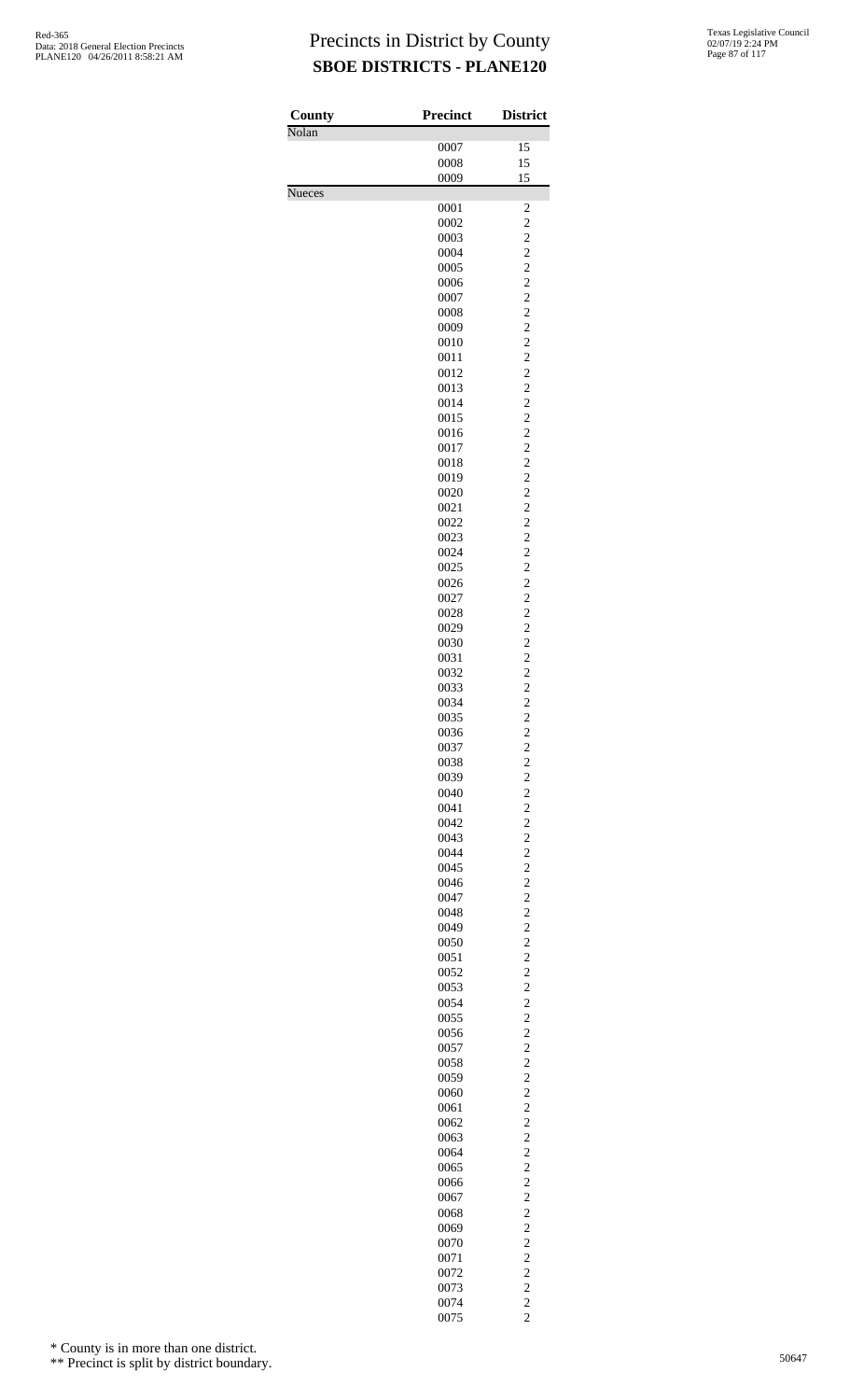| County        | <b>Precinct</b> | <b>District</b>                                    |
|---------------|-----------------|----------------------------------------------------|
| Nolan         | 0007            | 15                                                 |
|               | 0008            | 15                                                 |
|               | 0009            | 15                                                 |
| <b>Nueces</b> | 0001            | $\overline{\mathbf{c}}$                            |
|               | 0002            | $\overline{\mathbf{c}}$                            |
|               | 0003            | $\overline{\mathbf{c}}$                            |
|               | 0004<br>0005    | $\frac{2}{2}$                                      |
|               | 0006            |                                                    |
|               | 0007            | $\frac{2}{2}$                                      |
|               | 0008            | $\begin{array}{c}\n2 \\ 2 \\ 2 \\ 2\n\end{array}$  |
|               | 0009<br>0010    |                                                    |
|               | 0011            |                                                    |
|               | 0012            |                                                    |
|               | 0013            | $\begin{array}{c} 2 \\ 2 \\ 2 \end{array}$         |
|               | 0014<br>0015    |                                                    |
|               | 0016            |                                                    |
|               | 0017            | $\frac{2}{2}$                                      |
|               | 0018            | $\begin{array}{c}\n2 \\ 2 \\ 2 \\ 2\n\end{array}$  |
|               | 0019<br>0020    |                                                    |
|               | 0021            |                                                    |
|               | 0022            |                                                    |
|               | 0023<br>0024    | $\begin{array}{c} 2 \\ 2 \\ 2 \end{array}$         |
|               | 0025            |                                                    |
|               | 0026            | $\overline{\mathbf{c}}$                            |
|               | 0027            | $\overline{\mathbf{c}}$                            |
|               | 0028<br>0029    | $\overline{\mathbf{c}}$                            |
|               | 0030            |                                                    |
|               | 0031            | $2222$<br>$222$<br>$22$                            |
|               | 0032<br>0033    |                                                    |
|               | 0034            |                                                    |
|               | 0035            | $\overline{c}$                                     |
|               | 0036            | $\overline{\mathbf{c}}$                            |
|               | 0037<br>0038    | $\overline{\mathbf{c}}$<br>$\overline{\mathbf{c}}$ |
|               | 0039            |                                                    |
|               | 0040            | $\frac{2}{2}$                                      |
|               | 0041            | $\overline{\mathbf{c}}$                            |
|               | 0042<br>0043    | $\overline{\mathbf{c}}$<br>$\overline{c}$          |
|               | 0044            | $\frac{2}{2}$                                      |
|               | 0045            |                                                    |
|               | 0046<br>0047    | $\overline{\mathbf{c}}$<br>$\overline{\mathbf{c}}$ |
|               | 0048            | $\overline{c}$                                     |
|               | 0049            | $\frac{2}{2}$                                      |
|               | 0050            |                                                    |
|               | 0051<br>0052    | $\overline{\mathbf{c}}$<br>$\overline{\mathbf{c}}$ |
|               | 0053            | $\overline{\mathbf{c}}$                            |
|               | 0054            | $\frac{2}{2}$                                      |
|               | 0055<br>0056    | $\overline{\mathbf{c}}$                            |
|               | 0057            | $\overline{\mathbf{c}}$                            |
|               | 0058            | $\overline{c}$                                     |
|               | 0059            | $\frac{2}{2}$                                      |
|               | 0060<br>0061    | $\overline{\mathbf{c}}$                            |
|               | 0062            | $\overline{\mathbf{c}}$                            |
|               | 0063            | $\overline{\mathbf{c}}$                            |
|               | 0064<br>0065    | $\frac{2}{2}$                                      |
|               | 0066            | $\overline{\mathbf{c}}$                            |
|               | 0067            | $\overline{\mathbf{c}}$                            |
|               | 0068            | $\overline{c}$                                     |
|               | 0069<br>0070    | $\frac{2}{2}$                                      |
|               | 0071            | $\overline{\mathbf{c}}$                            |
|               | 0072            | $\overline{c}$                                     |
|               | 0073            |                                                    |
|               | 0074<br>0075    | $\begin{array}{c} 2 \\ 2 \\ 2 \end{array}$         |

\* County is in more than one district.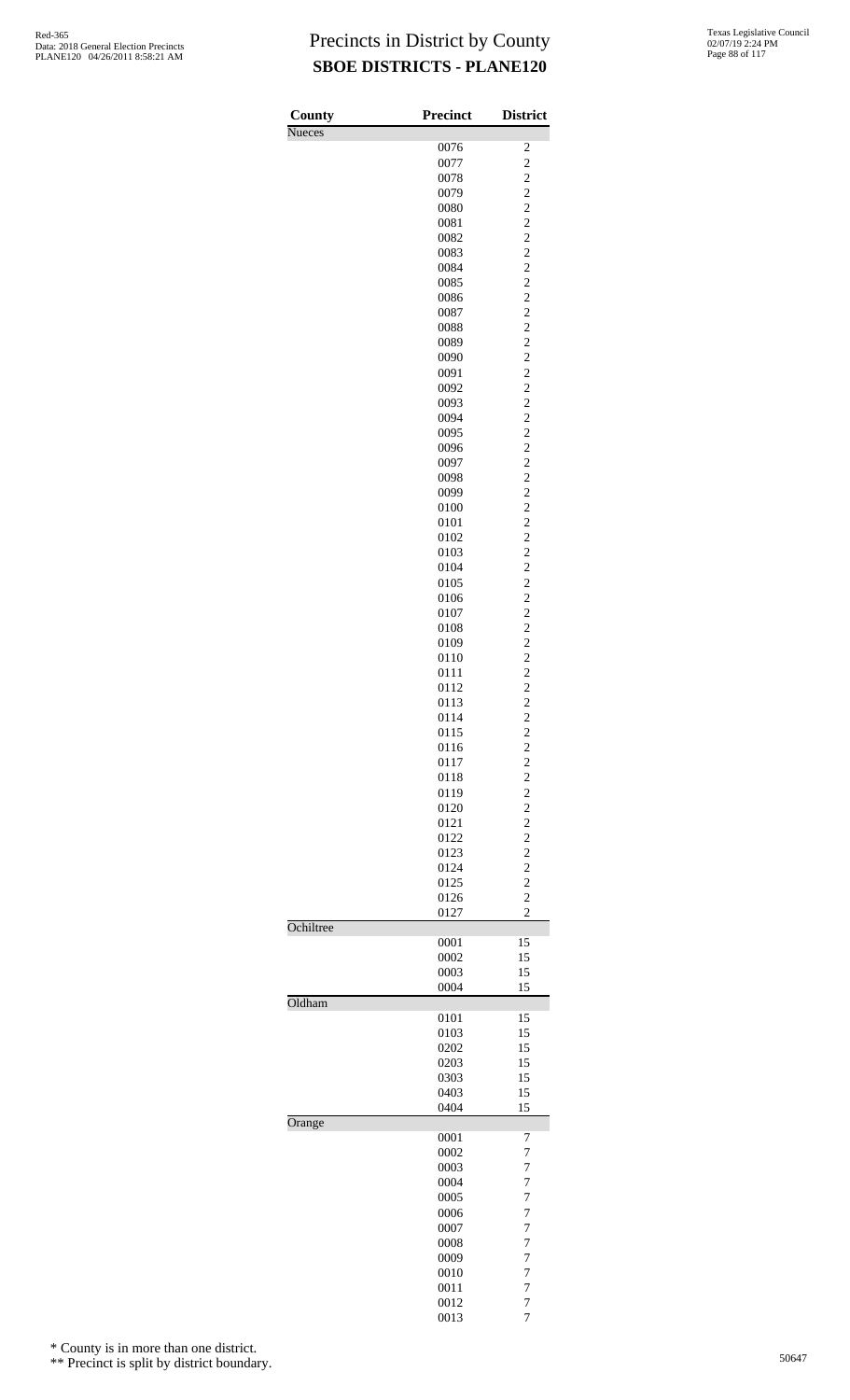| County        | <b>Precinct</b> | <b>District</b>                                   |
|---------------|-----------------|---------------------------------------------------|
| <b>Nueces</b> |                 |                                                   |
|               | 0076            | $\overline{\mathbf{c}}$<br>$\overline{c}$         |
|               | 0077<br>0078    | $\overline{\mathbf{c}}$                           |
|               | 0079            | $\overline{c}$                                    |
|               | 0080            | $\overline{c}$                                    |
|               | 0081            | $\overline{c}$                                    |
|               | 0082            | $\overline{c}$                                    |
|               | 0083<br>0084    | $\overline{\mathbf{c}}$<br>$\overline{c}$         |
|               | 0085            | $\overline{c}$                                    |
|               | 0086            | $\overline{c}$                                    |
|               | 0087            | $\overline{c}$                                    |
|               | 0088            | $\overline{\mathbf{c}}$                           |
|               | 0089            | $\overline{c}$<br>$\overline{c}$                  |
|               | 0090<br>0091    | $\overline{c}$                                    |
|               | 0092            | $\overline{c}$                                    |
|               | 0093            | $\overline{\mathbf{c}}$                           |
|               | 0094            | $\overline{c}$                                    |
|               | 0095            | $\overline{c}$                                    |
|               | 0096            | $\overline{\mathbf{c}}$                           |
|               | 0097<br>0098    | $\overline{c}$<br>$\overline{\mathbf{c}}$         |
|               | 0099            | $\overline{c}$                                    |
|               | 0100            | $\overline{c}$                                    |
|               | 0101            | $\overline{c}$                                    |
|               | 0102            | $\overline{c}$                                    |
|               | 0103            | $\overline{\mathbf{c}}$                           |
|               | 0104<br>0105    | $\overline{c}$<br>$\overline{c}$                  |
|               | 0106            | $\overline{\mathbf{c}}$                           |
|               | 0107            | $\overline{c}$                                    |
|               | 0108            | $\overline{\mathbf{c}}$                           |
|               | 0109            | $\overline{c}$                                    |
|               | 0110            | $\overline{c}$                                    |
|               | 0111<br>0112    | $\frac{2}{2}$                                     |
|               | 0113            | $\overline{\mathbf{c}}$                           |
|               | 0114            | $\overline{c}$                                    |
|               | 0115            | $\overline{\mathbf{c}}$                           |
|               | 0116            | $\begin{array}{c}\n2 \\ 2 \\ 2 \\ 2\n\end{array}$ |
|               | 0117            |                                                   |
|               | 0118<br>0119    |                                                   |
|               | 0120            |                                                   |
|               | 0121            | $\frac{2}{2}$                                     |
|               | 0122            |                                                   |
|               | 0123<br>0124    | $\frac{2}{2}$                                     |
|               | 0125            |                                                   |
|               | 0126            | $\overline{c}$                                    |
|               | 0127            | $\overline{2}$                                    |
| Ochiltree     | 0001            | 15                                                |
|               | 0002            | 15                                                |
|               | 0003            | 15                                                |
| Oldham        | 0004            | 15                                                |
|               | 0101            | 15                                                |
|               | 0103            | 15                                                |
|               | 0202            | 15                                                |
|               | 0203            | 15                                                |
|               | 0303<br>0403    | 15<br>15                                          |
|               | 0404            | 15                                                |
| Orange        |                 |                                                   |
|               | 0001<br>0002    | 7                                                 |
|               | 0003            | 7<br>$\overline{7}$                               |
|               | 0004            | $\overline{7}$                                    |
|               | 0005            | $\overline{7}$                                    |
|               | 0006            | $\overline{7}$                                    |
|               | 0007<br>0008    | $\overline{7}$<br>$\overline{7}$                  |
|               | 0009            | $\overline{7}$                                    |
|               | 0010            | 7                                                 |
|               | 0011            | 7                                                 |
|               | 0012            | 7                                                 |

7

\* County is in more than one district.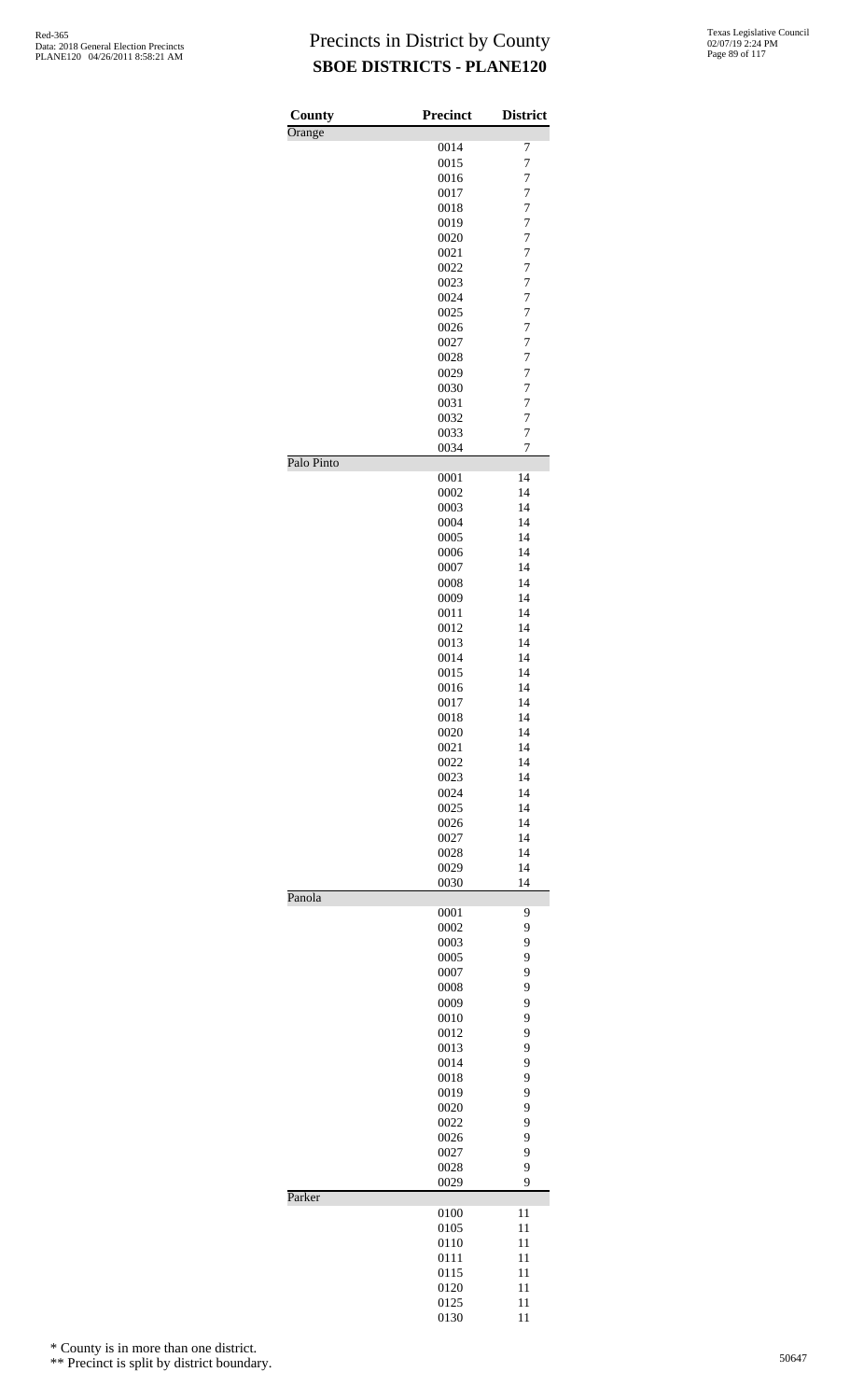| County     | Precinct     | <b>District</b>     |
|------------|--------------|---------------------|
| Orange     |              |                     |
|            | 0014<br>0015 | 7<br>$\overline{7}$ |
|            | 0016         | $\overline{7}$      |
|            | 0017         | $\overline{7}$      |
|            | 0018         | $\overline{7}$      |
|            | 0019         | $\overline{7}$      |
|            | 0020         | $\overline{7}$      |
|            | 0021         | 7                   |
|            | 0022         | 7                   |
|            | 0023         | $\overline{7}$      |
|            | 0024         | $\overline{7}$      |
|            | 0025<br>0026 | $\overline{7}$<br>7 |
|            | 0027         | $\overline{7}$      |
|            | 0028         | $\overline{7}$      |
|            | 0029         | $\overline{7}$      |
|            | 0030         | $\overline{7}$      |
|            | 0031         | 7                   |
|            | 0032         | $\overline{7}$      |
|            | 0033         | $\overline{7}$      |
|            | 0034         | $\overline{7}$      |
| Palo Pinto |              |                     |
|            | 0001<br>0002 | 14<br>14            |
|            | 0003         | 14                  |
|            | 0004         | 14                  |
|            | 0005         | 14                  |
|            | 0006         | 14                  |
|            | 0007         | 14                  |
|            | 0008         | 14                  |
|            | 0009         | 14                  |
|            | 0011         | 14                  |
|            | 0012         | 14                  |
|            | 0013         | 14                  |
|            | 0014         | 14                  |
|            | 0015<br>0016 | 14<br>14            |
|            | 0017         | 14                  |
|            | 0018         | 14                  |
|            | 0020         | 14                  |
|            | 0021         | 14                  |
|            | 0022         | 14                  |
|            | 0023         | 14                  |
|            | 0024         | 14                  |
|            | 0025         | 14                  |
|            | 0026         | 14                  |
|            | 0027         | 14                  |
|            | 0028         | 14                  |
|            | 0029<br>0030 | 14<br>14            |
| Panola     |              |                     |
|            | 0001         | 9                   |
|            | 0002         | 9                   |
|            | 0003         | 9                   |
|            | 0005         | 9                   |
|            | 0007         | 9                   |
|            | 0008<br>0009 | 9<br>9              |
|            | 0010         | 9                   |
|            | 0012         | 9                   |
|            | 0013         | 9                   |
|            | 0014         | 9                   |
|            | 0018         | 9                   |
|            | 0019         | 9                   |
|            | 0020         | 9                   |
|            | 0022         | 9                   |
|            | 0026         | 9                   |
|            | 0027<br>0028 | 9<br>9              |
|            | 0029         | 9                   |
| Parker     |              |                     |
|            | 0100         | 11                  |
|            | 0105         | 11                  |
|            | 0110         | 11                  |
|            | 0111         | 11                  |
|            | 0115<br>0120 | 11<br>11            |
|            | 0125         | 11                  |
|            | 0130         | 11                  |

\* County is in more than one district.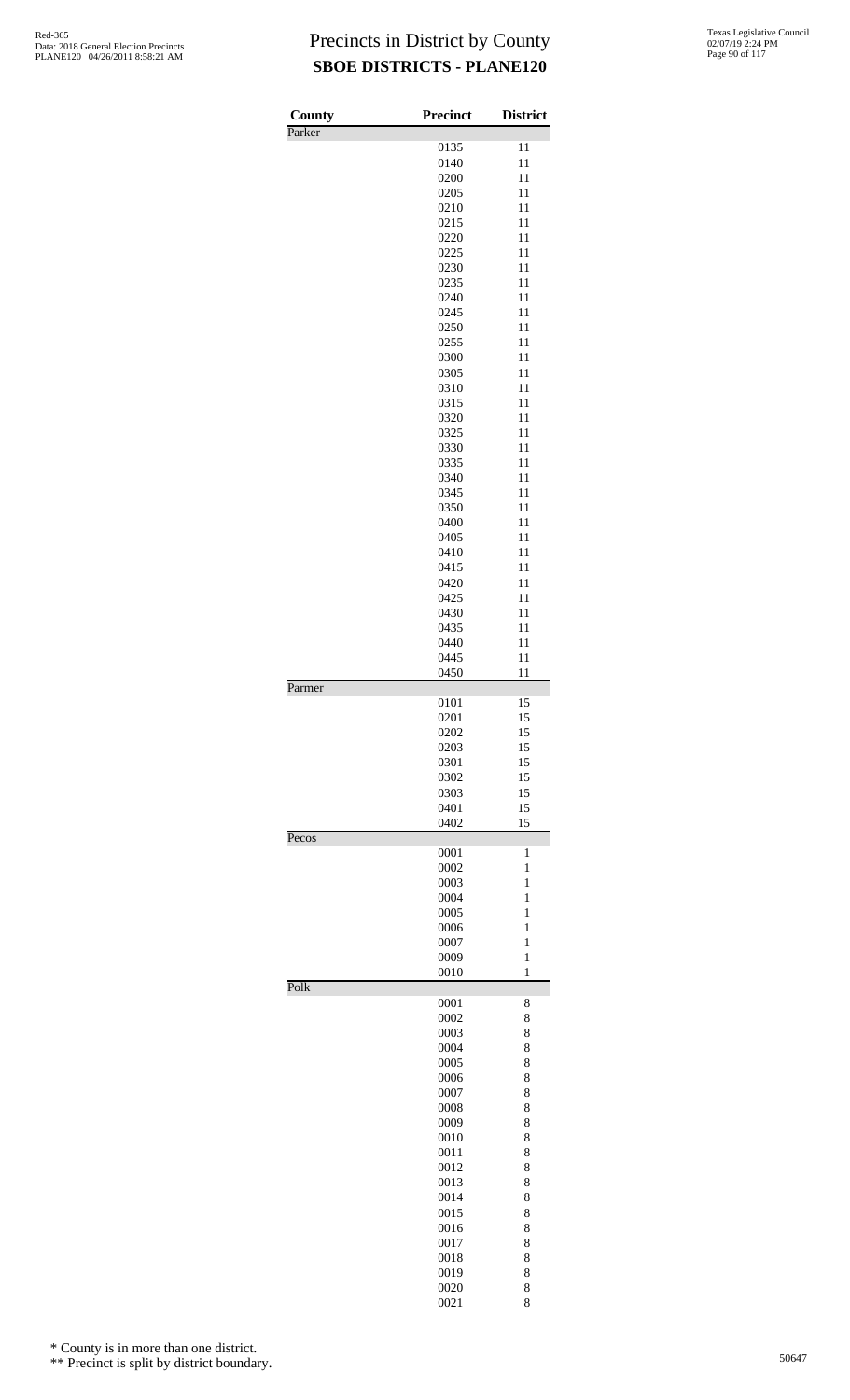| Texas Legislative Council |
|---------------------------|
| 02/07/19 2:24 PM          |
| Page 90 of 117            |

| County | <b>Precinct</b> | <b>District</b>   |
|--------|-----------------|-------------------|
| Parker |                 |                   |
|        | 0135            | 11                |
|        | 0140<br>0200    | 11<br>11          |
|        | 0205            | 11                |
|        | 0210            | 11                |
|        | 0215            | 11                |
|        | 0220            | 11                |
|        | 0225            | 11                |
|        | 0230            | 11                |
|        | 0235            | 11                |
|        | 0240<br>0245    | 11<br>11          |
|        | 0250            | 11                |
|        | 0255            | 11                |
|        | 0300            | 11                |
|        | 0305            | 11                |
|        | 0310            | 11                |
|        | 0315            | 11                |
|        | 0320            | 11                |
|        | 0325            | 11                |
|        | 0330            | 11                |
|        | 0335<br>0340    | 11<br>11          |
|        | 0345            | 11                |
|        | 0350            | 11                |
|        | 0400            | 11                |
|        | 0405            | 11                |
|        | 0410            | 11                |
|        | 0415            | 11                |
|        | 0420            | 11                |
|        | 0425<br>0430    | 11<br>11          |
|        | 0435            | 11                |
|        | 0440            | 11                |
|        | 0445            | 11                |
|        | 0450            | 11                |
| Parmer |                 |                   |
|        | 0101            | 15                |
|        | 0201            | 15                |
|        | 0202<br>0203    | 15<br>15          |
|        | 0301            | 15                |
|        | 0302            | 15                |
|        | 0303            | 15                |
|        | 0401            | 15                |
|        | 0402            | 15                |
| Pecos  |                 |                   |
|        | 0001            | 1                 |
|        | 0002<br>0003    | 1<br>$\mathbf{1}$ |
|        | 0004            | $\mathbf{1}$      |
|        | 0005            | $\mathbf{1}$      |
|        | 0006            | 1                 |
|        | 0007            | 1                 |
|        | 0009            | $\mathbf{1}$      |
|        | 0010            | $\mathbf{1}$      |
| Polk   |                 |                   |
|        | 0001<br>0002    | 8                 |
|        | 0003            | 8<br>8            |
|        | 0004            | 8                 |
|        | 0005            | 8                 |
|        | 0006            | 8                 |
|        | 0007            | 8                 |
|        | 0008            | 8                 |
|        | 0009            | 8                 |
|        | 0010            | 8                 |
|        | 0011            | 8                 |
|        | 0012<br>0013    | 8<br>8            |
|        | 0014            | 8                 |
|        | 0015            | 8                 |
|        | 0016            | 8                 |
|        | 0017            | 8                 |
|        | 0018            | 8                 |
|        | 0019            | 8                 |
|        | 0020            | 8                 |
|        | 0021            | 8                 |

\* County is in more than one district.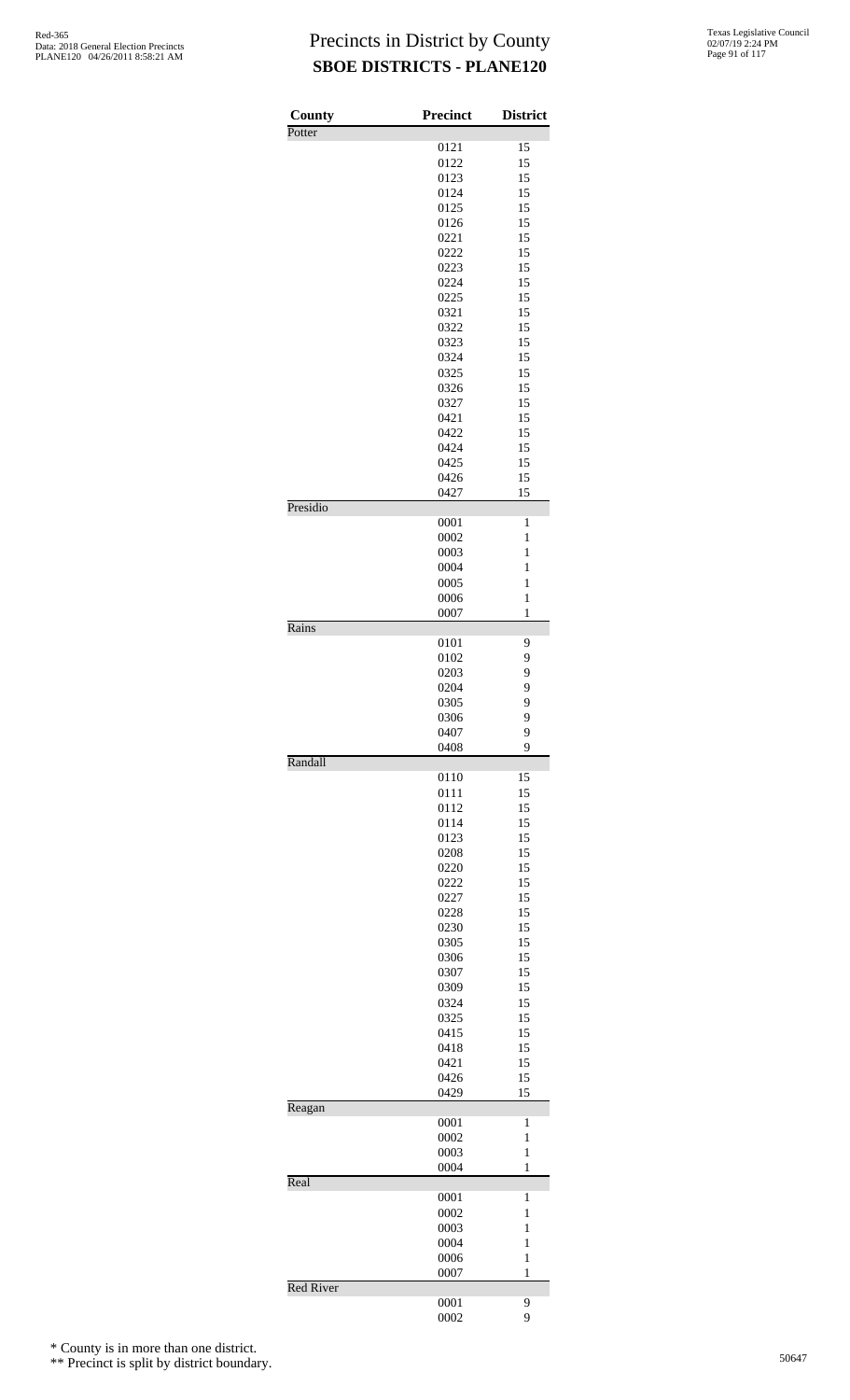| County<br>Potter | Precinct     | <b>District</b> |
|------------------|--------------|-----------------|
|                  | 0121         | 15              |
|                  | 0122         | 15              |
|                  | 0123         | 15              |
|                  | 0124         | 15              |
|                  | 0125         | 15              |
|                  | 0126         | 15              |
|                  | 0221         | 15              |
|                  | 0222         | 15              |
|                  | 0223         | 15              |
|                  | 0224         | 15              |
|                  | 0225         | 15              |
|                  |              |                 |
|                  | 0321         | 15              |
|                  | 0322         | 15              |
|                  | 0323         | 15              |
|                  | 0324         | 15              |
|                  | 0325         | 15              |
|                  | 0326         | 15              |
|                  | 0327         | 15              |
|                  | 0421         | 15              |
|                  | 0422         | 15              |
|                  | 0424         | 15              |
|                  | 0425         | 15              |
|                  | 0426         | 15              |
|                  | 0427         | 15              |
| Presidio         |              |                 |
|                  | 0001         | $\mathbf{1}$    |
|                  | 0002         | 1               |
|                  | 0003         | $\mathbf{1}$    |
|                  | 0004         | $\mathbf{1}$    |
|                  | 0005         | 1               |
|                  | 0006         | $\mathbf{1}$    |
|                  | 0007         | 1               |
| Rains            |              |                 |
|                  | 0101         | 9               |
|                  | 0102         | 9               |
|                  | 0203         | 9               |
|                  | 0204         | 9               |
|                  | 0305         | 9               |
|                  | 0306         | 9               |
|                  | 0407         | 9               |
|                  | 0408         | 9               |
| Randall          |              |                 |
|                  | 0110<br>0111 | 15<br>15        |
|                  | 0112         |                 |
|                  |              | 15              |
|                  | 0114         | 15              |
|                  | 0123         | 15              |
|                  | 0208         | 15              |
|                  | 0220         | 15              |
|                  | 0222         | 15              |
|                  | 0227         | 15              |
|                  | 0228         | 15              |
|                  | 0230         | 15              |
|                  | 0305         | 15              |
|                  | 0306         | 15              |
|                  | 0307         | 15              |
|                  | 0309         | 15              |
|                  | 0324         | 15              |
|                  | 0325         | 15              |
|                  | 0415         | 15              |
|                  | 0418         | 15              |
|                  | 0421         | 15              |
|                  | 0426         | 15              |
|                  | 0429         | 15              |
| Reagan           |              |                 |
|                  | 0001         | 1               |
|                  | 0002         | 1               |
|                  | 0003         | $\mathbf{1}$    |
|                  | 0004         | 1               |
| Real             |              |                 |
|                  | 0001         | 1               |
|                  | 0002         | 1               |
|                  | 0003         | 1               |
|                  | 0004         | 1               |
|                  | 0006         | 1               |
|                  | 0007         | 1               |
| <b>Red River</b> |              |                 |
|                  | 0001         | 9               |
|                  | 0002         | 9               |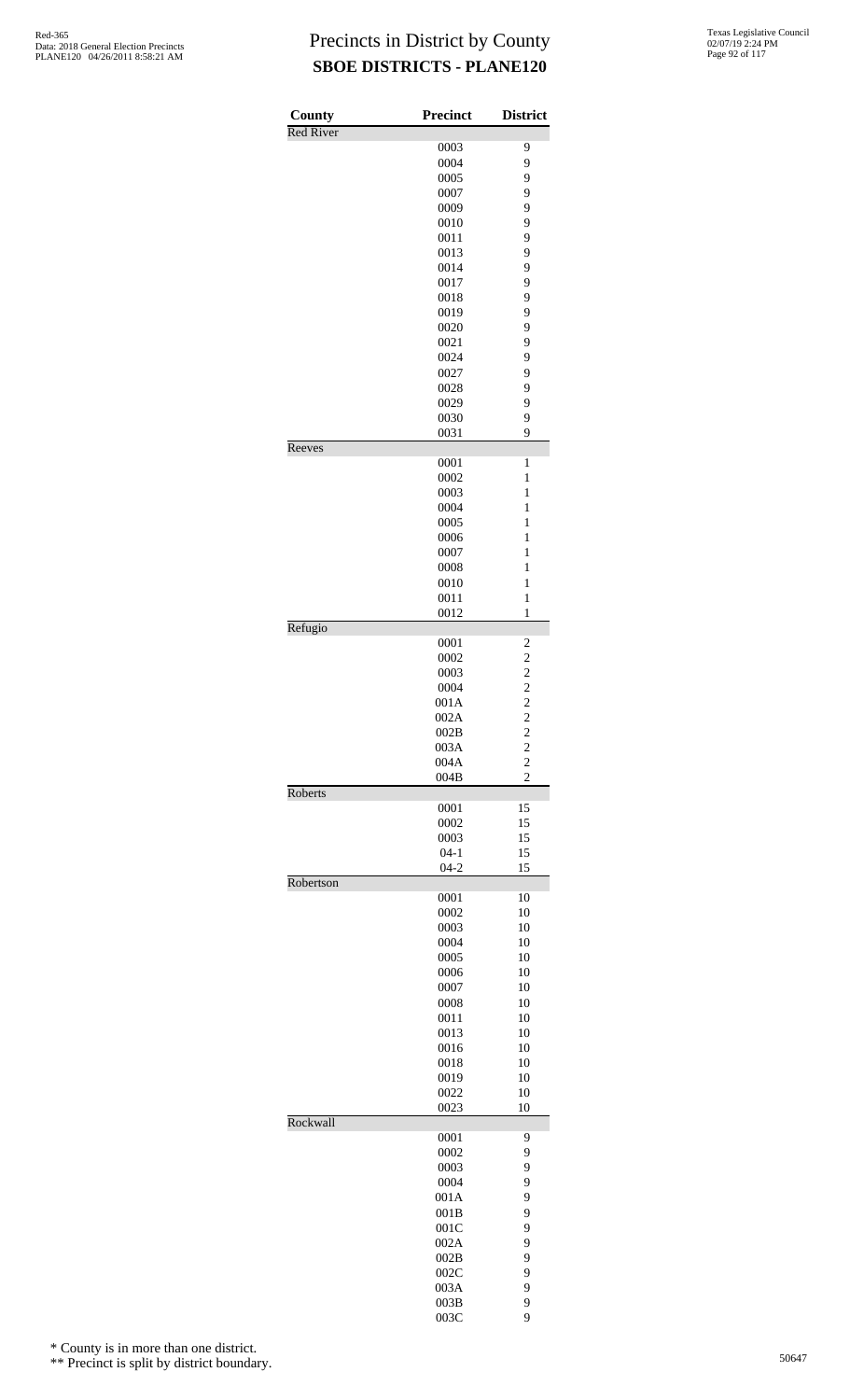| County           | Precinct             | <b>District</b>                                    |
|------------------|----------------------|----------------------------------------------------|
| <b>Red River</b> |                      |                                                    |
|                  | 0003                 | 9                                                  |
|                  | 0004                 | 9                                                  |
|                  | 0005<br>0007         | 9<br>9                                             |
|                  | 0009                 | 9                                                  |
|                  | 0010                 | 9                                                  |
|                  | 0011                 | 9                                                  |
|                  | 0013                 | 9                                                  |
|                  | 0014                 | 9                                                  |
|                  | 0017                 | 9                                                  |
|                  | 0018<br>0019         | 9<br>9                                             |
|                  | 0020                 | 9                                                  |
|                  | 0021                 | 9                                                  |
|                  | 0024                 | 9                                                  |
|                  | 0027                 | 9                                                  |
|                  | 0028                 | 9                                                  |
|                  | 0029                 | 9                                                  |
|                  | 0030<br>0031         | 9<br>9                                             |
| Reeves           |                      |                                                    |
|                  | 0001                 | 1                                                  |
|                  | 0002                 | $\mathbf{1}$                                       |
|                  | 0003                 | $\mathbf{1}$                                       |
|                  | 0004                 | $\mathbf{1}$                                       |
|                  | 0005                 | $\mathbf{1}$                                       |
|                  | 0006                 | $\mathbf{1}$<br>$\mathbf{1}$                       |
|                  | 0007<br>0008         | $\mathbf{1}$                                       |
|                  | 0010                 | $\mathbf{1}$                                       |
|                  | 0011                 | $\mathbf{1}$                                       |
|                  | 0012                 | $\mathbf{1}$                                       |
| Refugio          |                      |                                                    |
|                  | 0001<br>0002         | $\overline{\mathbf{c}}$<br>$\overline{\mathbf{c}}$ |
|                  | 0003                 | $\overline{\mathbf{c}}$                            |
|                  | 0004                 | $\overline{c}$                                     |
|                  | 001A                 | $\overline{c}$                                     |
|                  | 002A                 | $\overline{c}$                                     |
|                  | 002B                 | $\overline{\mathbf{c}}$                            |
|                  | 003A                 | $\overline{c}$                                     |
|                  | 004A<br>004B         | $\overline{c}$<br>$\overline{c}$                   |
| Roberts          |                      |                                                    |
|                  | 0001                 | 15                                                 |
|                  | 0002                 | 15                                                 |
|                  | 0003                 | 15                                                 |
|                  | $04 - 1$<br>$04 - 2$ | 15<br>15                                           |
| Robertson        |                      |                                                    |
|                  | 0001                 | 10                                                 |
|                  | 0002                 | 10                                                 |
|                  | 0003                 | 10                                                 |
|                  | 0004                 | 10                                                 |
|                  | 0005<br>0006         | 10<br>10                                           |
|                  | 0007                 | 10                                                 |
|                  | 0008                 | 10                                                 |
|                  | 0011                 | 10                                                 |
|                  | 0013                 | 10                                                 |
|                  | 0016                 | 10                                                 |
|                  | 0018                 | 10                                                 |
|                  | 0019                 | 10                                                 |
|                  | 0022<br>0023         | 10<br>10                                           |
| Rockwall         |                      |                                                    |
|                  | 0001                 | 9                                                  |
|                  | 0002                 | 9                                                  |
|                  | 0003                 | 9                                                  |
|                  | 0004                 | 9                                                  |
|                  | 001A<br>001B         | 9<br>9                                             |
|                  | 001C                 | 9                                                  |
|                  | 002A                 | 9                                                  |
|                  | 002B                 | 9                                                  |
|                  | 002C                 | 9                                                  |
|                  | 003A                 | 9                                                  |
|                  | 003B                 | 9                                                  |
|                  | 003C                 | 9                                                  |

\* County is in more than one district.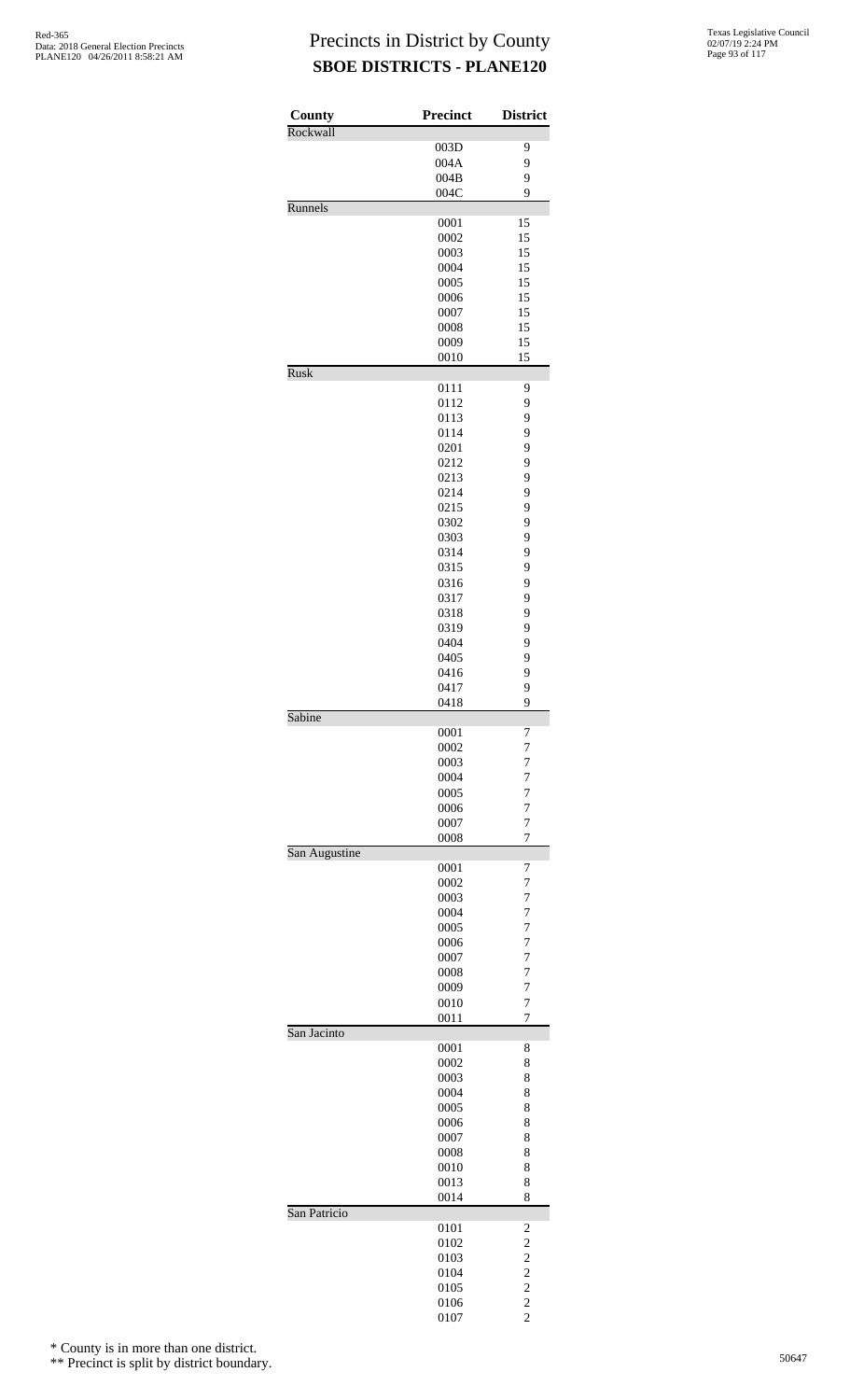| County        | Precinct     | <b>District</b>         |
|---------------|--------------|-------------------------|
| Rockwall      |              |                         |
|               | 003D<br>004A | 9<br>9                  |
|               | 004B         | 9                       |
|               | 004C         | 9                       |
| Runnels       |              |                         |
|               | 0001         | 15                      |
|               | 0002         | 15                      |
|               | 0003<br>0004 | 15<br>15                |
|               | 0005         | 15                      |
|               | 0006         | 15                      |
|               | 0007         | 15                      |
|               | 0008         | 15                      |
|               | 0009         | 15                      |
| <b>Rusk</b>   | 0010         | 15                      |
|               | 0111         | 9                       |
|               | 0112         | 9                       |
|               | 0113         | 9                       |
|               | 0114         | 9                       |
|               | 0201         | 9                       |
|               | 0212         | 9<br>9                  |
|               | 0213<br>0214 | 9                       |
|               | 0215         | 9                       |
|               | 0302         | 9                       |
|               | 0303         | 9                       |
|               | 0314         | 9                       |
|               | 0315         | 9                       |
|               | 0316         | 9                       |
|               | 0317<br>0318 | 9<br>9                  |
|               | 0319         | 9                       |
|               | 0404         | 9                       |
|               | 0405         | 9                       |
|               | 0416         | 9                       |
|               | 0417         | 9                       |
| Sabine        | 0418         | 9                       |
|               | 0001         | 7                       |
|               | 0002         | 7                       |
|               | 0003         | 7                       |
|               | 0004         | 7                       |
|               | 0005         | 7                       |
|               | 0006<br>0007 | $\overline{7}$<br>7     |
|               | 0008         | $\overline{7}$          |
| San Augustine |              |                         |
|               | 0001         | 7                       |
|               | 0002         | 7                       |
|               | 0003         | 7                       |
|               | 0004<br>0005 | 7<br>7                  |
|               | 0006         | 7                       |
|               | 0007         | $\overline{7}$          |
|               | 0008         | 7                       |
|               | 0009         | 7                       |
|               | 0010         | 7                       |
| San Jacinto   | 0011         | 7                       |
|               | 0001         | 8                       |
|               | 0002         | 8                       |
|               | 0003         | 8                       |
|               | 0004         | 8                       |
|               | 0005         | 8                       |
|               | 0006         | 8                       |
|               | 0007<br>0008 | 8<br>8                  |
|               | 0010         | 8                       |
|               | 0013         | 8                       |
|               | 0014         | 8                       |
| San Patricio  |              |                         |
|               | 0101         | 2<br>$\overline{c}$     |
|               | 0102<br>0103 | $\overline{\mathbf{c}}$ |
|               | 0104         | $\overline{c}$          |
|               | 0105         | $\overline{c}$          |
|               | 0106         | $\overline{c}$          |
|               | 0107         | $\overline{c}$          |

\* County is in more than one district.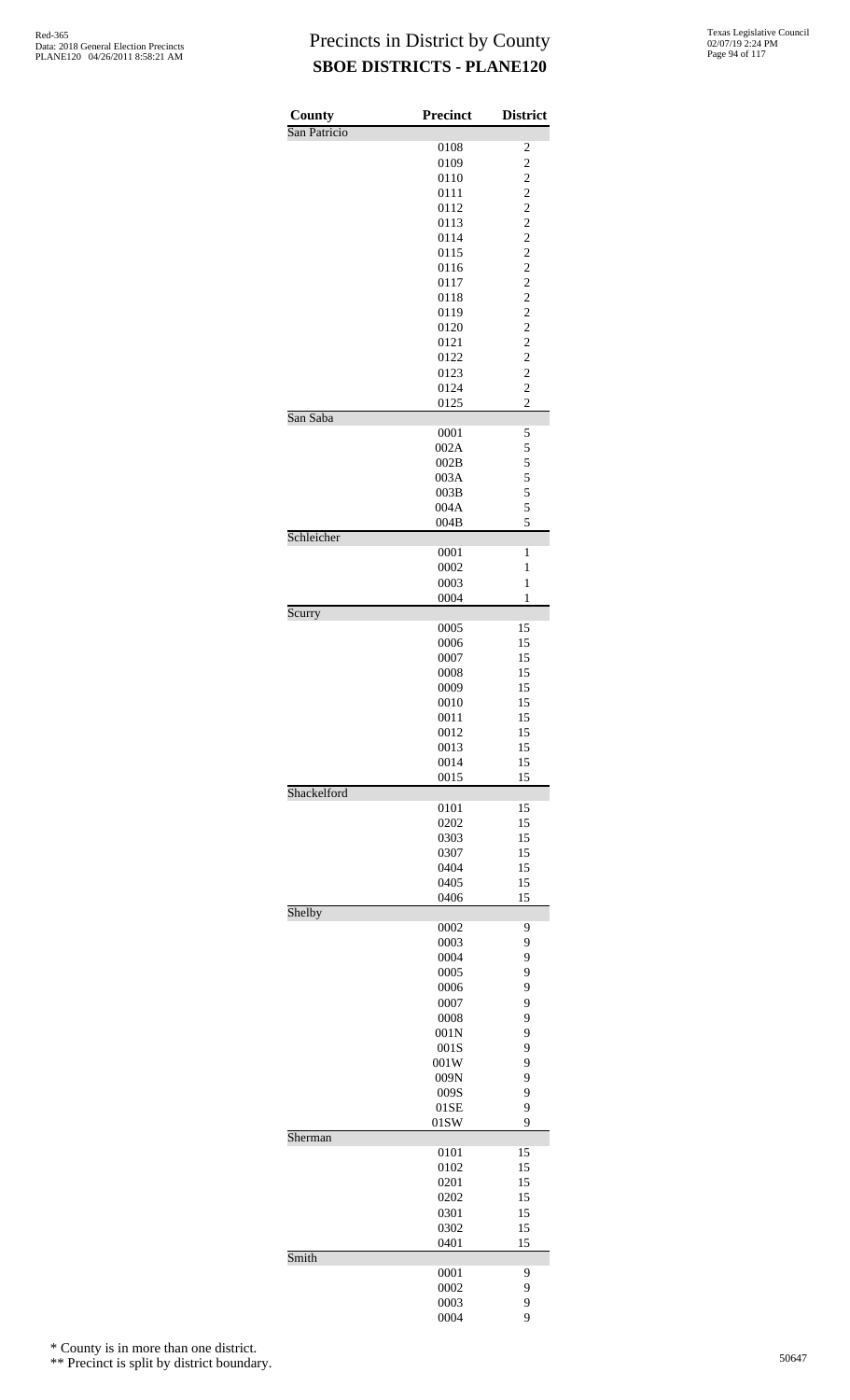| County       | <b>Precinct</b> | <b>District</b>                           |
|--------------|-----------------|-------------------------------------------|
| San Patricio |                 |                                           |
|              | 0108            | $\overline{\mathbf{c}}$                   |
|              | 0109<br>0110    | $\overline{\mathbf{c}}$<br>$\overline{c}$ |
|              | 0111            | $\overline{c}$                            |
|              | 0112            | $\overline{c}$                            |
|              | 0113            | $\overline{c}$                            |
|              | 0114            | $\overline{c}$                            |
|              | 0115            | $\overline{c}$                            |
|              | 0116<br>0117    | $\overline{c}$<br>$\overline{c}$          |
|              | 0118            | $\overline{c}$                            |
|              | 0119            | $\overline{c}$                            |
|              | 0120            | $\overline{c}$                            |
|              | 0121            | $\overline{c}$                            |
|              | 0122<br>0123    | $\overline{c}$<br>$\overline{c}$          |
|              | 0124            | $\overline{c}$                            |
|              | 0125            | $\overline{c}$                            |
| San Saba     |                 |                                           |
|              | 0001            | 5                                         |
|              | 002A            | 5                                         |
|              | 002B<br>003A    | 5<br>5                                    |
|              | 003B            | 5                                         |
|              | 004A            | 5                                         |
|              | 004B            | 5                                         |
| Schleicher   | 0001            | 1                                         |
|              | 0002            | 1                                         |
|              | 0003            | $\mathbf{1}$                              |
|              | 0004            | $\mathbf{1}$                              |
| Scurry       |                 | 15                                        |
|              | 0005<br>0006    | 15                                        |
|              | 0007            | 15                                        |
|              | 0008            | 15                                        |
|              | 0009            | 15                                        |
|              | 0010<br>0011    | 15<br>15                                  |
|              | 0012            | 15                                        |
|              | 0013            | 15                                        |
|              | 0014            | 15                                        |
|              | 0015            | 15                                        |
| Shackelford  | 0101            | 15                                        |
|              | 0202            | 15                                        |
|              | 0303            | 15                                        |
|              | 0307            | 15                                        |
|              | 0404            | 15                                        |
|              | 0405<br>0406    | 15<br>15                                  |
| Shelby       |                 |                                           |
|              | 0002            | 9                                         |
|              | 0003            | 9                                         |
|              | 0004<br>0005    | 9<br>9                                    |
|              | 0006            | 9                                         |
|              | 0007            | 9                                         |
|              | 0008            | 9                                         |
|              | 001N            | 9                                         |
|              | 001S<br>001W    | 9<br>9                                    |
|              | 009N            | 9                                         |
|              | 009S            | 9                                         |
|              | 01SE            | 9                                         |
| Sherman      | 01SW            | 9                                         |
|              | 0101            | 15                                        |
|              | 0102            | 15                                        |
|              | 0201            | 15                                        |
|              | 0202<br>0301    | 15<br>15                                  |
|              | 0302            | 15                                        |
|              | 0401            | 15                                        |
| Smith        |                 |                                           |
|              | 0001<br>0002    | 9<br>9                                    |
|              | 0003            | 9                                         |
|              | 0004            | 9                                         |

\* County is in more than one district.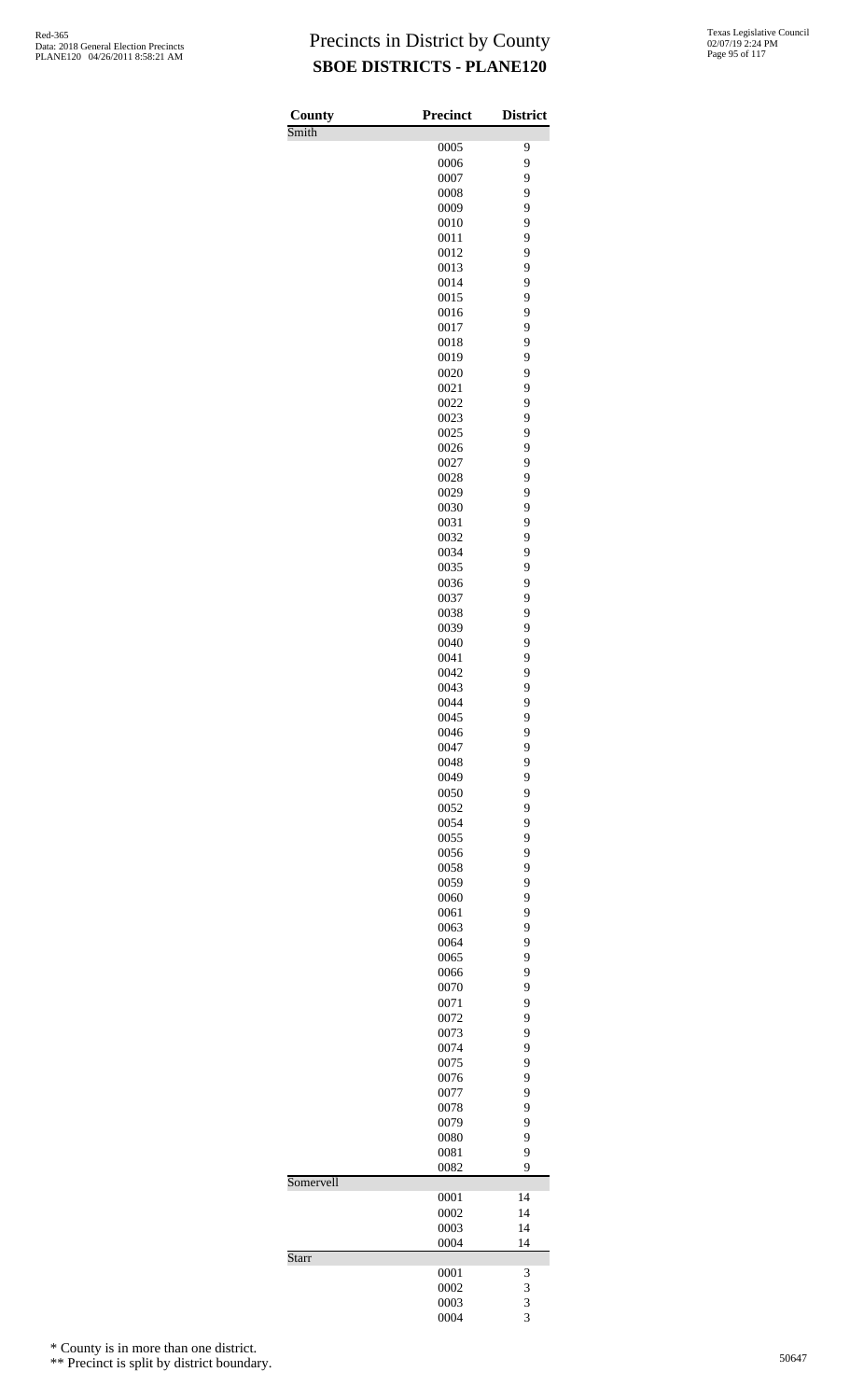| <b>County</b> | <b>Precinct</b> | <b>District</b> |
|---------------|-----------------|-----------------|
| Smith         |                 |                 |
|               | 0005            | 9<br>9          |
|               | 0006<br>0007    | 9               |
|               | 0008            | 9               |
|               | 0009            | 9               |
|               | 0010            | 9               |
|               | 0011            | 9               |
|               | 0012            | 9               |
|               | 0013            | 9               |
|               | 0014            | 9               |
|               | 0015            | 9               |
|               | 0016            | 9               |
|               | 0017            | 9               |
|               | 0018            | 9               |
|               | 0019            | 9               |
|               | 0020            | 9               |
|               | 0021            | 9               |
|               | 0022            | 9               |
|               | 0023            | 9               |
|               | 0025            | 9               |
|               | 0026            | 9               |
|               | 0027            | 9               |
|               | 0028            | 9               |
|               | 0029            | 9<br>9          |
|               | 0030<br>0031    | 9               |
|               | 0032            | 9               |
|               | 0034            | 9               |
|               | 0035            | 9               |
|               | 0036            | 9               |
|               | 0037            | 9               |
|               | 0038            | 9               |
|               | 0039            | 9               |
|               | 0040            | 9               |
|               | 0041            | 9               |
|               | 0042            | 9               |
|               | 0043            | 9               |
|               | 0044            | 9               |
|               | 0045            | 9               |
|               | 0046            | 9               |
|               | 0047            | 9               |
|               | 0048            | 9               |
|               | 0049            | 9               |
|               | 0050            | 9               |
|               | 0052            | 9               |
|               | 0054            | 9               |
|               | 0055            | 9               |
|               | 0056            | 9               |
|               | 0058            | 9               |
|               | 0059            | 9               |
|               | 0060            | 9               |
|               | 0061            | 9               |
|               | 0063            | 9               |
|               | 0064<br>0065    | 9<br>9          |
|               | 0066            | 9               |
|               | 0070            | 9               |
|               | 0071            | 9               |
|               | 0072            | 9               |
|               | 0073            | 9               |
|               | 0074            | 9               |
|               | 0075            | 9               |
|               | 0076            | 9               |
|               | 0077            | 9               |
|               | 0078            | 9               |
|               | 0079            | 9               |
|               | 0080            | 9               |
|               | 0081            | 9               |
|               | 0082            | 9               |
| Somervell     |                 |                 |
|               | 0001            | 14              |
|               | 0002            | 14              |
|               | 0003            | 14              |
|               | 0004            | 14              |
| Starr         |                 |                 |
|               | 0001            | 3               |
|               | 0002<br>0003    | 3               |
|               | 0004            | 3<br>3          |
|               |                 |                 |

\* County is in more than one district.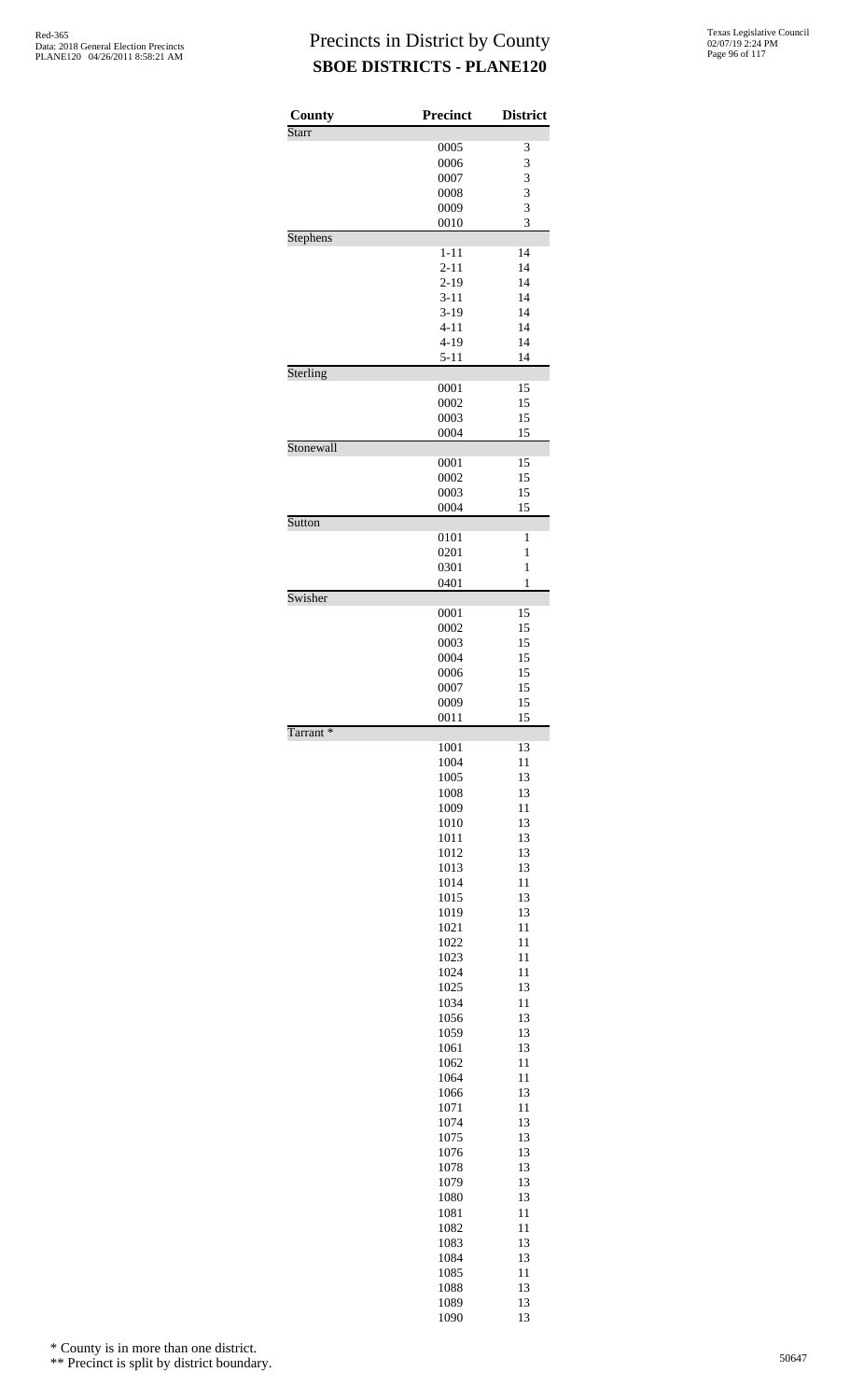| County       | <b>Precinct</b> | <b>District</b> |
|--------------|-----------------|-----------------|
| <b>Starr</b> |                 |                 |
|              | 0005            | 3               |
|              | 0006            | 3               |
|              | 0007            | 3               |
|              | 0008            | 3<br>3          |
|              | 0009<br>0010    | 3               |
| Stephens     |                 |                 |
|              | $1 - 11$        | 14              |
|              | $2 - 11$        | 14              |
|              | $2 - 19$        | 14              |
|              | $3 - 11$        | 14              |
|              | $3-19$          | 14              |
|              | $4 - 11$        | 14              |
|              | $4 - 19$        | 14              |
| Sterling     | $5 - 11$        | 14              |
|              | 0001            | 15              |
|              | 0002            | 15              |
|              | 0003            | 15              |
|              | 0004            | 15              |
| Stonewall    |                 |                 |
|              | 0001            | 15              |
|              | 0002            | 15              |
|              | 0003            | 15              |
| Sutton       | 0004            | 15              |
|              | 0101            | $\mathbf{1}$    |
|              | 0201            | $\mathbf{1}$    |
|              | 0301            | $\mathbf{1}$    |
|              | 0401            | 1               |
| Swisher      |                 |                 |
|              | 0001            | 15              |
|              | 0002            | 15<br>15        |
|              | 0003<br>0004    | 15              |
|              | 0006            | 15              |
|              | 0007            | 15              |
|              | 0009            | 15              |
|              | 0011            | 15              |
| Tarrant*     |                 |                 |
|              | 1001            | 13              |
|              | 1004            | 11              |
|              | 1005            | 13<br>13        |
|              | 1008<br>1009    | 11              |
|              | 1010            | 13              |
|              | 1011            | 13              |
|              | 1012            | 13              |
|              | 1013            | 13              |
|              | 1014            | 11              |
|              | 1015            | 13              |
|              | 1019            | 13              |
|              | 1021            | 11              |
|              | 1022            | 11              |
|              | 1023            | 11              |
|              | 1024            | 11              |
|              | 1025            | 13              |
|              | 1034            | 11              |
|              | 1056            | 13              |
|              | 1059<br>1061    | 13<br>13        |
|              | 1062            | 11              |
|              | 1064            | 11              |
|              | 1066            | 13              |
|              | 1071            | 11              |
|              | 1074            | 13              |
|              | 1075            | 13              |
|              | 1076            | 13              |
|              | 1078            | 13              |
|              | 1079            | 13              |
|              | 1080            | 13              |
|              | 1081            | 11              |
|              | 1082            | 11              |
|              | 1083            | 13              |
|              | 1084            | 13              |
|              | 1085            | 11              |
|              | 1088<br>1089    | 13<br>13        |
|              | 1090            | 13              |
|              |                 |                 |

\* County is in more than one district.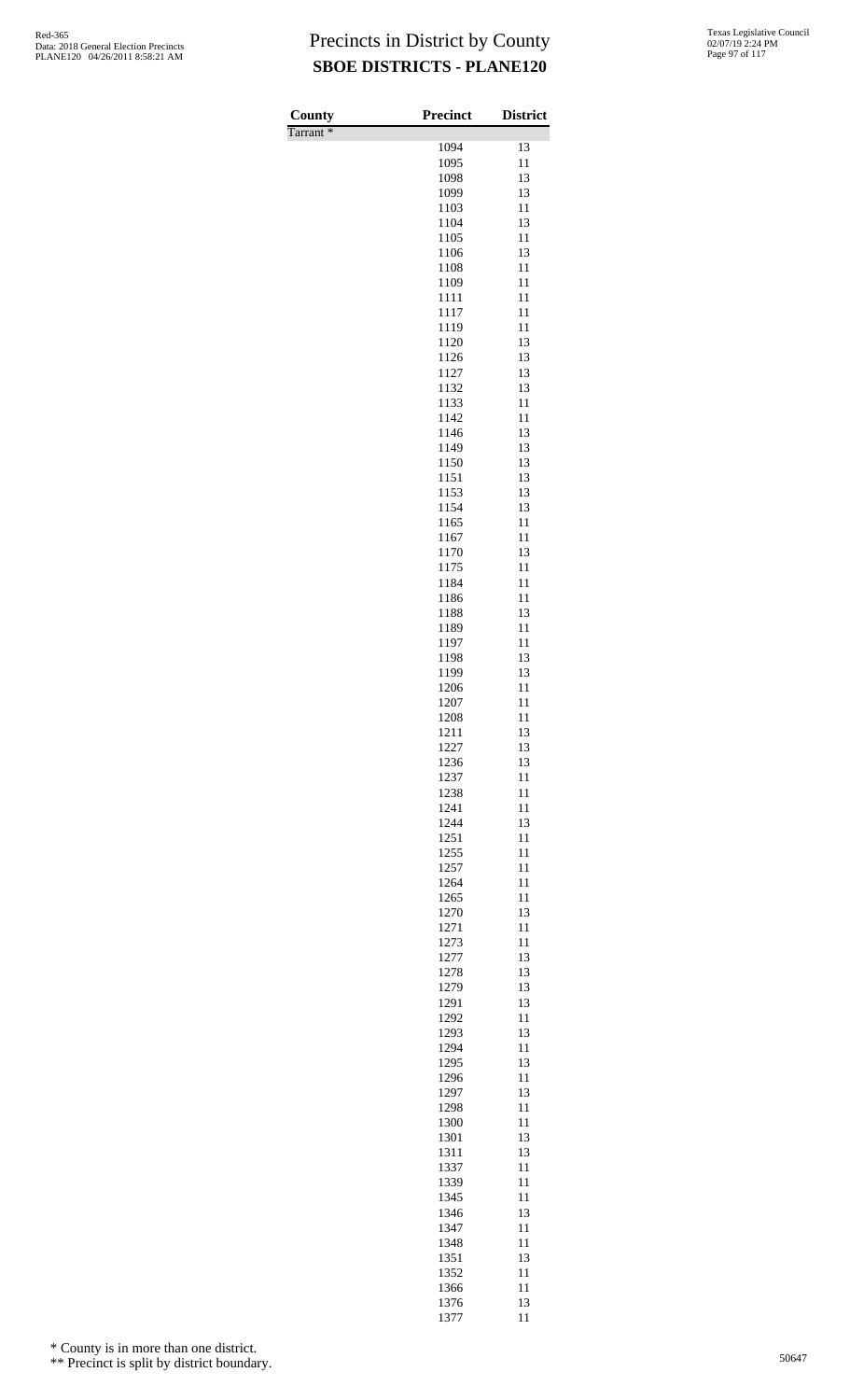| County               | <b>Precinct</b> | <b>District</b> |
|----------------------|-----------------|-----------------|
| Tarrant <sup>*</sup> | 1094            | 13              |
|                      | 1095            | 11              |
|                      | 1098            | 13              |
|                      | 1099            | 13              |
|                      | 1103            | 11              |
|                      | 1104<br>1105    | 13<br>11        |
|                      | 1106            | 13              |
|                      | 1108            | 11              |
|                      | 1109            | 11              |
|                      | 1111<br>1117    | 11<br>11        |
|                      | 1119            | 11              |
|                      | 1120            | 13              |
|                      | 1126            | 13              |
|                      | 1127            | 13              |
|                      | 1132<br>1133    | 13<br>11        |
|                      | 1142            | 11              |
|                      | 1146            | 13              |
|                      | 1149            | 13              |
|                      | 1150<br>1151    | 13<br>13        |
|                      | 1153            | 13              |
|                      | 1154            | 13              |
|                      | 1165            | 11              |
|                      | 1167            | 11              |
|                      | 1170<br>1175    | 13<br>11        |
|                      | 1184            | 11              |
|                      | 1186            | 11              |
|                      | 1188            | 13              |
|                      | 1189<br>1197    | 11<br>11        |
|                      | 1198            | 13              |
|                      | 1199            | 13              |
|                      | 1206            | 11              |
|                      | 1207            | 11              |
|                      | 1208<br>1211    | 11<br>13        |
|                      | 1227            | 13              |
|                      | 1236            | 13              |
|                      | 1237            | 11              |
|                      | 1238<br>1241    | 11<br>11        |
|                      | 1244            | 13              |
|                      | 1251            | 11              |
|                      | 1255            | 11              |
|                      | 1257            | 11              |
|                      | 1264<br>1265    | 11<br>11        |
|                      | 1270            | 13              |
|                      | 1271            | 11              |
|                      | 1273            | 11              |
|                      | 1277<br>1278    | 13<br>13        |
|                      | 1279            | 13              |
|                      | 1291            | 13              |
|                      | 1292            | 11              |
|                      | 1293            | 13              |
|                      | 1294<br>1295    | 11<br>13        |
|                      | 1296            | 11              |
|                      | 1297            | 13              |
|                      | 1298            | 11              |
|                      | 1300<br>1301    | 11<br>13        |
|                      | 1311            | 13              |
|                      | 1337            | 11              |
|                      | 1339            | 11              |
|                      | 1345<br>1346    | 11<br>13        |
|                      | 1347            | 11              |
|                      | 1348            | 11              |
|                      | 1351            | 13              |
|                      | 1352            | 11              |
|                      | 1366<br>1376    | 11<br>13        |
|                      | 1377            | 11              |

\* County is in more than one district.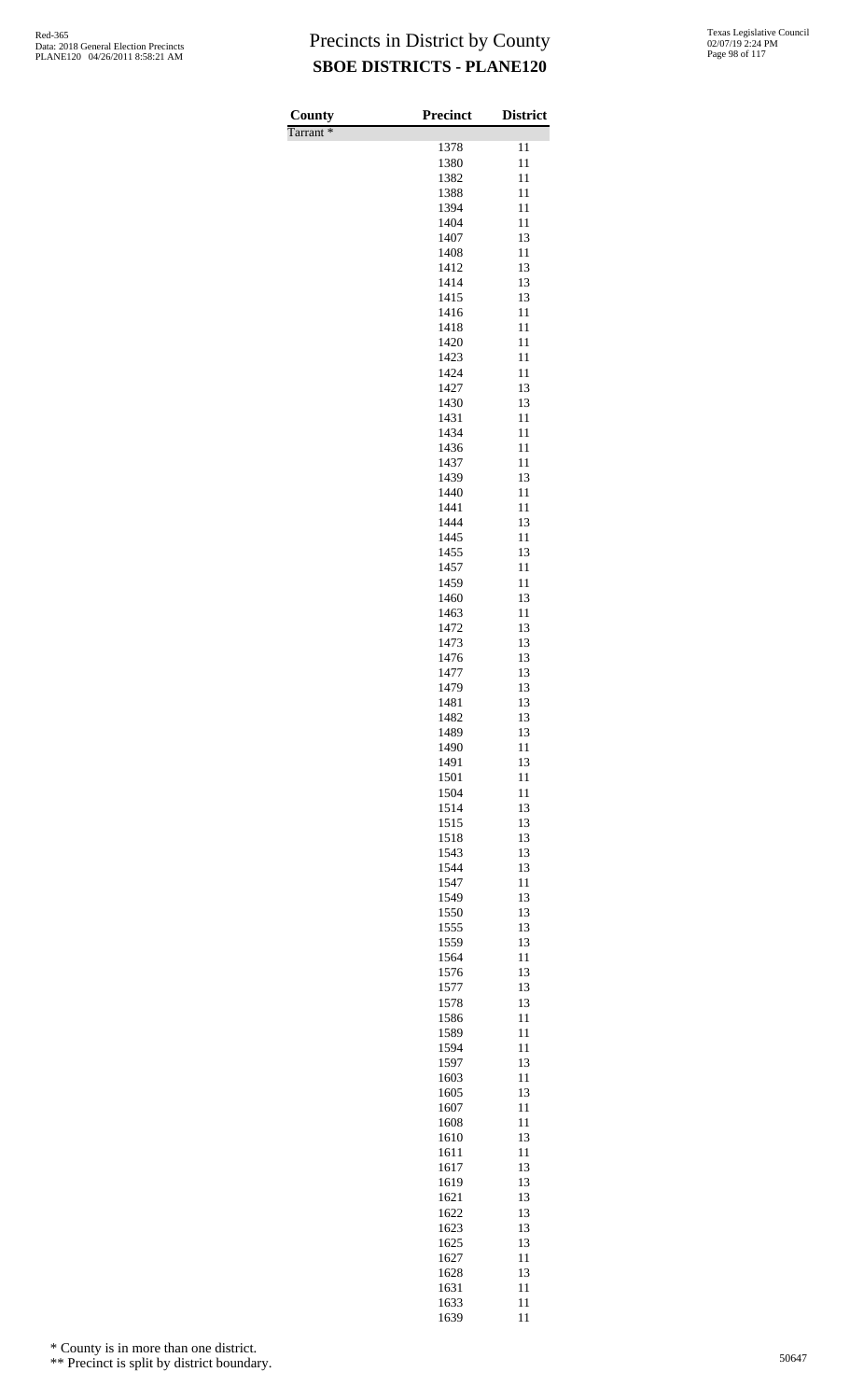| County               | <b>Precinct</b> | <b>District</b> |
|----------------------|-----------------|-----------------|
| Tarrant <sup>*</sup> |                 |                 |
|                      | 1378<br>1380    | 11<br>11        |
|                      | 1382            | 11              |
|                      | 1388            | 11              |
|                      | 1394            | 11              |
|                      | 1404            | 11              |
|                      | 1407            | 13              |
|                      | 1408            | 11              |
|                      | 1412<br>1414    | 13<br>13        |
|                      | 1415            | 13              |
|                      | 1416            | 11              |
|                      | 1418            | 11              |
|                      | 1420            | 11              |
|                      | 1423            | 11              |
|                      | 1424            | 11              |
|                      | 1427            | 13              |
|                      | 1430<br>1431    | 13<br>11        |
|                      | 1434            | 11              |
|                      | 1436            | 11              |
|                      | 1437            | 11              |
|                      | 1439            | 13              |
|                      | 1440            | 11              |
|                      | 1441            | 11              |
|                      | 1444            | 13              |
|                      | 1445<br>1455    | 11<br>13        |
|                      | 1457            | 11              |
|                      | 1459            | 11              |
|                      | 1460            | 13              |
|                      | 1463            | 11              |
|                      | 1472            | 13              |
|                      | 1473            | 13              |
|                      | 1476<br>1477    | 13<br>13        |
|                      | 1479            | 13              |
|                      | 1481            | 13              |
|                      | 1482            | 13              |
|                      | 1489            | 13              |
|                      | 1490            | 11              |
|                      | 1491            | 13              |
|                      | 1501            | 11              |
|                      | 1504            | 11              |
|                      | 1514<br>1515    | 13<br>13        |
|                      | 1518            | 13              |
|                      | 1543            | 13              |
|                      | 1544            | 13              |
|                      | 1547            | 11              |
|                      | 1549            | 13              |
|                      | 1550            | 13              |
|                      | 1555            | 13              |
|                      | 1559<br>1564    | 13<br>11        |
|                      | 1576            | 13              |
|                      | 1577            | 13              |
|                      | 1578            | 13              |
|                      | 1586            | 11              |
|                      | 1589            | 11              |
|                      | 1594            | 11              |
|                      | 1597            | 13              |
|                      | 1603<br>1605    | 11<br>13        |
|                      | 1607            | 11              |
|                      | 1608            | 11              |
|                      | 1610            | 13              |
|                      | 1611            | 11              |
|                      | 1617            | 13              |
|                      | 1619            | 13              |
|                      | 1621            | 13<br>13        |
|                      | 1622<br>1623    | 13              |
|                      | 1625            | 13              |
|                      | 1627            | 11              |
|                      | 1628            | 13              |
|                      | 1631            | 11              |
|                      | 1633            | 11              |
|                      | 1639            | 11              |

\* County is in more than one district.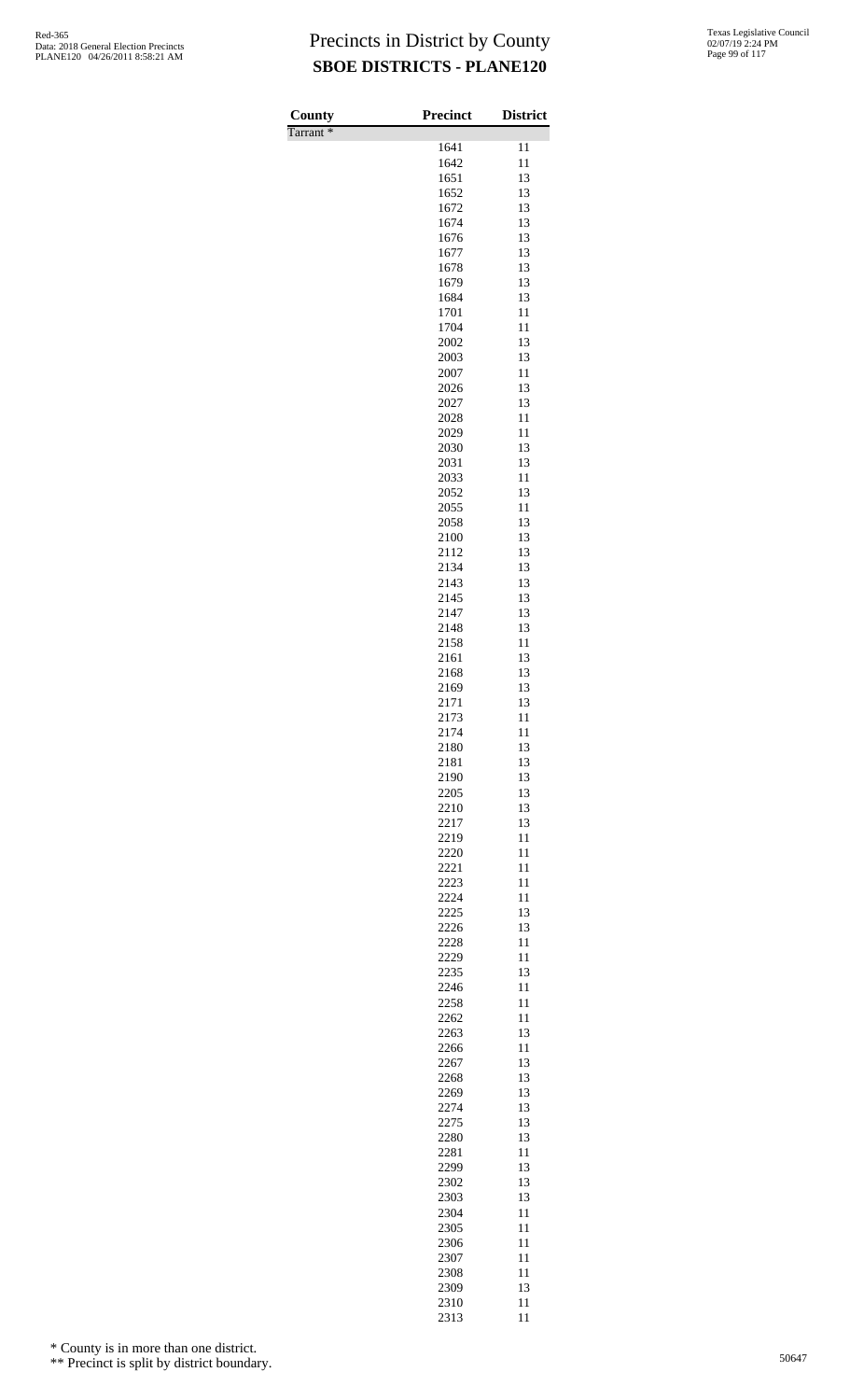| County               | <b>Precinct</b> | <b>District</b> |
|----------------------|-----------------|-----------------|
| Tarrant <sup>*</sup> |                 |                 |
|                      | 1641            | 11              |
|                      | 1642<br>1651    | 11<br>13        |
|                      | 1652            | 13              |
|                      | 1672            | 13              |
|                      | 1674            | 13              |
|                      | 1676            | 13              |
|                      | 1677            | 13              |
|                      | 1678<br>1679    | 13<br>13        |
|                      | 1684            | 13              |
|                      | 1701            | 11              |
|                      | 1704            | 11              |
|                      | 2002            | 13              |
|                      | 2003            | 13              |
|                      | 2007<br>2026    | 11<br>13        |
|                      | 2027            | 13              |
|                      | 2028            | 11              |
|                      | 2029            | 11              |
|                      | 2030            | 13              |
|                      | 2031            | 13              |
|                      | 2033<br>2052    | 11<br>13        |
|                      | 2055            | 11              |
|                      | 2058            | 13              |
|                      | 2100            | 13              |
|                      | 2112            | 13              |
|                      | 2134<br>2143    | 13<br>13        |
|                      | 2145            | 13              |
|                      | 2147            | 13              |
|                      | 2148            | 13              |
|                      | 2158            | 11              |
|                      | 2161<br>2168    | 13<br>13        |
|                      | 2169            | 13              |
|                      | 2171            | 13              |
|                      | 2173            | 11              |
|                      | 2174            | 11              |
|                      | 2180<br>2181    | 13<br>13        |
|                      | 2190            | 13              |
|                      | 2205            | 13              |
|                      | 2210            | 13              |
|                      | 2217            | 13              |
|                      | 2219<br>2220    | 11<br>11        |
|                      | 2221            | 11              |
|                      | 2223            | 11              |
|                      | 2224            | 11              |
|                      | 2225            | 13              |
|                      | 2226<br>2228    | 13<br>11        |
|                      | 2229            | 11              |
|                      | 2235            | 13              |
|                      | 2246            | 11              |
|                      | 2258<br>2262    | 11<br>11        |
|                      | 2263            | 13              |
|                      | 2266            | 11              |
|                      | 2267            | 13              |
|                      | 2268            | 13              |
|                      | 2269<br>2274    | 13<br>13        |
|                      | 2275            | 13              |
|                      | 2280            | 13              |
|                      | 2281            | 11              |
|                      | 2299            | 13              |
|                      | 2302<br>2303    | 13<br>13        |
|                      | 2304            | 11              |
|                      | 2305            | 11              |
|                      | 2306            | 11              |
|                      | 2307            | 11              |
|                      | 2308<br>2309    | 11<br>13        |
|                      | 2310            | 11              |

11

\* County is in more than one district.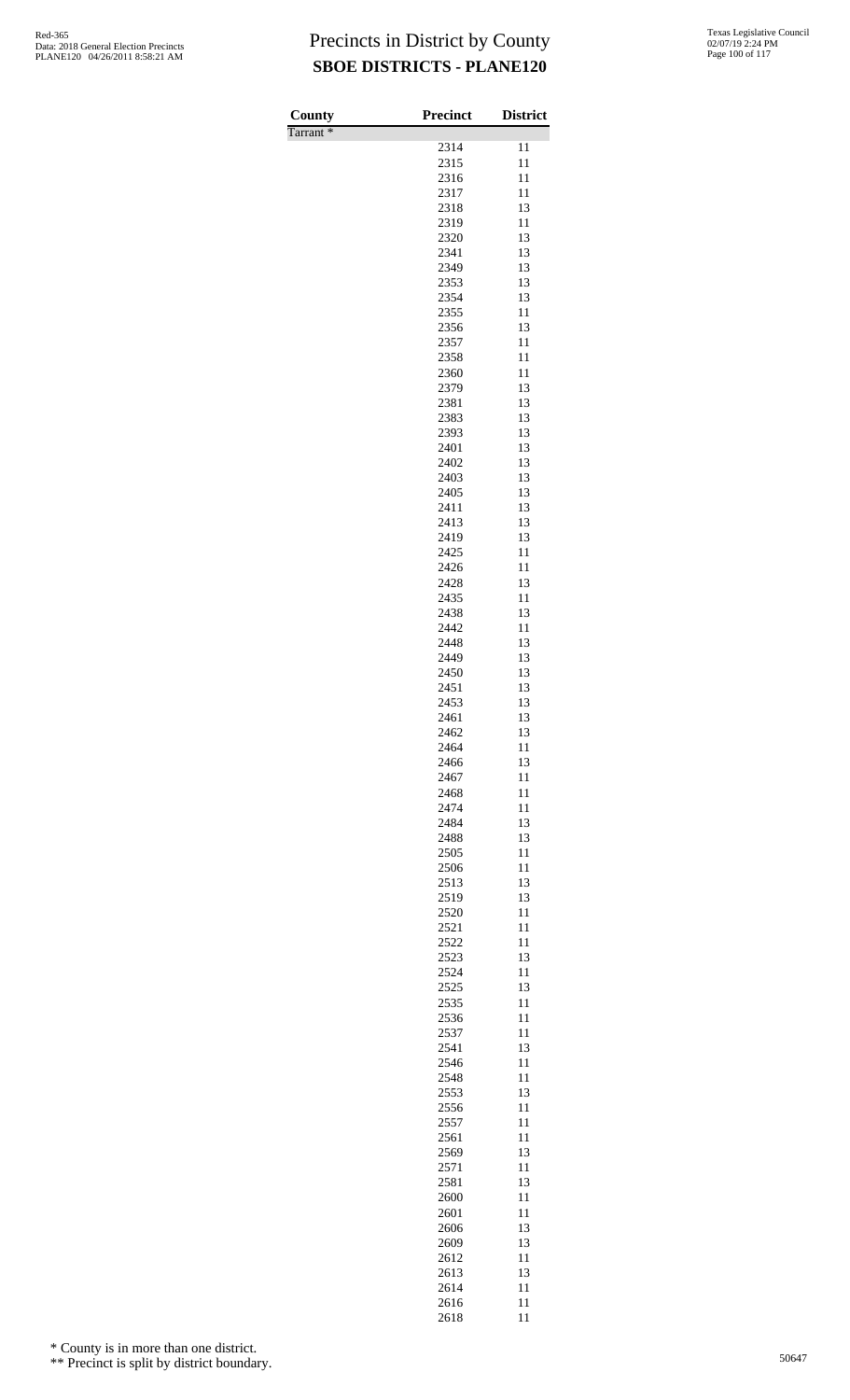| County               | Precinct     | <b>District</b> |
|----------------------|--------------|-----------------|
| Tarrant <sup>*</sup> | 2314         | 11              |
|                      | 2315         | 11              |
|                      | 2316         | 11              |
|                      | 2317         | 11              |
|                      | 2318<br>2319 | 13<br>11        |
|                      | 2320         | 13              |
|                      | 2341         | 13              |
|                      | 2349         | 13              |
|                      | 2353         | 13              |
|                      | 2354<br>2355 | 13<br>11        |
|                      | 2356         | 13              |
|                      | 2357         | 11              |
|                      | 2358         | 11              |
|                      | 2360<br>2379 | 11<br>13        |
|                      | 2381         | 13              |
|                      | 2383         | 13              |
|                      | 2393         | 13              |
|                      | 2401<br>2402 | 13<br>13        |
|                      | 2403         | 13              |
|                      | 2405         | 13              |
|                      | 2411         | 13              |
|                      | 2413<br>2419 | 13<br>13        |
|                      | 2425         | 11              |
|                      | 2426         | 11              |
|                      | 2428         | 13              |
|                      | 2435         | 11              |
|                      | 2438<br>2442 | 13<br>11        |
|                      | 2448         | 13              |
|                      | 2449         | 13              |
|                      | 2450         | 13              |
|                      | 2451<br>2453 | 13<br>13        |
|                      | 2461         | 13              |
|                      | 2462         | 13              |
|                      | 2464         | 11              |
|                      | 2466<br>2467 | 13<br>11        |
|                      | 2468         | 11              |
|                      | 2474         | 11              |
|                      | 2484         | 13              |
|                      | 2488<br>2505 | 13<br>11        |
|                      | 2506         | 11              |
|                      | 2513         | 13              |
|                      | 2519         | 13              |
|                      | 2520<br>2521 | 11<br>11        |
|                      | 2522         | 11              |
|                      | 2523         | 13              |
|                      | 2524         | 11              |
|                      | 2525<br>2535 | 13<br>11        |
|                      | 2536         | 11              |
|                      | 2537         | 11              |
|                      | 2541         | 13              |
|                      | 2546<br>2548 | 11<br>11        |
|                      | 2553         | 13              |
|                      | 2556         | 11              |
|                      | 2557         | 11              |
|                      | 2561         | 11              |
|                      | 2569<br>2571 | 13<br>11        |
|                      | 2581         | 13              |
|                      | 2600         | 11              |
|                      | 2601         | 11              |
|                      | 2606<br>2609 | 13<br>13        |
|                      | 2612         | 11              |
|                      | 2613         | 13              |
|                      | 2614         | 11              |
|                      | 2616         | 11              |

11

\* County is in more than one district.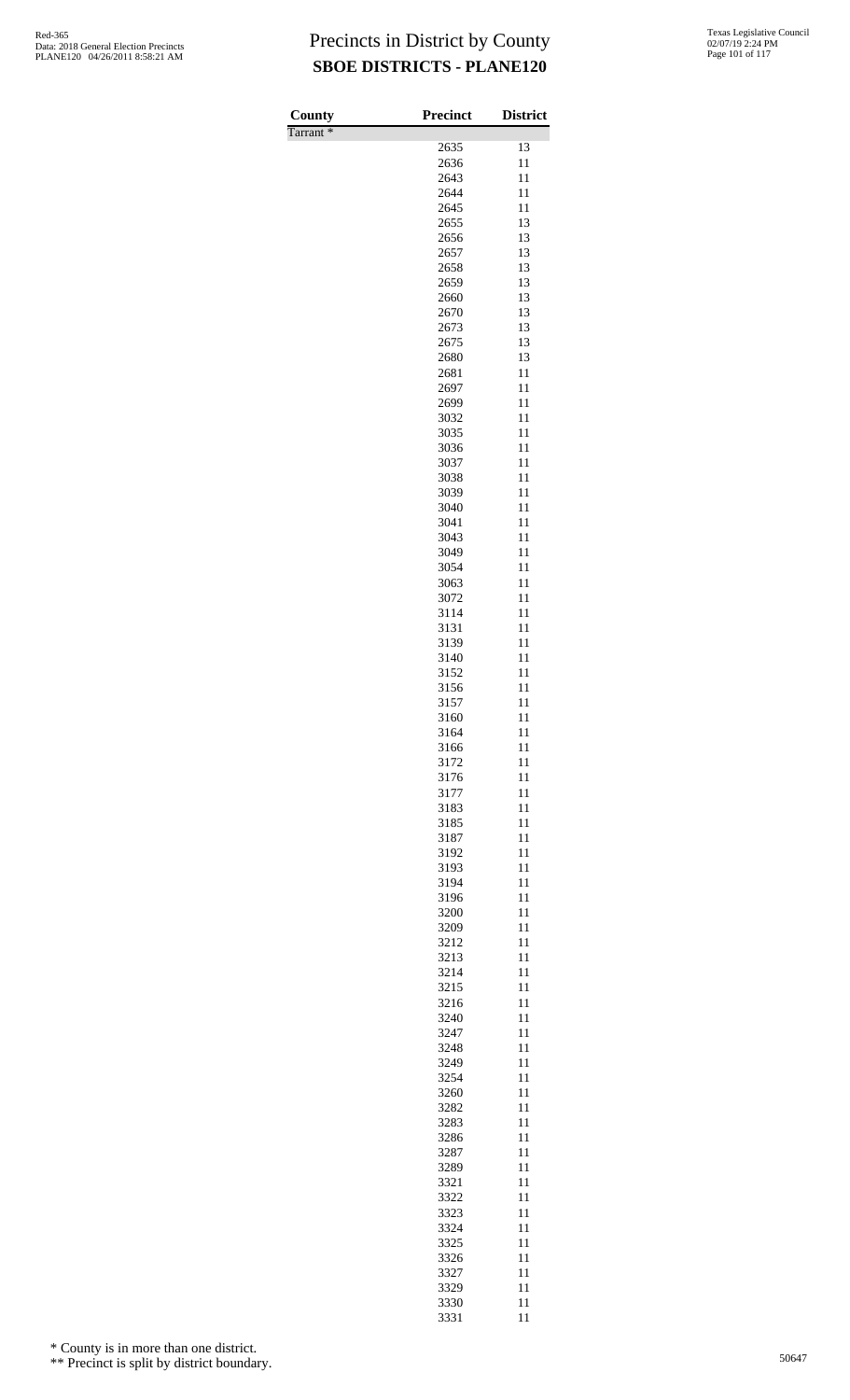| County   | <b>Precinct</b> | <b>District</b> |
|----------|-----------------|-----------------|
| Tarrant* |                 |                 |
|          | 2635            | 13              |
|          | 2636            | 11              |
|          | 2643            | 11              |
|          | 2644            | 11              |
|          | 2645            | 11<br>13        |
|          | 2655<br>2656    | 13              |
|          | 2657            | 13              |
|          | 2658            | 13              |
|          | 2659            | 13              |
|          | 2660            | 13              |
|          | 2670            | 13              |
|          | 2673            | 13              |
|          | 2675            | 13              |
|          | 2680            | 13              |
|          | 2681            | 11              |
|          | 2697            | 11              |
|          | 2699            | 11              |
|          | 3032            | 11<br>11        |
|          | 3035<br>3036    | 11              |
|          | 3037            | 11              |
|          | 3038            | 11              |
|          | 3039            | 11              |
|          | 3040            | 11              |
|          | 3041            | 11              |
|          | 3043            | 11              |
|          | 3049            | 11              |
|          | 3054            | 11              |
|          | 3063            | 11              |
|          | 3072            | 11              |
|          | 3114            | 11              |
|          | 3131            | 11              |
|          | 3139            | 11              |
|          | 3140            | 11              |
|          | 3152            | 11<br>11        |
|          | 3156<br>3157    | 11              |
|          | 3160            | 11              |
|          | 3164            | 11              |
|          | 3166            | 11              |
|          | 3172            | 11              |
|          | 3176            | 11              |
|          | 3177            | 11              |
|          | 3183            | 11              |
|          | 3185            | 11              |
|          | 3187            | 11              |
|          | 3192            | 11              |
|          | 3193            | 11              |
|          | 3194            | 11              |
|          | 3196            | 11<br>11        |
|          | 3200<br>3209    | 11              |
|          | 3212            | 11              |
|          | 3213            | 11              |
|          | 3214            | 11              |
|          | 3215            | 11              |
|          | 3216            | 11              |
|          | 3240            | 11              |
|          | 3247            | 11              |
|          | 3248            | 11              |
|          | 3249            | 11              |
|          | 3254            | 11              |
|          | 3260            | 11              |
|          | 3282            | 11              |
|          | 3283            | 11              |
|          | 3286<br>3287    | 11<br>11        |
|          | 3289            | 11              |
|          | 3321            | 11              |
|          | 3322            | 11              |
|          | 3323            | 11              |
|          | 3324            | 11              |
|          | 3325            | 11              |
|          | 3326            | 11              |
|          | 3327            | 11              |
|          | 3329            | 11              |
|          | 3330            | 11              |
|          | 3331            | 11              |

\* County is in more than one district.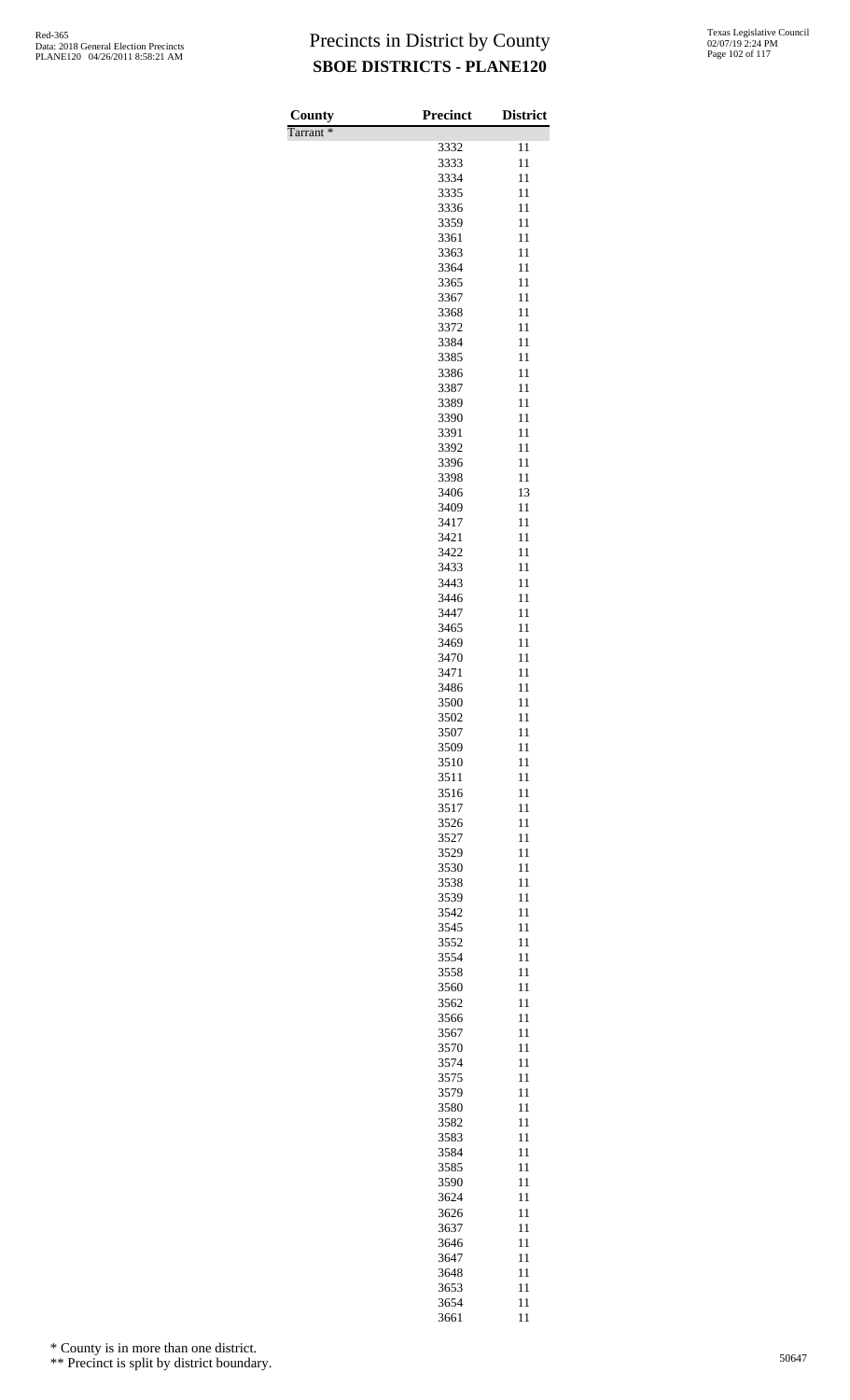| County               | Precinct     | <b>District</b> |
|----------------------|--------------|-----------------|
| Tarrant <sup>*</sup> |              |                 |
|                      | 3332         | 11              |
|                      | 3333<br>3334 | 11<br>11        |
|                      | 3335         | 11              |
|                      | 3336         | 11              |
|                      | 3359         | 11              |
|                      | 3361<br>3363 | 11<br>11        |
|                      | 3364         | 11              |
|                      | 3365         | 11              |
|                      | 3367         | 11              |
|                      | 3368         | 11              |
|                      | 3372<br>3384 | 11<br>11        |
|                      | 3385         | 11              |
|                      | 3386         | 11              |
|                      | 3387         | 11              |
|                      | 3389<br>3390 | 11<br>11        |
|                      | 3391         | 11              |
|                      | 3392         | 11              |
|                      | 3396         | 11              |
|                      | 3398         | 11<br>13        |
|                      | 3406<br>3409 | 11              |
|                      | 3417         | 11              |
|                      | 3421         | 11              |
|                      | 3422         | 11              |
|                      | 3433<br>3443 | 11<br>11        |
|                      | 3446         | 11              |
|                      | 3447         | 11              |
|                      | 3465         | 11              |
|                      | 3469         | 11<br>11        |
|                      | 3470<br>3471 | 11              |
|                      | 3486         | 11              |
|                      | 3500         | 11              |
|                      | 3502         | 11              |
|                      | 3507<br>3509 | 11<br>11        |
|                      | 3510         | 11              |
|                      | 3511         | 11              |
|                      | 3516         | 11              |
|                      | 3517         | 11<br>11        |
|                      | 3526<br>3527 | 11              |
|                      | 3529         | 11              |
|                      | 3530         | 11              |
|                      | 3538         | 11              |
|                      | 3539<br>3542 | 11<br>11        |
|                      | 3545         | 11              |
|                      | 3552         | 11              |
|                      | 3554         | 11              |
|                      | 3558<br>3560 | 11<br>11        |
|                      | 3562         | 11              |
|                      | 3566         | 11              |
|                      | 3567         | 11              |
|                      | 3570         | 11              |
|                      | 3574<br>3575 | 11<br>11        |
|                      | 3579         | 11              |
|                      | 3580         | 11              |
|                      | 3582         | 11              |
|                      | 3583<br>3584 | 11<br>11        |
|                      | 3585         | 11              |
|                      | 3590         | 11              |
|                      | 3624         | 11              |
|                      | 3626         | 11              |
|                      | 3637<br>3646 | 11<br>11        |
|                      | 3647         | 11              |
|                      | 3648         | 11              |
|                      | 3653         | 11              |
|                      | 3654<br>3661 | 11<br>11        |
|                      |              |                 |

\* County is in more than one district.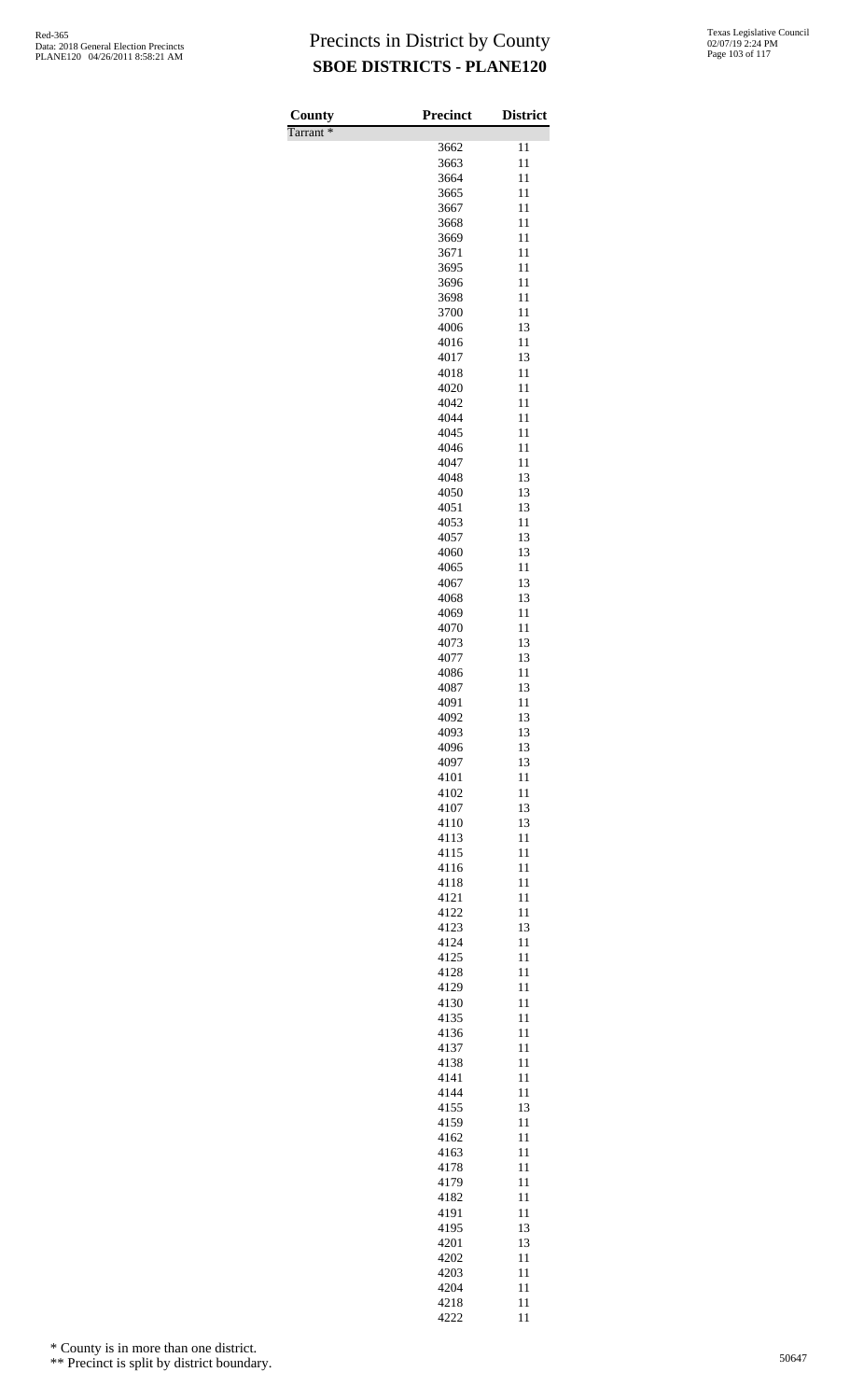| County               | <b>Precinct</b> | <b>District</b> |
|----------------------|-----------------|-----------------|
| Tarrant <sup>*</sup> |                 |                 |
|                      | 3662            | 11              |
|                      | 3663            | 11              |
|                      | 3664            | 11              |
|                      | 3665            | 11              |
|                      | 3667            | 11              |
|                      | 3668            | 11              |
|                      | 3669<br>3671    | 11<br>11        |
|                      | 3695            | 11              |
|                      | 3696            | 11              |
|                      | 3698            | 11              |
|                      | 3700            | 11              |
|                      | 4006            | 13              |
|                      | 4016            | 11              |
|                      | 4017            | 13              |
|                      | 4018            | 11              |
|                      | 4020            | 11              |
|                      | 4042            | 11              |
|                      | 4044            | 11              |
|                      | 4045            | 11              |
|                      | 4046            | 11              |
|                      | 4047            | 11              |
|                      | 4048            | 13              |
|                      | 4050            | 13<br>13        |
|                      | 4051<br>4053    | 11              |
|                      | 4057            | 13              |
|                      | 4060            | 13              |
|                      | 4065            | 11              |
|                      | 4067            | 13              |
|                      | 4068            | 13              |
|                      | 4069            | 11              |
|                      | 4070            | 11              |
|                      | 4073            | 13              |
|                      | 4077            | 13              |
|                      | 4086            | 11              |
|                      | 4087            | 13              |
|                      | 4091            | 11              |
|                      | 4092            | 13              |
|                      | 4093            | 13              |
|                      | 4096            | 13              |
|                      | 4097<br>4101    | 13<br>11        |
|                      | 4102            | 11              |
|                      | 4107            | 13              |
|                      | 4110            | 13              |
|                      | 4113            | 11              |
|                      | 4115            | 11              |
|                      | 4116            | 11              |
|                      | 4118            | 11              |
|                      | 4121            | 11              |
|                      | 4122            | 11              |
|                      | 4123            | 13              |
|                      | 4124            | 11              |
|                      | 4125            | 11              |
|                      | 4128            | 11              |
|                      | 4129<br>4130    | 11<br>11        |
|                      | 4135            | 11              |
|                      | 4136            | 11              |
|                      | 4137            | 11              |
|                      | 4138            | 11              |
|                      | 4141            | 11              |
|                      | 4144            | 11              |
|                      | 4155            | 13              |
|                      | 4159            | 11              |
|                      | 4162            | 11              |
|                      | 4163            | 11              |
|                      | 4178            | 11              |
|                      | 4179            | 11              |
|                      | 4182            | 11              |
|                      | 4191            | 11              |
|                      | 4195<br>4201    | 13<br>13        |
|                      | 4202            | 11              |
|                      | 4203            | 11              |
|                      | 4204            | 11              |
|                      | 4218            | 11              |

11

\* County is in more than one district.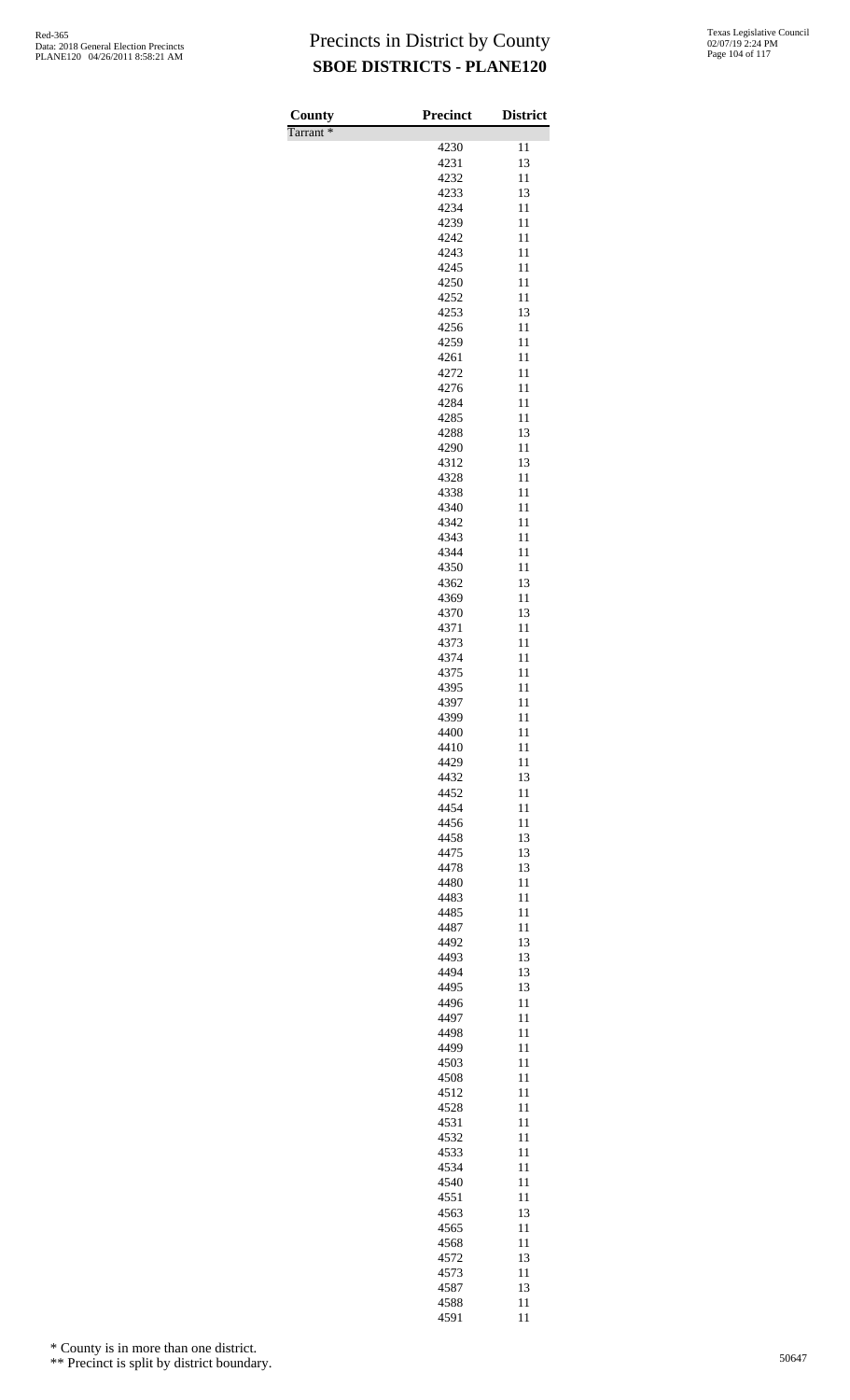| County               | Precinct     | <b>District</b> |
|----------------------|--------------|-----------------|
| Tarrant <sup>*</sup> |              |                 |
|                      | 4230         | 11              |
|                      | 4231         | 13              |
|                      | 4232<br>4233 | 11<br>13        |
|                      | 4234         | 11              |
|                      | 4239         | 11              |
|                      | 4242         | 11              |
|                      | 4243         | 11              |
|                      | 4245<br>4250 | 11<br>11        |
|                      | 4252         | 11              |
|                      | 4253         | 13              |
|                      | 4256         | 11              |
|                      | 4259<br>4261 | 11<br>11        |
|                      | 4272         | 11              |
|                      | 4276         | 11              |
|                      | 4284         | 11              |
|                      | 4285<br>4288 | 11<br>13        |
|                      | 4290         | 11              |
|                      | 4312         | 13              |
|                      | 4328         | 11              |
|                      | 4338         | 11              |
|                      | 4340<br>4342 | 11<br>11        |
|                      | 4343         | 11              |
|                      | 4344         | 11              |
|                      | 4350         | 11              |
|                      | 4362<br>4369 | 13<br>11        |
|                      | 4370         | 13              |
|                      | 4371         | 11              |
|                      | 4373         | 11              |
|                      | 4374         | 11              |
|                      | 4375<br>4395 | 11<br>11        |
|                      | 4397         | 11              |
|                      | 4399         | 11              |
|                      | 4400         | 11              |
|                      | 4410<br>4429 | 11<br>11        |
|                      | 4432         | 13              |
|                      | 4452         | 11              |
|                      | 4454         | 11              |
|                      | 4456<br>4458 | 11<br>13        |
|                      | 4475         | 13              |
|                      | 4478         | 13              |
|                      | 4480         | 11              |
|                      | 4483         | 11              |
|                      | 4485<br>4487 | 11<br>11        |
|                      | 4492         | 13              |
|                      | 4493         | 13              |
|                      | 4494         | 13              |
|                      | 4495<br>4496 | 13<br>11        |
|                      | 4497         | 11              |
|                      | 4498         | 11              |
|                      | 4499         | 11              |
|                      | 4503         | 11              |
|                      | 4508<br>4512 | 11<br>11        |
|                      | 4528         | 11              |
|                      | 4531         | 11              |
|                      | 4532         | 11              |
|                      | 4533<br>4534 | 11<br>11        |
|                      | 4540         | 11              |
|                      | 4551         | 11              |
|                      | 4563         | 13              |
|                      | 4565         | 11              |
|                      | 4568<br>4572 | 11<br>13        |
|                      | 4573         | 11              |
|                      | 4587         | 13              |
|                      | 4588         | 11              |

11

\* County is in more than one district.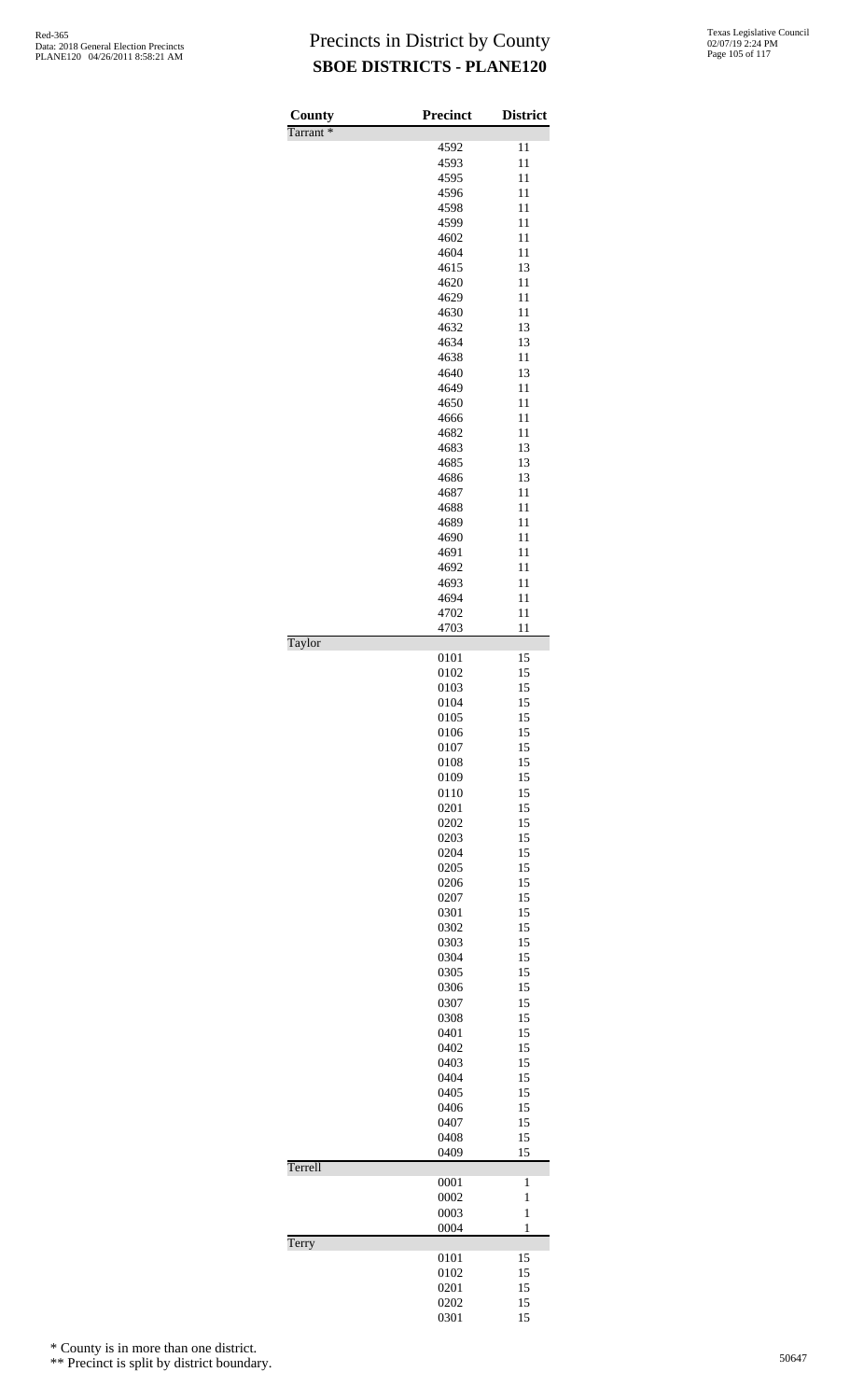| County<br>Tarrant <sup>*</sup> | Precinct     | <b>District</b> |
|--------------------------------|--------------|-----------------|
|                                | 4592         | 11              |
|                                | 4593         | 11              |
|                                | 4595         | 11              |
|                                | 4596         | 11              |
|                                | 4598         | 11              |
|                                | 4599         | 11              |
|                                | 4602         | 11              |
|                                | 4604         | 11              |
|                                | 4615         | 13              |
|                                | 4620         | 11              |
|                                | 4629         | 11              |
|                                | 4630         | 11              |
|                                | 4632         | 13              |
|                                | 4634         | 13              |
|                                | 4638         | 11              |
|                                | 4640         | 13              |
|                                | 4649         | 11              |
|                                | 4650         | 11              |
|                                | 4666         | 11              |
|                                | 4682         | 11              |
|                                | 4683         | 13              |
|                                | 4685         | 13              |
|                                | 4686<br>4687 | 13<br>11        |
|                                | 4688         | 11              |
|                                | 4689         | 11              |
|                                | 4690         | 11              |
|                                | 4691         | 11              |
|                                | 4692         | 11              |
|                                | 4693         | 11              |
|                                | 4694         | 11              |
|                                | 4702         | 11              |
|                                | 4703         | 11              |
| Taylor                         |              |                 |
|                                | 0101         | 15              |
|                                | 0102         | 15              |
|                                | 0103         | 15              |
|                                | 0104         | 15              |
|                                | 0105         | 15              |
|                                | 0106         | 15<br>15        |
|                                | 0107<br>0108 | 15              |
|                                | 0109         | 15              |
|                                | 0110         | 15              |
|                                | 0201         | 15              |
|                                | 0202         | 15              |
|                                | 0203         | 15              |
|                                | 0204         | 15              |
|                                | 0205         | 15              |
|                                | 0206         | 15              |
|                                | 0207         | 15              |
|                                | 0301         | 15              |
|                                | 0302         | 15              |
|                                | 0303         | 15              |
|                                | 0304         | 15              |
|                                | 0305         | 15              |
|                                | 0306         | 15              |
|                                | 0307         | 15              |
|                                | 0308         | 15              |
|                                | 0401         | 15              |
|                                | 0402         | 15              |
|                                | 0403         | 15              |
|                                | 0404         | 15              |
|                                | 0405         | 15              |
|                                | 0406         | 15              |
|                                | 0407         | 15              |
|                                | 0408         | 15<br>15        |
| Terrell                        | 0409         |                 |
|                                | 0001         | $\mathbf{1}$    |
|                                | 0002         | $\mathbf{1}$    |
|                                | 0003         | $\,1$           |
|                                | 0004         | $\mathbf{1}$    |
| Terry                          |              |                 |
|                                | 0101         | 15              |
|                                | 0102         | 15              |
|                                | 0201         | 15              |
|                                | 0202         | 15              |
|                                | 0301         | 15              |

\* County is in more than one district.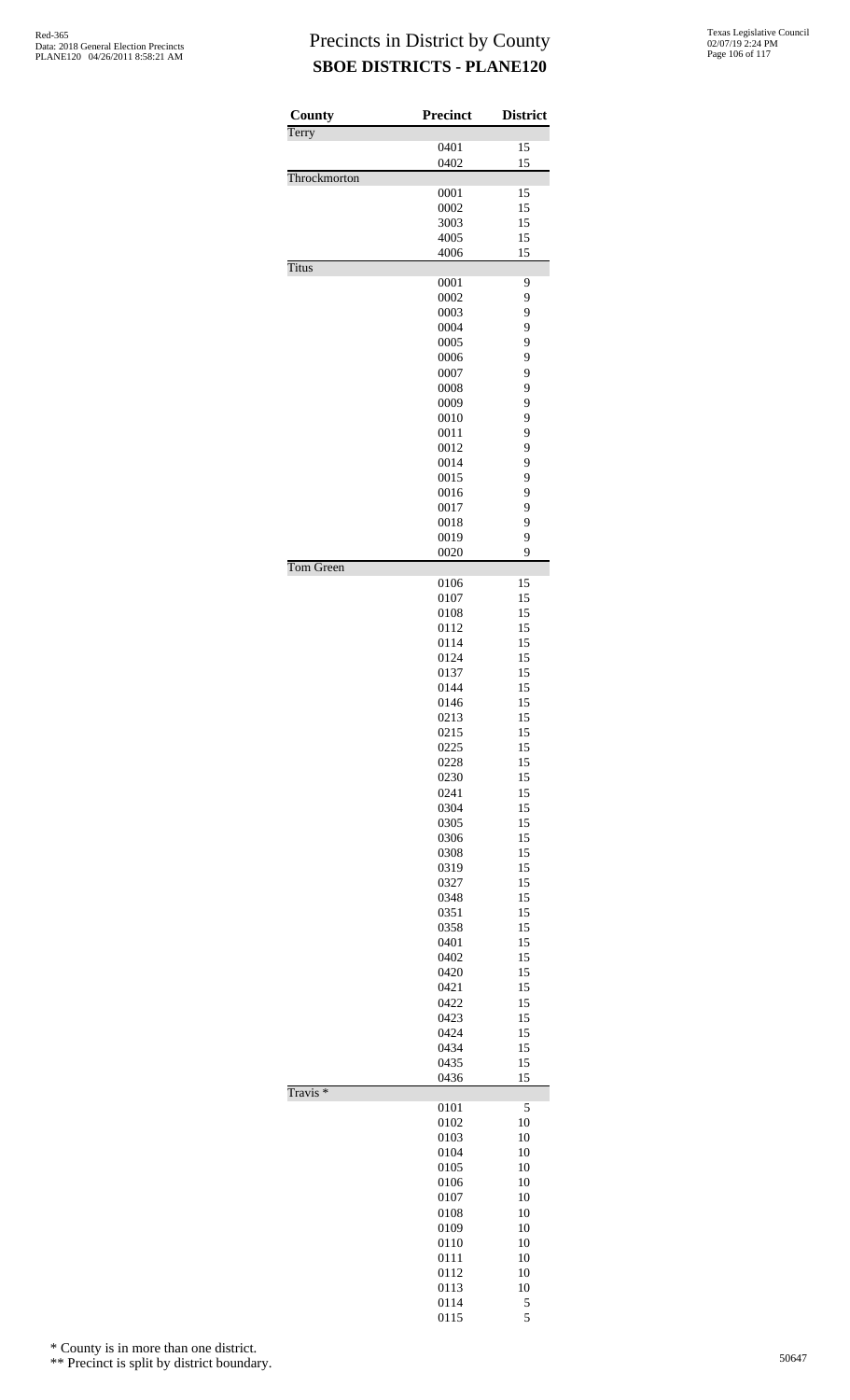| County              | Precinct     | <b>District</b> |
|---------------------|--------------|-----------------|
| Terry               | 0401         | 15              |
|                     | 0402         | 15              |
| Throckmorton        |              |                 |
|                     | 0001         | 15              |
|                     | 0002         | 15              |
|                     | 3003         | 15              |
|                     | 4005         | 15              |
| <b>Titus</b>        | 4006         | 15              |
|                     | 0001         | 9               |
|                     | 0002         | 9               |
|                     | 0003         | 9               |
|                     | 0004         | 9               |
|                     | 0005         | 9               |
|                     | 0006         | 9               |
|                     | 0007         | 9<br>9          |
|                     | 0008<br>0009 | 9               |
|                     | 0010         | 9               |
|                     | 0011         | 9               |
|                     | 0012         | 9               |
|                     | 0014         | 9               |
|                     | 0015         | 9               |
|                     | 0016         | 9               |
|                     | 0017         | 9               |
|                     | 0018         | 9               |
|                     | 0019         | 9<br>9          |
| Tom Green           | 0020         |                 |
|                     | 0106         | 15              |
|                     | 0107         | 15              |
|                     | 0108         | 15              |
|                     | 0112         | 15              |
|                     | 0114         | 15              |
|                     | 0124         | 15              |
|                     | 0137         | 15              |
|                     | 0144         | 15<br>15        |
|                     | 0146<br>0213 | 15              |
|                     | 0215         | 15              |
|                     | 0225         | 15              |
|                     | 0228         | 15              |
|                     | 0230         | 15              |
|                     | 0241         | 15              |
|                     | 0304         | 15              |
|                     | 0305         | 15              |
|                     | 0306         | 15              |
|                     | 0308<br>0319 | 15<br>15        |
|                     | 0327         | 15              |
|                     | 0348         | 15              |
|                     | 0351         | 15              |
|                     | 0358         | 15              |
|                     | 0401         | 15              |
|                     | 0402         | 15              |
|                     | 0420         | 15              |
|                     | 0421         | 15              |
|                     | 0422         | 15              |
|                     | 0423<br>0424 | 15<br>15        |
|                     | 0434         | 15              |
|                     | 0435         | 15              |
|                     | 0436         | 15              |
| Travis <sup>*</sup> |              |                 |
|                     | 0101         | 5               |
|                     | 0102         | 10              |
|                     | 0103<br>0104 | 10<br>10        |
|                     | 0105         | 10              |
|                     | 0106         | 10              |
|                     | 0107         | 10              |
|                     | 0108         | 10              |
|                     | 0109         | 10              |
|                     | 0110         | 10              |
|                     | 0111         | 10              |
|                     | 0112         | 10              |
|                     | 0113         | 10              |
|                     | 0114<br>0115 | 5<br>5          |
|                     |              |                 |

\* County is in more than one district.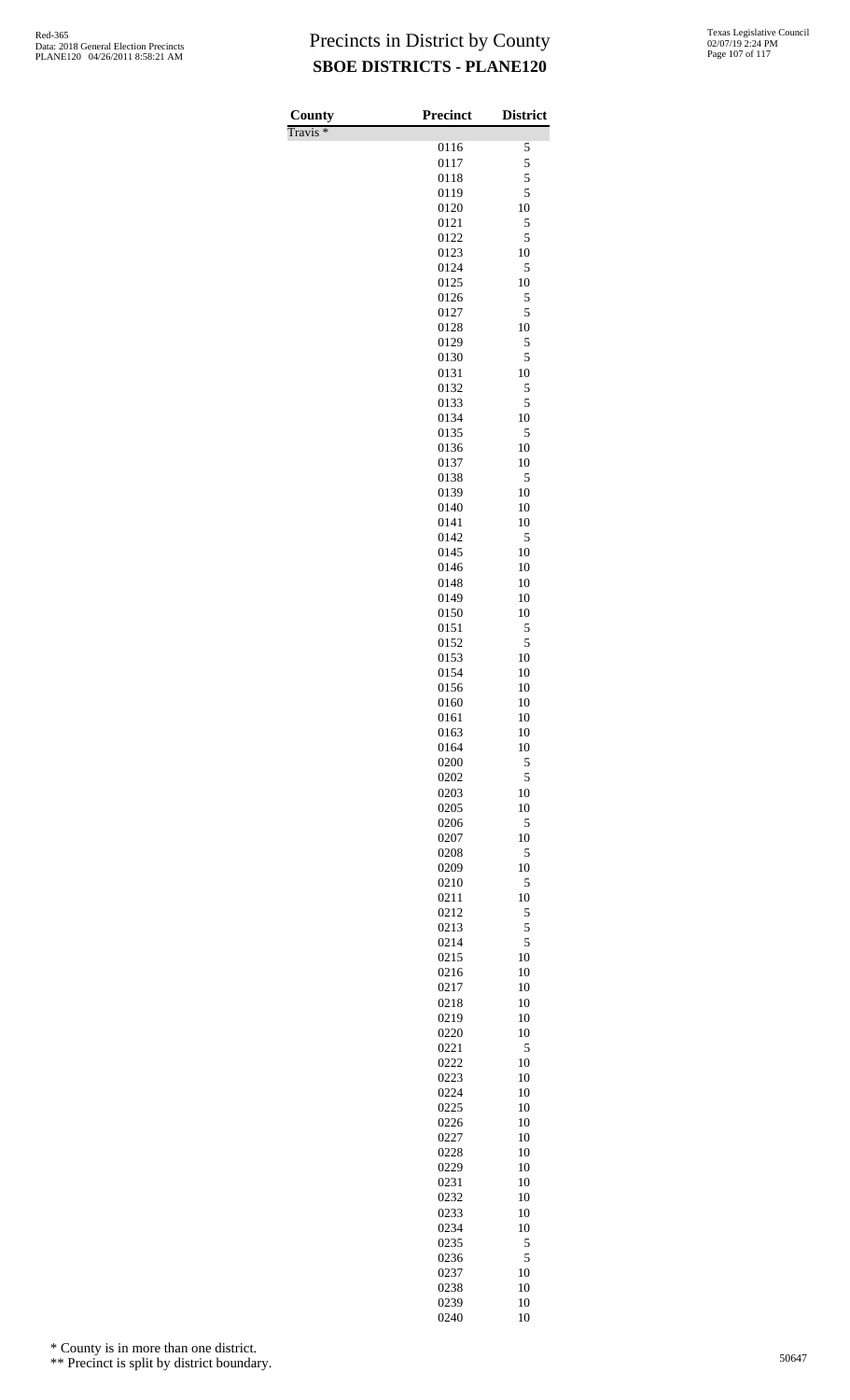Travis \*

| County<br>$\overline{\text{Travis}}$ * | <b>Precinct</b> | <b>District</b> |
|----------------------------------------|-----------------|-----------------|
|                                        | 0116            | 5               |
|                                        | 0117            | 5               |
|                                        | 0118<br>0119    | 5<br>5          |
|                                        | 0120            | 10              |
|                                        | 0121            | 5               |
|                                        | 0122<br>0123    | 5<br>10         |
|                                        | 0124            | 5               |
|                                        | 0125            | 10              |
|                                        | 0126            | 5<br>5          |
|                                        | 0127<br>0128    | 10              |
|                                        | 0129            | 5               |
|                                        | 0130            | 5               |
|                                        | 0131<br>0132    | 10<br>5         |
|                                        | 0133            | 5               |
|                                        | 0134            | 10              |
|                                        | 0135<br>0136    | 5<br>10         |
|                                        | 0137            | 10              |
|                                        | 0138            | 5               |
|                                        | 0139<br>0140    | 10<br>10        |
|                                        | 0141            | 10              |
|                                        | 0142            | 5               |
|                                        | 0145<br>0146    | 10<br>10        |
|                                        | 0148            | 10              |
|                                        | 0149            | 10              |
|                                        | 0150<br>0151    | 10<br>5         |
|                                        | 0152            | 5               |
|                                        | 0153            | 10              |
|                                        | 0154            | 10              |
|                                        | 0156<br>0160    | 10<br>10        |
|                                        | 0161            | 10              |
|                                        | 0163            | 10              |
|                                        | 0164<br>0200    | 10<br>5         |
|                                        | 0202            | 5               |
|                                        | 0203            | 10              |
|                                        | 0205<br>0206    | 10<br>5         |
|                                        | 0207            | 10              |
|                                        | 0208            | 5               |
|                                        | 0209<br>0210    | 10<br>5         |
|                                        | 0211            | 10              |
|                                        | 0212            | 5               |
|                                        | 0213<br>0214    | 5<br>5          |
|                                        | 0215            | 10              |
|                                        | 0216            | 10              |
|                                        | 0217<br>0218    | 10<br>10        |
|                                        | 0219            | 10              |
|                                        | 0220            | 10              |
|                                        | 0221<br>0222    | 5<br>10         |
|                                        | 0223            | 10              |
|                                        | 0224            | 10              |
|                                        | 0225<br>0226    | 10<br>10        |
|                                        | 0227            | 10              |
|                                        | 0228            | 10              |
|                                        | 0229<br>0231    | 10<br>10        |
|                                        | 0232            | 10              |
|                                        | 0233            | 10              |
|                                        | 0234<br>0235    | 10              |
|                                        | 0236            | 5<br>5          |
|                                        | 0237            | 10              |
|                                        | 0238            | 10              |
|                                        | 0239<br>0240    | 10<br>10        |

\* County is in more than one district.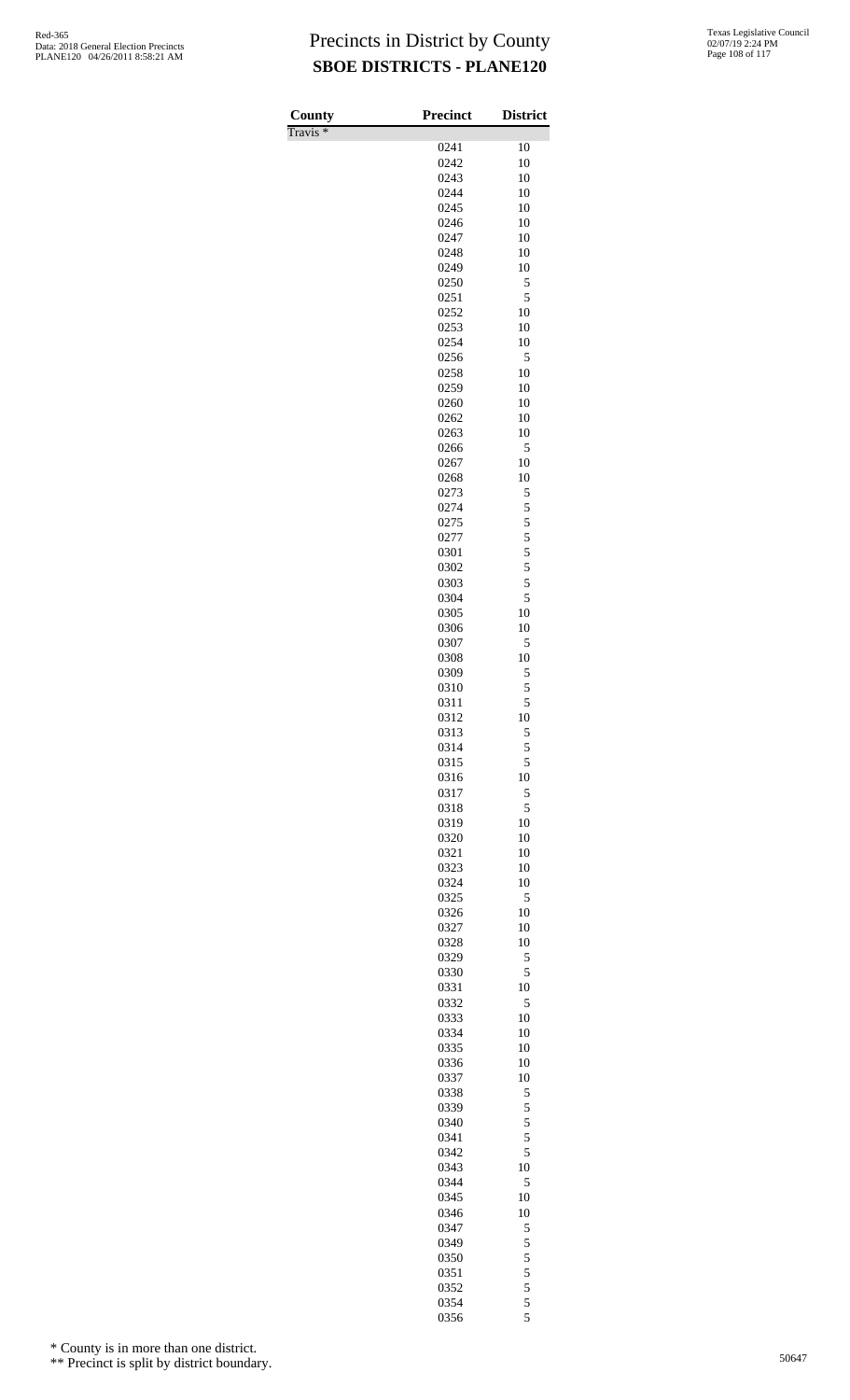Travis \*

| County<br>$\sqrt{\text{ravis}}$ | <b>Precinct</b> | <b>District</b> |
|---------------------------------|-----------------|-----------------|
|                                 | 0241            | 10              |
|                                 | 0242            | 10              |
|                                 | 0243            | 10              |
|                                 | 0244            | 10              |
|                                 | 0245            | 10              |
|                                 | 0246            | 10              |
|                                 | 0247<br>0248    | 10<br>10        |
|                                 | 0249            | 10              |
|                                 | 0250            | 5               |
|                                 | 0251            | 5               |
|                                 | 0252            | 10              |
|                                 | 0253            | 10              |
|                                 | 0254<br>0256    | 10<br>5         |
|                                 | 0258            | 10              |
|                                 | 0259            | 10              |
|                                 | 0260            | 10              |
|                                 | 0262            | 10              |
|                                 | 0263            | 10              |
|                                 | 0266            | 5<br>10         |
|                                 | 0267<br>0268    | 10              |
|                                 | 0273            | 5               |
|                                 | 0274            | 5               |
|                                 | 0275            | $\overline{5}$  |
|                                 | 0277            | 5               |
|                                 | 0301            | 5               |
|                                 | 0302<br>0303    | 5<br>5          |
|                                 | 0304            | 5               |
|                                 | 0305            | 10              |
|                                 | 0306            | 10              |
|                                 | 0307            | 5               |
|                                 | 0308            | 10              |
|                                 | 0309<br>0310    | 5<br>5          |
|                                 | 0311            | 5               |
|                                 | 0312            | 10              |
|                                 | 0313            | 5               |
|                                 | 0314            | 5               |
|                                 | 0315            | 5               |
|                                 | 0316<br>0317    | 10<br>5         |
|                                 | 0318            | 5               |
|                                 | 0319            | 10              |
|                                 | 0320            | 10              |
|                                 | 0321            | 10              |
|                                 | 0323            | 10              |
|                                 | 0324<br>0325    | 10<br>5         |
|                                 | 0326            | 10              |
|                                 | 0327            | 10              |
|                                 | 0328            | 10              |
|                                 | 0329            | 5               |
|                                 | 0330            | 5               |
|                                 | 0331            | 10              |
|                                 | 0332<br>0333    | 5<br>10         |
|                                 | 0334            | 10              |
|                                 | 0335            | 10              |
|                                 | 0336            | 10              |
|                                 | 0337            | 10              |
|                                 | 0338            | 5               |
|                                 | 0339<br>0340    | 5<br>5          |
|                                 | 0341            | 5               |
|                                 | 0342            | 5               |
|                                 | 0343            | 10              |
|                                 | 0344            | 5               |
|                                 | 0345            | 10              |
|                                 | 0346            | 10              |
|                                 | 0347<br>0349    | 5<br>5          |
|                                 | 0350            | 5               |
|                                 | 0351            | 5               |
|                                 | 0352            | 5               |
|                                 | 0354            | 5               |
|                                 | 0356            | 5               |

\* County is in more than one district.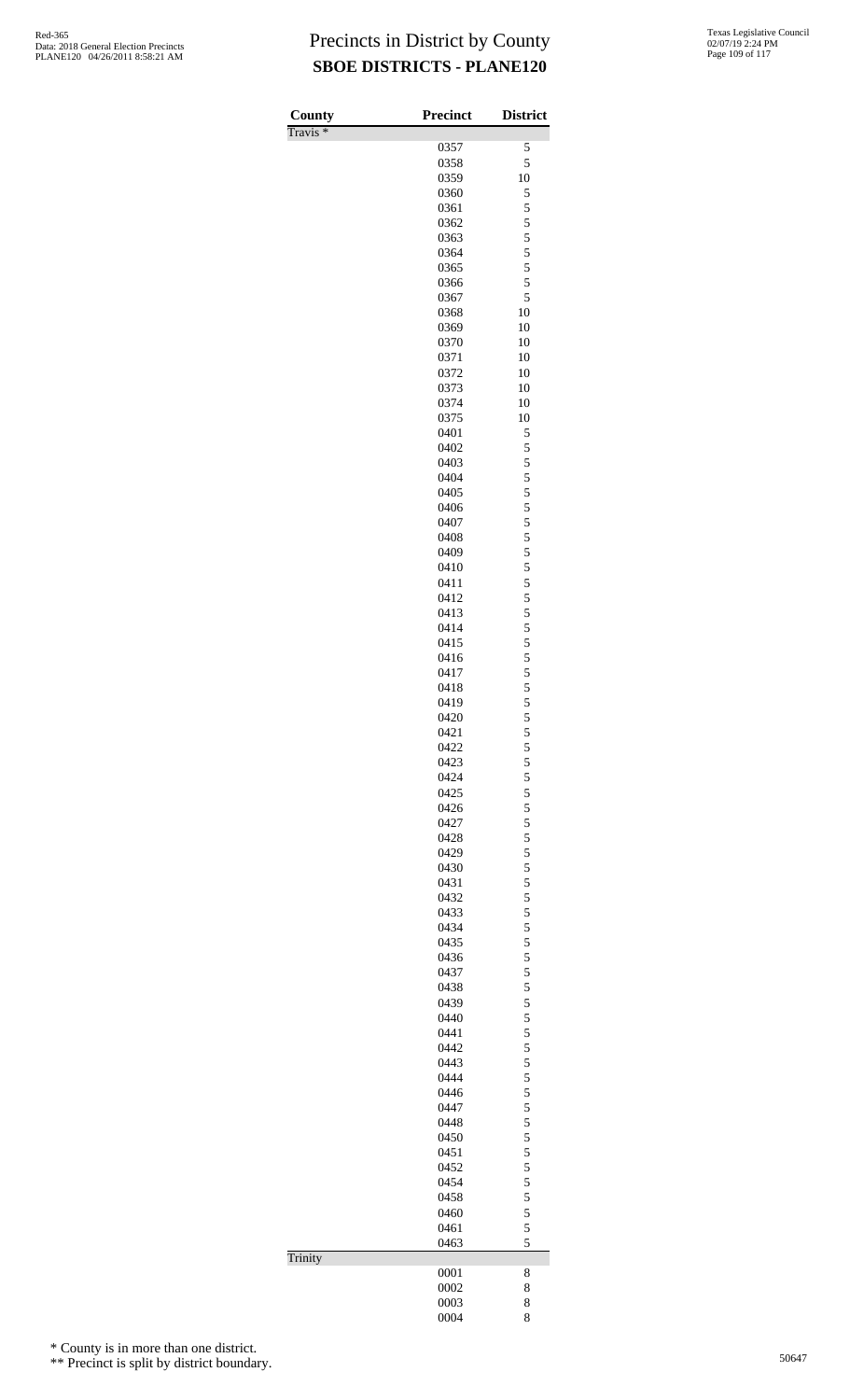| County              | Precinct     | <b>District</b>                            |
|---------------------|--------------|--------------------------------------------|
| Travis <sup>*</sup> | 0357         | 5                                          |
|                     | 0358         | 5                                          |
|                     | 0359         | 10                                         |
|                     | 0360         | 5                                          |
|                     | 0361         | 5                                          |
|                     | 0362         | 5                                          |
|                     | 0363<br>0364 | 5<br>5                                     |
|                     | 0365         | 5                                          |
|                     | 0366         | 5                                          |
|                     | 0367         | 5                                          |
|                     | 0368         | 10                                         |
|                     | 0369         | 10                                         |
|                     | 0370         | 10                                         |
|                     | 0371<br>0372 | 10<br>10                                   |
|                     | 0373         | 10                                         |
|                     | 0374         | 10                                         |
|                     | 0375         | 10                                         |
|                     | 0401         | 5                                          |
|                     | 0402         | 5                                          |
|                     | 0403         | 5                                          |
|                     | 0404         | 5                                          |
|                     | 0405<br>0406 | 5<br>5                                     |
|                     | 0407         | 5                                          |
|                     | 0408         | 5                                          |
|                     | 0409         | 5                                          |
|                     | 0410         | 5                                          |
|                     | 0411         | 5                                          |
|                     | 0412         | 5                                          |
|                     | 0413         | 5                                          |
|                     | 0414<br>0415 | 5                                          |
|                     | 0416         | $\frac{5}{5}$                              |
|                     | 0417         |                                            |
|                     | 0418         | $\begin{array}{c} 5 \\ 5 \\ 5 \end{array}$ |
|                     | 0419         |                                            |
|                     | 0420         | 5                                          |
|                     | 0421         | 5                                          |
|                     | 0422         | 5                                          |
|                     | 0423<br>0424 | 5<br>5                                     |
|                     | 0425         | 5                                          |
|                     | 0426         | 5                                          |
|                     | 0427         | 5                                          |
|                     | 0428         | $\frac{5}{5}$                              |
|                     | 0429         |                                            |
|                     | 0430         | $\frac{5}{5}$                              |
|                     | 0431<br>0432 | 5                                          |
|                     | 0433         |                                            |
|                     | 0434         | $\frac{5}{5}$                              |
|                     | 0435         | 5                                          |
|                     | 0436         | 5                                          |
|                     | 0437         | 5                                          |
|                     | 0438         | $\frac{5}{5}$                              |
|                     | 0439         |                                            |
|                     | 0440<br>0441 | $\frac{5}{5}$                              |
|                     | 0442         | 5                                          |
|                     | 0443         |                                            |
|                     | 0444         | $\frac{5}{5}$                              |
|                     | 0446         | 5                                          |
|                     | 0447         | 5                                          |
|                     | 0448         | 5                                          |
|                     | 0450<br>0451 | $\frac{5}{5}$                              |
|                     | 0452         |                                            |
|                     | 0454         | $\frac{5}{5}$                              |
|                     | 0458         | 5                                          |
|                     | 0460         | 5                                          |
|                     | 0461         | 5                                          |
|                     | 0463         | 5                                          |
| Trinity             |              |                                            |
|                     | 0001<br>0002 | 8<br>8                                     |
|                     | 0003         | 8                                          |
|                     | 0004         | 8                                          |

\* County is in more than one district.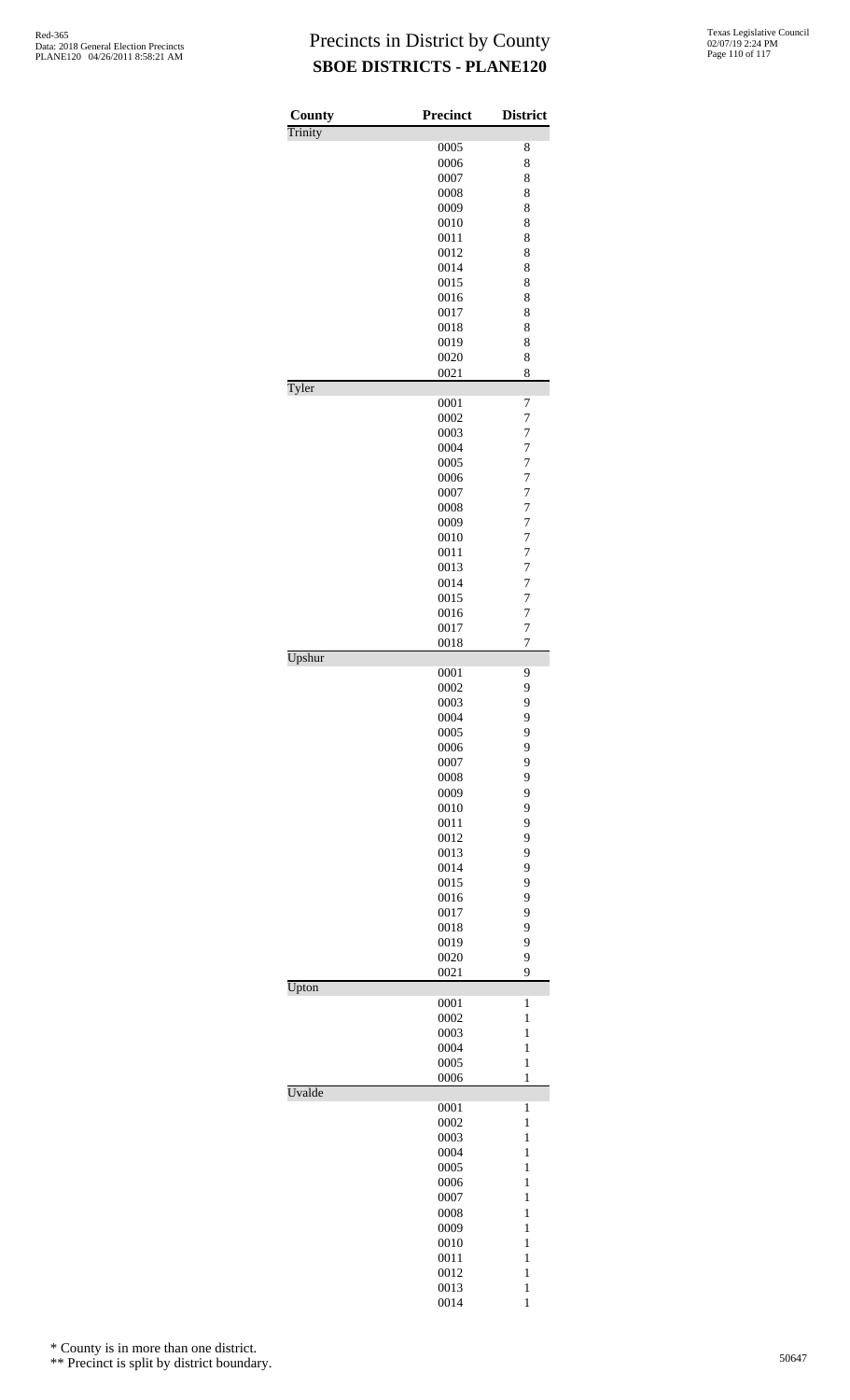| County  | <b>Precinct</b> | <b>District</b>              |
|---------|-----------------|------------------------------|
| Trinity |                 |                              |
|         | 0005            | 8                            |
|         | 0006            | 8                            |
|         | 0007            | 8                            |
|         | 0008            | 8                            |
|         | 0009            | 8                            |
|         | 0010            | 8                            |
|         | 0011            | 8                            |
|         | 0012            | 8                            |
|         | 0014            | 8                            |
|         | 0015            | 8                            |
|         | 0016            | 8                            |
|         | 0017            | 8                            |
|         | 0018            | 8                            |
|         | 0019            | 8                            |
|         | 0020<br>0021    | 8<br>8                       |
| Tyler   |                 |                              |
|         | 0001            | 7                            |
|         | 0002            | $\overline{7}$               |
|         | 0003            | 7                            |
|         | 0004            | $\overline{7}$               |
|         | 0005            | $\overline{7}$               |
|         | 0006            | $\overline{7}$               |
|         | 0007            | $\overline{7}$               |
|         | 0008            | $\overline{7}$               |
|         | 0009            | 7                            |
|         | 0010            | 7                            |
|         | 0011            | $\overline{7}$               |
|         | 0013            | $\overline{7}$               |
|         | 0014            | $\overline{7}$               |
|         | 0015            | $\overline{7}$               |
|         | 0016            | $\overline{7}$               |
|         | 0017            | $\overline{7}$               |
| Upshur  | 0018            | $\overline{7}$               |
|         | 0001            | 9                            |
|         | 0002            | 9                            |
|         | 0003            | 9                            |
|         | 0004            | 9                            |
|         | 0005            | 9                            |
|         | 0006            | 9                            |
|         | 0007            | 9                            |
|         | 0008            | 9                            |
|         | 0009            | 9                            |
|         | 0010            | 9                            |
|         | 0011            | 9                            |
|         | 0012            | 9                            |
|         | 0013            | 9                            |
|         | 0014            | 9                            |
|         | 0015            | 9                            |
|         | 0016            | 9                            |
|         | 0017            | 9                            |
|         | 0018            | 9                            |
|         | 0019            | 9                            |
|         | 0020<br>0021    | 9<br>9                       |
| Upton   |                 |                              |
|         | 0001            | 1                            |
|         | 0002            | 1                            |
|         | 0003            | $\mathbf{1}$                 |
|         | 0004            | $\mathbf{1}$                 |
|         | 0005            | $\mathbf{1}$                 |
|         | 0006            | $\mathbf{1}$                 |
| Uvalde  |                 |                              |
|         | 0001            | 1                            |
|         | 0002            | $\mathbf{1}$                 |
|         | 0003            | 1                            |
|         | 0004            | 1                            |
|         | 0005            | 1                            |
|         | 0006<br>0007    | $\mathbf{1}$<br>$\mathbf{1}$ |
|         | 0008            | $\mathbf{1}$                 |
|         | 0009            | 1                            |
|         | 0010            | 1                            |
|         | 0011            | $\mathbf{1}$                 |
|         | 0012            | $\mathbf{1}$                 |
|         | 0013            | $\mathbf{1}$                 |
|         |                 |                              |

1

\* County is in more than one district.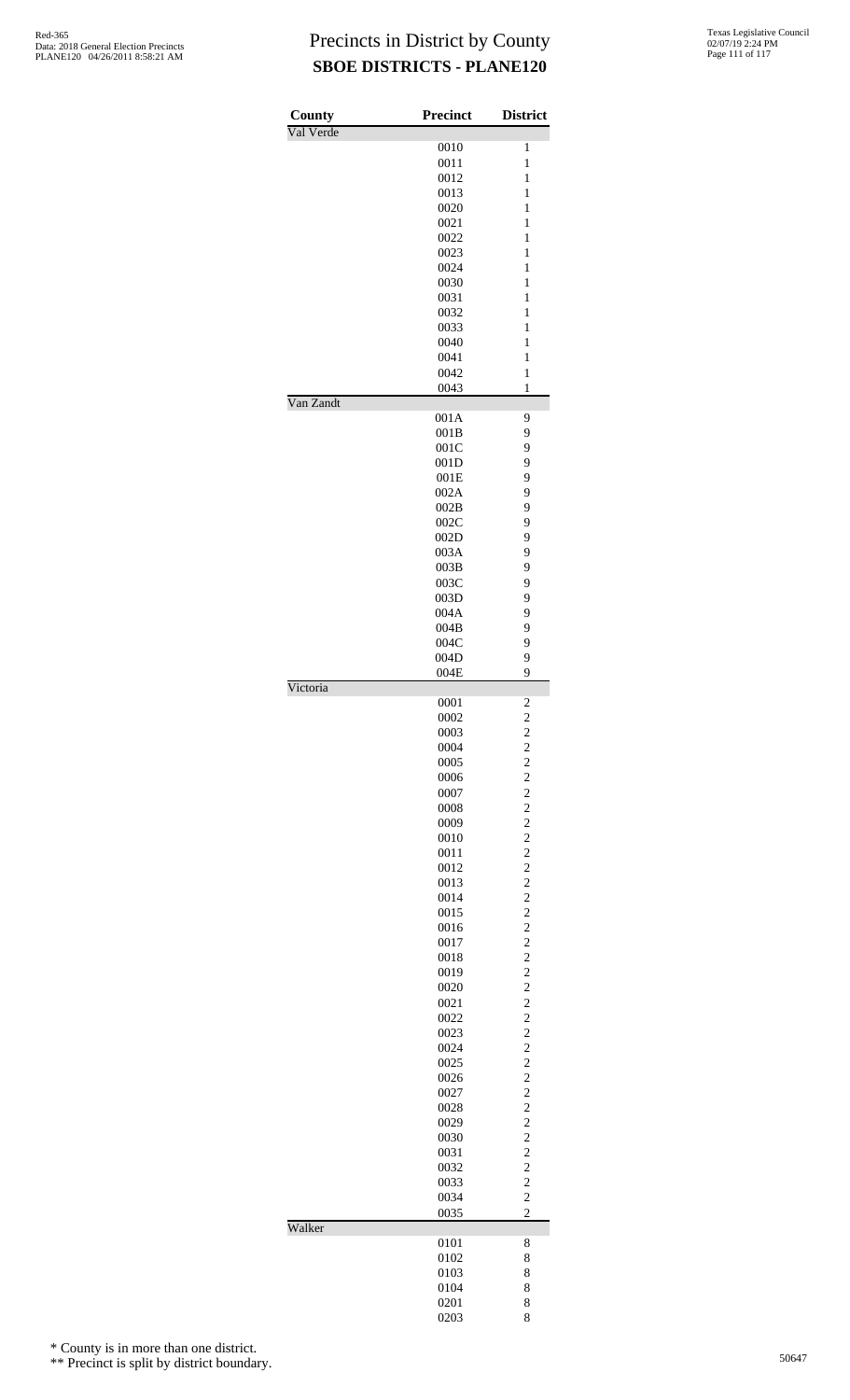| County    | <b>Precinct</b> | <b>District</b>         |
|-----------|-----------------|-------------------------|
| Val Verde |                 |                         |
|           | 0010            | 1                       |
|           | 0011            | 1                       |
|           | 0012            | 1                       |
|           | 0013            | 1                       |
|           | 0020            | $\mathbf{1}$            |
|           | 0021            | $\mathbf{1}$            |
|           | 0022            | $\mathbf{1}$            |
|           | 0023            | 1                       |
|           | 0024            | 1                       |
|           | 0030            | $\mathbf{1}$            |
|           | 0031            | 1                       |
|           | 0032            | 1                       |
|           | 0033            | 1                       |
|           | 0040            | 1                       |
|           | 0041            | $\mathbf{1}$            |
|           | 0042            | 1                       |
|           | 0043            | $\mathbf{1}$            |
| Van Zandt |                 |                         |
|           | 001A            | 9                       |
|           | 001B            | 9                       |
|           | 001C            | 9                       |
|           | 001D            | 9                       |
|           | 001E            | 9                       |
|           | 002A            | 9                       |
|           | 002B            | 9                       |
|           | 002C            | 9                       |
|           | 002D            | 9                       |
|           | 003A            | 9                       |
|           | 003B            | 9                       |
|           | 003C            | 9                       |
|           | 003D            | 9                       |
|           | 004A            | 9                       |
|           |                 |                         |
|           | 004B            | 9                       |
|           | 004C            | 9                       |
|           | 004D            | 9                       |
|           | 004E            | 9                       |
| Victoria  | 0001            | $\overline{\mathbf{c}}$ |
|           | 0002            | $\overline{c}$          |
|           | 0003            | $\overline{\mathbf{c}}$ |
|           | 0004            |                         |
|           | 0005            |                         |
|           |                 |                         |
|           | 0006            |                         |
|           | 0007            |                         |
|           | 0008            |                         |
|           | 0009            |                         |
|           | 0010            |                         |
|           | 0011            |                         |
|           | 0012            |                         |
|           | 0013            |                         |
|           | 0014            |                         |
|           | 0015            |                         |
|           | 0016            |                         |
|           | 0017            |                         |
|           | 0018            |                         |
|           | 0019            |                         |
|           | 0020            |                         |
|           | 0021            |                         |
|           | 0022            |                         |
|           | 0023            |                         |
|           | 0024            |                         |
|           | 0025            |                         |
|           | 0026            |                         |
|           | 0027            |                         |
|           | 0028            |                         |
|           | 0029            |                         |
|           |                 |                         |
|           | 0030            |                         |
|           | 0031            |                         |
|           | 0032            |                         |
|           | 0033            |                         |
|           | 0034            | $\overline{c}$          |
| Walker    | 0035            | $\overline{c}$          |
|           | 0101            | 8                       |
|           | 0102            | 8                       |
|           | 0103            | 8                       |
|           |                 |                         |
|           | 0104            | 8                       |
|           | 0201            | 8                       |
|           | 0203            | 8                       |

\* County is in more than one district.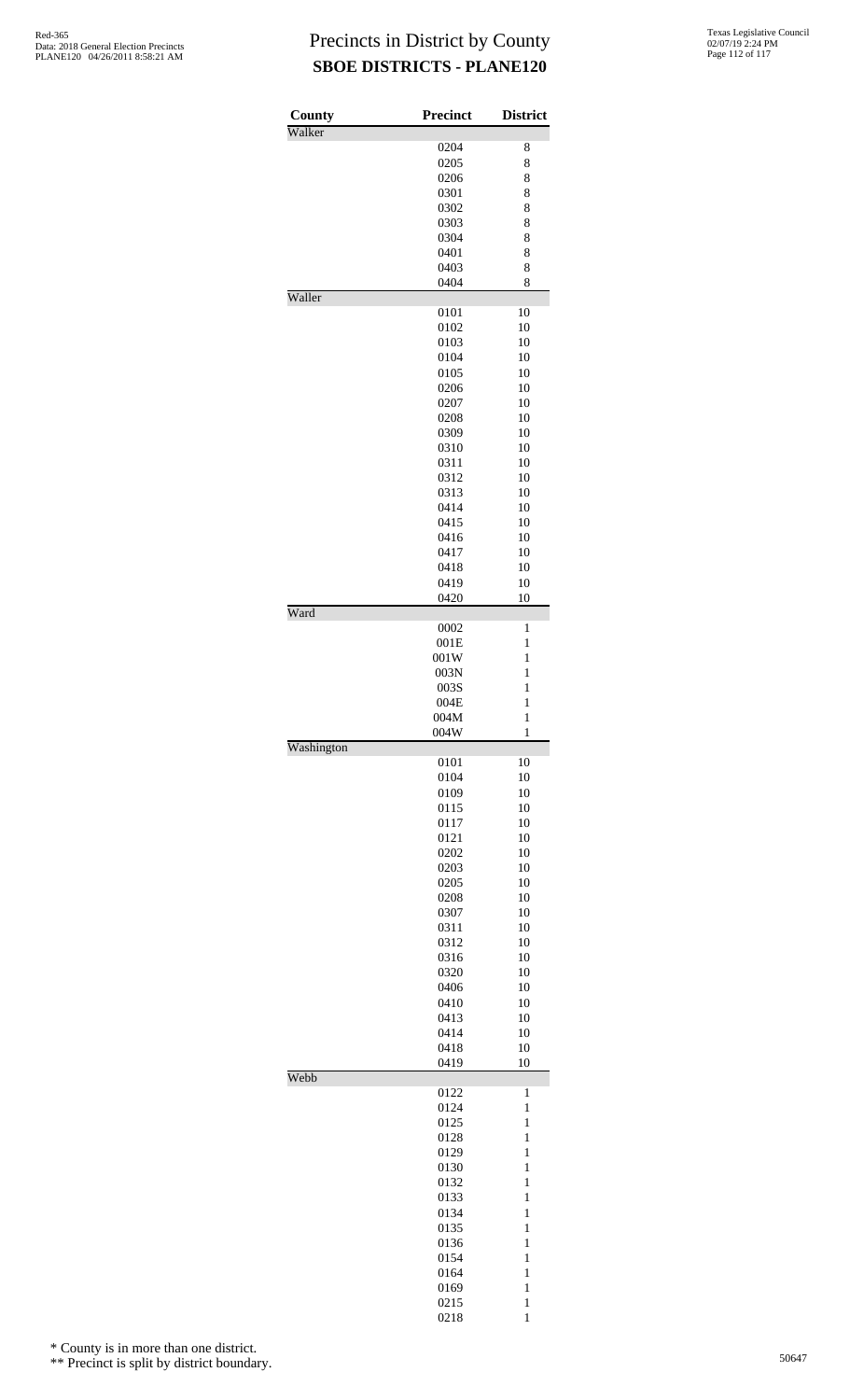| County     | <b>Precinct</b> | <b>District</b>              |
|------------|-----------------|------------------------------|
| Walker     |                 |                              |
|            | 0204            | 8                            |
|            | 0205            | 8                            |
|            | 0206            | 8                            |
|            | 0301            | 8                            |
|            | 0302            | 8                            |
|            | 0303            | 8                            |
|            | 0304            | 8                            |
|            | 0401            | 8                            |
|            | 0403            | 8                            |
| Waller     | 0404            | 8                            |
|            | 0101            | 10                           |
|            | 0102            | 10                           |
|            | 0103            | 10                           |
|            | 0104            | 10                           |
|            | 0105            | 10                           |
|            | 0206            | 10                           |
|            | 0207            | 10                           |
|            | 0208            | 10                           |
|            |                 |                              |
|            | 0309            | 10                           |
|            | 0310            | 10                           |
|            | 0311            | 10                           |
|            | 0312            | 10                           |
|            | 0313            | 10                           |
|            | 0414            | 10                           |
|            | 0415            | 10                           |
|            | 0416            | 10                           |
|            | 0417            | 10                           |
|            | 0418            | 10                           |
|            | 0419            | 10                           |
|            | 0420            | 10                           |
| Ward       |                 |                              |
|            | 0002            | $\mathbf{1}$<br>$\mathbf{1}$ |
|            | 001E            |                              |
|            | 001W            | $\mathbf{1}$                 |
|            | 003N            | $\mathbf{1}$                 |
|            | 003S            | $\mathbf{1}$                 |
|            | 004E            | $\mathbf{1}$                 |
|            | 004M            | $\mathbf{1}$                 |
| Washington | 004W            | 1                            |
|            | 0101            | 10                           |
|            | 0104            | 10                           |
|            | 0109            | 10                           |
|            | 0115            | 10                           |
|            | 0117            | 10                           |
|            | 0121            | 10                           |
|            | 0202            | 10                           |
|            | 0203            | 10                           |
|            | 0205            | 10                           |
|            | 0208            | 10                           |
|            | 0307            | 10                           |
|            |                 | 10                           |
|            | 0311            | 10                           |
|            | 0312            |                              |
|            | 0316            | 10                           |
|            | 0320            | 10                           |
|            | 0406            | 10                           |
|            | 0410            | 10                           |
|            | 0413            | 10                           |
|            | 0414            | 10                           |
|            | 0418            | 10                           |
|            | 0419            | 10                           |
| Webb       | 0122            | 1                            |
|            | 0124            | $\mathbf{1}$                 |
|            | 0125            | $\mathbf{1}$                 |
|            | 0128            | $\mathbf{1}$                 |
|            | 0129            | 1                            |
|            | 0130            | 1                            |
|            | 0132            | 1                            |
|            | 0133            | $\mathbf{1}$                 |
|            | 0134            | $\mathbf{1}$                 |
|            |                 |                              |
|            | 0135            | $\mathbf{1}$                 |
|            | 0136            | 1                            |
|            | 0154            | 1                            |
|            | 0164            | $\mathbf{1}$                 |
|            | 0169            | $\mathbf{1}$                 |
|            | 0215            | $\mathbf{1}$                 |
|            | 0218            | 1                            |

\* County is in more than one district.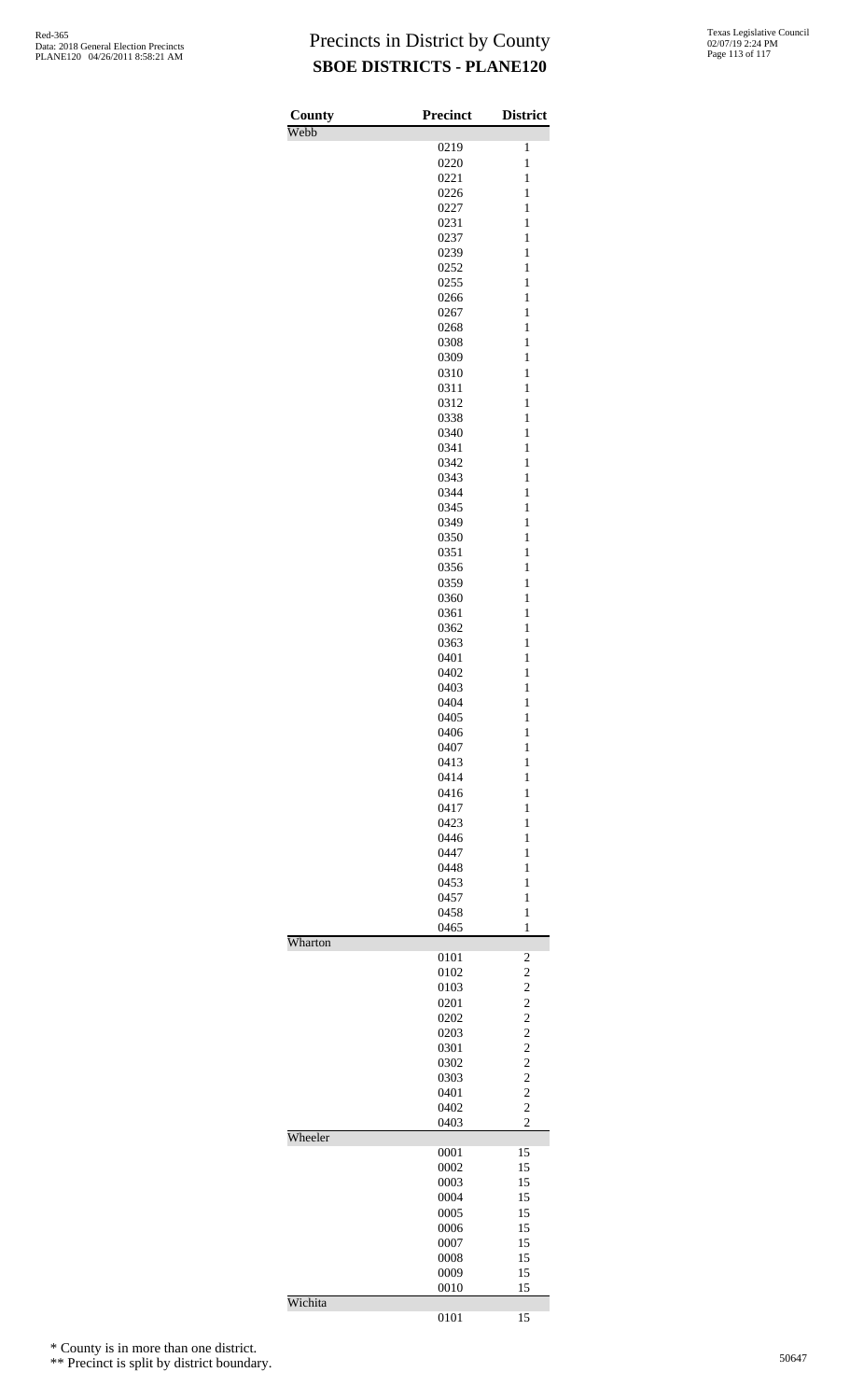| County  | <b>Precinct</b> | <b>District</b>                            |
|---------|-----------------|--------------------------------------------|
| Webb    | 0219            | 1                                          |
|         | 0220            | $\mathbf{1}$                               |
|         | 0221            | $\mathbf{1}$                               |
|         | 0226            | $\mathbf{1}$                               |
|         | 0227<br>0231    | $\mathbf{1}$<br>$\mathbf{1}$               |
|         | 0237            | $\mathbf{1}$                               |
|         | 0239            | $\mathbf{1}$                               |
|         | 0252            | $\mathbf{1}$                               |
|         | 0255            | $\mathbf{1}$                               |
|         | 0266<br>0267    | $\mathbf{1}$<br>$\mathbf{1}$               |
|         | 0268            | $\mathbf{1}$                               |
|         | 0308            | $\mathbf{1}$                               |
|         | 0309            | $\mathbf{1}$                               |
|         | 0310            | $\mathbf{1}$                               |
|         | 0311<br>0312    | $\mathbf{1}$<br>$\mathbf{1}$               |
|         | 0338            | $\mathbf{1}$                               |
|         | 0340            | $\mathbf{1}$                               |
|         | 0341            | $\mathbf{1}$                               |
|         | 0342            | $\mathbf{1}$                               |
|         | 0343            | $\mathbf{1}$                               |
|         | 0344<br>0345    | $\mathbf{1}$<br>$\mathbf{1}$               |
|         | 0349            | $\mathbf{1}$                               |
|         | 0350            | $\mathbf{1}$                               |
|         | 0351            | $\mathbf{1}$                               |
|         | 0356            | $\mathbf{1}$                               |
|         | 0359<br>0360    | $\mathbf{1}$<br>$\mathbf{1}$               |
|         | 0361            | $\mathbf{1}$                               |
|         | 0362            | $\mathbf{1}$                               |
|         | 0363            | $\mathbf{1}$                               |
|         | 0401            | $\mathbf{1}$                               |
|         | 0402<br>0403    | $\mathbf{1}$<br>$\mathbf{1}$               |
|         | 0404            | $\mathbf{1}$                               |
|         | 0405            | $\mathbf{1}$                               |
|         | 0406            | $\mathbf{1}$                               |
|         | 0407            | $\mathbf{1}$                               |
|         | 0413<br>0414    | 1<br>1                                     |
|         | 0416            | 1                                          |
|         | 0417            | $\mathbf{1}$                               |
|         | 0423            | $\mathbf{1}$                               |
|         | 0446            | 1                                          |
|         | 0447<br>0448    | 1<br>1                                     |
|         | 0453            | $\mathbf{1}$                               |
|         | 0457            | $\mathbf{1}$                               |
|         | 0458            | $\mathbf{1}$                               |
| Wharton | 0465            | $\mathbf{1}$                               |
|         | 0101            | 2                                          |
|         | 0102            | $\overline{c}$                             |
|         | 0103            | $\overline{c}$                             |
|         | 0201            | $\begin{array}{c} 2 \\ 2 \\ 2 \end{array}$ |
|         | 0202<br>0203    |                                            |
|         | 0301            | $\overline{\mathbf{c}}$                    |
|         | 0302            | $\overline{c}$                             |
|         | 0303            | $\begin{array}{c} 2 \\ 2 \\ 2 \end{array}$ |
|         | 0401<br>0402    |                                            |
|         | 0403            | $\overline{c}$                             |
| Wheeler |                 |                                            |
|         | 0001            | 15                                         |
|         | 0002            | 15                                         |
|         | 0003<br>0004    | 15<br>15                                   |
|         | 0005            | 15                                         |
|         | 0006            | 15                                         |
|         | 0007            | 15                                         |
|         | 0008            | 15                                         |
|         | 0009<br>0010    | 15<br>15                                   |
| Wichita |                 |                                            |
|         | 0101            | 15                                         |

\* County is in more than one district.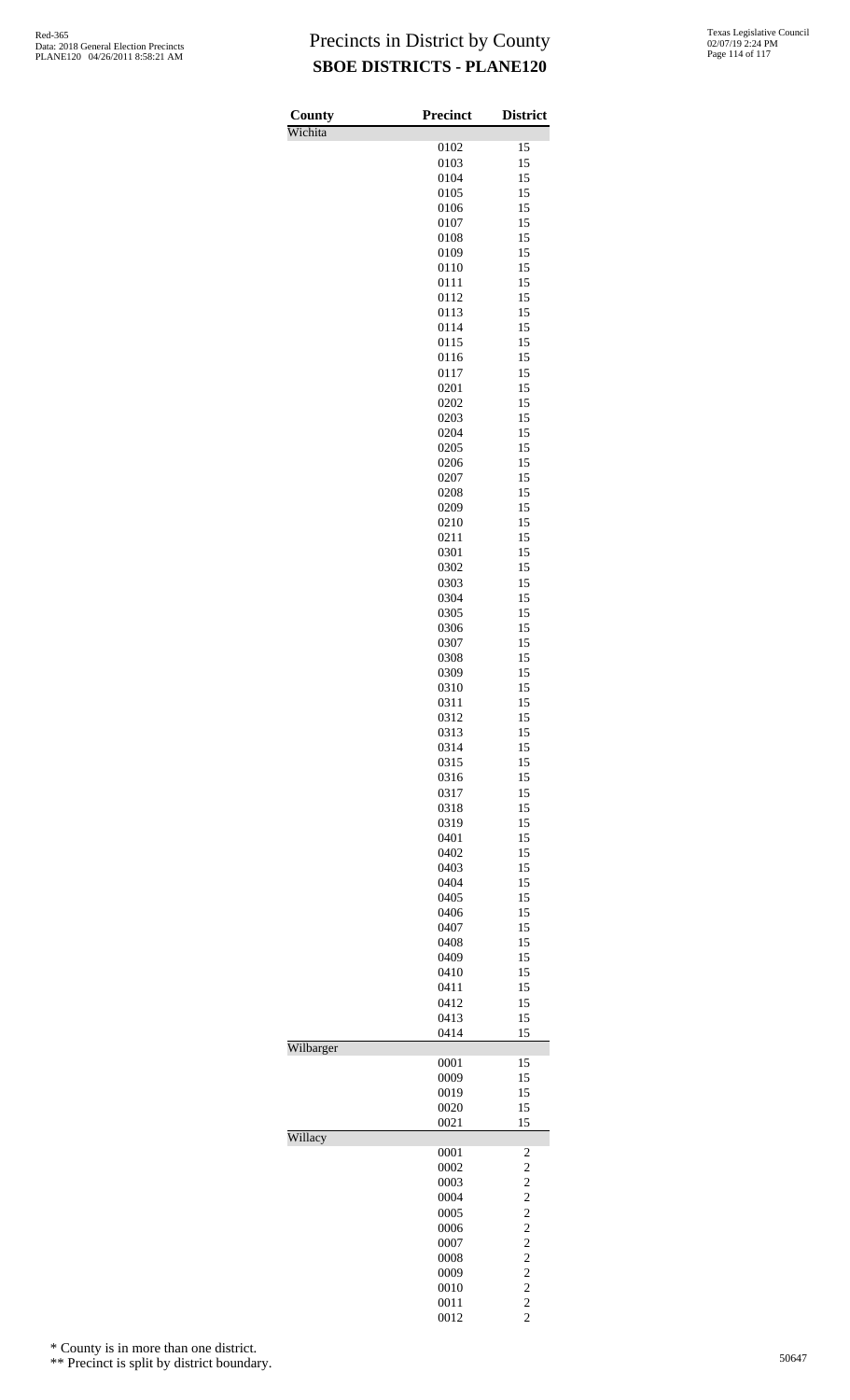| County<br>Wichita | Precinct     | <b>District</b>                                   |
|-------------------|--------------|---------------------------------------------------|
|                   | 0102         | 15                                                |
|                   | 0103         | 15                                                |
|                   | 0104         | 15                                                |
|                   | 0105         | 15                                                |
|                   | 0106         | 15                                                |
|                   | 0107<br>0108 | 15<br>15                                          |
|                   | 0109         | 15                                                |
|                   | 0110         | 15                                                |
|                   | 0111         | 15                                                |
|                   | 0112         | 15                                                |
|                   | 0113<br>0114 | 15<br>15                                          |
|                   | 0115         | 15                                                |
|                   | 0116         | 15                                                |
|                   | 0117         | 15                                                |
|                   | 0201         | 15                                                |
|                   | 0202<br>0203 | 15<br>15                                          |
|                   | 0204         | 15                                                |
|                   | 0205         | 15                                                |
|                   | 0206         | 15                                                |
|                   | 0207         | 15                                                |
|                   | 0208         | 15<br>15                                          |
|                   | 0209<br>0210 | 15                                                |
|                   | 0211         | 15                                                |
|                   | 0301         | 15                                                |
|                   | 0302         | 15                                                |
|                   | 0303<br>0304 | 15<br>15                                          |
|                   | 0305         | 15                                                |
|                   | 0306         | 15                                                |
|                   | 0307         | 15                                                |
|                   | 0308<br>0309 | 15<br>15                                          |
|                   | 0310         | 15                                                |
|                   | 0311         | 15                                                |
|                   | 0312         | 15                                                |
|                   | 0313<br>0314 | 15<br>15                                          |
|                   | 0315         | 15                                                |
|                   | 0316         | 15                                                |
|                   | 0317         | 15                                                |
|                   | 0318<br>0319 | 15<br>15                                          |
|                   | 0401         | 15                                                |
|                   | 0402         | 15                                                |
|                   | 0403         | 15                                                |
|                   | 0404<br>0405 | 15<br>15                                          |
|                   | 0406         | 15                                                |
|                   | 0407         | 15                                                |
|                   | 0408         | 15                                                |
|                   | 0409         | 15<br>15                                          |
|                   | 0410<br>0411 | 15                                                |
|                   | 0412         | 15                                                |
|                   | 0413         | 15                                                |
| Wilbarger         | 0414         | 15                                                |
|                   | 0001         | 15                                                |
|                   | 0009         | 15                                                |
|                   | 0019         | 15<br>15                                          |
|                   | 0020<br>0021 | 15                                                |
| Willacy           |              |                                                   |
|                   | 0001<br>0002 | $\frac{2}{2}$                                     |
|                   | 0003         |                                                   |
|                   | 0004         | $\begin{array}{c} 2 \\ 2 \\ 2 \end{array}$        |
|                   | 0005         |                                                   |
|                   | 0006<br>0007 | $\frac{2}{2}$                                     |
|                   | 0008         |                                                   |
|                   | 0009         |                                                   |
|                   | 0010         |                                                   |
|                   | 0011<br>0012 | $\begin{array}{c}\n2 \\ 2 \\ 2 \\ 2\n\end{array}$ |
|                   |              |                                                   |

\* County is in more than one district.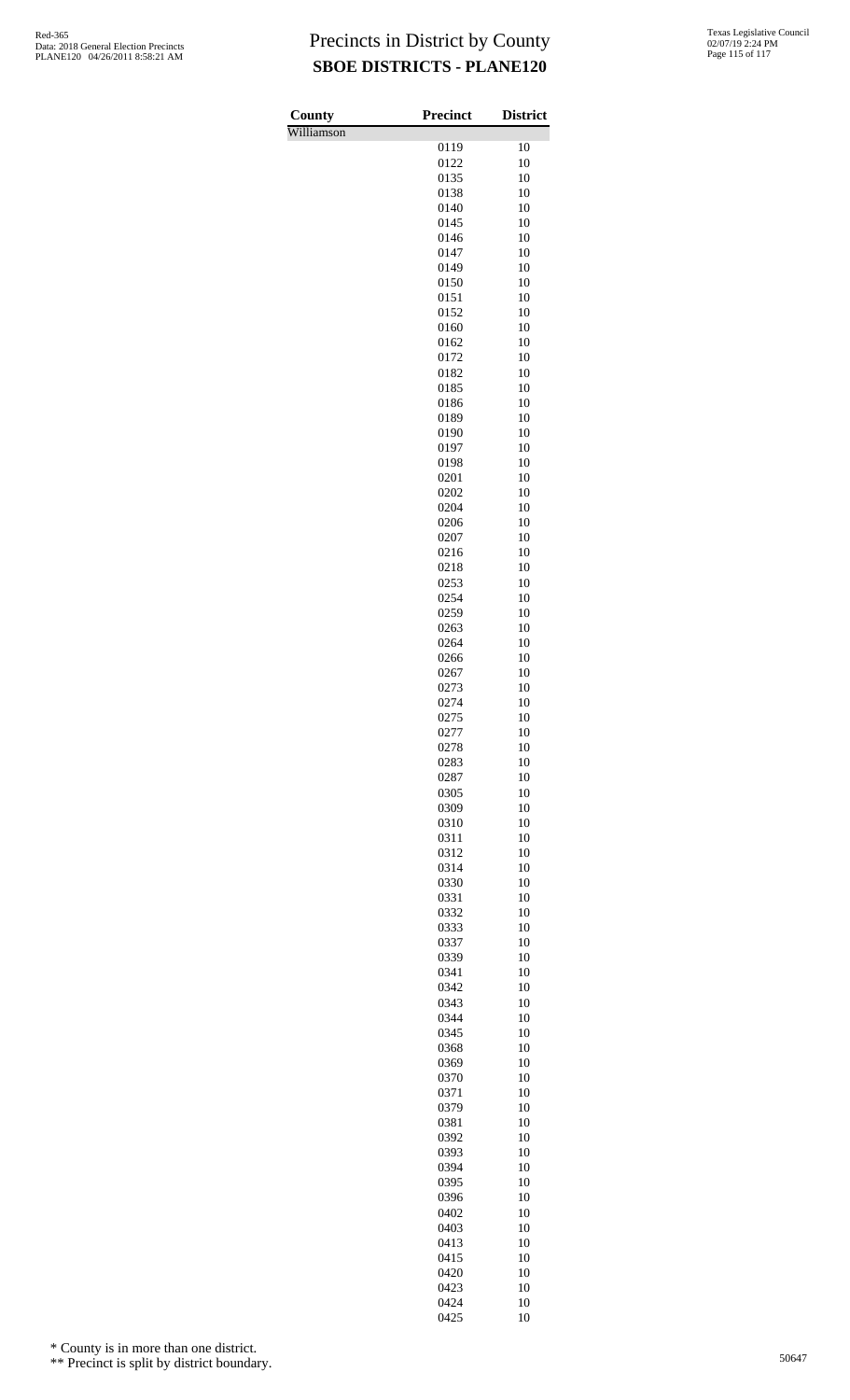| County     | <b>Precinct</b> | <b>District</b> |
|------------|-----------------|-----------------|
| Williamson |                 | 10              |
|            | 0119<br>0122    | 10              |
|            | 0135            | 10              |
|            | 0138            | 10              |
|            | 0140<br>0145    | 10<br>10        |
|            | 0146            | 10              |
|            | 0147            | 10              |
|            | 0149            | 10              |
|            | 0150<br>0151    | 10<br>10        |
|            | 0152            | 10              |
|            | 0160            | 10              |
|            | 0162<br>0172    | 10<br>10        |
|            | 0182            | 10              |
|            | 0185            | 10              |
|            | 0186            | 10              |
|            | 0189<br>0190    | 10<br>10        |
|            | 0197            | 10              |
|            | 0198            | 10              |
|            | 0201            | 10              |
|            | 0202<br>0204    | 10<br>10        |
|            | 0206            | 10              |
|            | 0207            | 10              |
|            | 0216            | 10              |
|            | 0218<br>0253    | 10<br>10        |
|            | 0254            | 10              |
|            | 0259            | 10              |
|            | 0263            | 10              |
|            | 0264<br>0266    | 10<br>10        |
|            | 0267            | 10              |
|            | 0273            | 10              |
|            | 0274<br>0275    | 10<br>10        |
|            | 0277            | 10              |
|            | 0278            | 10              |
|            | 0283            | 10              |
|            | 0287<br>0305    | 10<br>10        |
|            | 0309            | 10              |
|            | 0310            | 10              |
|            | 0311<br>0312    | 10<br>10        |
|            | 0314            | 10              |
|            | 0330            | 10              |
|            | 0331            | 10              |
|            | 0332<br>0333    | 10<br>10        |
|            | 0337            | 10              |
|            | 0339            | 10              |
|            | 0341            | 10              |
|            | 0342<br>0343    | 10<br>10        |
|            | 0344            | 10              |
|            | 0345            | 10              |
|            | 0368<br>0369    | 10<br>10        |
|            | 0370            | 10              |
|            | 0371            | 10              |
|            | 0379            | 10              |
|            | 0381<br>0392    | 10<br>10        |
|            | 0393            | 10              |
|            | 0394            | 10              |
|            | 0395            | 10              |
|            | 0396<br>0402    | 10<br>10        |
|            | 0403            | 10              |
|            | 0413            | 10              |
|            | 0415<br>0420    | 10              |
|            | 0423            | 10<br>10        |
|            | 0424            | 10              |
|            | 0425            | 10              |

\* County is in more than one district.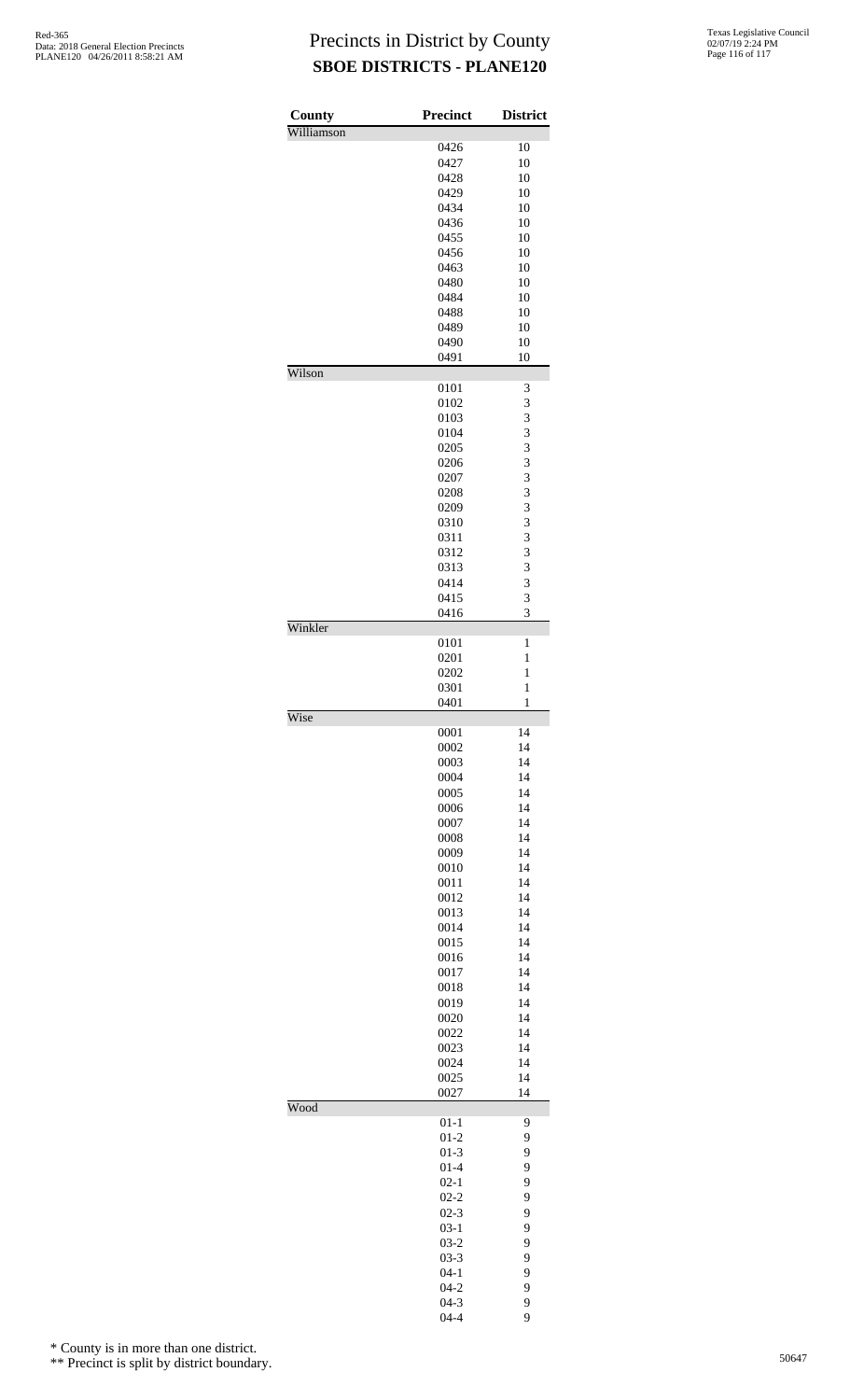| County     | Precinct             | <b>District</b>              |
|------------|----------------------|------------------------------|
| Williamson |                      |                              |
|            | 0426                 | 10                           |
|            | 0427<br>0428         | 10<br>10                     |
|            | 0429                 | 10                           |
|            | 0434                 | 10                           |
|            | 0436                 | 10                           |
|            | 0455                 | 10                           |
|            | 0456                 | 10                           |
|            | 0463                 | 10                           |
|            | 0480                 | 10                           |
|            | 0484<br>0488         | 10<br>10                     |
|            | 0489                 | 10                           |
|            | 0490                 | 10                           |
|            | 0491                 | 10                           |
| Wilson     |                      |                              |
|            | 0101                 | 3                            |
|            | 0102<br>0103         | 3<br>3                       |
|            | 0104                 | 3                            |
|            | 0205                 | 3                            |
|            | 0206                 | 3                            |
|            | 0207                 | 3                            |
|            | 0208                 | 3                            |
|            | 0209                 | 3                            |
|            | 0310                 | 3                            |
|            | 0311                 | 3                            |
|            | 0312<br>0313         | 3<br>3                       |
|            | 0414                 | 3                            |
|            | 0415                 | 3                            |
|            | 0416                 | 3                            |
| Winkler    |                      |                              |
|            | 0101                 | 1                            |
|            | 0201<br>0202         | $\mathbf{1}$<br>$\mathbf{1}$ |
|            | 0301                 | $\mathbf{1}$                 |
|            | 0401                 | $\mathbf{1}$                 |
| Wise       |                      |                              |
|            | 0001                 | 14                           |
|            | 0002                 | 14                           |
|            | 0003<br>0004         | 14<br>14                     |
|            | 0005                 | 14                           |
|            | 0006                 | 14                           |
|            | 0007                 | 14                           |
|            | 0008                 | 14                           |
|            | 0009                 | 14                           |
|            | 0010                 | 14                           |
|            | 0011<br>0012         | 14<br>14                     |
|            | 0013                 | 14                           |
|            | 0014                 | 14                           |
|            | 0015                 | 14                           |
|            | 0016                 | 14                           |
|            | 0017                 | 14                           |
|            | 0018                 | 14                           |
|            | 0019                 | 14                           |
|            | 0020                 | 14                           |
|            | 0022<br>0023         | 14<br>14                     |
|            | 0024                 | 14                           |
|            | 0025                 | 14                           |
|            | 0027                 | 14                           |
| Wood       |                      |                              |
|            | $01 - 1$             | 9                            |
|            | $01-2$               | 9                            |
|            | $01-3$<br>$01 - 4$   | 9<br>9                       |
|            | $02 - 1$             | 9                            |
|            | $02 - 2$             | 9                            |
|            | $02 - 3$             | 9                            |
|            | $03-1$               | 9                            |
|            | $03 - 2$             | 9                            |
|            | $03 - 3$             | 9                            |
|            | $04 - 1$             | 9                            |
|            | $04 - 2$<br>$04 - 3$ | 9<br>9                       |
|            | $04 - 4$             | 9                            |

\* County is in more than one district.